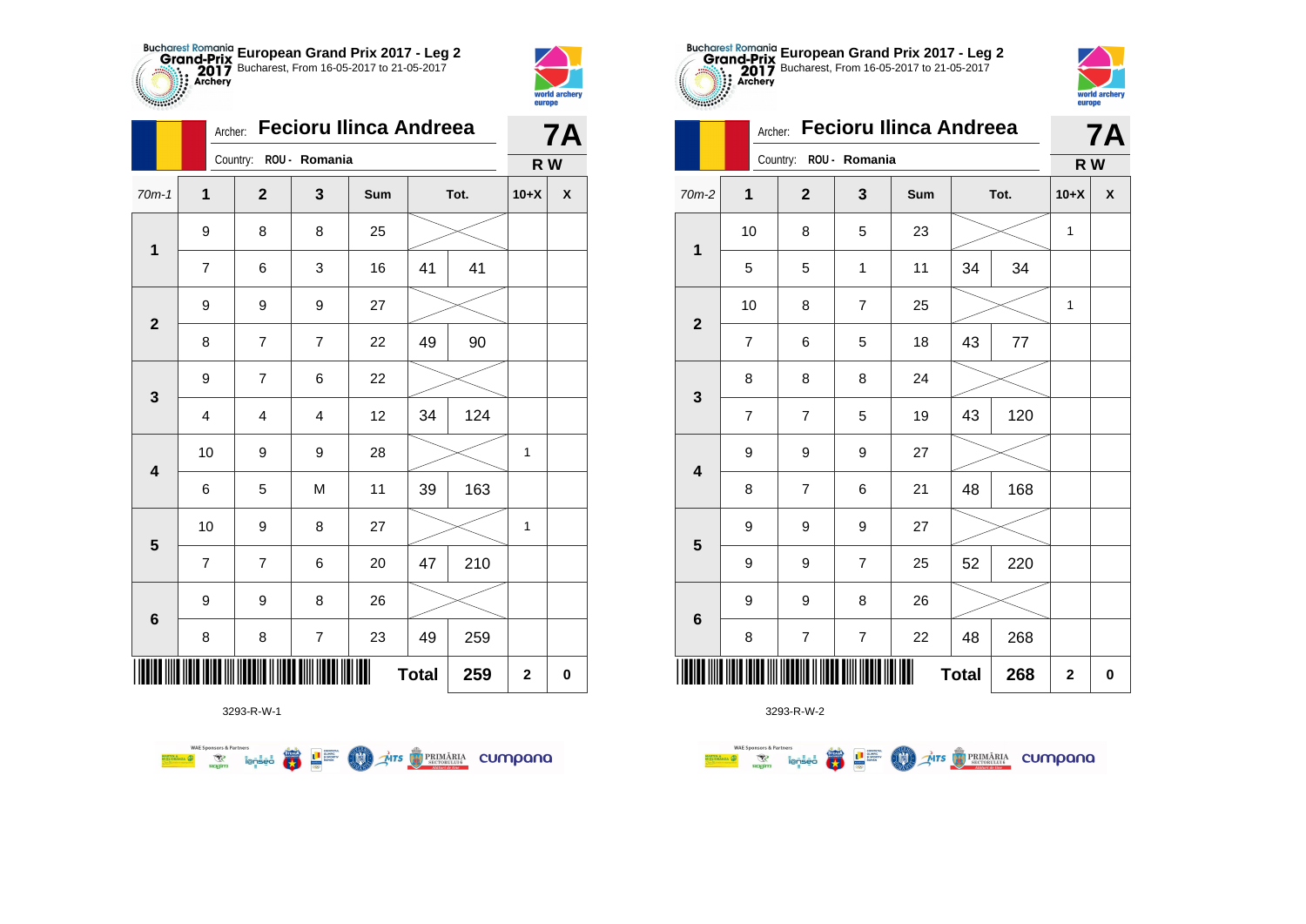



**STATISTICS** 

|                         | Archer:        |                         |                         | <b>Fecioru Ilinca Andreea</b> |              |      |             | <b>7A</b>          |
|-------------------------|----------------|-------------------------|-------------------------|-------------------------------|--------------|------|-------------|--------------------|
|                         |                | Country: ROU - Romania  |                         |                               |              |      | R W         |                    |
| $70m-1$                 | 1              | $\mathbf{2}$            | 3                       | Sum                           |              | Tot. | $10+X$      | $\pmb{\mathsf{X}}$ |
| $\mathbf 1$             | 9              | 8                       | 8                       | 25                            |              |      |             |                    |
|                         | $\overline{7}$ | 6                       | 3                       | 16                            | 41           | 41   |             |                    |
| $\mathbf{2}$            | 9              | 9                       | 9                       | 27                            |              |      |             |                    |
|                         | 8              | 7                       | $\overline{7}$          | 22                            | 49           | 90   |             |                    |
| $\mathbf{3}$            | 9              | $\overline{7}$          | 6                       | 22                            |              |      |             |                    |
|                         | 4              | $\overline{\mathbf{4}}$ | $\overline{\mathbf{4}}$ | 12                            | 34           | 124  |             |                    |
| $\overline{\mathbf{4}}$ | 10             | 9                       | 9                       | 28                            |              |      | 1           |                    |
|                         | 6              | 5                       | M                       | 11                            | 39           | 163  |             |                    |
| $\overline{\mathbf{5}}$ | 10             | 9                       | 8                       | 27                            |              |      | 1           |                    |
|                         | $\overline{7}$ | 7                       | 6                       | 20                            | 47           | 210  |             |                    |
| $\bf 6$                 | 9              | 9                       | 8                       | 26                            |              |      |             |                    |
|                         | 8              | 8                       | $\overline{\mathbf{7}}$ | 23                            | 49           | 259  |             |                    |
|                         |                |                         |                         |                               | <b>Total</b> | 259  | $\mathbf 2$ | $\pmb{0}$          |

**COLORED PRIMARIA CUMPANA** 



3293-R-W-2

|                         |                          | Country:                | ROU - Romania           |     |              |         | R W          |                    |
|-------------------------|--------------------------|-------------------------|-------------------------|-----|--------------|---------|--------------|--------------------|
| $70m-2$                 | $\mathbf 1$              | $\overline{\mathbf{2}}$ | 3                       | Sum |              | Tot.    | $10+X$       | $\pmb{\mathsf{X}}$ |
| $\mathbf{1}$            | 10                       | 8                       | 5                       | 23  |              |         | $\mathbf{1}$ |                    |
|                         | 5                        | 5                       | $\mathbf{1}$            | 11  | 34           | 34      |              |                    |
|                         | 10                       | 8                       | $\overline{\mathbf{7}}$ | 25  |              |         | 1            |                    |
| $\mathbf{2}$            | $\overline{7}$           | 6                       | 5                       | 18  | 43           | $77 \,$ |              |                    |
|                         | 8                        | 8                       | 8                       | 24  |              |         |              |                    |
| $\mathbf 3$             | $\overline{\mathcal{I}}$ | $\overline{\mathbf{7}}$ | 5                       | 19  | 43           | 120     |              |                    |
| $\overline{\mathbf{4}}$ | 9                        | 9                       | 9                       | 27  |              |         |              |                    |
|                         | 8                        | $\overline{\mathbf{7}}$ | 6                       | 21  | 48           | 168     |              |                    |
|                         | 9                        | 9                       | 9                       | 27  |              |         |              |                    |
| $5\phantom{1}$          | 9                        | 9                       | $\boldsymbol{7}$        | 25  | 52           | 220     |              |                    |
|                         | 9                        | 9                       | 8                       | 26  |              |         |              |                    |
| $\bf 6$                 | 8                        | $\boldsymbol{7}$        | $\boldsymbol{7}$        | 22  | 48           | 268     |              |                    |
| IIIII                   |                          |                         |                         | Ш   | <b>Total</b> | 268     | $\mathbf{2}$ | $\pmb{0}$          |

**European Grand Prix 2017 - Leg 2** Bucharest, From 16-05-2017 to 21-05-2017

Archer: **Fecioru Ilinca Andreea**

**7A**

world archer europe

3293-R-W-1

**Excession of the Contract of Contract of Contract of Contract of Contract of Contract of Contract of Contract o** 

**WAE Sponsors & Partners**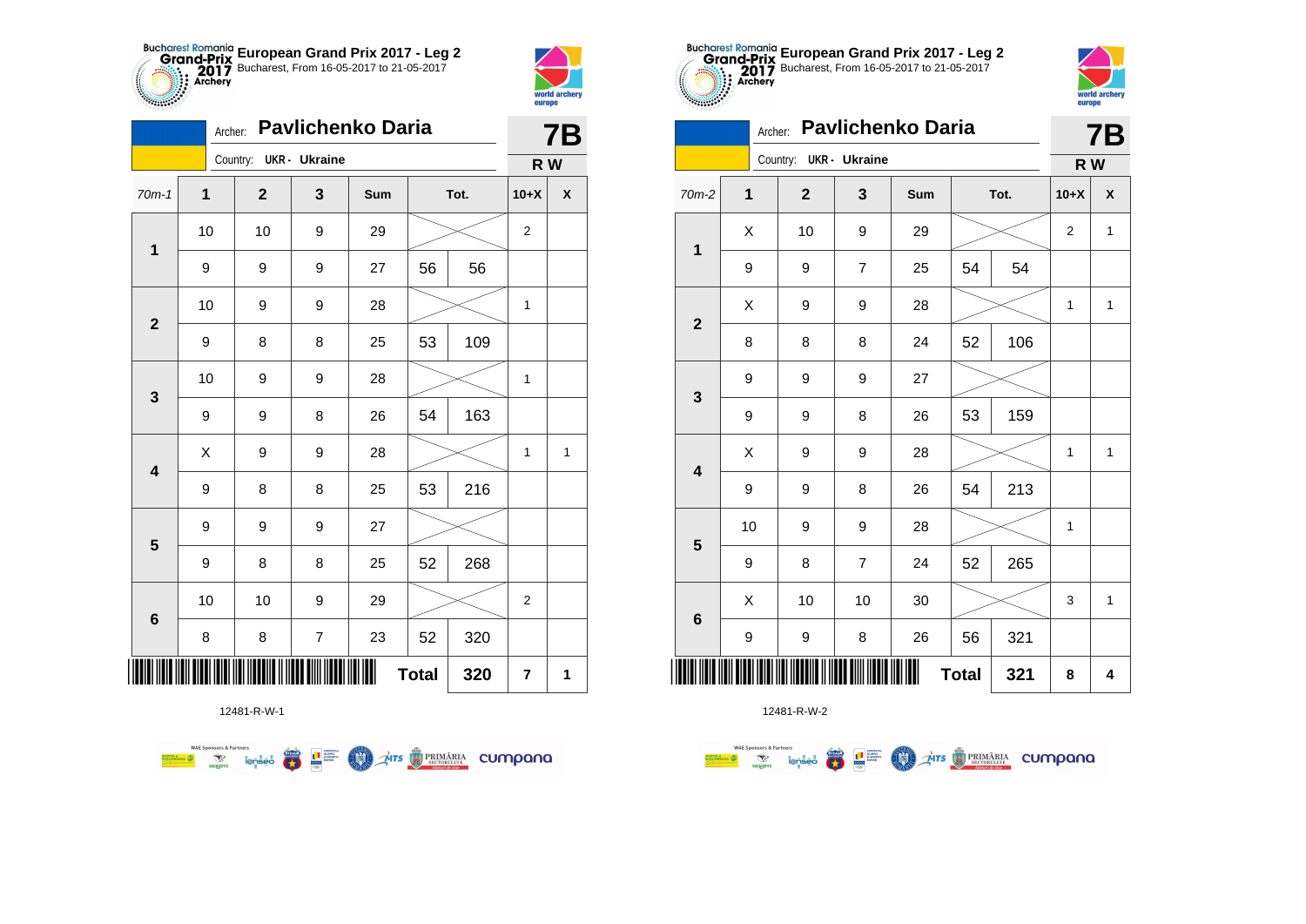



**THE** 

|              | <b>Pavlichenko Daria</b><br>Archer: |                        |   |     |    |      |                |   |  |  |  |
|--------------|-------------------------------------|------------------------|---|-----|----|------|----------------|---|--|--|--|
|              |                                     | Country: UKR - Ukraine |   |     |    |      | R W            |   |  |  |  |
| $70m-1$      | 1                                   | $\mathbf 2$            | 3 | Sum |    | Tot. | $10+X$         | X |  |  |  |
|              | 10<br>10<br>9<br>29<br>$\mathbf 1$  |                        |   |     |    |      |                |   |  |  |  |
|              | 9                                   | 9                      | 9 | 27  | 56 | 56   |                |   |  |  |  |
| $\mathbf{2}$ | 10                                  | 9                      | 9 | 28  |    |      | 1              |   |  |  |  |
|              | 109<br>53<br>9<br>8<br>8<br>25      |                        |   |     |    |      |                |   |  |  |  |
| 3            | 10                                  | 9                      | 9 | 28  |    |      | 1              |   |  |  |  |
|              | 9                                   | 9                      | 8 | 26  | 54 | 163  |                |   |  |  |  |
| 4            | Χ                                   | 9                      | 9 | 28  |    |      | 1              | 1 |  |  |  |
|              | 9                                   | 8                      | 8 | 25  | 53 | 216  |                |   |  |  |  |
| 5            | 9                                   | 9                      | 9 | 27  |    |      |                |   |  |  |  |
|              | 9                                   | 8                      | 8 | 25  | 52 | 268  |                |   |  |  |  |
| 6            | 10                                  | 10                     | 9 | 29  |    |      | $\overline{2}$ |   |  |  |  |
|              | 8                                   | 8                      | 7 | 23  | 52 | 320  |                |   |  |  |  |
| ∭            | 7                                   | 1                      |   |     |    |      |                |   |  |  |  |

**THE STRIMARIA CUMPANA** 



12481-R-W-2

|                         |    | Archer: |                        |                  | <b>Pavlichenko Daria</b> |              |     |        | <b>7B</b>    |
|-------------------------|----|---------|------------------------|------------------|--------------------------|--------------|-----|--------|--------------|
|                         |    |         | Country: UKR - Ukraine |                  |                          |              |     | R W    |              |
| $70m-2$                 | 1  |         | $\mathbf 2$            | 3                | Sum                      | Tot.         |     | $10+X$ | X            |
| $\mathbf 1$             | X  |         | 10                     | 9                | 29                       |              |     | 2      | 1            |
|                         | 9  |         | 9                      | 7                | 25                       | 54           | 54  |        |              |
| $\mathbf{2}$            | Χ  |         | 9                      | $\boldsymbol{9}$ | 28                       |              |     | 1      | $\mathbf{1}$ |
|                         | 8  |         | 8                      | 8                | 24                       | 52           | 106 |        |              |
| $\mathbf 3$             | 9  |         | 9                      | 9                | 27                       |              |     |        |              |
|                         | 9  |         | 9                      | 8                | 26                       | 53           | 159 |        |              |
| $\overline{\mathbf{4}}$ | X  |         | 9                      | $\boldsymbol{9}$ | 28                       |              |     | 1      | 1            |
|                         | 9  |         | 9                      | 8                | 26                       | 54           | 213 |        |              |
| ${\bf 5}$               | 10 |         | 9                      | 9                | 28                       |              |     | 1      |              |
|                         | 9  |         | 8                      | $\overline{7}$   | 24                       | 52           | 265 |        |              |
| $\bf 6$                 | X  |         | 10                     | 10               | 30                       |              |     | 3      | 1            |
|                         | 9  |         | 9                      | 8                | 26                       | 56           | 321 |        |              |
|                         |    |         |                        |                  |                          | <b>Total</b> | 321 | 8      | 4            |

**European Grand Prix 2017 - Leg 2** Bucharest, From 16-05-2017 to 21-05-2017

world arche

europe

12481-R-W-1

 $\left(\frac{\sinh\theta}{\cos\theta}\right)$ 

L B SLIPPER

**COO** 

**WAE Sponsors & Partners**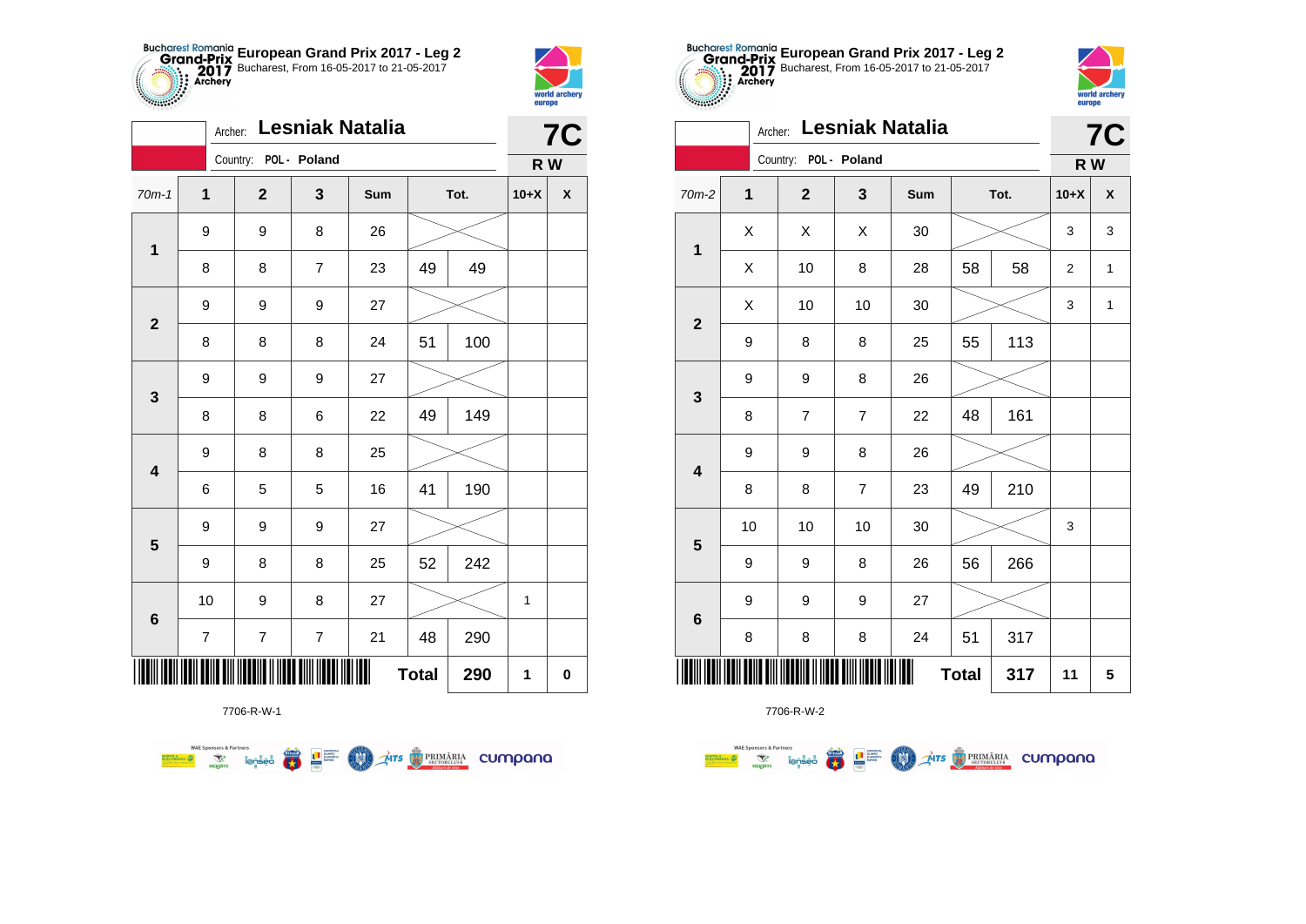



|                         | Archer:        |                       |                  | Lesniak Natalia |              |      |             | 7C                 |
|-------------------------|----------------|-----------------------|------------------|-----------------|--------------|------|-------------|--------------------|
|                         |                | Country: POL - Poland |                  |                 |              |      | R W         |                    |
| $70m-1$                 | $\mathbf 1$    | $\overline{2}$        | 3                | Sum             |              | Tot. | $10+X$      | $\pmb{\mathsf{X}}$ |
| $\mathbf 1$             | 9              | 9                     | 8                | 26              |              |      |             |                    |
|                         | 8              | 8                     | 7                | 23              | 49           | 49   |             |                    |
| $\mathbf{2}$            | 9              | 9                     | 9                | 27              |              |      |             |                    |
|                         | 8              | 8                     | 8                | 24              | 51           | 100  |             |                    |
| $\mathbf 3$             | 9              | 9                     | 9                | 27              |              |      |             |                    |
|                         | 8              | 8                     | 6                | 22              | 49           | 149  |             |                    |
| $\overline{\mathbf{4}}$ | 9              | 8                     | 8                | 25              |              |      |             |                    |
|                         | 6              | 5                     | 5                | 16              | 41           | 190  |             |                    |
| ${\bf 5}$               | 9              | 9                     | 9                | 27              |              |      |             |                    |
|                         | 9              | 8                     | 8                | 25              | 52           | 242  |             |                    |
| $\bf 6$                 | 10             | 9                     | 8                | 27              |              |      | $\mathbf 1$ |                    |
|                         | $\overline{7}$ | $\boldsymbol{7}$      | $\boldsymbol{7}$ | 21              | 48           | 290  |             |                    |
|                         |                |                       |                  | Ш               | <b>Total</b> | 290  | 1           | 0                  |









|                         | Archer: |                       |                | Lesniak Natalia |              |     |             | <b>7C</b> |
|-------------------------|---------|-----------------------|----------------|-----------------|--------------|-----|-------------|-----------|
|                         |         | Country: POL - Poland |                |                 |              |     | R W         |           |
| $70m-2$                 | 1       | $\mathbf{2}$          | 3              | Sum             | Tot.         |     | $10+X$      | X         |
| $\mathbf{1}$            | X       | X                     | Χ              | 30              |              |     | 3           | 3         |
|                         | Χ       | 10                    | 8              | 28              | 58           | 58  | $\mathbf 2$ | 1         |
| $\overline{2}$          | X       | 10                    | 10             | 30              |              |     | 3           | 1         |
|                         | 9       | 8                     | 8              | 25              | 55           | 113 |             |           |
| 3                       | 9       | 9                     | 8              | 26              |              |     |             |           |
|                         | 8       | $\overline{7}$        | $\overline{7}$ | 22              | 48           | 161 |             |           |
| $\overline{\mathbf{4}}$ | 9       | 9                     | 8              | 26              |              |     |             |           |
|                         | 8       | 8                     | 7              | 23              | 49           | 210 |             |           |
| $\overline{\mathbf{5}}$ | 10      | 10                    | 10             | 30              |              |     | 3           |           |
|                         | 9       | 9                     | 8              | 26              | 56           | 266 |             |           |
| $\bf 6$                 | 9       | 9                     | 9              | 27              |              |     |             |           |
|                         | 8       | 8                     | 8              | 24              | 51           | 317 |             |           |
| ║║║                     |         |                       |                |                 | <b>Total</b> | 317 | 11          | 5         |

**WAE Sponsors & Partners** 

MARTIN ANZA

**Exposition Service**<br>Regime lensed **THE SUPPRE DESCRIPTION THE STRIMARIA CUMPANA COND** 

7706-R-W-2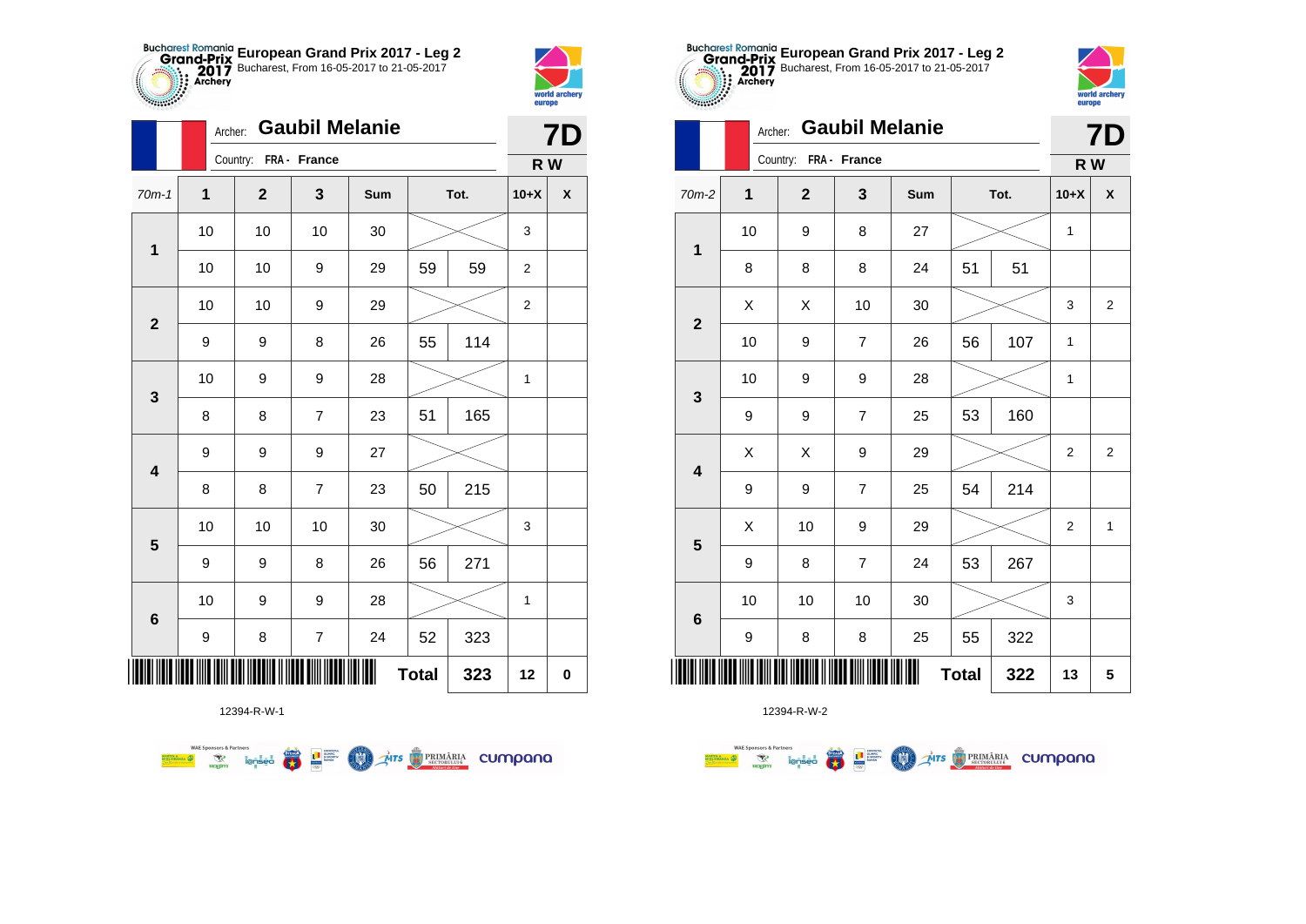



|                         | Archer:     |                       | <b>Gaubil Melanie</b> |     |              |      |                | <b>7D</b> |
|-------------------------|-------------|-----------------------|-----------------------|-----|--------------|------|----------------|-----------|
|                         |             | Country: FRA - France |                       |     |              |      | R W            |           |
| $70m-1$                 | $\mathbf 1$ | $\mathbf{2}$          | $\mathbf{3}$          | Sum |              | Tot. | $10+X$         | X         |
| $\mathbf{1}$            | 10          | 10                    | 10                    | 30  |              |      | 3              |           |
|                         | 10          | 10                    | 9                     | 29  | 59           | 59   | $\overline{c}$ |           |
| $\mathbf{2}$            | 10          | 10                    | 9                     | 29  |              |      | $\overline{2}$ |           |
|                         | 9           | 9                     | 8                     | 26  | 55           | 114  |                |           |
| 3                       | 10          | 9                     | 9                     | 28  |              |      | $\mathbf{1}$   |           |
|                         | 8           | 8                     | $\overline{7}$        | 23  | 51           | 165  |                |           |
| $\overline{\mathbf{4}}$ | 9           | 9                     | 9                     | 27  |              |      |                |           |
|                         | 8           | 8                     | $\overline{7}$        | 23  | 50           | 215  |                |           |
| $\overline{\mathbf{5}}$ | 10          | 10                    | 10                    | 30  |              |      | 3              |           |
|                         | 9           | 9                     | 8                     | 26  | 56           | 271  |                |           |
|                         | 10          | 9                     | 9                     | 28  |              |      | $\mathbf{1}$   |           |
| $\bf 6$                 | 9           | 8                     | $\boldsymbol{7}$      | 24  | 52           | 323  |                |           |
| ║║║                     |             |                       |                       |     | <b>Total</b> | 323  | 12             | 0         |



|                         |              |  | Country:     | FRA - France   |     |              |      | R W            |                |
|-------------------------|--------------|--|--------------|----------------|-----|--------------|------|----------------|----------------|
| $70m-2$                 | $\mathbf{1}$ |  | $\mathbf{2}$ | 3              | Sum |              | Tot. | $10+X$         | χ              |
|                         | 10           |  | 9            | 8              | 27  |              |      | 1              |                |
| 1                       | 8            |  | 8            | 8              | 24  | 51           | 51   |                |                |
|                         | X            |  | X            | 10             | 30  |              |      | 3              | $\overline{2}$ |
| $\boldsymbol{2}$        | 10           |  | 9            | $\overline{7}$ | 26  | 56           | 107  | 1              |                |
| 3                       | 10           |  | 9            | 9              | 28  |              |      | $\mathbf 1$    |                |
|                         | 9            |  | 9            | $\overline{7}$ | 25  | 53           | 160  |                |                |
| $\overline{\mathbf{4}}$ | X            |  | X            | 9              | 29  |              |      | $\overline{2}$ | $\overline{c}$ |
|                         | 9            |  | 9            | $\overline{7}$ | 25  | 54           | 214  |                |                |
| ${\bf 5}$               | X            |  | 10           | 9              | 29  |              |      | $\overline{2}$ | 1              |
|                         | 9            |  | 8            | $\overline{7}$ | 24  | 53           | 267  |                |                |
| $\bf 6$                 | 10           |  | 10           | 10             | 30  |              |      | 3              |                |
|                         | 9            |  | 8            | 8              | 25  | 55           | 322  |                |                |
| ║║                      |              |  |              |                | Ш   | <b>Total</b> | 322  | 13             | 5              |



|                         |              | Archer:             |                       | <b>Gaubil Melanie</b> |     |    |      |                | <b>7D</b>          |
|-------------------------|--------------|---------------------|-----------------------|-----------------------|-----|----|------|----------------|--------------------|
|                         |              |                     | Country: FRA - France |                       |     |    |      | R W            |                    |
| $70m-2$                 | $\mathbf{1}$ |                     | $\overline{2}$        | 3                     | Sum |    | Tot. | $10+X$         | $\pmb{\mathsf{X}}$ |
| $\mathbf 1$             | 10           |                     | 9                     | 8                     | 27  |    |      | 1              |                    |
|                         | 8            |                     | 8                     | 8                     | 24  | 51 | 51   |                |                    |
| $\overline{2}$          | Χ            |                     | X                     | 10                    | 30  |    |      | 3              | $\boldsymbol{2}$   |
|                         | 10           |                     | 9                     | $\overline{7}$        | 26  | 56 | 107  | 1              |                    |
| $\mathbf{3}$            | 10           |                     | 9                     | 9                     | 28  |    |      | 1              |                    |
|                         | 9            |                     | 9                     | 7                     | 25  | 53 | 160  |                |                    |
| $\overline{\mathbf{4}}$ | X            |                     | X                     | 9                     | 29  |    |      | $\overline{2}$ | $\overline{2}$     |
|                         | 9            |                     | 9                     | $\overline{7}$        | 25  | 54 | 214  |                |                    |
| 5                       | X            |                     | 10                    | 9                     | 29  |    |      | $\overline{c}$ | 1                  |
|                         | 9            |                     | 8                     | $\overline{7}$        | 24  | 53 | 267  |                |                    |
| $6\phantom{1}6$         | 10           |                     | 10                    | 10                    | 30  |    |      | 3              |                    |
|                         | 9            |                     | 8                     | 8                     | 25  | 55 | 322  |                |                    |
|                         |              | <b>Total</b><br>322 |                       |                       |     |    |      |                | 5                  |

**European Grand Prix 2017 - Leg 2** Bucharest, From 16-05-2017 to 21-05-2017

12394-R-W-1

**WAE Sponsors & Partners** Mrs **REMARIA** CUMpana 赢 L<sup>a</sup> Surent **MAN**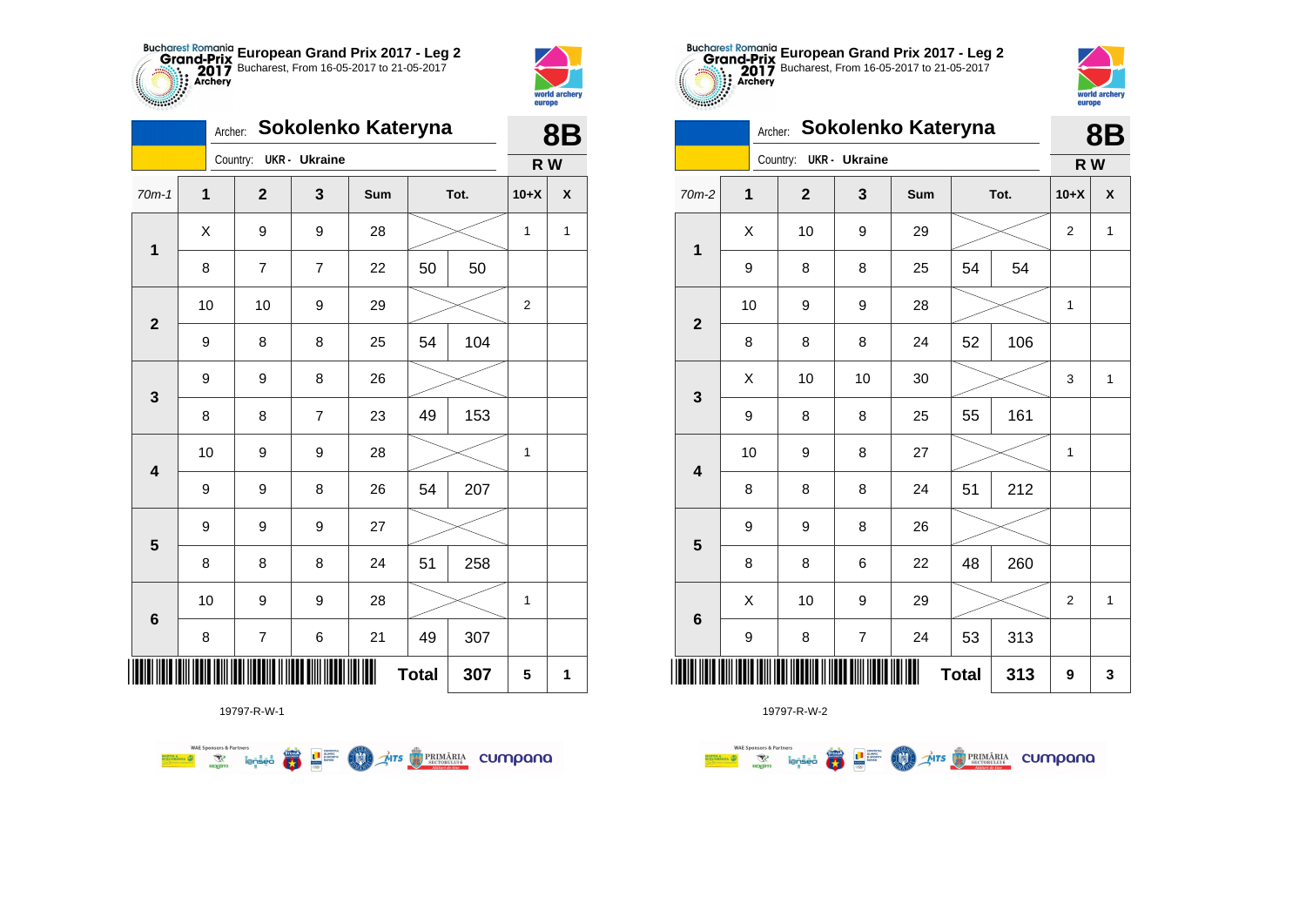



|                         |    | Archer: |                | Sokolenko Kateryna     |     |              |      |                | <b>8B</b>          |
|-------------------------|----|---------|----------------|------------------------|-----|--------------|------|----------------|--------------------|
|                         |    |         |                | Country: UKR - Ukraine |     |              |      | R W            |                    |
| $70m-1$                 | 1  |         | $\overline{2}$ | 3                      | Sum |              | Tot. | $10+X$         | $\pmb{\mathsf{X}}$ |
| $\mathbf 1$             | Χ  |         | 9              | 9                      | 28  |              |      | 1              | 1                  |
|                         | 8  |         | 7              | 7                      | 22  | 50           | 50   |                |                    |
| $\mathbf{2}$            | 10 |         | 10             | 9                      | 29  |              |      | $\overline{2}$ |                    |
|                         | 9  |         | 8              | 8                      | 25  | 54           | 104  |                |                    |
| 3                       | 9  |         | 9              | 8                      | 26  |              |      |                |                    |
|                         | 8  |         | 8              | $\overline{7}$         | 23  | 49           | 153  |                |                    |
| $\overline{\mathbf{4}}$ | 10 |         | 9              | 9                      | 28  |              |      | 1              |                    |
|                         | 9  |         | 9              | 8                      | 26  | 54           | 207  |                |                    |
|                         | 9  |         | 9              | 9                      | 27  |              |      |                |                    |
| $\overline{\mathbf{5}}$ | 8  |         | 8              | 8                      | 24  | 51           | 258  |                |                    |
|                         | 10 |         | 9              | 9                      | 28  |              |      | $\mathbf 1$    |                    |
| $\bf 6$                 | 8  |         | $\overline{7}$ | 6                      | 21  | 49           | 307  |                |                    |
| ∭                       |    |         |                |                        |     | <b>Total</b> | 307  | 5              | 1                  |



| $\sim$                  |         |              |                      |                    |              |      | <b>curepo</b>    |              |
|-------------------------|---------|--------------|----------------------|--------------------|--------------|------|------------------|--------------|
|                         | Archer: |              |                      | Sokolenko Kateryna |              |      |                  | 8B           |
|                         |         | Country:     | <b>UKR</b> - Ukraine |                    |              |      | R W              |              |
| $70m-2$                 | 1       | $\mathbf{2}$ | 3                    | Sum                |              | Tot. | $10+X$           | X            |
| 1                       | X       | 10           | 9                    | 29                 |              |      | $\overline{2}$   | 1            |
|                         | 9       | 8            | 8                    | 25                 | 54           | 54   |                  |              |
| $\mathbf{2}$            | 10      | 9            | 9                    | 28                 |              |      | 1                |              |
|                         | 8       | 8            | 8                    | 24                 | 52           | 106  |                  |              |
| 3                       | Χ       | 10           | 10                   | 30                 |              |      | 3                | $\mathbf{1}$ |
|                         | 9       | 8            | 8                    | 25                 | 55           | 161  |                  |              |
| $\overline{\mathbf{4}}$ | 10      | 9            | 8                    | 27                 |              |      | 1                |              |
|                         | 8       | 8            | 8                    | 24                 | 51           | 212  |                  |              |
| 5                       | 9       | 9            | 8                    | 26                 |              |      |                  |              |
|                         | 8       | 8            | 6                    | 22                 | 48           | 260  |                  |              |
| $6\phantom{1}6$         | Χ       | 10           | 9                    | 29                 |              |      | $\boldsymbol{2}$ | $\mathbf 1$  |
|                         | 9       | 8            | $\overline{7}$       | 24                 | 53           | 313  |                  |              |
|                         |         |              |                      |                    | <b>Total</b> | 313  | 9                | 3            |

**European Grand Prix 2017 - Leg 2** Bucharest, From 16-05-2017 to 21-05-2017



|                         |    | Archer:<br>SUKUIEIIKU NAIEI YIIA<br>Country: UKR - Ukraine<br>$\mathbf 1$<br>$\mathbf{2}$<br>3<br>Tot.<br>Sum<br>X |    |    |                |              |     | 8Β             |              |
|-------------------------|----|--------------------------------------------------------------------------------------------------------------------|----|----|----------------|--------------|-----|----------------|--------------|
|                         |    |                                                                                                                    |    |    |                |              |     | R W            |              |
| $70m-2$                 |    |                                                                                                                    |    |    |                |              |     | $10+X$         | $\pmb{\chi}$ |
| $\mathbf{1}$            |    |                                                                                                                    | 10 | 9  | 29             |              |     | 2              | $\mathbf{1}$ |
|                         | 9  |                                                                                                                    | 8  | 8  | 25             | 54           | 54  |                |              |
| $\overline{\mathbf{2}}$ | 10 |                                                                                                                    | 9  | 9  | 28             |              |     | $\mathbf 1$    |              |
|                         | 8  |                                                                                                                    | 8  | 8  | 24             | 52           | 106 |                |              |
| 3                       | Χ  |                                                                                                                    | 10 | 10 | 30             |              |     | 3              | 1            |
|                         | 9  |                                                                                                                    | 8  | 8  | 25             | 55           | 161 |                |              |
| $\overline{\mathbf{4}}$ | 10 |                                                                                                                    | 9  | 8  | 27             |              |     | 1              |              |
|                         | 8  |                                                                                                                    | 8  | 8  | 24             | 51           | 212 |                |              |
| $\overline{\mathbf{5}}$ | 9  |                                                                                                                    | 9  | 8  | 26             |              |     |                |              |
|                         | 8  |                                                                                                                    | 8  | 6  | 22             | 48           | 260 |                |              |
| $\bf 6$                 | X  |                                                                                                                    | 10 | 9  | 29             |              |     | $\overline{2}$ | 1            |
|                         | 9  |                                                                                                                    | 8  | 7  | 24             | 53           | 313 |                |              |
| IIII                    |    |                                                                                                                    |    |    | <b>IIIIIII</b> | <b>Total</b> | 313 | 9              | 3            |

19797-R-W-1

**WAE Sponsors & Partners THITS EXPRIMARIA CUMPANA FRA L** B SPORTER **COO**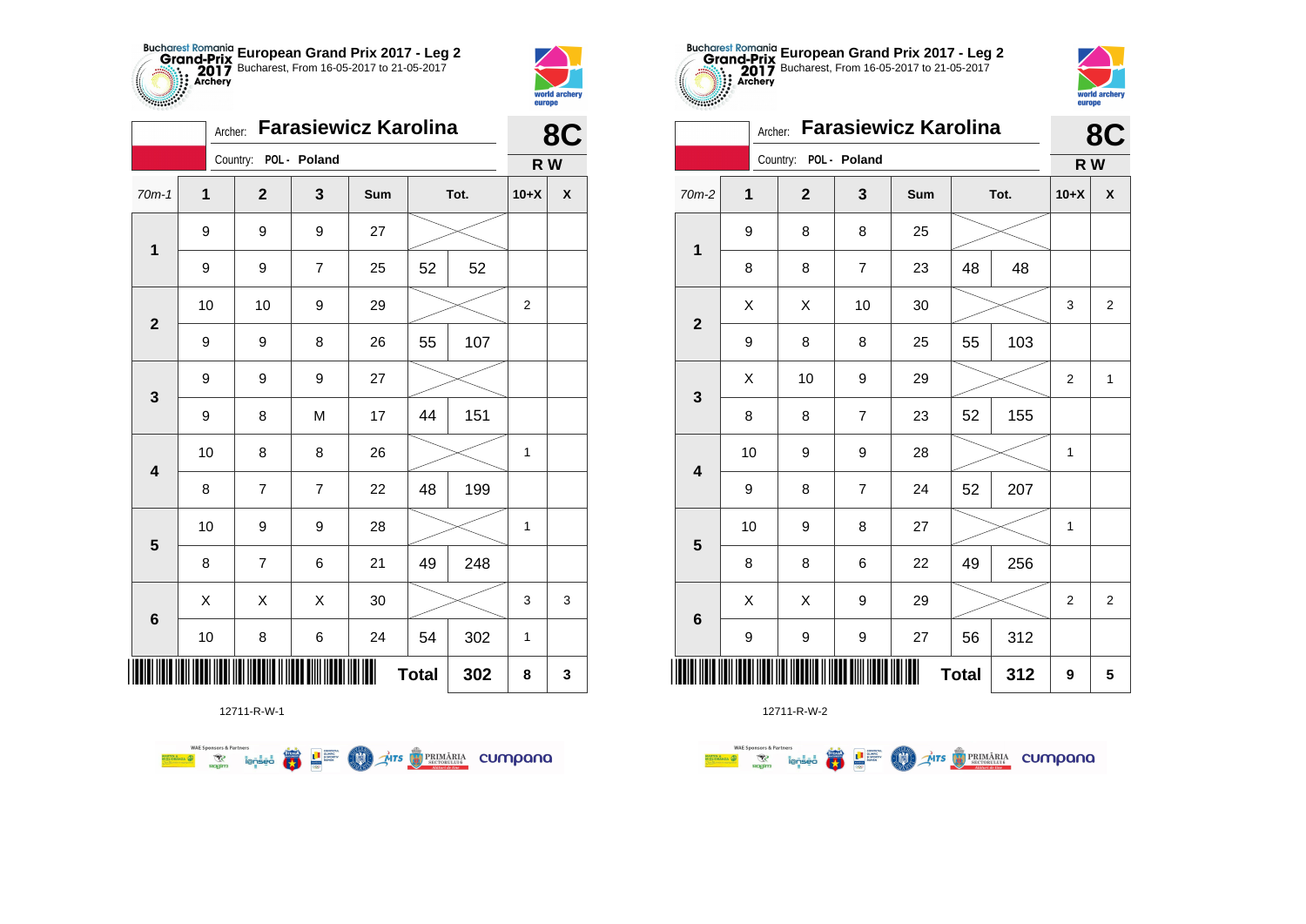



|                         | <b>Farasiewicz Karolina</b><br>Archer: |                       |                |     |              |      | 8C             |                    |  |
|-------------------------|----------------------------------------|-----------------------|----------------|-----|--------------|------|----------------|--------------------|--|
|                         |                                        | Country: POL - Poland |                |     |              |      | R W            |                    |  |
| $70m-1$                 | 1                                      | $\mathbf{2}$          | 3              | Sum |              | Tot. | $10+X$         | $\pmb{\mathsf{X}}$ |  |
| $\mathbf 1$             | 9                                      | 9                     | 9              | 27  |              |      |                |                    |  |
|                         | 9                                      | 9                     | $\overline{7}$ | 25  | 52           | 52   |                |                    |  |
| $\mathbf{2}$            | 10                                     | 10                    | 9              | 29  |              |      | $\overline{2}$ |                    |  |
|                         | 9                                      | 9                     | 8              | 26  | 55           | 107  |                |                    |  |
| $\mathbf 3$             | 9                                      | 9                     | 9              | 27  |              |      |                |                    |  |
|                         | 9                                      | 8                     | M              | 17  | 44           | 151  |                |                    |  |
| $\overline{\mathbf{4}}$ | 10                                     | 8                     | 8              | 26  |              |      | 1              |                    |  |
|                         | 8                                      | $\overline{7}$        | $\overline{7}$ | 22  | 48           | 199  |                |                    |  |
| $\overline{\mathbf{5}}$ | 10                                     | 9                     | 9              | 28  |              |      | 1              |                    |  |
|                         | 8                                      | 7                     | 6              | 21  | 49           | 248  |                |                    |  |
|                         | X                                      | Χ                     | Χ              | 30  |              |      | 3              | 3                  |  |
| $\bf 6$                 | 10                                     | 8                     | 6              | 24  | 54           | 302  | $\mathbf{1}$   |                    |  |
| ┉                       |                                        |                       |                |     | <b>Total</b> | 302  | 8              | 3                  |  |



| $-0.000000$             | europe      |                |                             |     |    |      |        |                    |
|-------------------------|-------------|----------------|-----------------------------|-----|----|------|--------|--------------------|
|                         | Archer:     |                | <b>Farasiewicz Karolina</b> |     |    |      |        | 8C                 |
|                         |             | Country:       | POL - Poland                |     |    |      | R W    |                    |
| $70m-2$                 | $\mathbf 1$ | $\overline{2}$ | 3                           | Sum |    | Tot. | $10+X$ | $\pmb{\mathsf{X}}$ |
| $\mathbf 1$             | 9           | 8              | 8                           | 25  |    |      |        |                    |
|                         | 8           | 8              | $\overline{7}$              | 23  | 48 | 48   |        |                    |
| $\mathbf{2}$            | X           | X              | 10                          | 30  |    |      | 3      | 2                  |
|                         | 9           | 8              | 8                           | 25  | 55 | 103  |        |                    |
|                         | X           | 10             | 9                           | 29  |    |      | 2      | 1                  |
| 3                       | 8           | 8              | $\overline{7}$              | 23  | 52 | 155  |        |                    |
|                         | 10          | 9              | 9                           | 28  |    |      | 1      |                    |
| $\overline{\mathbf{4}}$ | 9           | 8              | 7                           | 24  | 52 | 207  |        |                    |
| 5                       | 10          | 9              | 8                           | 27  |    |      | 1      |                    |
|                         | 8           | 8              | 6                           | 22  | 49 | 256  |        |                    |
|                         | X           | X              | 9                           | 29  |    |      | 2      | $\overline{2}$     |
| $6\phantom{1}6$         | 9           | 9              | 9                           | 27  | 56 | 312  |        |                    |
| <b>Total</b><br>312     |             |                |                             |     |    |      |        | 5                  |

**European Grand Prix 2017 - Leg 2** Bucharest, From 16-05-2017 to 21-05-2017



|                         | Archer: | Farasiewicz Karolina |                  | 8C  |              |      |                |                         |
|-------------------------|---------|----------------------|------------------|-----|--------------|------|----------------|-------------------------|
|                         |         | Country:             | POL - Poland     |     |              |      | R W            |                         |
| 70m-2                   | 1       | $\overline{2}$       | 3                | Sum |              | Tot. | $10+X$         | X                       |
| $\mathbf 1$             | 9       | 8                    | 8                | 25  |              |      |                |                         |
|                         | 8       | 8                    | $\boldsymbol{7}$ | 23  | 48           | 48   |                |                         |
| $\mathbf{2}$            | X       | Χ                    | 10               | 30  |              |      | 3              | $\overline{\mathbf{c}}$ |
|                         | 9       | 8                    | 8                | 25  | 55           | 103  |                |                         |
| $\mathbf 3$             | X       | 10                   | 9                | 29  |              |      | $\overline{c}$ | $\mathbf{1}$            |
|                         | 8       | 8                    | $\overline{7}$   | 23  | 52           | 155  |                |                         |
| $\overline{\mathbf{4}}$ | 10      | 9                    | 9                | 28  |              |      | 1              |                         |
|                         | 9       | 8                    | $\overline{7}$   | 24  | 52           | 207  |                |                         |
| $\overline{\mathbf{5}}$ | 10      | 9                    | 8                | 27  |              |      | 1              |                         |
|                         | 8       | 8                    | 6                | 22  | 49           | 256  |                |                         |
| $\bf 6$                 | Χ       | X                    | 9                | 29  |              |      | $\overline{2}$ | $\overline{2}$          |
|                         | 9       | 9                    | 9                | 27  | 56           | 312  |                |                         |
|                         |         |                      |                  | Ш   | <b>Total</b> | 312  | 9              | 5                       |

12711-R-W-1

**WAE Sponsors & Partners Exercise on the Second Parties of the Conservation Company of the Conservation Company of the Conservation Company**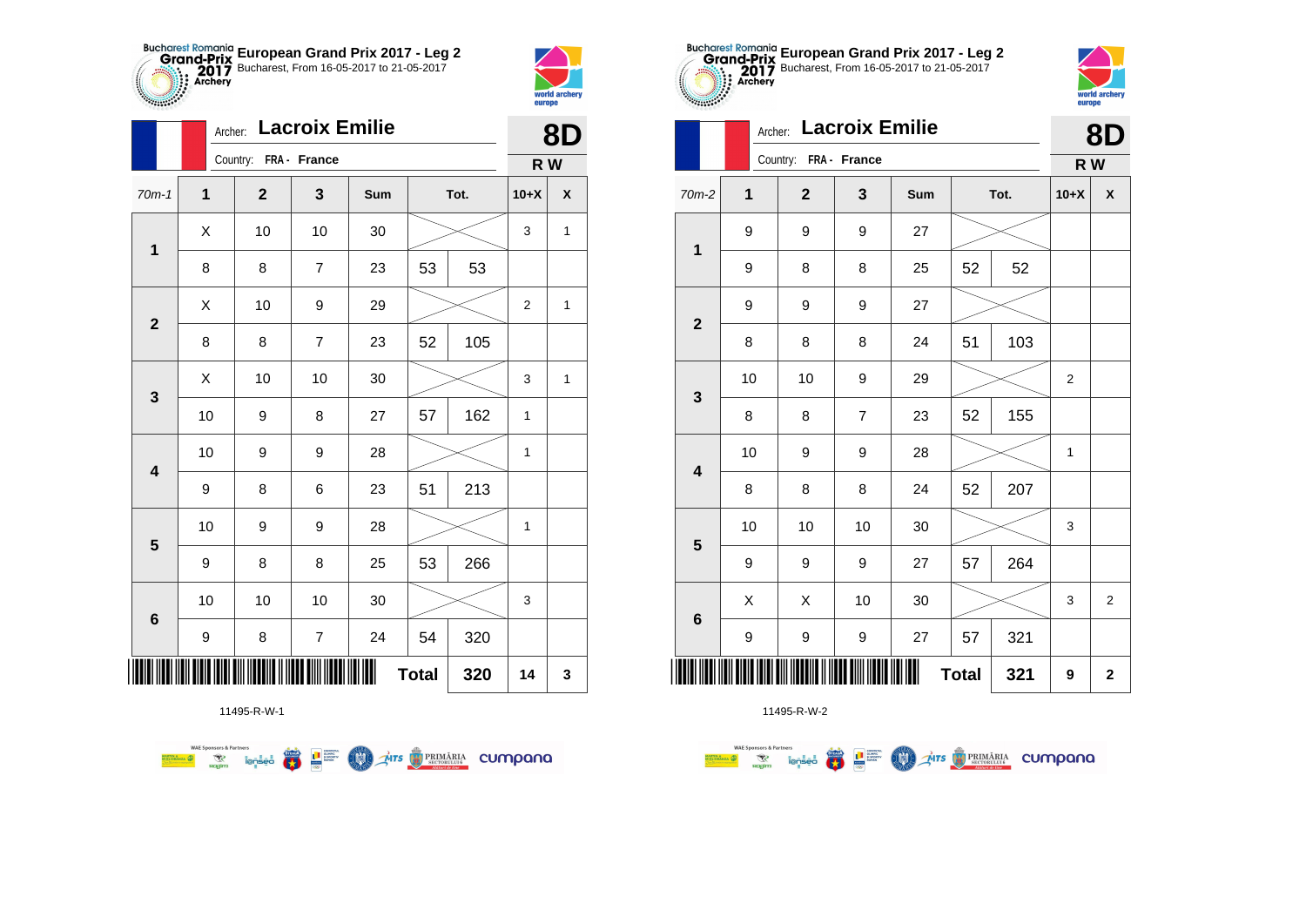



|              |              | <b>Lacroix Emilie</b><br>Archer: |                          |     |              |      |                |                    |  |
|--------------|--------------|----------------------------------|--------------------------|-----|--------------|------|----------------|--------------------|--|
|              |              | Country: FRA - France            |                          |     |              |      | R W            |                    |  |
| $70m-1$      | $\mathbf{1}$ | $\mathbf 2$                      | 3                        | Sum |              | Tot. | $10+X$         | $\pmb{\mathsf{X}}$ |  |
| $\mathbf 1$  | Χ            | 10                               | 10                       | 30  |              |      | 3              | $\mathbf{1}$       |  |
|              | 8            | 8                                | $\overline{7}$           | 23  | 53           | 53   |                |                    |  |
| $\mathbf{2}$ | X            | 10                               | 9                        | 29  |              |      | $\overline{2}$ | 1                  |  |
|              | 8            | 8                                | $\overline{7}$           | 23  | 52           | 105  |                |                    |  |
| 3            | X            | 10                               | 10                       | 30  |              |      | 3              | 1                  |  |
|              | 10           | 9                                | 8                        | 27  | 57           | 162  | 1              |                    |  |
| 4            | 10           | 9                                | 9                        | 28  |              |      | $\mathbf{1}$   |                    |  |
|              | 9            | 8                                | 6                        | 23  | 51           | 213  |                |                    |  |
| 5            | 10           | 9                                | 9                        | 28  |              |      | $\mathbf{1}$   |                    |  |
|              | 9            | 8                                | 8                        | 25  | 53           | 266  |                |                    |  |
| $\bf 6$      | 10           | 10                               | 10                       | 30  |              |      | 3              |                    |  |
|              | 9            | 8                                | $\overline{\mathcal{I}}$ | 24  | 54           | 320  |                |                    |  |
| ∭            |              |                                  |                          |     | <b>Total</b> | 320  | 14             | 3                  |  |

**THE STRIMARIA CUMPANA** 

11495-R-W-1

赢

**THE SUPPRE** 

**MAN** 

**WAE Sponsors & Partners** 



11495-R-W-2

|                         |         | <b>curepo</b>         |                       |     |    |      |                |                |
|-------------------------|---------|-----------------------|-----------------------|-----|----|------|----------------|----------------|
|                         | Archer: |                       | <b>Lacroix Emilie</b> |     |    |      |                | <b>8D</b>      |
|                         |         | Country: FRA - France |                       |     |    |      | R W            |                |
| $70m-2$                 | 1       | $\mathbf{2}$          | $\mathbf{3}$          | Sum |    | Tot. | $10+X$         | X              |
| 1                       | 9       | 9                     | 9                     | 27  |    |      |                |                |
|                         | 9       | 8                     | 8                     | 25  | 52 | 52   |                |                |
| $\overline{2}$          | 9       | 9                     | 9                     | 27  |    |      |                |                |
|                         | 8       | 8                     | 8                     | 24  | 51 | 103  |                |                |
| $\mathbf{3}$            | 10      | 10                    | 9                     | 29  |    |      | $\overline{2}$ |                |
|                         | 8       | 8                     | $\overline{7}$        | 23  | 52 | 155  |                |                |
| $\overline{\mathbf{4}}$ | 10      | 9                     | 9                     | 28  |    |      | 1              |                |
|                         | 8       | 8                     | 8                     | 24  | 52 | 207  |                |                |
| 5                       | 10      | 10                    | 10                    | 30  |    |      | 3              |                |
|                         | 9       | 9                     | 9                     | 27  | 57 | 264  |                |                |
| $6\phantom{1}6$         | X       | X                     | 10                    | 30  |    |      | 3              | $\overline{2}$ |
|                         | 9       | 9                     | 9                     | 27  | 57 | 321  |                |                |
|                         | 321     | 9                     | $\mathbf 2$           |     |    |      |                |                |

**European Grand Prix 2017 - Leg 2** Bucharest, From 16-05-2017 to 21-05-2017

world arche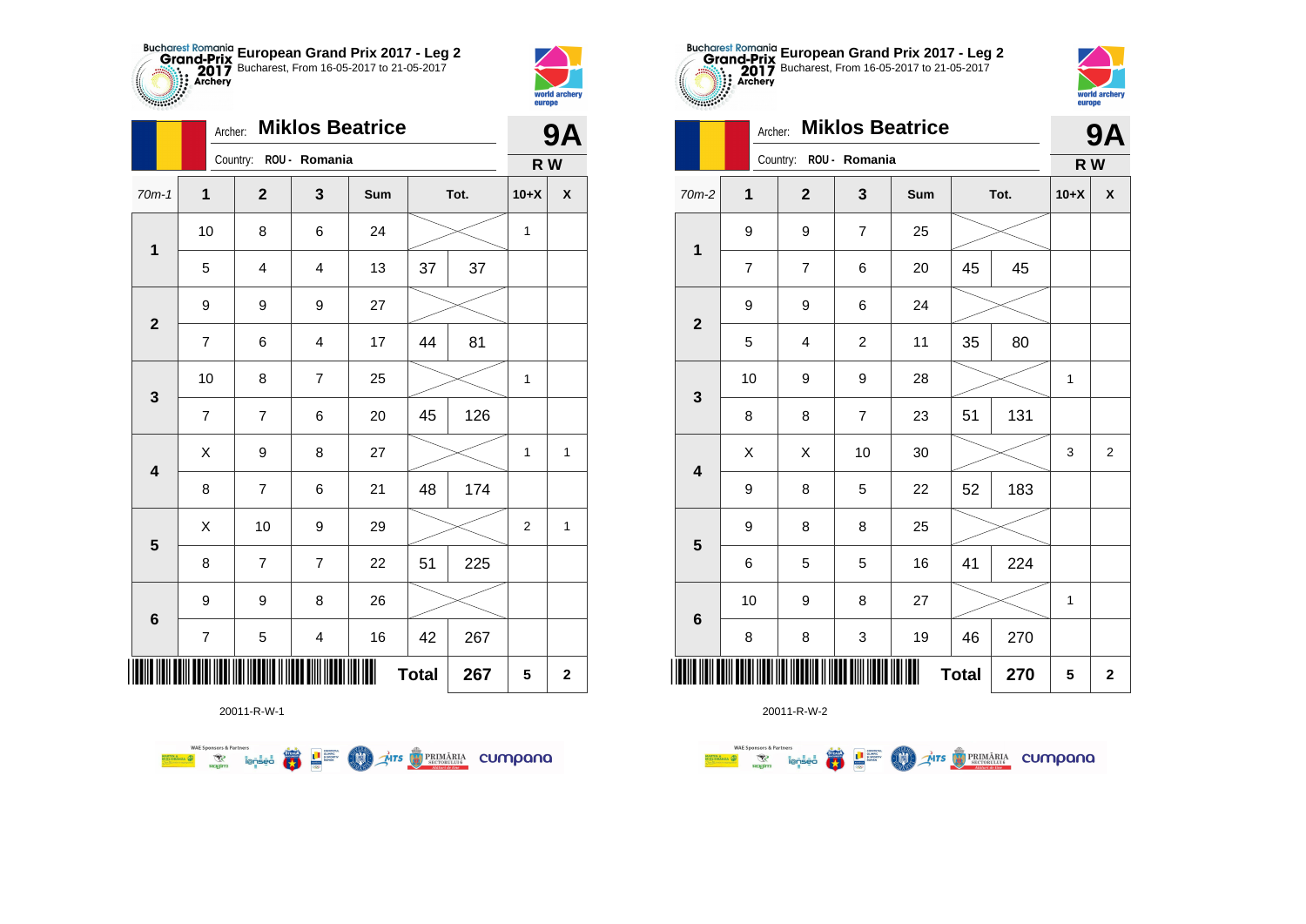



|                         |                         | <b>Miklos Beatrice</b><br>Archer: |                         |     |              |      |                |                         |
|-------------------------|-------------------------|-----------------------------------|-------------------------|-----|--------------|------|----------------|-------------------------|
|                         |                         | Country: ROU - Romania            |                         |     |              |      | R W            |                         |
| $70m-1$                 | $\mathbf 1$             | $\mathbf{2}$                      | 3                       | Sum |              | Tot. | $10+X$         | $\pmb{\mathsf{X}}$      |
| $\mathbf{1}$            | 10                      | 8                                 | 6                       | 24  |              |      | 1              |                         |
|                         | 5                       | $\overline{\mathbf{4}}$           | $\overline{4}$          | 13  | 37           | 37   |                |                         |
| $\overline{\mathbf{2}}$ | 9                       | 9                                 | 9                       | 27  |              |      |                |                         |
|                         | $\overline{7}$          | 6                                 | $\overline{\mathbf{4}}$ | 17  | 44           | 81   |                |                         |
| 3                       | 10                      | 8                                 | $\overline{7}$          | 25  |              |      | $\mathbf{1}$   |                         |
|                         | $\overline{\mathbf{7}}$ | $\overline{7}$                    | 6                       | 20  | 45           | 126  |                |                         |
| $\overline{\mathbf{4}}$ | Χ                       | 9                                 | 8                       | 27  |              |      | $\mathbf{1}$   | $\mathbf{1}$            |
|                         | 8                       | $\overline{7}$                    | 6                       | 21  | 48           | 174  |                |                         |
| $\overline{\mathbf{5}}$ | Χ                       | 10                                | 9                       | 29  |              |      | $\overline{2}$ | $\mathbf{1}$            |
|                         | 8                       | 7                                 | $\overline{7}$          | 22  | 51           | 225  |                |                         |
|                         | $\boldsymbol{9}$        | 9                                 | 8                       | 26  |              |      |                |                         |
| 6                       | $\overline{7}$          | 5                                 | $\overline{\mathbf{4}}$ | 16  | 42           | 267  |                |                         |
| ║║║                     |                         |                                   |                         |     | <b>Total</b> | 267  | 5              | $\overline{\mathbf{2}}$ |

**COND** 

**THE STRIMARIA CUMPANA** 

20011-R-W-1

**Excessive Contract on Service Contract Contract Contract Contract Contract Contract Contract Contract Contract Contract Contract Contract Contract Contract Contract Contract Contract Contract Contract Contract Contract Co** 

**WAE Sponsors & Partners** 



20011-R-W-2

|                         | Country:                |                                                                                                                      | R W            |                  |              |      |        |                |
|-------------------------|-------------------------|----------------------------------------------------------------------------------------------------------------------|----------------|------------------|--------------|------|--------|----------------|
| $70m-2$                 | 1                       | $\mathbf{2}$                                                                                                         | 3              | Sum              |              | Tot. | $10+X$ | X              |
| $\mathbf 1$             | 9                       | 9                                                                                                                    | $\overline{7}$ | 25               |              |      |        |                |
|                         | $\overline{\mathbf{7}}$ | $\overline{\mathcal{I}}$                                                                                             | 6              | 20               | 45           | 45   |        |                |
| $\mathbf{2}$            | 9                       | 9                                                                                                                    | 6              | 24               |              |      |        |                |
|                         | 5                       | $\overline{\mathbf{4}}$                                                                                              | $\overline{c}$ | 11               | 35           | 80   |        |                |
| $\mathbf{3}$            | 10                      | 9                                                                                                                    | 9              | 28               |              |      | 1      |                |
|                         | 8                       | 8                                                                                                                    | $\overline{7}$ | 23               | 51           | 131  |        |                |
| $\overline{\mathbf{4}}$ | Χ                       | Χ                                                                                                                    | 10             | $30\,$           |              |      | 3      | $\overline{2}$ |
|                         | 9                       | 8                                                                                                                    | 5              | 22               | 52           | 183  |        |                |
| $\overline{\mathbf{5}}$ | 9                       | 8                                                                                                                    | 8              | 25               |              |      |        |                |
|                         | 6                       | 5                                                                                                                    | 5              | 16               | 41           | 224  |        |                |
| $\bf 6$                 | 10                      | 9                                                                                                                    | 8              | 27               |              |      | 1      |                |
|                         | 8                       | 8                                                                                                                    | 3              | 19               | 46           | 270  |        |                |
|                         |                         | <u> 1811 1818 1828 1839 1839 1830 1830 1831 1832 1833 1834 1835 1836 1837 1838 1839 1839 1839 1839 1839 1839 183</u> |                | <b>TILL HELL</b> | <b>Total</b> | 270  | 5      | $\mathbf 2$    |

**European Grand Prix 2017 - Leg 2** Bucharest, From 16-05-2017 to 21-05-2017

**9A**

world archer

europe

Archer: **Miklos Beatrice**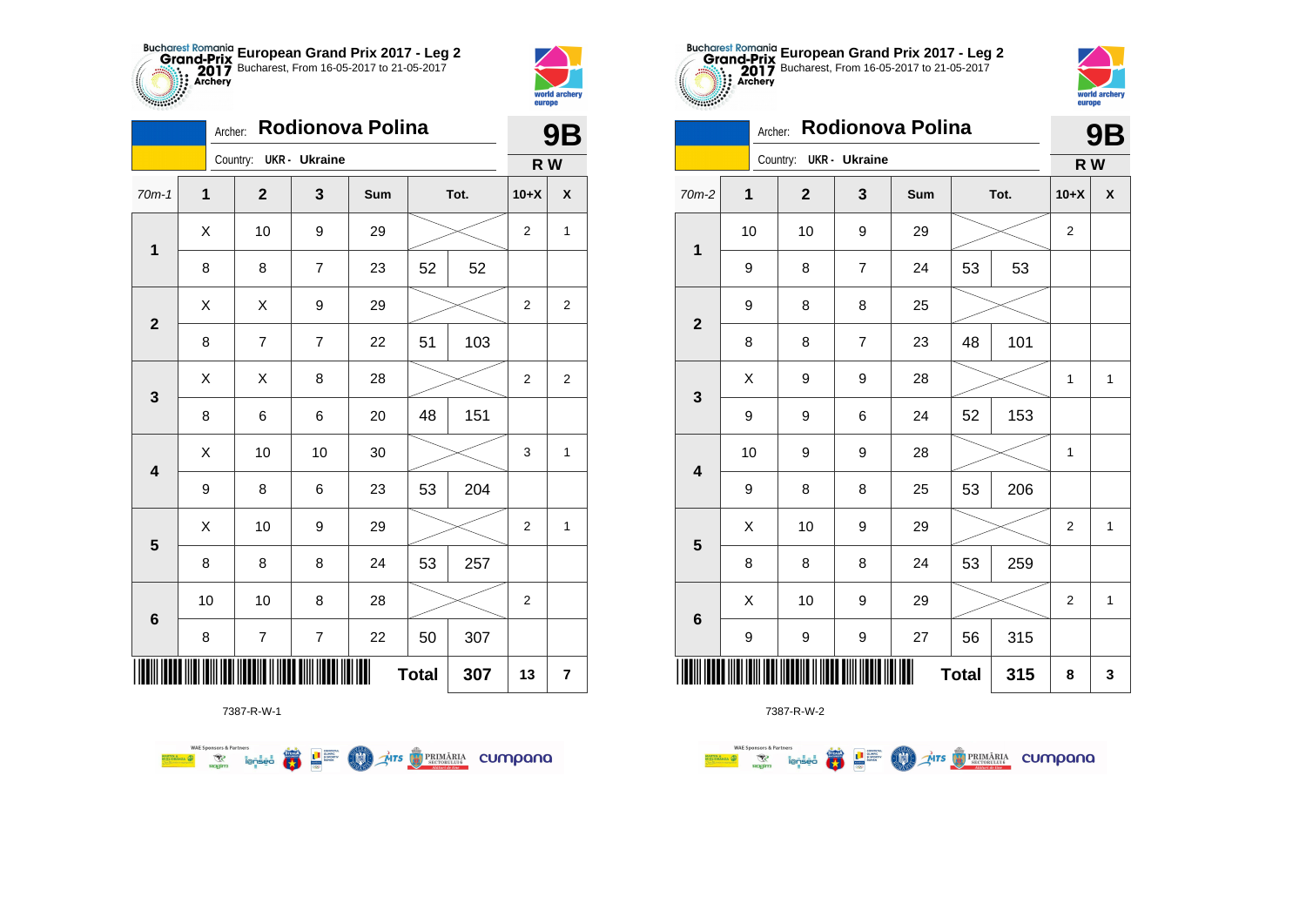



**THE** 

|                         | Rodionova Polina<br>Archer: |                        |                |     |              |      |                  | <b>9B</b>               |  |
|-------------------------|-----------------------------|------------------------|----------------|-----|--------------|------|------------------|-------------------------|--|
|                         |                             | Country: UKR - Ukraine |                |     |              |      | R W              |                         |  |
| $70m-1$                 | 1                           | $\mathbf{2}$           | 3              | Sum |              | Tot. | $10+X$           | X                       |  |
| $\mathbf 1$             | X                           | 10                     | 9              | 29  |              |      | $\overline{2}$   | $\mathbf{1}$            |  |
|                         | 8                           | 8                      | $\overline{7}$ | 23  | 52           | 52   |                  |                         |  |
| $\mathbf{2}$            | Χ                           | Χ                      | 9              | 29  |              |      | 2                | $\overline{\mathbf{c}}$ |  |
|                         | 8                           | 7                      | 7              | 22  | 51           | 103  |                  |                         |  |
| 3                       | Χ                           | Χ                      | 8              | 28  |              |      | $\overline{2}$   | $\overline{2}$          |  |
|                         | 8                           | 6                      | 6              | 20  | 48           | 151  |                  |                         |  |
| $\overline{\mathbf{4}}$ | Χ                           | 10                     | 10             | 30  |              |      | 3                | 1                       |  |
|                         | 9                           | 8                      | 6              | 23  | 53           | 204  |                  |                         |  |
| 5                       | Χ                           | 10                     | 9              | 29  |              |      | 2                | $\mathbf{1}$            |  |
|                         | 8                           | 8                      | 8              | 24  | 53           | 257  |                  |                         |  |
|                         | 10                          | 10                     | 8              | 28  |              |      | $\boldsymbol{2}$ |                         |  |
| 6                       | 8                           | $\boldsymbol{7}$       | $\overline{7}$ | 22  | 50           | 307  |                  |                         |  |
|                         |                             |                        |                |     | <b>Total</b> | 307  | 13               | $\overline{\mathbf{7}}$ |  |



7387-R-W-2

|                         |                          |  |              | JD                   |     |    |      |                |              |
|-------------------------|--------------------------|--|--------------|----------------------|-----|----|------|----------------|--------------|
|                         |                          |  | Country:     | <b>UKR</b> - Ukraine |     |    |      | R W            |              |
| $70m-2$                 | $\mathbf{1}$             |  | $\mathbf{2}$ | 3                    | Sum |    | Tot. | $10+X$         | χ            |
| $\mathbf 1$             | 10                       |  | 10           | 9                    | 29  |    |      | 2              |              |
|                         | 9                        |  | 8            | 7                    | 24  | 53 | 53   |                |              |
| $\mathbf{2}$            | 9                        |  | 8            | 8                    | 25  |    |      |                |              |
|                         | 8                        |  | 8            | $\overline{7}$       | 23  | 48 | 101  |                |              |
| $\mathbf{3}$            | X                        |  | 9            | 9                    | 28  |    |      | 1              | $\mathbf{1}$ |
|                         | 9                        |  | 9            | 6                    | 24  | 52 | 153  |                |              |
| $\overline{\mathbf{4}}$ | 10                       |  | 9            | 9                    | 28  |    |      | 1              |              |
|                         | 9                        |  | 8            | 8                    | 25  | 53 | 206  |                |              |
| $\overline{\mathbf{5}}$ | Χ                        |  | 10           | 9                    | 29  |    |      | $\mathbf 2$    | $\mathbf{1}$ |
|                         | 8                        |  | 8            | 8                    | 24  | 53 | 259  |                |              |
|                         | Χ                        |  | 10           | 9                    | 29  |    |      | $\overline{2}$ | $\mathbf{1}$ |
| $\bf 6$                 | 9                        |  | 9            | 9                    | 27  | 56 | 315  |                |              |
| IIIII                   | Ш<br><b>Total</b><br>315 |  |              |                      |     |    |      |                | 3            |



|                         |                         | Rodionova Polina<br>Archer: |                        |   |     |              |      |                | <b>9B</b>          |
|-------------------------|-------------------------|-----------------------------|------------------------|---|-----|--------------|------|----------------|--------------------|
|                         |                         |                             | Country: UKR - Ukraine |   |     |              |      | R W            |                    |
| 70m-2                   | $\overline{\mathbf{1}}$ |                             | $\mathbf{2}$           | 3 | Sum |              | Tot. | $10+X$         | $\pmb{\mathsf{X}}$ |
| $\mathbf 1$             | 10                      |                             | 10                     | 9 | 29  |              |      | 2              |                    |
|                         | 9                       |                             | 8                      | 7 | 24  | 53           | 53   |                |                    |
| $\mathbf{2}$            | 9                       |                             | 8                      | 8 | 25  |              |      |                |                    |
|                         | 8                       |                             | 8                      | 7 | 23  | 48           | 101  |                |                    |
| $\mathbf{3}$            | Χ                       |                             | 9                      | 9 | 28  |              |      | 1              | $\mathbf{1}$       |
|                         | 9                       |                             | 9                      | 6 | 24  | 52           | 153  |                |                    |
| $\overline{\mathbf{4}}$ | 10                      |                             | 9                      | 9 | 28  |              |      | 1              |                    |
|                         | 9                       |                             | 8                      | 8 | 25  | 53           | 206  |                |                    |
| $\overline{\mathbf{5}}$ | Χ                       |                             | 10                     | 9 | 29  |              |      | $\overline{2}$ | $\mathbf{1}$       |
|                         | 8                       |                             | 8                      | 8 | 24  | 53           | 259  |                |                    |
| $\bf 6$                 | X                       |                             | 10                     | 9 | 29  |              |      | $\overline{2}$ | $\mathbf{1}$       |
|                         | 9                       |                             | 9                      | 9 | 27  | 56           | 315  |                |                    |
| ║║║                     |                         |                             |                        |   | Ш   | <b>Total</b> | 315  | 8              | 3                  |

**European Grand Prix 2017 - Leg 2** Bucharest, From 16-05-2017 to 21-05-2017

7387-R-W-1

**WAE Sponsors & Partners 第1**章 **THE STRIMARIA CUMPANA COO**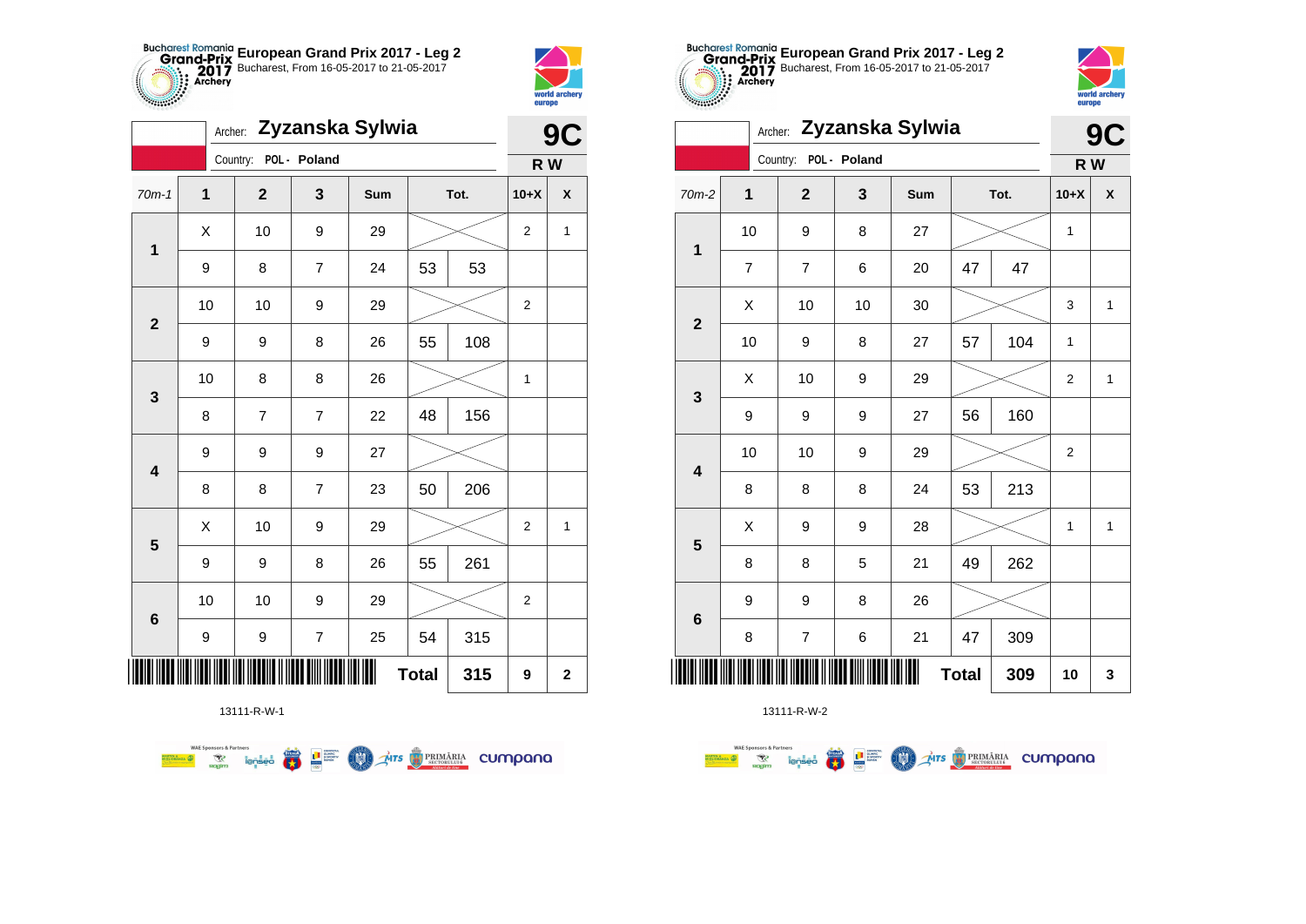



|                         | Zyzanska Sylwia<br>Archer: |                       |                  |     |              |      |                  | 9C           |  |
|-------------------------|----------------------------|-----------------------|------------------|-----|--------------|------|------------------|--------------|--|
|                         |                            | Country: POL - Poland |                  |     |              |      | R W              |              |  |
| $70m-1$                 | $\mathbf 1$                | $\mathbf 2$           | 3                | Sum |              | Tot. | $10+X$           | X            |  |
| $\mathbf{1}$            | X                          | 10                    | 9                | 29  |              |      | $\overline{2}$   | $\mathbf{1}$ |  |
|                         | 9                          | 8                     | 7                | 24  | 53           | 53   |                  |              |  |
| $\mathbf 2$             | 10                         | 10                    | 9                | 29  |              |      | $\overline{2}$   |              |  |
|                         | 9                          | 9                     | 8                | 26  | 55           | 108  |                  |              |  |
| 3                       | 10                         | 8                     | 8                | 26  |              |      | $\mathbf{1}$     |              |  |
|                         | 8                          | $\overline{7}$        | $\overline{7}$   | 22  | 48           | 156  |                  |              |  |
| $\overline{\mathbf{4}}$ | 9                          | 9                     | 9                | 27  |              |      |                  |              |  |
|                         | 8                          | 8                     | $\overline{7}$   | 23  | 50           | 206  |                  |              |  |
| ${\bf 5}$               | X                          | 10                    | 9                | 29  |              |      | $\overline{2}$   | $\mathbf{1}$ |  |
|                         | 9                          | 9                     | 8                | 26  | 55           | 261  |                  |              |  |
| 6                       | 10                         | 10                    | 9                | 29  |              |      | $\boldsymbol{2}$ |              |  |
|                         | 9                          | 9                     | $\boldsymbol{7}$ | 25  | 54           | 315  |                  |              |  |
| ║║║                     |                            |                       |                  |     | <b>Total</b> | 315  | 9                | $\mathbf 2$  |  |

**TATS BRIMARIA CUMPANA** 



13111-R-W-2

| cococo.                 | Archer: Zyzanska Sylwia |                |              |     |    |      |                         |              |  |  |
|-------------------------|-------------------------|----------------|--------------|-----|----|------|-------------------------|--------------|--|--|
|                         |                         | Country:       | POL - Poland |     |    |      | R W                     |              |  |  |
| $70m-2$                 | 1                       | $\mathbf{2}$   | 3            | Sum |    | Tot. | $10+X$                  | χ            |  |  |
| 1                       | 10                      | 9              | 8            | 27  |    |      | 1                       |              |  |  |
|                         | $\overline{7}$          | $\overline{7}$ | 6            | 20  | 47 | 47   |                         |              |  |  |
| $\overline{\mathbf{2}}$ | X                       | 10             | 10           | 30  |    |      | 3                       | 1            |  |  |
|                         | 10                      | 9              | 8            | 27  | 57 | 104  | 1                       |              |  |  |
| 3                       | X                       | 10             | 9            | 29  |    |      | $\overline{2}$          | $\mathbf{1}$ |  |  |
|                         | 9                       | 9              | 9            | 27  | 56 | 160  |                         |              |  |  |
| $\overline{\mathbf{4}}$ | 10                      | 10             | 9            | 29  |    |      | $\overline{\mathbf{c}}$ |              |  |  |
|                         | 8                       | 8              | 8            | 24  | 53 | 213  |                         |              |  |  |
| 5                       | X                       | 9              | 9            | 28  |    |      | 1                       | $\mathbf{1}$ |  |  |
|                         | 8                       | 8              | 5            | 21  | 49 | 262  |                         |              |  |  |
| $\bf 6$                 | 9                       | 9              | 8            | 26  |    |      |                         |              |  |  |
|                         | 8                       | $\overline{7}$ | 6            | 21  | 47 | 309  |                         |              |  |  |
| ║║║                     | <b>Total</b><br>309     |                |              |     |    |      |                         |              |  |  |

**European Grand Prix 2017 - Leg 2** Bucharest, From 16-05-2017 to 21-05-2017

> world archer **Alliana**

13111-R-W-1

 $\left(\frac{\sinh\theta}{\cos\theta}\right)$ 

**LE SURFACE** 

**COND** 

**WAE Sponsors & Partners**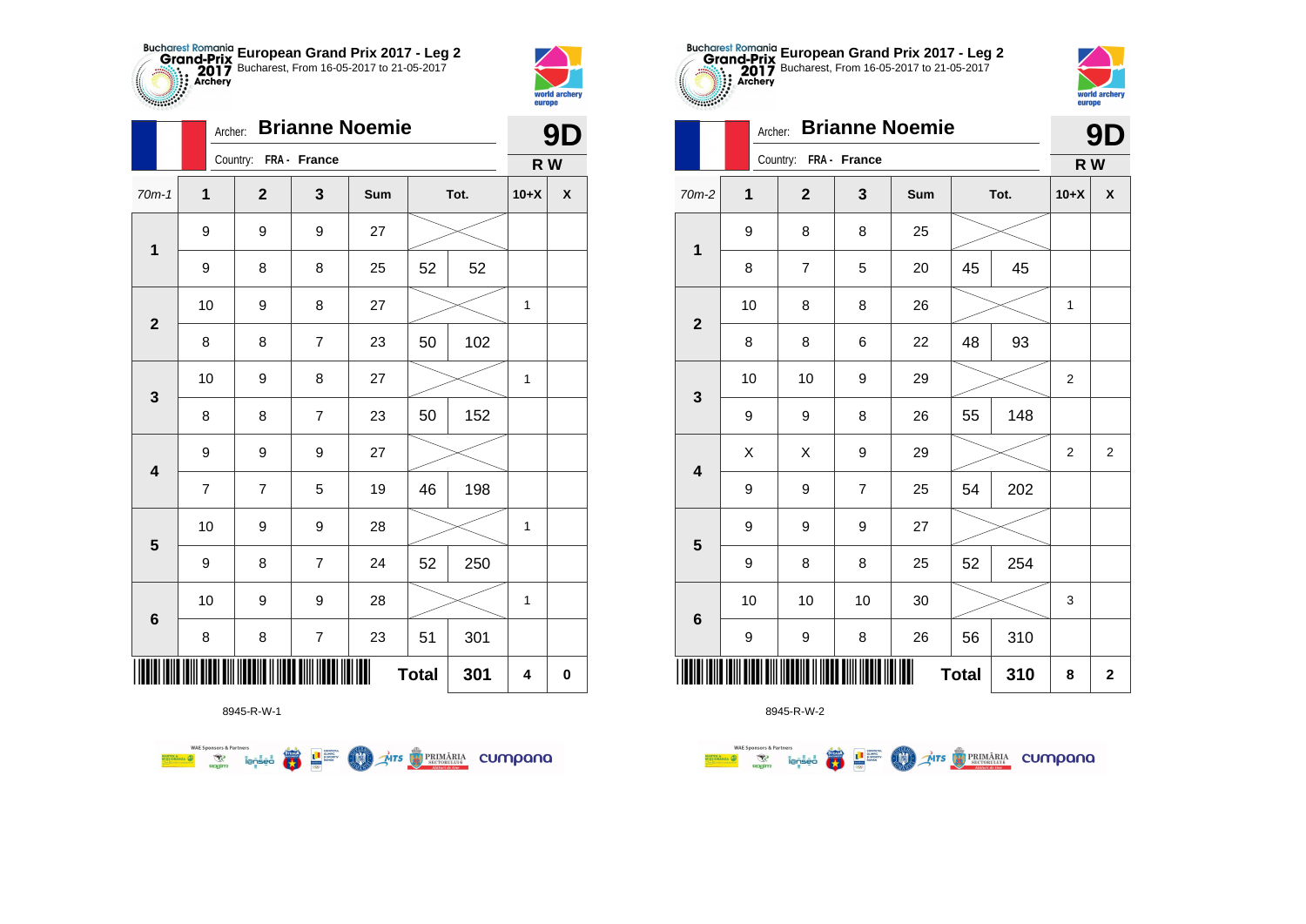



 $\overline{\phantom{0}}$ 

|                         | Archer:        |                       |                         | <b>Brianne Noemie</b> |              |      |             | 9D                 |
|-------------------------|----------------|-----------------------|-------------------------|-----------------------|--------------|------|-------------|--------------------|
|                         |                | Country: FRA - France |                         |                       |              |      | R W         |                    |
| $70m-1$                 | $\mathbf{1}$   | $\overline{2}$        | $\mathbf{3}$            | Sum                   |              | Tot. | $10+X$      | $\pmb{\mathsf{X}}$ |
| $\mathbf 1$             | 9              | 9                     | 9                       | 27                    |              |      |             |                    |
|                         | 9              | 8                     | 8                       | 25                    | 52           | 52   |             |                    |
| $\mathbf{2}$            | 10             | 9                     | 8                       | 27                    |              |      | 1           |                    |
|                         | 8              | 8                     | 7                       | 23                    | 50           | 102  |             |                    |
| $\mathbf{3}$            | 10             | 9                     | 8                       | 27                    |              |      | 1           |                    |
|                         | 8              | 8                     | $\overline{7}$          | 23                    | 50           | 152  |             |                    |
| $\overline{\mathbf{4}}$ | 9              | 9                     | 9                       | 27                    |              |      |             |                    |
|                         | $\overline{7}$ | $\overline{7}$        | 5                       | 19                    | 46           | 198  |             |                    |
| $\overline{\mathbf{5}}$ | 10             | 9                     | 9                       | 28                    |              |      | 1           |                    |
|                         | 9              | 8                     | $\overline{7}$          | 24                    | 52           | 250  |             |                    |
| $\bf 6$                 | 10             | 9                     | 9                       | 28                    |              |      | $\mathbf 1$ |                    |
|                         | 8              | 8                     | $\overline{\mathbf{7}}$ | 23                    | 51           | 301  |             |                    |
|                         |                |                       |                         | Ш                     | <b>Total</b> | 301  | 4           | $\pmb{0}$          |



8945-R-W-2

|                         |             | Country: FRA - France |                |     |              |      | R W    |                         |
|-------------------------|-------------|-----------------------|----------------|-----|--------------|------|--------|-------------------------|
| 2                       | $\mathbf 1$ | $\mathbf{2}$          | 3              | Sum |              | Tot. | $10+X$ | χ                       |
|                         | 9           | 8                     | 8              | 25  |              |      |        |                         |
| $\mathbf{1}$            | 8           | $\overline{7}$        | 5              | 20  | 45           | 45   |        |                         |
|                         | 10          | 8                     | 8              | 26  |              |      | 1      |                         |
| $\boldsymbol{2}$        | 8           | 8                     | 6              | 22  | 48           | 93   |        |                         |
| $\mathbf{3}$            | 10          | 10                    | 9              | 29  |              |      | 2      |                         |
|                         | 9           | 9                     | 8              | 26  | 55           | 148  |        |                         |
| $\overline{\mathbf{4}}$ | Χ           | Χ                     | 9              | 29  |              |      | 2      | $\overline{\mathbf{c}}$ |
|                         | 9           | 9                     | $\overline{7}$ | 25  | 54           | 202  |        |                         |
| $5\phantom{.0}$         | 9           | 9                     | 9              | 27  |              |      |        |                         |
|                         | 9           | 8                     | 8              | 25  | 52           | 254  |        |                         |
| $\bf 6$                 | 10          | 10                    | 10             | 30  |              |      | 3      |                         |
|                         | 9           | 9                     | 8              | 26  | 56           | 310  |        |                         |
|                         |             |                       |                | Ш   | <b>Total</b> | 310  | 8      | $\mathbf{2}$            |



|                         | Archer: | <b>Brianne Noemie</b> |                |     | 91<br>Ŋ      |      |                |                         |
|-------------------------|---------|-----------------------|----------------|-----|--------------|------|----------------|-------------------------|
|                         |         | Country: FRA - France |                |     |              |      | R W            |                         |
| $70m-2$                 | 1       | $\mathbf{2}$          | 3              | Sum |              | Tot. | $10+X$         | X                       |
| $\mathbf{1}$            | 9       | 8                     | 8              | 25  |              |      |                |                         |
|                         | 8       | $\overline{7}$        | 5              | 20  | 45           | 45   |                |                         |
| $\mathbf{2}$            | 10      | 8                     | 8              | 26  |              |      | 1              |                         |
|                         | 8       | 8                     | 6              | 22  | 48           | 93   |                |                         |
|                         | 10      | 10                    | 9              | 29  |              |      | $\overline{2}$ |                         |
| 3                       | 9       | 9                     | 8              | 26  | 55           | 148  |                |                         |
| $\overline{\mathbf{4}}$ | Χ       | X                     | 9              | 29  |              |      | $\mathbf 2$    | $\overline{\mathbf{c}}$ |
|                         | 9       | 9                     | $\overline{7}$ | 25  | 54           | 202  |                |                         |
| 5                       | 9       | 9                     | 9              | 27  |              |      |                |                         |
|                         | 9       | 8                     | 8              | 25  | 52           | 254  |                |                         |
| 6                       | 10      | 10                    | 10             | 30  |              |      | 3              |                         |
|                         | 9       | 9                     | 8              | 26  | 56           | 310  |                |                         |
|                         |         |                       |                |     | <b>Total</b> | 310  | 8              | $\mathbf 2$             |

**European Grand Prix 2017 - Leg 2** Bucharest, From 16-05-2017 to 21-05-2017

8945-R-W-1

**WAE Sponsors & Partners**  $\mathcal{A}$ irs  $\bigcirc$  PRIMĂRIA CUMPONO 赢 **THE SUPPRE MAN**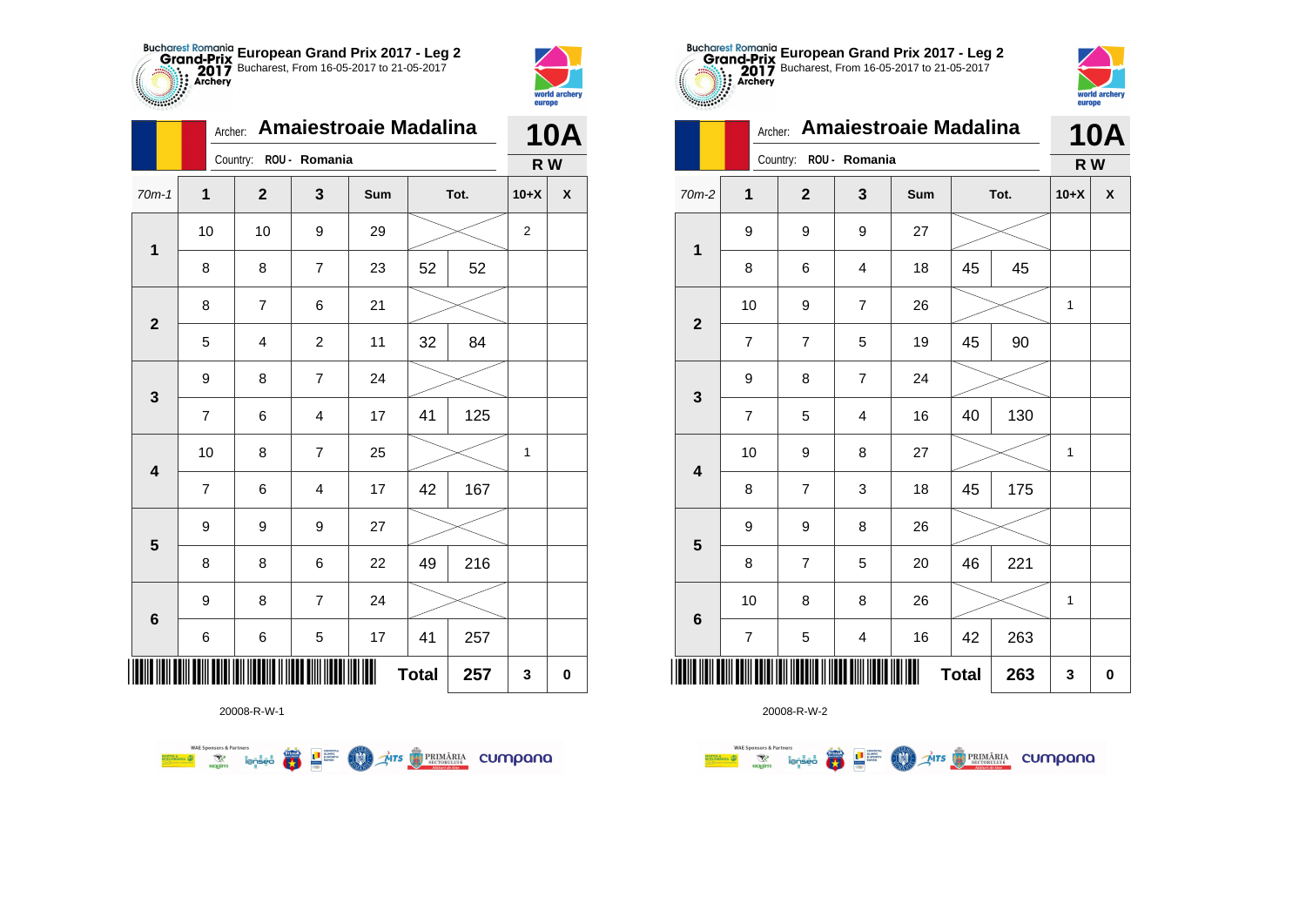



|                         | Archer:        |                        |                         | <b>Amaiestroaie Madalina</b> |              |      |              | <b>10A</b> |
|-------------------------|----------------|------------------------|-------------------------|------------------------------|--------------|------|--------------|------------|
|                         |                | Country: ROU - Romania |                         |                              |              |      | R W          |            |
| $70m-1$                 | $\mathbf 1$    | $\overline{2}$         | 3                       | Sum                          |              | Tot. | $10+X$       | X          |
|                         | 10             | 10                     | 9                       | 29                           |              |      | $\mathbf{2}$ |            |
| $\mathbf 1$             | 8              | 8                      | 7                       | 23                           | 52           | 52   |              |            |
| $\mathbf{2}$            | 8              | $\overline{7}$         | 6                       | 21                           |              |      |              |            |
|                         | 5              | 4                      | $\overline{c}$          | 11                           | 32           | 84   |              |            |
| 3                       | 9              | 8                      | $\overline{7}$          | 24                           |              |      |              |            |
|                         | $\overline{7}$ | 6                      | $\overline{4}$          | 17                           | 41           | 125  |              |            |
| $\overline{\mathbf{4}}$ | 10             | 8                      | $\overline{7}$          | 25                           |              |      | 1            |            |
|                         | $\overline{7}$ | 6                      | $\overline{\mathbf{4}}$ | 17                           | 42           | 167  |              |            |
| 5                       | 9              | 9                      | 9                       | 27                           |              |      |              |            |
|                         | 8              | 8                      | 6                       | 22                           | 49           | 216  |              |            |
| $6\phantom{1}$          | 9              | 8                      | $\overline{7}$          | 24                           |              |      |              |            |
|                         | 6              | 6                      | 5                       | 17                           | 41           | 257  |              |            |
| IIIII                   |                |                        |                         |                              | <b>Total</b> | 257  | 3            | 0          |



| $70m-2$                 | $\mathbf{1}$             | $\mathbf{2}$            | $\mathbf{3}$            | Sum |              | Tot.   | $10+X$       | $\pmb{\mathsf{X}}$ |
|-------------------------|--------------------------|-------------------------|-------------------------|-----|--------------|--------|--------------|--------------------|
| $\mathbf 1$             | 9                        | 9                       | 9                       | 27  |              |        |              |                    |
|                         | $\bf 8$                  | 6                       | $\overline{\mathbf{4}}$ | 18  | 45           | 45     |              |                    |
| $\overline{\mathbf{2}}$ | 10                       | 9                       | $\boldsymbol{7}$        | 26  |              |        | $\mathbf 1$  |                    |
|                         | $\overline{\mathbf{7}}$  | 7                       | 5                       | 19  | 45           | $90\,$ |              |                    |
| $\mathbf{3}$            | 9                        | 8                       | $\boldsymbol{7}$        | 24  |              |        |              |                    |
|                         | $\overline{\mathcal{I}}$ | 5                       | $\overline{\mathbf{4}}$ | 16  | 40           | 130    |              |                    |
| $\overline{\mathbf{4}}$ | 10                       | 9                       | 8                       | 27  |              |        | $\mathbf 1$  |                    |
|                         | 8                        | $\overline{7}$          | 3                       | 18  | 45           | 175    |              |                    |
| ${\bf 5}$               | 9                        | 9                       | 8                       | 26  |              |        |              |                    |
|                         | $\bf 8$                  | $\overline{\mathbf{7}}$ | 5                       | 20  | 46           | 221    |              |                    |
|                         | 10                       | 8                       | 8                       | 26  |              |        | $\mathbf{1}$ |                    |
| $\bf 6$                 | $\overline{\mathbf{7}}$  | 5                       | $\overline{\mathbf{4}}$ | 16  | 42           | 263    |              |                    |
| ∭∥                      |                          |                         |                         | Ш   | <b>Total</b> | 263    | 3            | $\pmb{0}$          |

**European Grand Prix 2017 - Leg 2** Bucharest, From 16-05-2017 to 21-05-2017

Archer: **Amaiestroaie Madalina**

Country: **ROU - Romania**



**10A**

**R W**

|   |   |    |             | ້ |    | . .  |
|---|---|----|-------------|---|----|------|
|   | 6 | 10 | 8           | 8 | 26 |      |
|   |   |    | 5           |   | 16 | 42   |
| 0 |   |    |             |   |    | Tota |
|   |   |    | 20008-R-W-2 |   |    |      |

**TABLE** 

 $\overline{a}$ 

20008-R-W-1

**WAE Sponsors & Partners THE STRIMARIA CUMPANA** ● ■ **COND**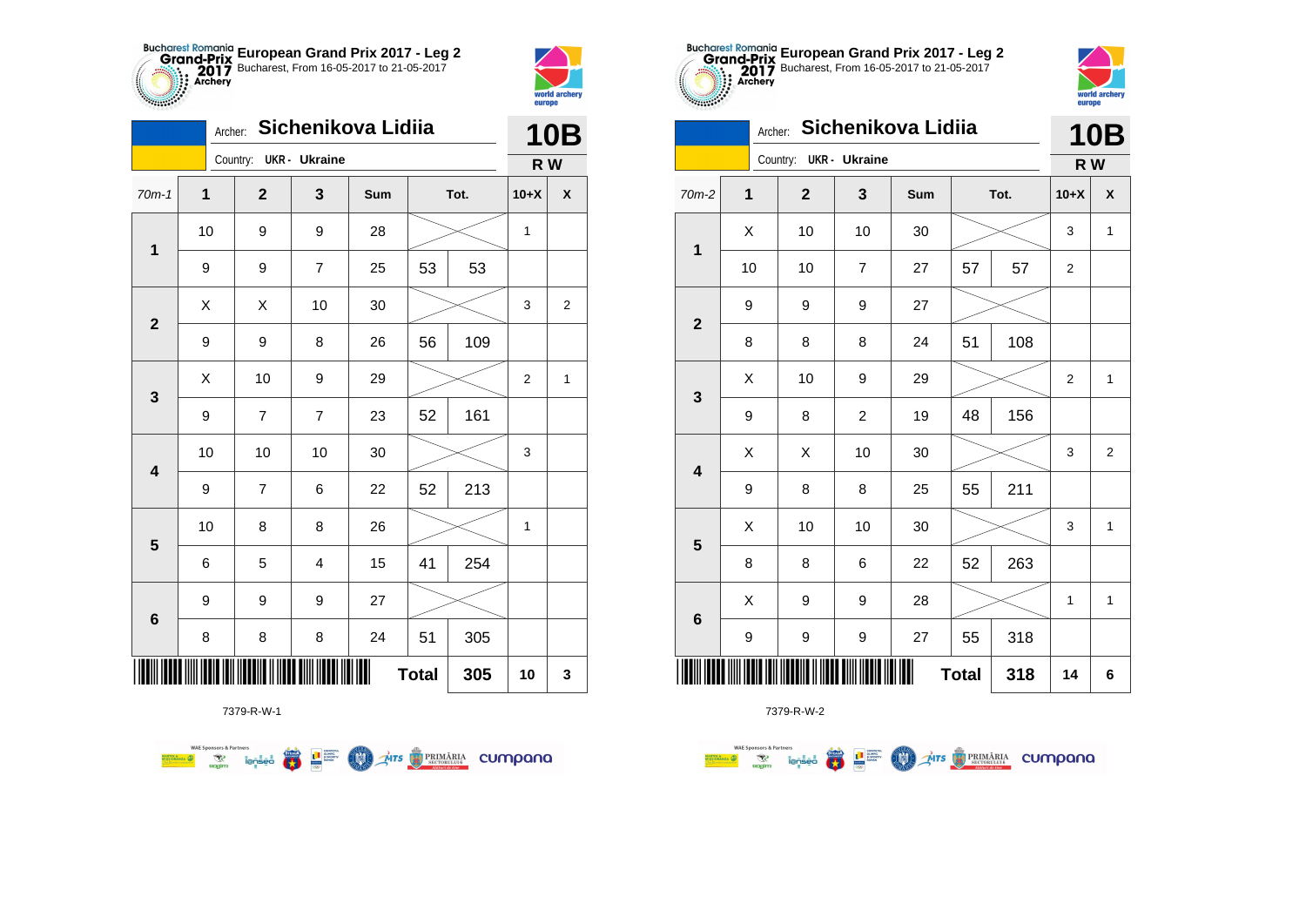



|                 | Archer: |                         |                | Sichenikova Lidiia |              |      | <b>10B</b>     |                    |
|-----------------|---------|-------------------------|----------------|--------------------|--------------|------|----------------|--------------------|
|                 |         | Country: UKR - Ukraine  |                |                    |              |      | R W            |                    |
| $70m-1$         | 1       | $\overline{\mathbf{2}}$ | 3              | Sum                |              | Tot. | $10+X$         | $\pmb{\mathsf{X}}$ |
| 1               | 10      | 9                       | 9              | 28                 |              |      | 1              |                    |
|                 | 9       | 9                       | $\overline{7}$ | 25                 | 53           | 53   |                |                    |
| $\overline{2}$  | X       | X                       | 10             | 30                 |              |      | 3              | $\overline{2}$     |
|                 | 9       | 9                       | 8              | 26                 | 56           | 109  |                |                    |
| 3               | Χ       | 10                      | 9              | 29                 |              |      | $\overline{2}$ | 1                  |
|                 | 9       | 7                       | $\overline{7}$ | 23                 | 52           | 161  |                |                    |
| 4               | 10      | 10                      | 10             | 30                 |              |      | 3              |                    |
|                 | 9       | $\overline{7}$          | 6              | 22                 | 52           | 213  |                |                    |
| 5               | 10      | 8                       | 8              | 26                 |              |      | 1              |                    |
|                 | 6       | 5                       | 4              | 15                 | 41           | 254  |                |                    |
| $6\phantom{1}6$ | 9       | 9                       | 9              | 27                 |              |      |                |                    |
|                 | 8       | 8                       | 8              | 24                 | 51           | 305  |                |                    |
|                 |         |                         |                |                    | <b>Total</b> | 305  | 10             | 3                  |

**THE STRIMARIA CUMPANA** 



7379-R-W-2

| $$                      |                  |                | europe                  |                    |              |      |                |                |
|-------------------------|------------------|----------------|-------------------------|--------------------|--------------|------|----------------|----------------|
|                         | Archer:          |                |                         | Sichenikova Lidiia |              |      |                | <b>10B</b>     |
|                         |                  | Country:       | <b>UKR</b> - Ukraine    |                    |              |      | R W            |                |
| $70m-2$                 | $\mathbf{1}$     | $\overline{2}$ | 3                       | Sum                |              | Tot. | $10+X$         | χ              |
| $\mathbf{1}$            | X                | 10             | 10                      | 30                 |              |      | 3              | $\mathbf{1}$   |
|                         | 10               | 10             | $\overline{7}$          | 27                 | 57           | 57   | 2              |                |
| $\overline{2}$          | 9                | 9              | 9                       | 27                 |              |      |                |                |
|                         | 8                | 8              | 8                       | 24                 | 51           | 108  |                |                |
| $\mathbf{3}$            | X                | 10             | 9                       | 29                 |              |      | $\overline{2}$ | 1              |
|                         | 9                | 8              | $\overline{\mathbf{c}}$ | 19                 | 48           | 156  |                |                |
| $\overline{\mathbf{4}}$ | X                | Χ              | 10                      | 30                 |              |      | 3              | $\overline{2}$ |
|                         | 9                | 8              | 8                       | 25                 | 55           | 211  |                |                |
| 5                       | X                | 10             | 10                      | 30                 |              |      | 3              | $\mathbf{1}$   |
|                         | 8                | 8              | 6                       | 22                 | 52           | 263  |                |                |
| $\bf 6$                 | X                | 9              | 9                       | 28                 |              |      | 1              | 1              |
|                         | $\boldsymbol{9}$ | 9              | 9                       | 27                 | 55           | 318  |                |                |
| Ш                       |                  |                |                         |                    | <b>Total</b> | 318  | 14             | 6              |

**European Grand Prix 2017 - Leg 2** Bucharest, From 16-05-2017 to 21-05-2017

world arche

7379-R-W-1

 $\left(\frac{\sinh\theta}{\cos\theta}\right)$ 

L B SLIPPER

**COO** 

**WAE Sponsors & Partners**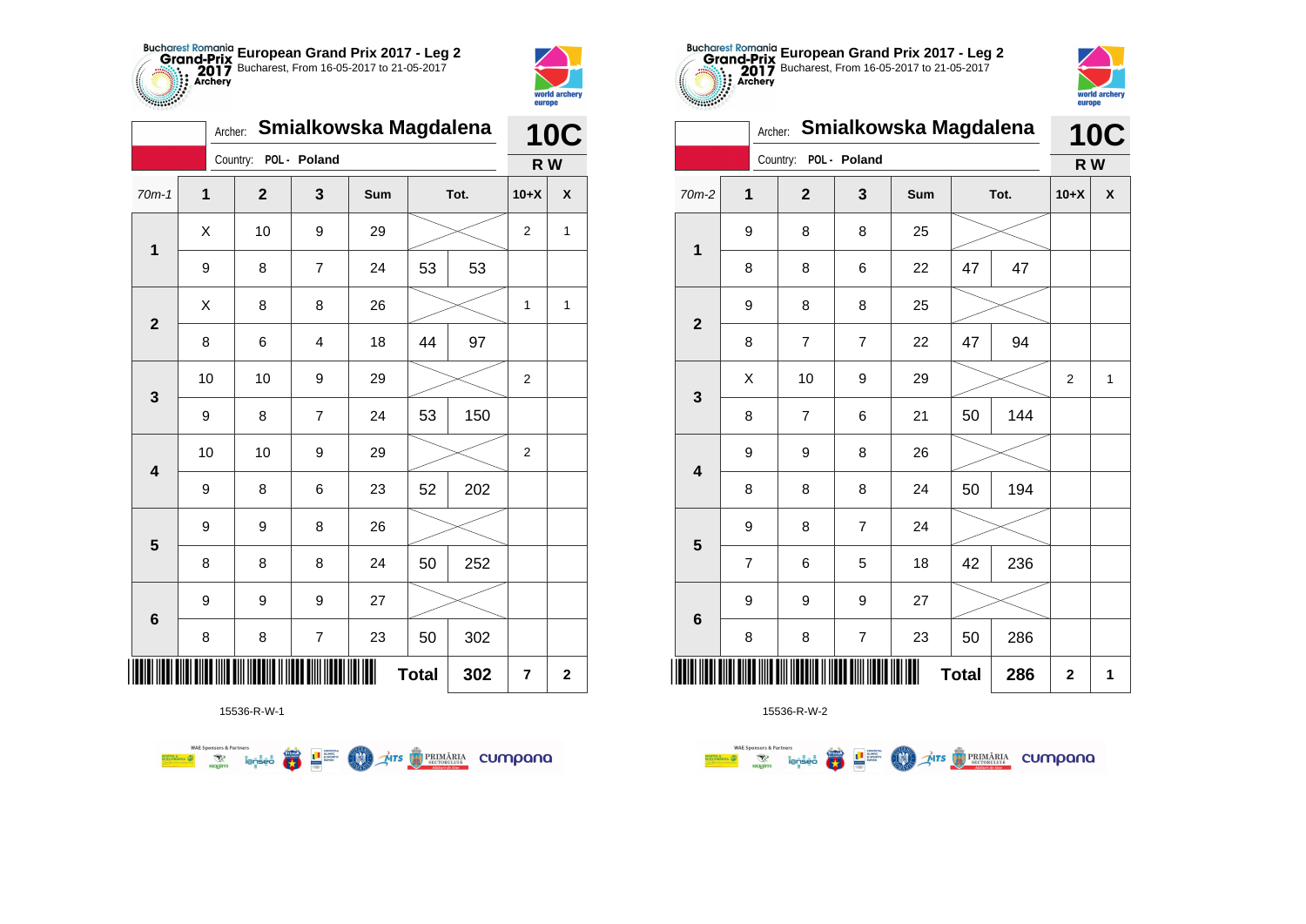

|                         | Smialkowska Magdalena |                       | <b>10C</b><br>R W<br>X |     |    |      |                |   |  |
|-------------------------|-----------------------|-----------------------|------------------------|-----|----|------|----------------|---|--|
|                         |                       | Country: POL - Poland |                        |     |    |      |                |   |  |
| $70m-1$                 | 1                     | $\overline{2}$        | 3                      | Sum |    | Tot. | $10+X$         |   |  |
| $\mathbf 1$             | Χ                     | 10                    | 9                      | 29  |    |      | $\overline{2}$ | 1 |  |
|                         | 9                     | 8                     | $\overline{7}$         | 24  | 53 | 53   |                |   |  |
| $\overline{\mathbf{2}}$ | X                     | 8                     | 8                      | 26  |    |      | 1              | 1 |  |
|                         | 8                     | 6                     | 4                      | 18  | 44 | 97   |                |   |  |
| 3                       | 10                    | 10                    | 9                      | 29  |    |      | $\overline{2}$ |   |  |
|                         | 9                     | 8                     | $\overline{7}$         | 24  | 53 | 150  |                |   |  |
| $\overline{\mathbf{4}}$ | 10                    | 10                    | 9                      | 29  |    |      | 2              |   |  |
|                         | 9                     | 8                     | 6                      | 23  | 52 | 202  |                |   |  |
| 5                       | 9                     | 9                     | 8                      | 26  |    |      |                |   |  |
|                         | 8                     | 8                     | 8                      | 24  | 50 | 252  |                |   |  |
| $6\phantom{1}6$         | 9                     | 9                     | 9                      | 27  |    |      |                |   |  |
|                         | 8                     | 8                     | $\boldsymbol{7}$       | 23  | 50 | 302  |                |   |  |
| Ш                       | <b>Total</b><br>302   |                       |                        |     |    |      |                |   |  |

world archery<br>europe



15536-R-W-2

| <b>SERVICE</b>          | europe         |                |                |                       |    |      |        |                    |
|-------------------------|----------------|----------------|----------------|-----------------------|----|------|--------|--------------------|
|                         | Archer:        |                |                | Smialkowska Magdalena |    |      |        | <b>10C</b>         |
|                         |                | Country:       | POL - Poland   |                       |    |      | R W    |                    |
| $70m-2$                 | 1              | $\overline{2}$ | $\mathbf{3}$   | Sum                   |    | Tot. | $10+X$ | $\pmb{\mathsf{X}}$ |
| $\mathbf{1}$            | 9              | 8              | 8              | 25                    |    |      |        |                    |
|                         | 8              | 8              | 6              | 22                    | 47 | 47   |        |                    |
|                         | 9              | 8              | 8              | 25                    |    |      |        |                    |
| $\mathbf{2}$            | 8              | $\overline{7}$ | $\overline{7}$ | 22                    | 47 | 94   |        |                    |
| 3                       | X              | 10             | 9              | 29                    |    |      | 2      | $\mathbf{1}$       |
|                         | 8              | $\overline{7}$ | 6              | 21                    | 50 | 144  |        |                    |
|                         | 9              | 9              | 8              | 26                    |    |      |        |                    |
| $\overline{\mathbf{4}}$ | 8              | 8              | 8              | 24                    | 50 | 194  |        |                    |
|                         | 9              | 8              | $\overline{7}$ | 24                    |    |      |        |                    |
| 5                       | $\overline{7}$ | 6              | 5              | 18                    | 42 | 236  |        |                    |
|                         | 9              | 9              | 9              | 27                    |    |      |        |                    |
| 6                       | 8              | 8              | $\overline{7}$ | 23                    | 50 | 286  |        |                    |
|                         | $\overline{2}$ | 1              |                |                       |    |      |        |                    |

**European Grand Prix 2017 - Leg 2** Bucharest, From 16-05-2017 to 21-05-2017

vorld arche

**Exercise on the Second Partial Second Second Second Second Second Second Second Second Second Second Second Second Second Second Second Second Second Second Second Second Second Second Second Second Second Second Second S** 

15536-R-W-1

**WAE Sponsors & Partners**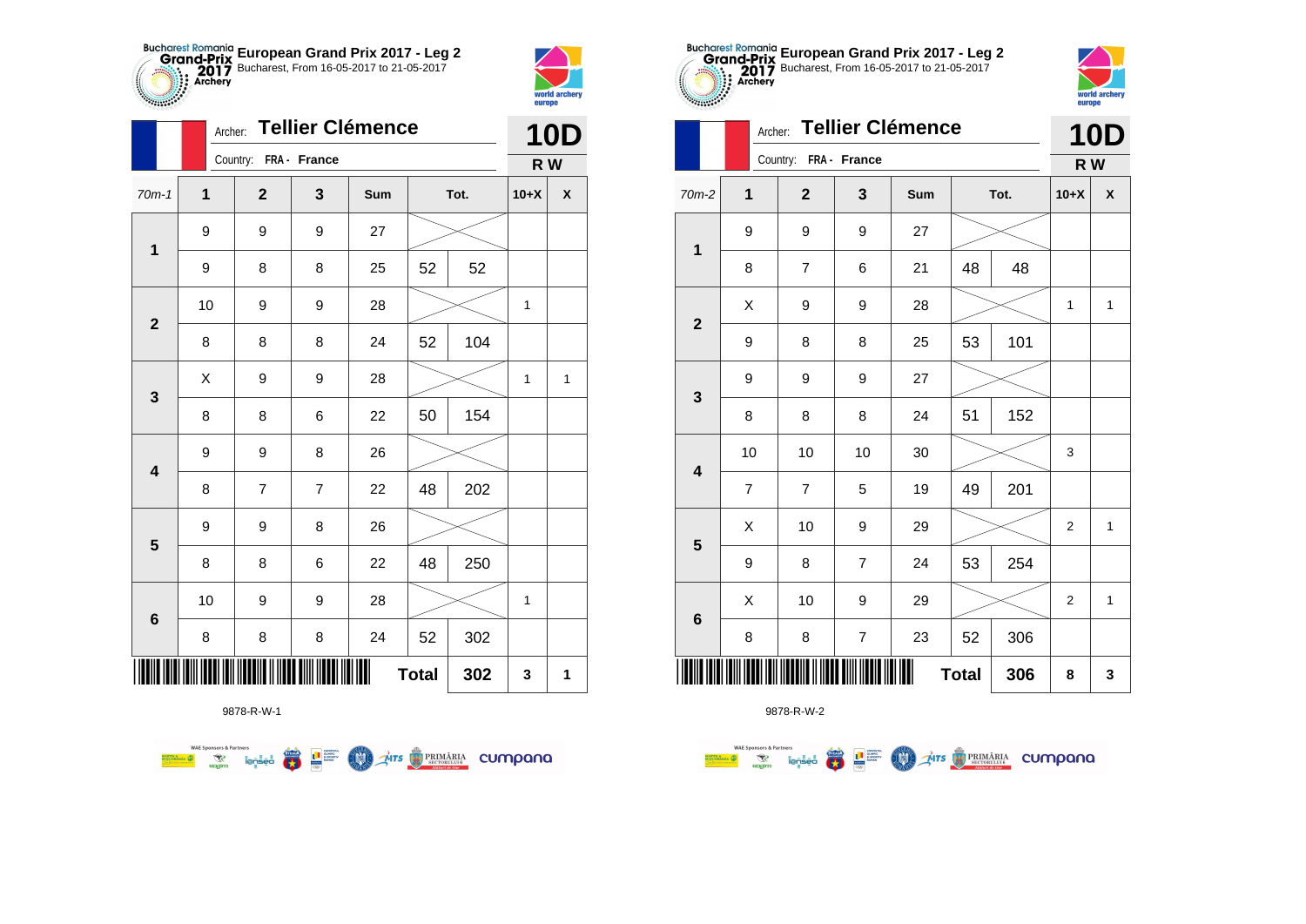



|                         | Archer:      |                       |                | <b>Tellier Clémence</b> |              |      |        | <b>10D</b>         |
|-------------------------|--------------|-----------------------|----------------|-------------------------|--------------|------|--------|--------------------|
|                         |              | Country: FRA - France |                |                         |              |      | R W    |                    |
| $70m-1$                 | $\mathbf{1}$ | $\overline{2}$        | 3              | Sum                     |              | Tot. | $10+X$ | $\pmb{\mathsf{X}}$ |
| $\mathbf 1$             | 9            | 9                     | 9              | 27                      |              |      |        |                    |
|                         | 9            | 8                     | 8              | 25                      | 52           | 52   |        |                    |
| $\mathbf{2}$            | 10           | 9                     | 9              | 28                      |              |      | 1      |                    |
|                         | 8            | 8                     | 8              | 24                      | 52           | 104  |        |                    |
| $\mathbf{3}$            | Χ            | 9                     | 9              | 28                      |              |      | 1      | 1                  |
|                         | 8            | 8                     | 6              | 22                      | 50           | 154  |        |                    |
| $\overline{\mathbf{4}}$ | 9            | 9                     | 8              | 26                      |              |      |        |                    |
|                         | 8            | $\overline{7}$        | $\overline{7}$ | 22                      | 48           | 202  |        |                    |
| $\overline{\mathbf{5}}$ | 9            | 9                     | 8              | 26                      |              |      |        |                    |
|                         | 8            | 8                     | 6              | 22                      | 48           | 250  |        |                    |
| $6\phantom{1}6$         | 10           | 9                     | 9              | 28                      |              |      | 1      |                    |
|                         | 8            | 8                     | 8              | 24                      | 52           | 302  |        |                    |
|                         |              |                       |                | Ш                       | <b>Total</b> | 302  | 3      | 1                  |



|                         |                         | K W              |     |    |              |                  |                    |
|-------------------------|-------------------------|------------------|-----|----|--------------|------------------|--------------------|
| $\overline{\mathbf{1}}$ | $\mathbf{2}$            | $\mathbf{3}$     | Sum |    |              | $10+X$           | $\pmb{\mathsf{X}}$ |
| 9                       | 9                       | 9                | 27  |    |              |                  |                    |
| 8                       | $\overline{\mathbf{7}}$ | 6                | 21  | 48 | 48           |                  |                    |
| $\sf X$                 | 9                       | 9                | 28  |    |              | 1                | $\mathbf{1}$       |
| 9                       | 8                       | 8                | 25  | 53 | 101          |                  |                    |
| 9                       | 9                       | 9                | 27  |    |              |                  |                    |
| 8                       | 8                       | 8                | 24  | 51 | 152          |                  |                    |
| 10                      | 10                      | 10               | 30  |    |              | $\mathsf 3$      |                    |
| $\overline{7}$          | $\boldsymbol{7}$        | 5                | 19  | 49 | 201          |                  |                    |
| Χ                       | 10                      | 9                | 29  |    |              | $\boldsymbol{2}$ | $\mathbf{1}$       |
| 9                       | 8                       | $\boldsymbol{7}$ | 24  | 53 | 254          |                  |                    |
| X                       | 10                      | 9                | 29  |    |              | $\overline{c}$   | 1                  |
| 8                       | 8                       | $\overline{7}$   | 23  | 52 | 306          |                  |                    |
|                         |                         |                  |     |    | 306          | 8                | 3                  |
|                         |                         | . <i>.</i> .     |     |    | <b>Total</b> | Tot.             |                    |



|                         |                | Archer: Tellier Clémence |                  |     | <b>10D</b>   |     |              |              |
|-------------------------|----------------|--------------------------|------------------|-----|--------------|-----|--------------|--------------|
|                         |                | Country: FRA - France    |                  |     |              |     | R W          |              |
| $70m-2$                 | $\mathbf 1$    | $\overline{2}$           | 3                | Sum | Tot.         |     | $10+X$       | X            |
| $\mathbf{1}$            | 9              | 9                        | 9                | 27  |              |     |              |              |
|                         | 8              | $\overline{7}$           | 6                | 21  | 48           | 48  |              |              |
| $\mathbf{2}$            | X              | 9                        | 9                | 28  |              |     | 1            | $\mathbf{1}$ |
|                         | 9              | 8                        | 8                | 25  | 53           | 101 |              |              |
| $\mathbf{3}$            | 9              | 9                        | 9                | 27  |              |     |              |              |
|                         | 8              | 8                        | 8                | 24  | 51           | 152 |              |              |
| $\overline{\mathbf{4}}$ | 10             | 10                       | 10               | 30  |              |     | 3            |              |
|                         | $\overline{7}$ | $\overline{7}$           | 5                | 19  | 49           | 201 |              |              |
|                         | Χ              | 10                       | 9                | 29  |              |     | $\mathbf{2}$ | $\mathbf{1}$ |
| 5                       | 9              | 8                        | $\overline{7}$   | 24  | 53           | 254 |              |              |
|                         | X              | 10                       | 9                | 29  |              |     | 2            | 1            |
| $6\phantom{1}6$         | 8              | $\bf 8$                  | $\boldsymbol{7}$ | 23  | 52           | 306 |              |              |
|                         |                |                          |                  |     | <b>Total</b> | 306 | 8            | 3            |

**European Grand Prix 2017 - Leg 2** Bucharest, From 16-05-2017 to 21-05-2017

9878-R-W-1

**WAE Sponsors & Partners AITS** PRIMARIA CUMPANO L<sup>a</sup> Surent  $\overline{\mathbf{r}}$ (M)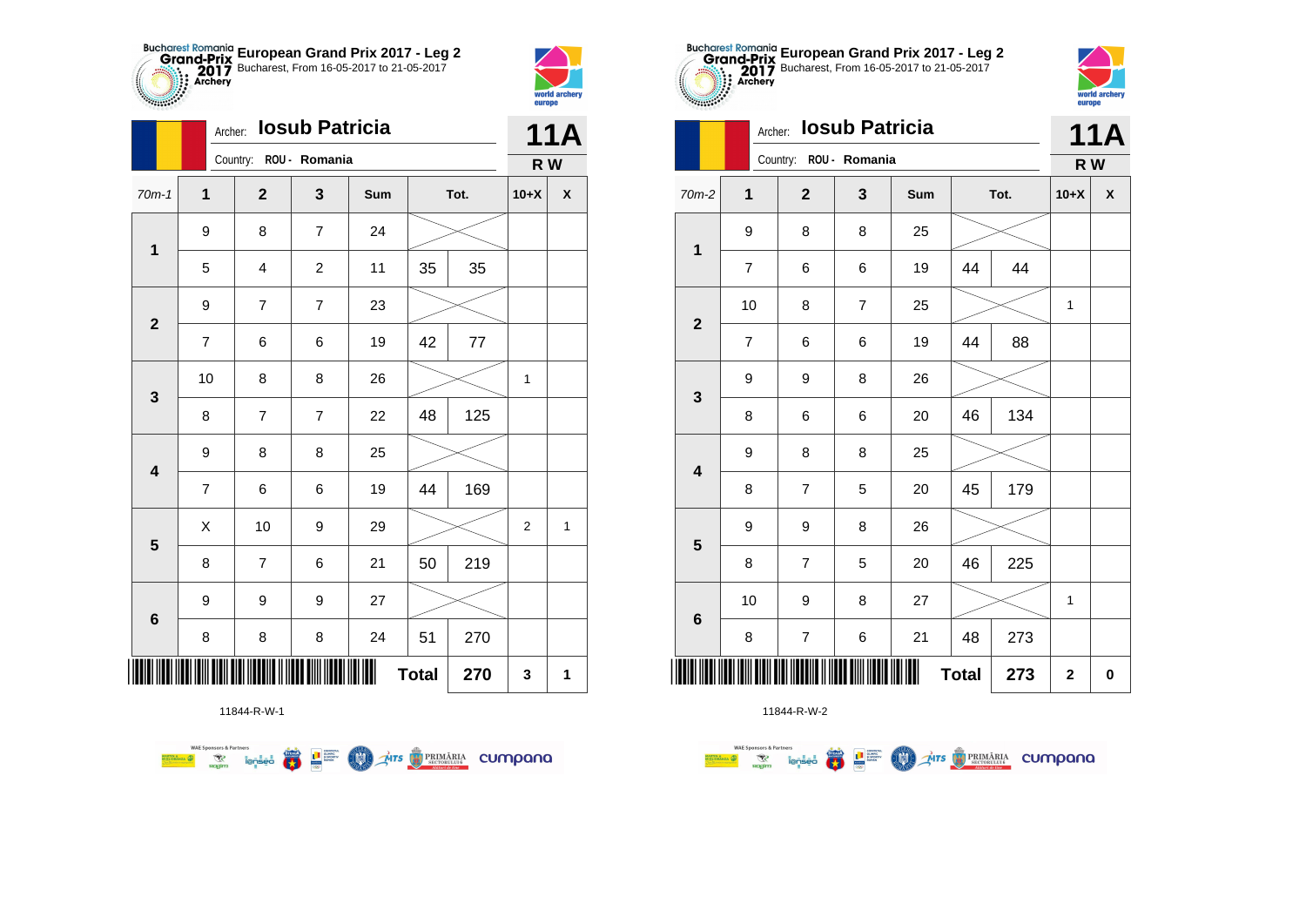



**THE** 

|                         | Archer:        |                         | <b>Iosub Patricia</b> |     |              |      |                | <b>11A</b>         |
|-------------------------|----------------|-------------------------|-----------------------|-----|--------------|------|----------------|--------------------|
|                         |                | Country: ROU - Romania  |                       |     |              |      | R W            |                    |
| $70m-1$                 | $\mathbf{1}$   | $\mathbf{2}$            | 3                     | Sum |              | Tot. | $10+X$         | $\pmb{\mathsf{X}}$ |
| $\mathbf 1$             | 9              | 8                       | $\overline{7}$        | 24  |              |      |                |                    |
|                         | 5              | $\overline{\mathbf{4}}$ | $\overline{c}$        | 11  | 35           | 35   |                |                    |
| $\overline{\mathbf{2}}$ | 9              | $\overline{7}$          | $\overline{7}$        | 23  |              |      |                |                    |
|                         | $\overline{7}$ | 6                       | 6                     | 19  | 42           | 77   |                |                    |
| 3                       | 10             | 8                       | 8                     | 26  |              |      | 1              |                    |
|                         | 8              | 7                       | $\overline{7}$        | 22  | 48           | 125  |                |                    |
| $\overline{\mathbf{4}}$ | 9              | 8                       | 8                     | 25  |              |      |                |                    |
|                         | $\overline{7}$ | 6                       | 6                     | 19  | 44           | 169  |                |                    |
| $\overline{\mathbf{5}}$ | X              | 10                      | 9                     | 29  |              |      | $\overline{2}$ | $\mathbf{1}$       |
|                         | 8              | $\overline{7}$          | 6                     | 21  | 50           | 219  |                |                    |
| $6\phantom{1}6$         | 9              | 9                       | 9                     | 27  |              |      |                |                    |
|                         | 8              | 8                       | 8                     | 24  | 51           | 270  |                |                    |
|                         |                |                         |                       |     | <b>Total</b> | 270  | 3              | 1                  |

11844-R-W-1





|                         |                | <b>Iosub Patricia</b><br>Archer: |                        |     | <b>11A</b>   |      |             |           |
|-------------------------|----------------|----------------------------------|------------------------|-----|--------------|------|-------------|-----------|
|                         |                |                                  | Country: ROU - Romania |     |              |      | R W         |           |
| $70m-2$                 | 1              | $\overline{2}$                   | 3                      | Sum |              | Tot. | $10+X$      | χ         |
| $\mathbf 1$             | 9              | 8                                | 8                      | 25  |              |      |             |           |
|                         | $\overline{7}$ | 6                                | 6                      | 19  | 44           | 44   |             |           |
| $\mathbf{2}$            | 10             | 8                                | $\overline{7}$         | 25  |              |      | 1           |           |
|                         | $\overline{7}$ | 6                                | 6                      | 19  | 44           | 88   |             |           |
| 3                       | 9              | 9                                | 8                      | 26  |              |      |             |           |
|                         | 8              | 6                                | 6                      | 20  | 46           | 134  |             |           |
| $\overline{\mathbf{4}}$ | 9              | 8                                | 8                      | 25  |              |      |             |           |
|                         | 8              | $\overline{7}$                   | 5                      | 20  | 45           | 179  |             |           |
| 5                       | 9              | 9                                | 8                      | 26  |              |      |             |           |
|                         | 8              | $\overline{7}$                   | 5                      | 20  | 46           | 225  |             |           |
| $6\phantom{1}$          | 10             | 9                                | 8                      | 27  |              |      | 1           |           |
|                         | 8              | $\overline{\mathbf{7}}$          | 6                      | 21  | 48           | 273  |             |           |
|                         |                |                                  |                        |     | <b>Total</b> | 273  | $\mathbf 2$ | $\pmb{0}$ |

**European Grand Prix 2017 - Leg 2** Bucharest, From 16-05-2017 to 21-05-2017



|     | 10 | 9                                                           | 8 | 27 |              |     |              |  |
|-----|----|-------------------------------------------------------------|---|----|--------------|-----|--------------|--|
|     | 8  |                                                             | 6 | 21 | 48           | 273 |              |  |
| III |    | , IOIII OIDII OIDI IITOONI II IIDOO OIIII IIDOO IIDI IIDI I |   |    | <b>Total</b> | 273 | $\mathbf{2}$ |  |
|     |    | 11844-R-W-2                                                 |   |    |              |     |              |  |
|     |    |                                                             |   |    |              |     |              |  |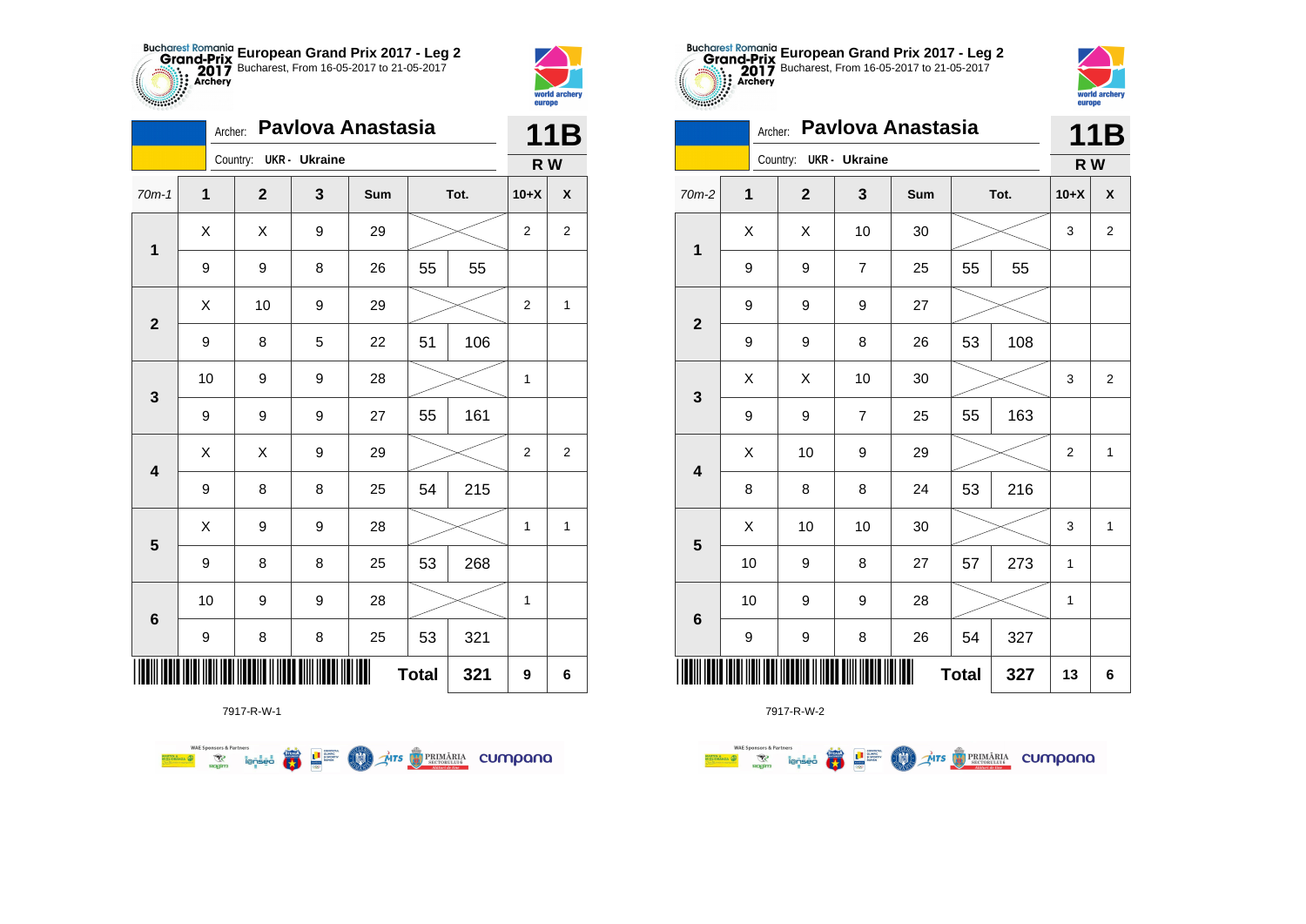



|                         | Archer:          |                        |   | Pavlova Anastasia |              |      |                | 11B            |  |
|-------------------------|------------------|------------------------|---|-------------------|--------------|------|----------------|----------------|--|
|                         |                  | Country: UKR - Ukraine |   |                   |              |      | R W            |                |  |
| $70m-1$                 | 1                | $\mathbf{2}$           | 3 | Sum               |              | Tot. | $10+X$         | X              |  |
| $\mathbf 1$             | X                | Χ                      | 9 | 29                |              |      | 2              | $\overline{c}$ |  |
|                         | 9                | 9                      | 8 | 26                | 55           | 55   |                |                |  |
| $\mathbf{2}$            | X                | 10                     | 9 | 29                |              |      | 2              | 1              |  |
|                         | 9                | 8                      | 5 | 22                | 51           | 106  |                |                |  |
| 3                       | 10               | 9                      | 9 | 28                |              |      | 1              |                |  |
|                         | 9                | 9                      | 9 | 27                | 55           | 161  |                |                |  |
| $\overline{\mathbf{4}}$ | X                | X                      | 9 | 29                |              |      | $\overline{2}$ | 2              |  |
|                         | 9                | 8                      | 8 | 25                | 54           | 215  |                |                |  |
| 5                       | X                | 9                      | 9 | 28                |              |      | 1              | 1              |  |
|                         | 9                | 8                      | 8 | 25                | 53           | 268  |                |                |  |
| $\bf 6$                 | 10               | 9                      | 9 | 28                |              |      | 1              |                |  |
|                         | $\boldsymbol{9}$ | 8                      | 8 | 25                | 53           | 321  |                |                |  |
|                         |                  |                        |   |                   | <b>Total</b> | 321  | 9              | 6              |  |

**THE STRIMARIA CUMPANA** 



7917-R-W-2

| $$                      |                |                |                      | em ohe            |              |      |             |                |
|-------------------------|----------------|----------------|----------------------|-------------------|--------------|------|-------------|----------------|
|                         | Archer:        |                |                      | Pavlova Anastasia |              |      |             | 11B            |
|                         |                | Country:       | <b>UKR</b> - Ukraine |                   |              |      | R W         |                |
| $70m-2$                 | $\overline{1}$ | $\overline{2}$ | 3                    | Sum               |              | Tot. | $10+X$      | χ              |
| $\mathbf{1}$            | X              | Χ              | 10                   | 30                |              |      | 3           | $\overline{2}$ |
|                         | 9              | 9              | 7                    | 25                | 55           | 55   |             |                |
| $\mathbf{2}$            | 9              | 9              | 9                    | 27                |              |      |             |                |
|                         | 9              | 9              | 8                    | 26                | 53           | 108  |             |                |
| $\mathbf 3$             | X              | Χ              | 10                   | 30                |              |      | 3           | $\overline{2}$ |
|                         | 9              | 9              | 7                    | 25                | 55           | 163  |             |                |
| $\overline{\mathbf{4}}$ | X              | 10             | 9                    | 29                |              |      | 2           | 1              |
|                         | 8              | 8              | 8                    | 24                | 53           | 216  |             |                |
| 5                       | X              | 10             | 10                   | 30                |              |      | 3           | 1              |
|                         | 10             | 9              | 8                    | 27                | 57           | 273  | 1           |                |
| 6                       | 10             | 9              | 9                    | 28                |              |      | $\mathbf 1$ |                |
|                         | 9              | 9              | 8                    | 26                | 54           | 327  |             |                |
|                         |                |                |                      | Ш                 | <b>Total</b> | 327  | 13          | 6              |

**European Grand Prix 2017 - Leg 2** Bucharest, From 16-05-2017 to 21-05-2017

world arche

7917-R-W-1

 $\overline{\mathbf{r}}$ 

L<sup>a</sup> Surent

COO .

**WAE Sponsors & Partners**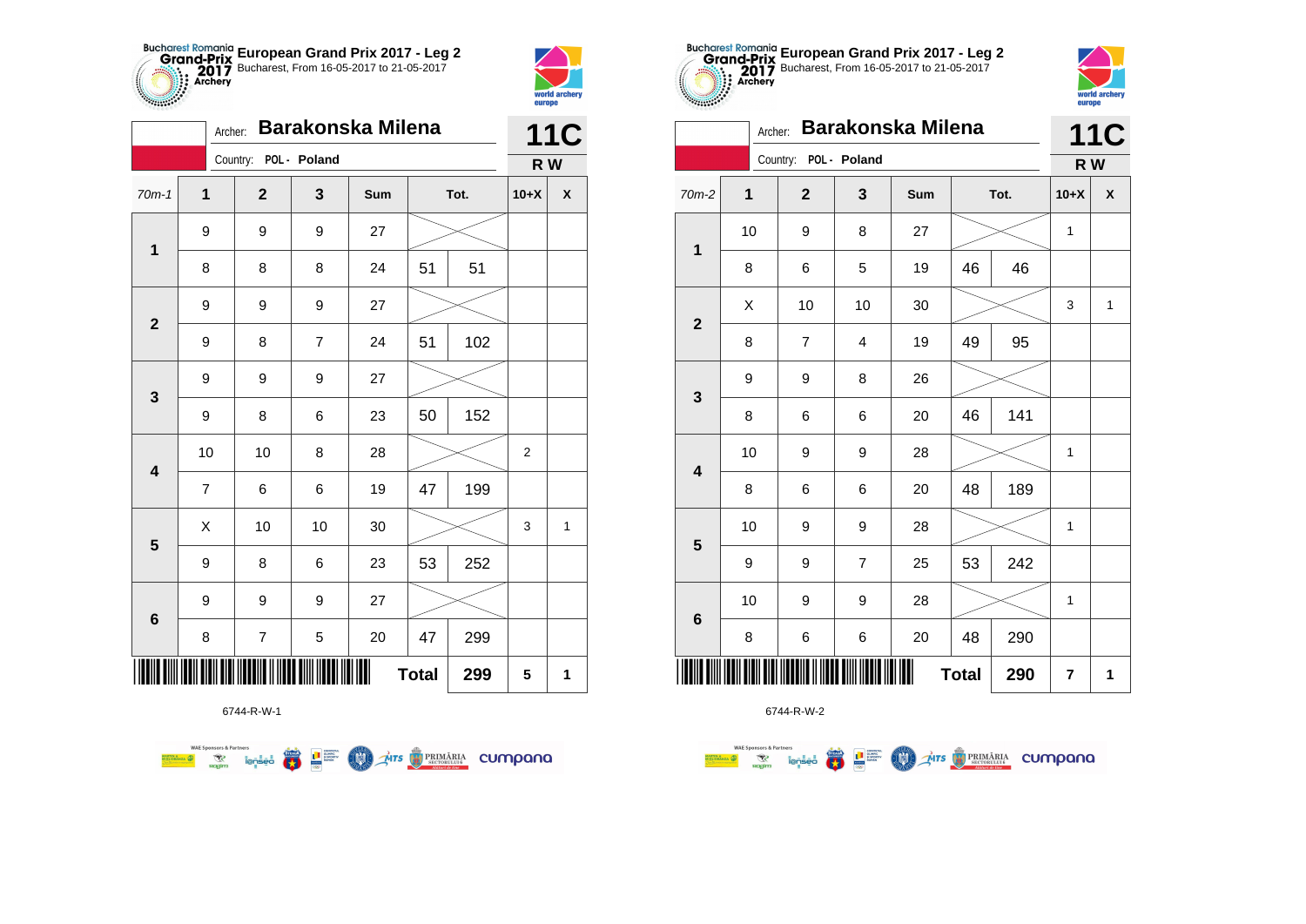



|                         | Archer:          |                       |                | <b>Barakonska Milena</b> |              |      |        | <b>11C</b>         |
|-------------------------|------------------|-----------------------|----------------|--------------------------|--------------|------|--------|--------------------|
|                         |                  | Country: POL - Poland |                |                          |              |      | R W    |                    |
| $70m-1$                 | 1                | $\overline{2}$        | 3              | Sum                      |              | Tot. | $10+X$ | $\pmb{\mathsf{X}}$ |
| $\mathbf 1$             | 9                | 9                     | 9              | 27                       |              |      |        |                    |
|                         | 8                | 8                     | 8              | 24                       | 51           | 51   |        |                    |
| $\overline{\mathbf{2}}$ | $\boldsymbol{9}$ | 9                     | 9              | 27                       |              |      |        |                    |
|                         | 9                | 8                     | $\overline{7}$ | 24                       | 51           | 102  |        |                    |
| 3                       | 9                | 9                     | 9              | 27                       |              |      |        |                    |
|                         | 9                | 8                     | 6              | 23                       | 50           | 152  |        |                    |
| $\overline{\mathbf{4}}$ | 10               | 10                    | 8              | 28                       |              |      | 2      |                    |
|                         | $\overline{7}$   | 6                     | 6              | 19                       | 47           | 199  |        |                    |
| 5                       | X                | 10                    | 10             | 30                       |              |      | 3      | 1                  |
|                         | 9                | 8                     | 6              | 23                       | 53           | 252  |        |                    |
|                         | 9                | 9                     | 9              | 27                       |              |      |        |                    |
| 6                       | 8                | $\boldsymbol{7}$      | 5              | 20                       | 47           | 299  |        |                    |
|                         |                  |                       |                | Ш                        | <b>Total</b> | 299  | 5      | 1                  |



■ □■

**COND** 

**THE STRIMARIA CUMPANA** 

**WAE Sponsors & Partners** 



6744-R-W-2

| $70m-2$                 | 1    | $\mathbf{2}$   | 3                       | Sum            |              | Tot. | $10+X$       | $\pmb{\mathsf{X}}$ |
|-------------------------|------|----------------|-------------------------|----------------|--------------|------|--------------|--------------------|
| $\mathbf{1}$            | $10$ | 9              | 8                       | 27             |              |      | 1            |                    |
|                         | 8    | 6              | 5                       | 19             | 46           | 46   |              |                    |
| $\mathbf 2$             | X    | 10             | 10                      | 30             |              |      | 3            | $\mathbf{1}$       |
|                         | 8    | $\overline{7}$ | $\overline{\mathbf{4}}$ | 19             | 49           | 95   |              |                    |
| 3                       | 9    | 9              | 8                       | 26             |              |      |              |                    |
|                         | 8    | 6              | 6                       | 20             | 46           | 141  |              |                    |
| 4                       | 10   | 9              | 9                       | 28             |              |      | $\mathbf{1}$ |                    |
|                         | 8    | 6              | 6                       | 20             | 48           | 189  |              |                    |
| $\overline{\mathbf{5}}$ | 10   | 9              | 9                       | 28             |              |      | 1            |                    |
|                         | 9    | 9              | $\overline{7}$          | 25             | 53           | 242  |              |                    |
| $\bf{6}$                | 10   | 9              | 9                       | 28             |              |      | 1            |                    |
|                         | 8    | 6              | 6                       | 20             | 48           | 290  |              |                    |
|                         |      |                |                         | $\blacksquare$ | <b>Total</b> | 290  | 7            | 1                  |

**European Grand Prix 2017 - Leg 2** Bucharest, From 16-05-2017 to 21-05-2017

Archer: **Barakonska Milena**

Country: **POL - Poland**

**THE** 

 $\blacksquare$ 



**11C**

world archery<br>europe

**R W**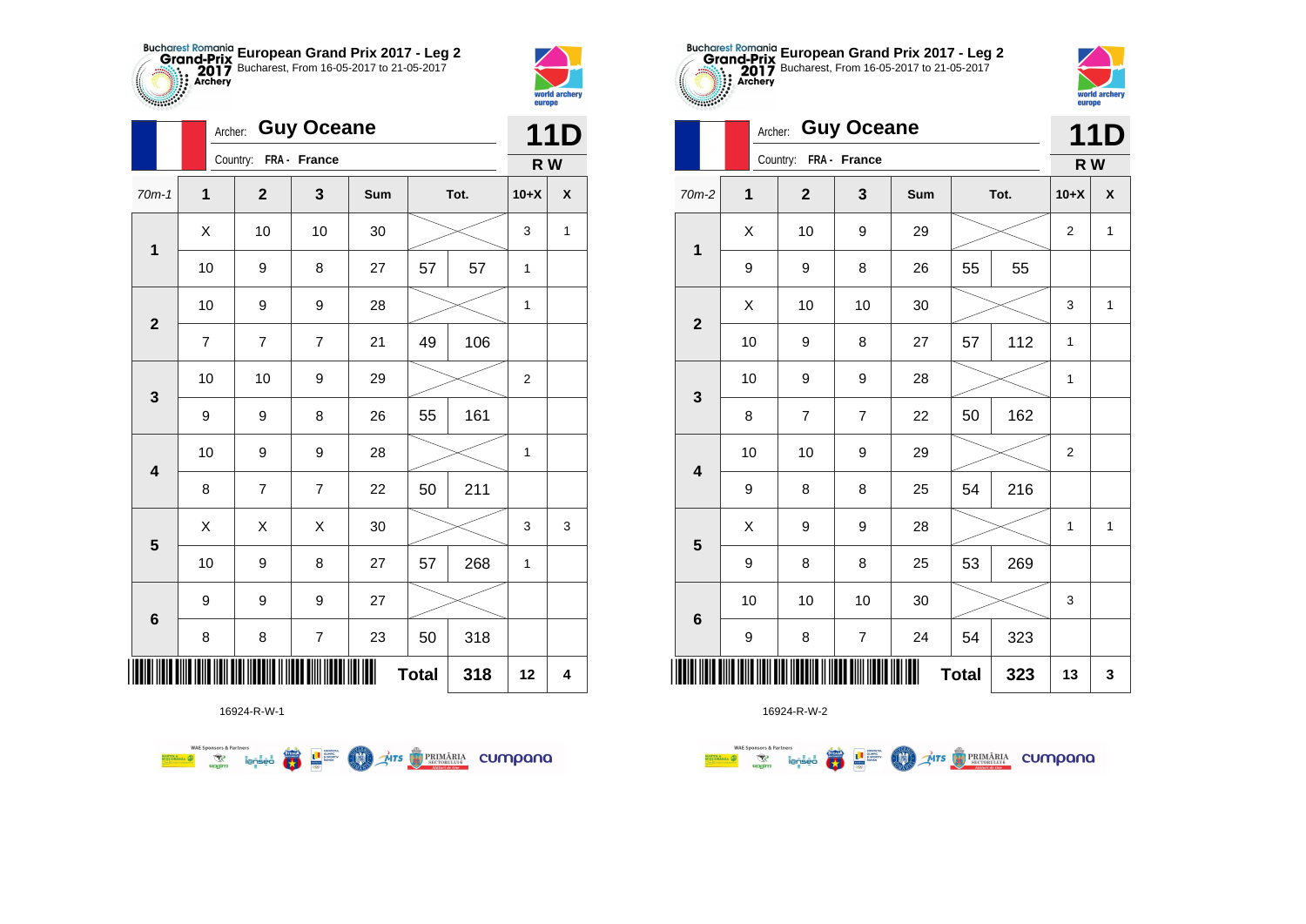



**STATISTICS** 

|                         | Archer:                 |                       | <b>Guy Oceane</b>        |            |              |      |                | <b>11D</b> |
|-------------------------|-------------------------|-----------------------|--------------------------|------------|--------------|------|----------------|------------|
|                         |                         | Country: FRA - France |                          |            |              |      | R W            |            |
| $70m-1$                 | $\overline{\mathbf{1}}$ | $\mathbf{2}$          | $\mathbf{3}$             | <b>Sum</b> |              | Tot. | $10+X$         | X          |
| $\mathbf 1$             | Χ                       | 10                    | 10                       | 30         |              |      | 3              | 1          |
|                         | 10                      | 9                     | 8                        | 27         | 57           | 57   | 1              |            |
| $\mathbf{2}$            | 10                      | 9                     | 9                        | 28         |              |      | $\mathbf{1}$   |            |
|                         | $\overline{7}$          | 7                     | $\overline{7}$           | 21         | 49           | 106  |                |            |
| 3                       | 10                      | 10                    | 9                        | 29         |              |      | $\overline{c}$ |            |
|                         | 9                       | 9                     | 8                        | 26         | 55           | 161  |                |            |
| $\overline{\mathbf{4}}$ | 10                      | 9                     | 9                        | 28         |              |      | $\mathbf{1}$   |            |
|                         | 8                       | $\overline{7}$        | $\overline{7}$           | 22         | 50           | 211  |                |            |
| $5\phantom{1}$          | Χ                       | X                     | X                        | 30         |              |      | 3              | 3          |
|                         | 10                      | 9                     | 8                        | 27         | 57           | 268  | $\mathbf{1}$   |            |
| $\bf 6$                 | 9                       | 9                     | 9                        | 27         |              |      |                |            |
|                         | 8                       | 8                     | $\overline{\mathcal{I}}$ | 23         | 50           | 318  |                |            |
| ║║║                     |                         |                       |                          |            | <b>Total</b> | 318  | 12             | 4          |

**COND** 

**THITS BETORIARIA CUMPANA** 



16924-R-W-2

| .0000                   |              | <b>Guy Oceane</b><br>Archer: |                  |     | <b>11D</b>   |     |                |              |
|-------------------------|--------------|------------------------------|------------------|-----|--------------|-----|----------------|--------------|
|                         |              | Country:                     | FRA - France     |     |              |     | R W            |              |
| $70m-2$                 | $\mathbf{1}$ | $\overline{2}$               | 3                | Sum | Tot.         |     | $10+X$         | X            |
| $\mathbf 1$             | X            | 10                           | 9                | 29  |              |     | $\overline{2}$ | $\mathbf{1}$ |
|                         | 9            | 9                            | 8                | 26  | 55           | 55  |                |              |
| $\mathbf{2}$            | X            | 10                           | 10               | 30  |              |     | 3              | $\mathbf{1}$ |
|                         | 10           | 9                            | 8                | 27  | 57           | 112 | $\mathbf{1}$   |              |
| 3                       | 10           | 9                            | $\boldsymbol{9}$ | 28  |              |     | 1              |              |
|                         | 8            | $\overline{7}$               | $\overline{7}$   | 22  | 50           | 162 |                |              |
| $\overline{\mathbf{4}}$ | 10           | 10                           | 9                | 29  |              |     | $\overline{2}$ |              |
|                         | 9            | 8                            | 8                | 25  | 54           | 216 |                |              |
| 5                       | X            | 9                            | $\boldsymbol{9}$ | 28  |              |     | 1              | 1            |
|                         | 9            | 8                            | 8                | 25  | 53           | 269 |                |              |
| $6\phantom{1}6$         | 10           | 10                           | 10               | 30  |              |     | 3              |              |
|                         | 9            | 8                            | $\boldsymbol{7}$ | 24  | 54           | 323 |                |              |
| ║║║                     |              |                              |                  |     | <b>Total</b> | 323 | 13             | 3            |

**European Grand Prix 2017 - Leg 2** Bucharest, From 16-05-2017 to 21-05-2017

world arche

europe

16924-R-W-1

**Example 19 and 1975** 

**WAE Sponsors & Partners**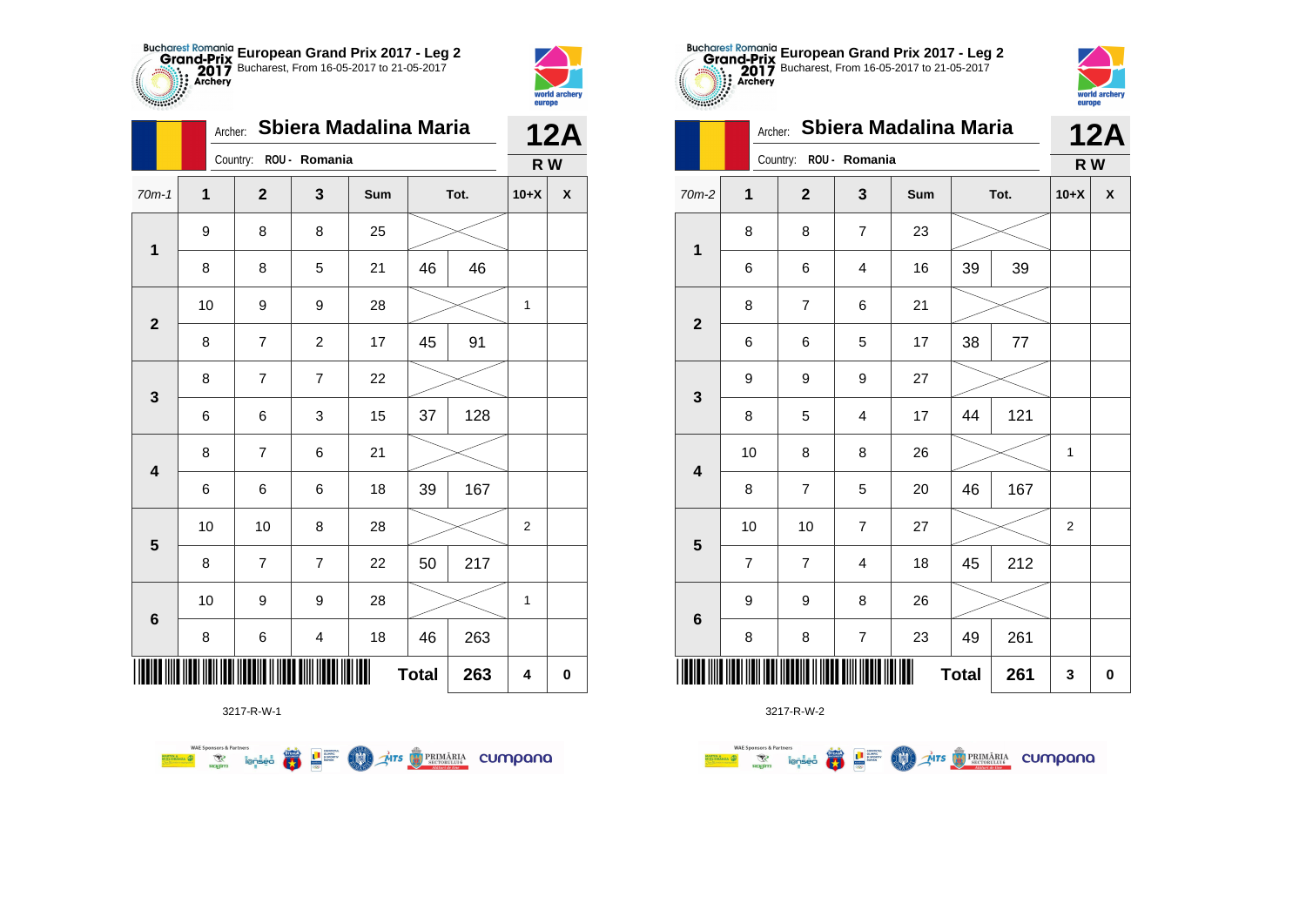



|                         | Archer: |                        |                         | Sbiera Madalina Maria |              |      |                  | <b>12A</b> |
|-------------------------|---------|------------------------|-------------------------|-----------------------|--------------|------|------------------|------------|
|                         |         | Country: ROU - Romania |                         |                       |              |      | R W              |            |
| $70m-1$                 | 1       | $\mathbf{2}$           | 3                       | Sum                   |              | Tot. | $10+X$           | X          |
|                         | 9       | 8                      | 8                       | 25                    |              |      |                  |            |
| $\mathbf 1$             | 8       | 8                      | 5                       | 21                    | 46           | 46   |                  |            |
| $\mathbf{2}$            | 10      | 9                      | 9                       | 28                    |              |      | 1                |            |
|                         | 8       | 7                      | $\overline{\mathbf{c}}$ | 17                    | 45           | 91   |                  |            |
| 3                       | 8       | $\overline{7}$         | $\overline{7}$          | 22                    |              |      |                  |            |
|                         | 6       | 6                      | 3                       | 15                    | 37           | 128  |                  |            |
| $\overline{\mathbf{4}}$ | 8       | $\overline{7}$         | 6                       | 21                    |              |      |                  |            |
|                         | 6       | 6                      | 6                       | 18                    | 39           | 167  |                  |            |
| $\overline{\mathbf{5}}$ | 10      | 10                     | 8                       | 28                    |              |      | $\boldsymbol{2}$ |            |
|                         | 8       | 7                      | 7                       | 22                    | 50           | 217  |                  |            |
| $6\phantom{1}6$         | 10      | 9                      | 9                       | 28                    |              |      | $\mathbf 1$      |            |
|                         | 8       | 6                      | $\overline{\mathbf{4}}$ | 18                    | 46           | 263  |                  |            |
|                         |         |                        |                         |                       | <b>Total</b> | 263  | 4                | $\pmb{0}$  |

第1章

**COND** 

**THE STRIMARIA CUMPANA** 

**WAE Sponsors & Partners** 



3217-R-W-2

|                         |                          | Country:       | ROU - Romania    |     |              |      | R W                     |                    |
|-------------------------|--------------------------|----------------|------------------|-----|--------------|------|-------------------------|--------------------|
| $m-2$                   | 1                        | $\mathbf{2}$   | 3                | Sum |              | Tot. | $10+X$                  | $\pmb{\mathsf{X}}$ |
| $\mathbf{1}$            | 8                        | 8              | $\boldsymbol{7}$ | 23  |              |      |                         |                    |
|                         | 6                        | 6              | 4                | 16  | 39           | 39   |                         |                    |
| $\overline{\mathbf{2}}$ | 8                        | $\overline{7}$ | 6                | 21  |              |      |                         |                    |
|                         | 6                        | 6              | 5                | 17  | 38           | 77   |                         |                    |
| $\mathbf{3}$            | 9                        | 9              | 9                | 27  |              |      |                         |                    |
|                         | 8                        | 5              | 4                | 17  | 44           | 121  |                         |                    |
| $\overline{\mathbf{4}}$ | 10                       | 8              | 8                | 26  |              |      | 1                       |                    |
|                         | 8                        | $\overline{7}$ | 5                | 20  | 46           | 167  |                         |                    |
| $5\phantom{1}$          | 10                       | 10             | $\overline{7}$   | 27  |              |      | $\overline{\mathbf{c}}$ |                    |
|                         | $\overline{\mathcal{I}}$ | $\overline{7}$ | 4                | 18  | 45           | 212  |                         |                    |
|                         | 9                        | 9              | 8                | 26  |              |      |                         |                    |
| $\bf 6$                 | 8                        | 8              | $\boldsymbol{7}$ | 23  | 49           | 261  |                         |                    |
|                         |                          |                |                  | Ш   | <b>Total</b> | 261  | 3                       | 0                  |

world archery<br>europe

|                | Sbiera Madalina Maria<br>Archer: |                |                |     |              |      |                | <b>12A</b>         |
|----------------|----------------------------------|----------------|----------------|-----|--------------|------|----------------|--------------------|
|                |                                  | Country:       | ROU - Romania  |     |              |      | R W            |                    |
| $70m-2$        | $\mathbf{1}$                     | $\mathbf 2$    | 3              | Sum |              | Tot. | $10+X$         | $\pmb{\mathsf{X}}$ |
| $\mathbf 1$    | 8                                | 8              | $\overline{7}$ | 23  |              |      |                |                    |
|                | 6                                | 6              | $\overline{4}$ | 16  | 39           | 39   |                |                    |
| $\overline{2}$ | 8                                | $\overline{7}$ | 6              | 21  |              |      |                |                    |
|                | 6                                | 6              | 5              | 17  | 38           | 77   |                |                    |
| 3              | 9                                | 9              | 9              | 27  |              |      |                |                    |
|                | 8                                | 5              | $\overline{4}$ | 17  | 44           | 121  |                |                    |
| 4              | 10                               | 8              | 8              | 26  |              |      | 1              |                    |
|                | 8                                | $\overline{7}$ | 5              | 20  | 46           | 167  |                |                    |
| 5              | 10                               | 10             | $\overline{7}$ | 27  |              |      | $\overline{2}$ |                    |
|                | 7                                | 7              | 4              | 18  | 45           | 212  |                |                    |
| 6              | 9                                | 9              | 8              | 26  |              |      |                |                    |
|                | 8                                | 8              | $\overline{7}$ | 23  | 49           | 261  |                |                    |
|                |                                  |                |                | Ш   | <b>Total</b> | 261  | 3              | $\pmb{0}$          |

**European Grand Prix 2017 - Leg 2** Bucharest, From 16-05-2017 to 21-05-2017

Archer: **Sbiera Madalina Maria**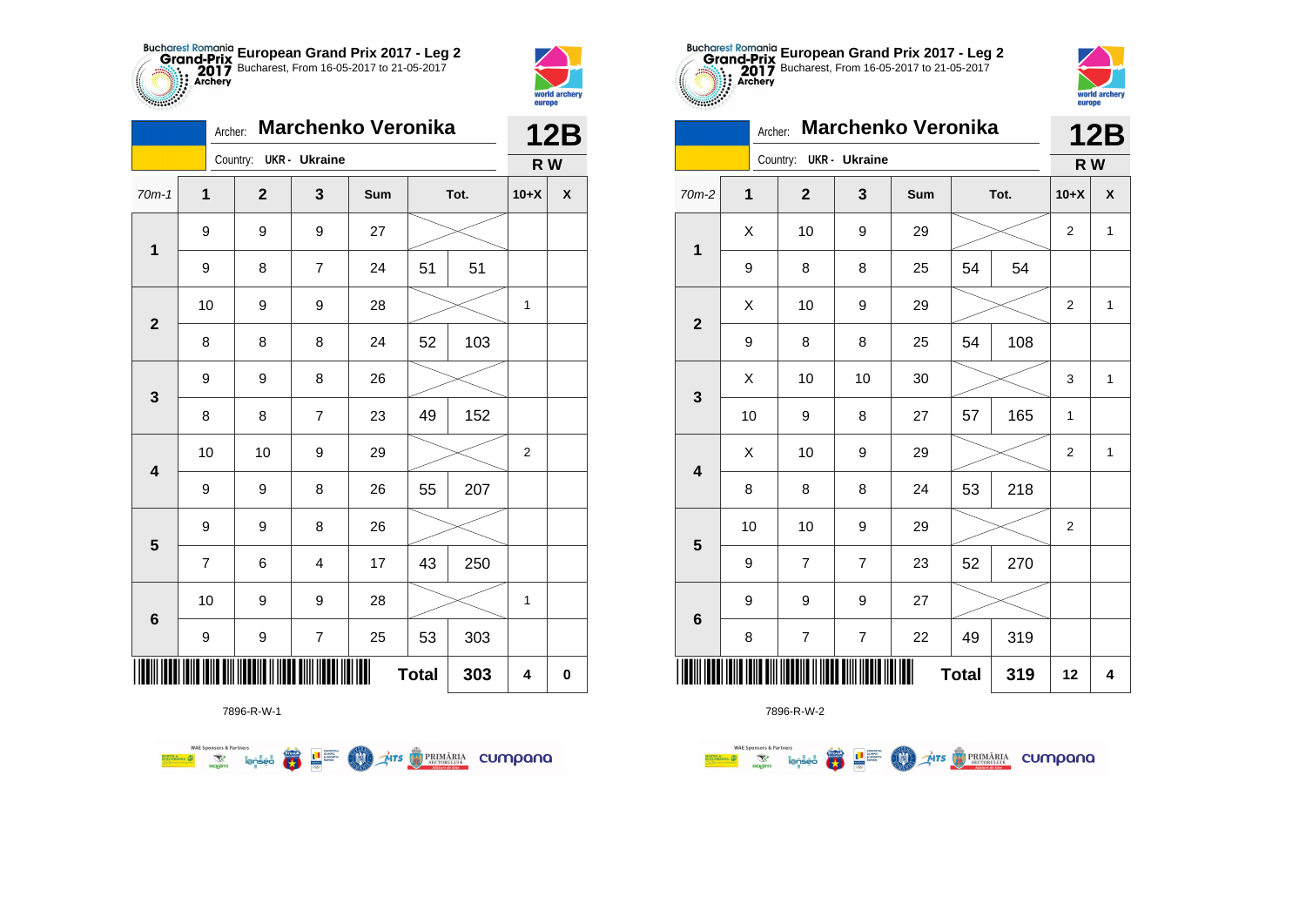



**THE** 

|                         | <b>Marchenko Veronika</b><br>Archer: |  |                        |                         |     |              |      |                | <b>12B</b> |
|-------------------------|--------------------------------------|--|------------------------|-------------------------|-----|--------------|------|----------------|------------|
|                         |                                      |  | Country: UKR - Ukraine |                         |     |              |      | R W            |            |
| $70m-1$                 | 1                                    |  | $\mathbf{2}$           | 3                       | Sum |              | Tot. | $10+X$         | X          |
| $\mathbf 1$             | 9                                    |  | 9                      | 9                       | 27  |              |      |                |            |
|                         | 9                                    |  | 8                      | 7                       | 24  | 51           | 51   |                |            |
| $\mathbf{2}$            | 10                                   |  | 9                      | 9                       | 28  |              |      | 1              |            |
|                         | 8                                    |  | 8                      | 8                       | 24  | 52           | 103  |                |            |
| 3                       | 9                                    |  | 9                      | 8                       | 26  |              |      |                |            |
|                         | 8                                    |  | 8                      | $\overline{7}$          | 23  | 49           | 152  |                |            |
| $\overline{\mathbf{4}}$ | 10                                   |  | 10                     | 9                       | 29  |              |      | $\overline{2}$ |            |
|                         | 9                                    |  | 9                      | 8                       | 26  | 55           | 207  |                |            |
| $\overline{\mathbf{5}}$ | 9                                    |  | 9                      | 8                       | 26  |              |      |                |            |
|                         | 7                                    |  | 6                      | $\overline{4}$          | 17  | 43           | 250  |                |            |
| $6\phantom{1}6$         | 10                                   |  | 9                      | 9                       | 28  |              |      | 1              |            |
|                         | 9                                    |  | 9                      | $\overline{\mathbf{7}}$ | 25  | 53           | 303  |                |            |
|                         |                                      |  |                        |                         |     | <b>Total</b> | 303  | 4              | $\pmb{0}$  |

**THE STRIMARIA CUMPANA** 



● ■

**COO** 

**WAE Sponsors & Partners** 



7896-R-W-2

| m-2 | $\mathbf{1}$ | $\mathbf{2}$                                             | $\mathbf{3}$   | Sum | Tot.         |     | $10+X$           | $\pmb{\mathsf{X}}$ |  |
|-----|--------------|----------------------------------------------------------|----------------|-----|--------------|-----|------------------|--------------------|--|
| 1   | Χ            | 10                                                       | 9              | 29  |              |     | $\overline{c}$   | 1                  |  |
|     | 9            | 8                                                        | 8              | 25  | 54           | 54  |                  |                    |  |
| 2   | X            | 10                                                       | 9              | 29  |              |     | $\mathbf 2$      | $\mathbf{1}$       |  |
|     | 9            | 8                                                        | 8              | 25  | 54           | 108 |                  |                    |  |
| 3   | X            | 10                                                       | 10             | 30  |              |     | 3                | $\mathbf{1}$       |  |
|     | 10           | 9                                                        | 8              | 27  | 57           | 165 | 1                |                    |  |
| 4   | X            | 10                                                       | 9              | 29  |              |     | $\mathbf 2$      | $\mathbf{1}$       |  |
|     | 8            | 8                                                        | 8              | 24  | 53           | 218 |                  |                    |  |
| 5   | 10           | 10                                                       | 9              | 29  |              |     | $\boldsymbol{2}$ |                    |  |
|     | 9            | $\overline{\mathcal{I}}$                                 | $\overline{7}$ | 23  | 52           | 270 |                  |                    |  |
| 6   | 9            | 9                                                        | 9              | 27  |              |     |                  |                    |  |
|     | 8            | $\overline{\mathbf{7}}$                                  | $\overline{7}$ | 22  | 49           | 319 |                  |                    |  |
| ║║║ |              | <u>iana iana amin'aaania ilihada amin'ilaha ilah ila</u> |                |     | <b>Total</b> | 319 | 12               | 4                  |  |



**12B**

|                         | Country: |                          | R W                      |     |              |      |                  |              |
|-------------------------|----------|--------------------------|--------------------------|-----|--------------|------|------------------|--------------|
| $70m-2$                 | 1        | $\mathbf{2}$             | 3                        | Sum |              | Tot. | $10+X$           | X            |
| $\mathbf{1}$            | Χ        | 10                       | 9                        | 29  |              |      | $\overline{c}$   | $\mathbf{1}$ |
|                         | 9        | 8                        | 8                        | 25  | 54           | 54   |                  |              |
|                         | Χ        | 10                       | 9                        | 29  |              |      | $\overline{2}$   | $\mathbf{1}$ |
| $\mathbf{2}$            | 9        | 8                        | 8                        | 25  | 54           | 108  |                  |              |
|                         | X        | 10                       | 10                       | 30  |              |      | 3                | $\mathbf{1}$ |
| $\mathbf{3}$            | 10       | 9                        | 8                        | 27  | 57           | 165  | 1                |              |
|                         | Χ        | 10                       | 9                        | 29  |              |      | $\boldsymbol{2}$ | $\mathbf{1}$ |
| $\overline{\mathbf{4}}$ | 8        | 8                        | 8                        | 24  | 53           | 218  |                  |              |
|                         | 10       | 10                       | 9                        | 29  |              |      | $\overline{2}$   |              |
| $5\phantom{1}$          | 9        | $\overline{7}$           | $\overline{\mathbf{7}}$  | 23  | 52           | 270  |                  |              |
|                         | 9        | 9                        | 9                        | 27  |              |      |                  |              |
| $\bf 6$                 | 8        | $\overline{\mathcal{I}}$ | $\overline{\mathcal{I}}$ | 22  | 49           | 319  |                  |              |
|                         |          |                          |                          |     | <b>Total</b> | 319  | 12               | 4            |

**European Grand Prix 2017 - Leg 2** Bucharest, From 16-05-2017 to 21-05-2017

Archer: **Marchenko Veronika**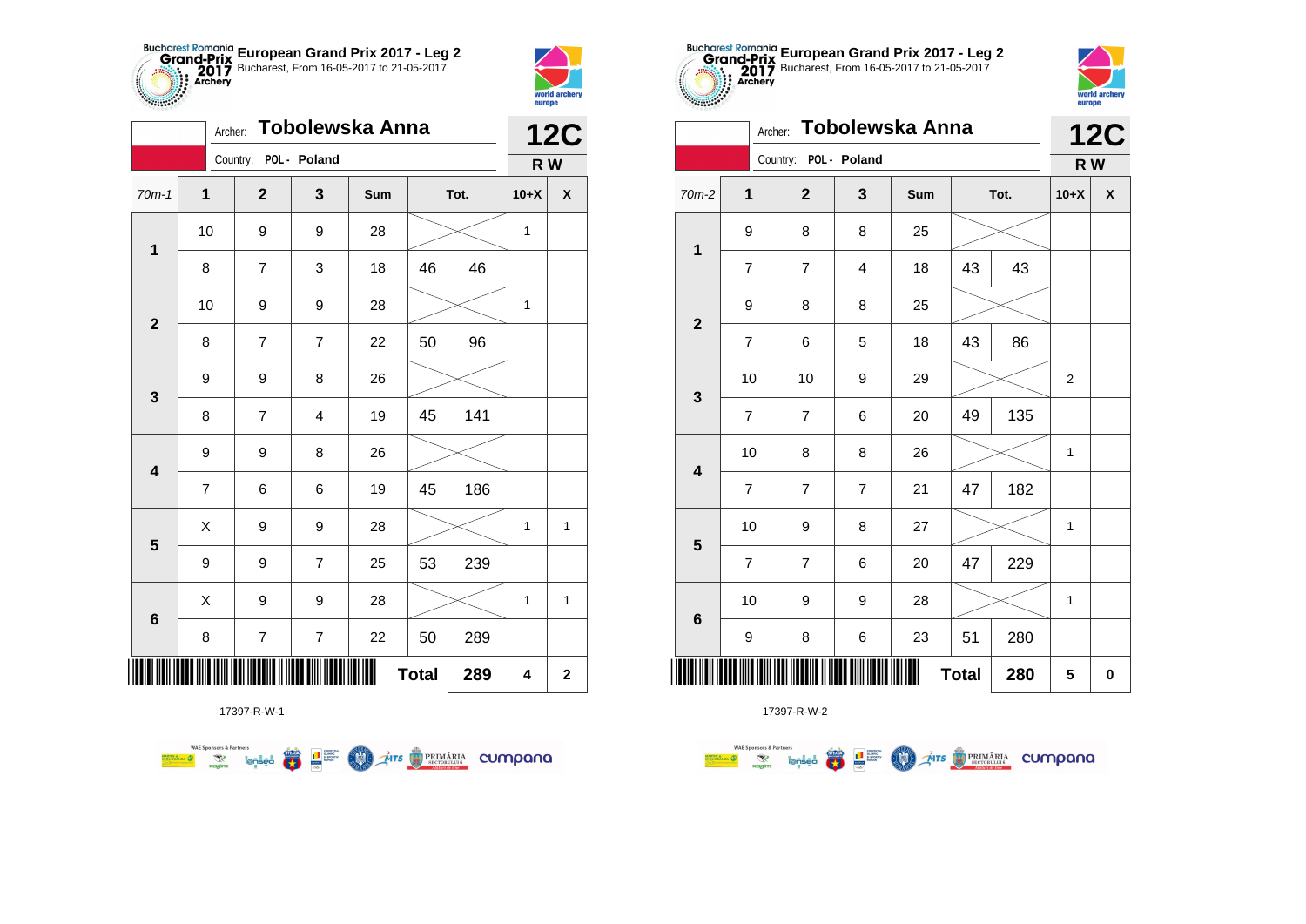



|                         | Tobolewska Anna<br>Archer: |                       |                  |     |              |      |              | <b>12C</b>         |
|-------------------------|----------------------------|-----------------------|------------------|-----|--------------|------|--------------|--------------------|
|                         |                            | Country: POL - Poland |                  |     |              |      | R W          |                    |
| $70m-1$                 | 1                          | $\mathbf{2}$          | 3                | Sum |              | Tot. | $10+X$       | $\pmb{\mathsf{X}}$ |
|                         | 10                         | 9                     | 9                | 28  |              |      | $\mathbf{1}$ |                    |
| $\mathbf 1$             | 8                          | 7                     | 3                | 18  | 46           | 46   |              |                    |
| $\mathbf 2$             | 10                         | 9                     | 9                | 28  |              |      | 1            |                    |
|                         | 8                          | 7                     | 7                | 22  | 50           | 96   |              |                    |
| $\mathbf{3}$            | 9                          | 9                     | 8                | 26  |              |      |              |                    |
|                         | 8                          | 7                     | 4                | 19  | 45           | 141  |              |                    |
| $\overline{\mathbf{4}}$ | 9                          | 9                     | 8                | 26  |              |      |              |                    |
|                         | $\overline{7}$             | 6                     | 6                | 19  | 45           | 186  |              |                    |
| $\overline{\mathbf{5}}$ | X                          | 9                     | 9                | 28  |              |      | $\mathbf 1$  | $\mathbf{1}$       |
|                         | 9                          | 9                     | $\overline{7}$   | 25  | 53           | 239  |              |                    |
|                         | Χ                          | 9                     | 9                | 28  |              |      | $\mathbf{1}$ | $\mathbf{1}$       |
| $\bf 6$                 | 8                          | 7                     | $\boldsymbol{7}$ | 22  | 50           | 289  |              |                    |
| Ⅲ                       |                            |                       |                  |     | <b>Total</b> | 289  | 4            | $\mathbf 2$        |



| $-2$ | 1                        | $\mathbf{2}$            | $\mathbf{3}$     | Sum | Tot.         |     | $10+X$      | $\pmb{\chi}$ |
|------|--------------------------|-------------------------|------------------|-----|--------------|-----|-------------|--------------|
|      | 9                        | 8                       | 8                | 25  |              |     |             |              |
|      | $\overline{\mathbf{7}}$  | $\boldsymbol{7}$        | 4                | 18  | 43           | 43  |             |              |
|      | 9                        | 8                       | 8                | 25  |              |     |             |              |
|      | $\boldsymbol{7}$         | 6                       | 5                | 18  | 43           | 86  |             |              |
|      | 10                       | 10                      | 9                | 29  |              |     | $\mathbf 2$ |              |
|      | $\boldsymbol{7}$         | $\overline{\mathbf{7}}$ | 6                | 20  | 49           | 135 |             |              |
|      | 10                       | 8                       | 8                | 26  |              |     | 1           |              |
|      | $\overline{\mathcal{I}}$ | $\overline{\mathbf{7}}$ | $\boldsymbol{7}$ | 21  | 47           | 182 |             |              |
|      | 10                       | 9                       | 8                | 27  |              |     | 1           |              |
|      | $\overline{\mathcal{I}}$ | $\overline{7}$          | 6                | 20  | 47           | 229 |             |              |
|      | 10                       | 9                       | 9                | 28  |              |     | 1           |              |
|      | 9                        | 8                       | 6                | 23  | 51           | 280 |             |              |
|      |                          |                         |                  | ║║  | <b>Total</b> | 280 | 5           | 0            |



**12C**

**R W**

| $70m-2$                 | $\mathbf{1}$            | $\mathbf{2}$            | 3                       | Sum |              | Tot. | $10+X$                  | X        |
|-------------------------|-------------------------|-------------------------|-------------------------|-----|--------------|------|-------------------------|----------|
| $\mathbf{1}$            | 9                       | $\bf 8$                 | 8                       | 25  |              |      |                         |          |
|                         | $\overline{\mathbf{7}}$ | $\overline{\mathbf{7}}$ | $\overline{\mathbf{4}}$ | 18  | 43           | 43   |                         |          |
| $\mathbf{2}$            | 9                       | 8                       | 8                       | 25  |              |      |                         |          |
|                         | $\overline{\mathbf{7}}$ | 6                       | 5                       | 18  | 43           | 86   |                         |          |
| $\mathbf{3}$            | 10                      | 10                      | 9                       | 29  |              |      | $\overline{\mathbf{c}}$ |          |
|                         | $\overline{\mathbf{7}}$ | $\boldsymbol{7}$        | 6                       | 20  | 49           | 135  |                         |          |
| $\overline{\mathbf{4}}$ | 10                      | 8                       | 8                       | 26  |              |      | 1                       |          |
|                         | $\overline{7}$          | $\overline{7}$          | $\overline{7}$          | 21  | 47           | 182  |                         |          |
| $5\phantom{1}$          | 10                      | 9                       | 8                       | 27  |              |      | $\mathbf{1}$            |          |
|                         | $\boldsymbol{7}$        | $\overline{7}$          | 6                       | 20  | 47           | 229  |                         |          |
| $\bf 6$                 | 10                      | 9                       | 9                       | 28  |              |      | $\mathbf 1$             |          |
|                         | 9                       | 8                       | 6                       | 23  | 51           | 280  |                         |          |
|                         |                         |                         |                         | Ш   | <b>Total</b> | 280  | 5                       | $\bf{0}$ |
|                         |                         |                         |                         |     |              |      |                         |          |

**European Grand Prix 2017 - Leg 2** Bucharest, From 16-05-2017 to 21-05-2017

Archer: **Tobolewska Anna**

Country: **POL - Poland**

17397-R-W-1

**WAE Sponsors & Partners THE STRIMARIA CUMPANA**  $\left(\frac{\sinh\theta}{\cos\theta}\right)$ **LE SURFACE COMO**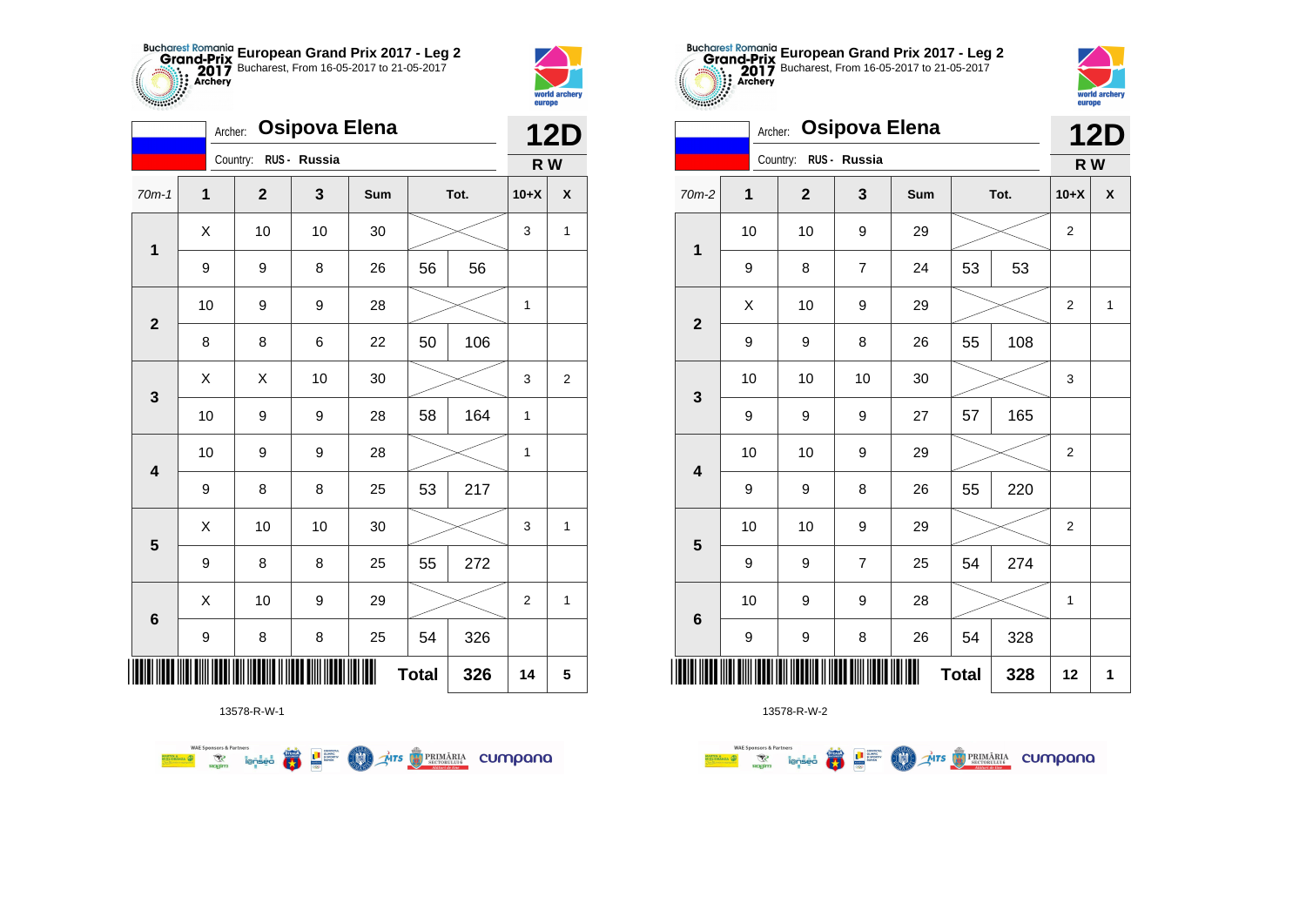



|                         | Archer: |                       | <b>Osipova Elena</b> |     |              |      | <b>12D</b>       |                  |  |
|-------------------------|---------|-----------------------|----------------------|-----|--------------|------|------------------|------------------|--|
|                         |         | Country: RUS - Russia |                      |     |              |      | R W              |                  |  |
| $70m-1$                 | 1       | $\mathbf 2$           | 3                    | Sum |              | Tot. | $10+X$           | X                |  |
| $\mathbf 1$             | Χ       | 10                    | 10                   | 30  |              |      | 3                | 1                |  |
|                         | 9       | 9                     | 8                    | 26  | 56           | 56   |                  |                  |  |
| $\mathbf 2$             | 10      | 9                     | 9                    | 28  |              |      | $\mathbf{1}$     |                  |  |
|                         | 8       | 8                     | 6                    | 22  | 50           | 106  |                  |                  |  |
| 3                       | Χ       | X                     | 10                   | 30  |              |      | 3                | $\boldsymbol{2}$ |  |
|                         | 10      | 9                     | 9                    | 28  | 58           | 164  | 1                |                  |  |
| 4                       | 10      | 9                     | 9                    | 28  |              |      | 1                |                  |  |
|                         | 9       | 8                     | 8                    | 25  | 53           | 217  |                  |                  |  |
| $\overline{\mathbf{5}}$ | X       | 10                    | 10                   | 30  |              |      | 3                | 1                |  |
|                         | 9       | 8                     | 8                    | 25  | 55           | 272  |                  |                  |  |
| 6                       | Χ       | 10                    | 9                    | 29  |              |      | $\boldsymbol{2}$ | 1                |  |
|                         | 9       | 8                     | 8                    | 25  | 54           | 326  |                  |                  |  |
| ∭                       |         |                       |                      |     | <b>Total</b> | 326  | 14               | 5                |  |

**THE STRIMARIA CUMPANA** 

13578-R-W-1

 $\overline{\mathbf{r}}$ 

L<sup>a</sup> Surent

COO .

**WAE Sponsors & Partners** 



13578-R-W-2

|                         | Archer: |              | <b>Osipova Elena</b> |     |              |      |                  | <b>12D</b>   |  |  |
|-------------------------|---------|--------------|----------------------|-----|--------------|------|------------------|--------------|--|--|
|                         |         | Country:     | RUS - Russia         |     |              |      | R W              |              |  |  |
| 70m-2                   | 1       | $\mathbf{2}$ | 3                    | Sum |              | Tot. | $10+X$           | χ            |  |  |
|                         | 10      | 10           | 9                    | 29  |              |      | $\boldsymbol{2}$ |              |  |  |
| $\mathbf 1$             | 9       | 8            | $\overline{7}$       | 24  | 53           | 53   |                  |              |  |  |
| $\mathbf{2}$            | X       | 10           | 9                    | 29  |              |      | $\mathbf 2$      | $\mathbf{1}$ |  |  |
|                         | 9       | 9            | 8                    | 26  | 55           | 108  |                  |              |  |  |
| $\mathbf{3}$            | 10      | 10           | 10                   | 30  |              |      | 3                |              |  |  |
|                         | 9       | 9            | 9                    | 27  | 57           | 165  |                  |              |  |  |
| $\overline{\mathbf{4}}$ | 10      | 10           | 9                    | 29  |              |      | 2                |              |  |  |
|                         | 9       | 9            | 8                    | 26  | 55           | 220  |                  |              |  |  |
| 5                       | 10      | 10           | 9                    | 29  |              |      | $\overline{2}$   |              |  |  |
|                         | 9       | 9            | $\overline{7}$       | 25  | 54           | 274  |                  |              |  |  |
| $6\phantom{1}6$         | 10      | 9            | 9                    | 28  |              |      | $\mathbf{1}$     |              |  |  |
|                         | 9       | 9            | 8                    | 26  | 54           | 328  |                  |              |  |  |
|                         |         |              |                      |     | <b>Total</b> | 328  | 12               | 1            |  |  |

**European Grand Prix 2017 - Leg 2** Bucharest, From 16-05-2017 to 21-05-2017



| Archer:<br>Osipova Elena          |  |              |                       |                |     |    |      |        | <b>12D</b>                |
|-----------------------------------|--|--------------|-----------------------|----------------|-----|----|------|--------|---------------------------|
|                                   |  |              | Country: RUS - Russia |                |     |    |      | R W    |                           |
| $70m-2$                           |  | $\mathbf{1}$ | $\overline{2}$        | $\mathbf{3}$   | Sum |    | Tot. | $10+X$ | $\boldsymbol{\mathsf{x}}$ |
| $\mathbf{1}$                      |  | 10           | 10                    | 9              | 29  |    |      | 2      |                           |
|                                   |  | 9            | 8                     | $\overline{7}$ | 24  | 53 | 53   |        |                           |
| $\mathbf{2}$                      |  | X            | 10                    | 9              | 29  |    |      | 2      | 1                         |
|                                   |  | 9            | 9                     | 8              | 26  | 55 | 108  |        |                           |
|                                   |  | 10           | 10                    | 10             | 30  |    |      |        |                           |
| $\mathbf{3}$                      |  | 9            | 9                     | 9              | 27  | 57 | 165  |        |                           |
| $\overline{\mathbf{4}}$           |  | 10           | 10                    | 9              | 29  |    |      | 2      |                           |
|                                   |  | 9            | 9                     | 8              | 26  | 55 | 220  |        |                           |
| $5\phantom{1}$                    |  | 10           | 10                    | 9              | 29  |    |      | 2      |                           |
|                                   |  | 9            | 9                     | $\overline{7}$ | 25  | 54 | 274  |        |                           |
|                                   |  | 10           | 9                     | 9              | 28  |    |      | 1      |                           |
| $\bf 6$                           |  | 9            | 9                     | 8              | 26  | 54 | 328  |        |                           |
| IIIII<br><b>Total</b><br>328<br>Ш |  |              |                       |                |     |    |      |        | 1                         |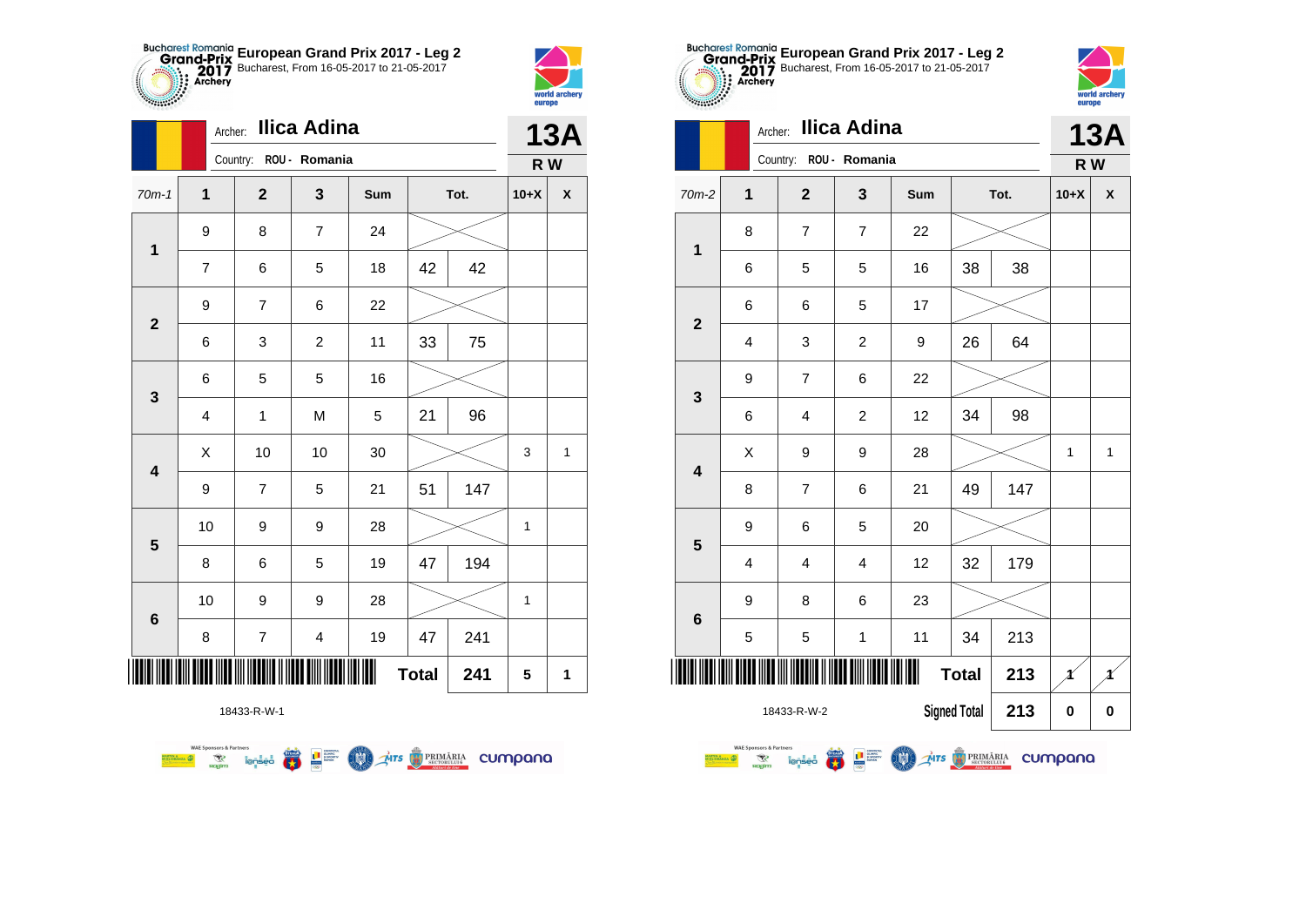



**1**

|                         |                         | Ilica Adina<br>Archer: |                         |             |              |      |             |                    |  |  |
|-------------------------|-------------------------|------------------------|-------------------------|-------------|--------------|------|-------------|--------------------|--|--|
|                         |                         | Country: ROU - Romania |                         |             |              |      | R W         |                    |  |  |
| $70m-1$                 | $\mathbf{1}$            | $\mathbf{2}$           | 3                       | Sum         |              | Tot. | $10+X$      | $\pmb{\mathsf{X}}$ |  |  |
| 1                       | 9                       | 8                      | $\overline{7}$          | 24          |              |      |             |                    |  |  |
|                         | $\overline{7}$          | 6                      | 5                       | 18          | 42           | 42   |             |                    |  |  |
| $\mathbf{2}$            | 9                       | $\overline{7}$         | 6                       | 22          |              |      |             |                    |  |  |
|                         | 6                       | 3                      | $\overline{c}$          | 11          | 33           | 75   |             |                    |  |  |
| 3                       | 6                       | 5                      | 5                       | 16          |              |      |             |                    |  |  |
|                         | $\overline{\mathbf{4}}$ | $\mathbf{1}$           | M                       | $\mathbf 5$ | 21           | 96   |             |                    |  |  |
| $\overline{\mathbf{4}}$ | X                       | 10                     | 10                      | 30          |              |      | 3           | $\mathbf{1}$       |  |  |
|                         | 9                       | $\overline{7}$         | 5                       | 21          | 51           | 147  |             |                    |  |  |
| 5                       | 10                      | 9                      | 9                       | 28          |              |      | $\mathbf 1$ |                    |  |  |
|                         | 8                       | 6                      | 5                       | 19          | 47           | 194  |             |                    |  |  |
|                         | 10                      | 9                      | 9                       | 28          |              |      | 1           |                    |  |  |
| $\bf 6$                 | 8                       | 7                      | $\overline{\mathbf{4}}$ | 19          | 47           | 241  |             |                    |  |  |
| ∭                       |                         |                        |                         |             | <b>Total</b> | 241  | 5           | 1                  |  |  |







|                         | 6                       | 5                       | 5                       | 16 | 38           | 38  |   |              |
|-------------------------|-------------------------|-------------------------|-------------------------|----|--------------|-----|---|--------------|
| $\mathbf{2}$            | 6                       | 6                       | 5                       | 17 |              |     |   |              |
|                         | 4                       | 3                       | $\overline{c}$          | 9  | 26           | 64  |   |              |
|                         | 9                       | $\overline{7}$          | 6                       | 22 |              |     |   |              |
| $\mathbf{3}$            | 6                       | $\overline{\mathbf{4}}$ | $\overline{c}$          | 12 | 34           | 98  |   |              |
| $\overline{\mathbf{4}}$ | X                       | 9                       | 9                       | 28 |              |     | 1 | $\mathbf{1}$ |
|                         | 8                       | $\overline{7}$          | 6                       | 21 | 49           | 147 |   |              |
| 5                       | 9                       | 6                       | 5                       | 20 |              |     |   |              |
|                         | $\overline{\mathbf{4}}$ | $\overline{\mathbf{4}}$ | $\overline{\mathbf{4}}$ | 12 | 32           | 179 |   |              |
| $6\phantom{1}6$         | 9                       | 8                       | 6                       | 23 |              |     |   |              |
|                         | 5                       | 5                       | $\mathbf 1$             | 11 | 34           | 213 |   |              |
|                         |                         | ║                       |                         | Ш  | <b>Total</b> | 213 |   |              |
|                         | 18433-R-W-2             | <b>Signed Total</b>     | 213                     | 0  | 0            |     |   |              |

**WALESPARED REPAIRING MALES AND STREET OF PRIMARIA CUMPONO** 

**WAE Sponsors & Partners**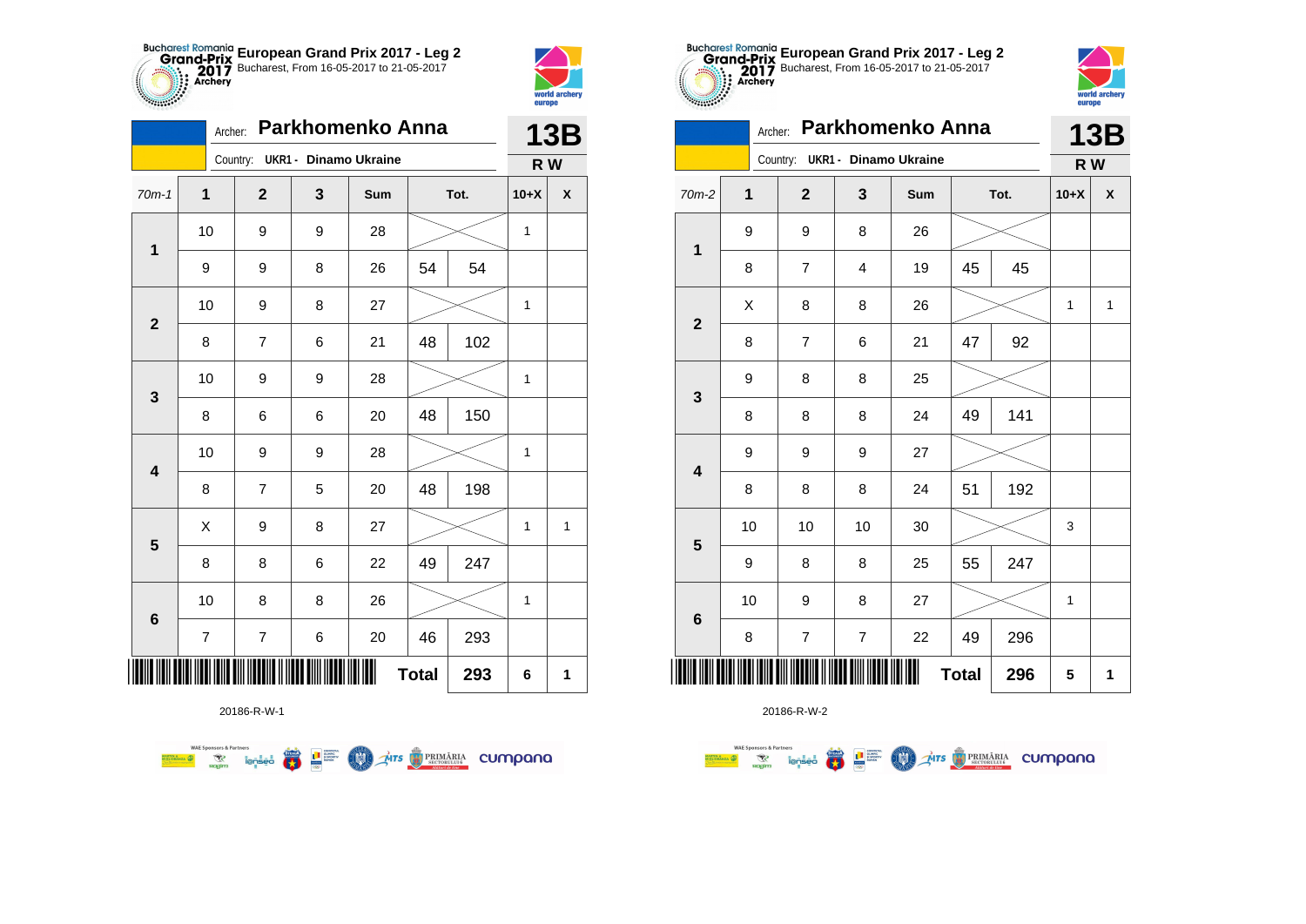



2783

|                         |                         | Archer:                        |   | Parkhomenko Anna |              |      |        | <b>13B</b>         |
|-------------------------|-------------------------|--------------------------------|---|------------------|--------------|------|--------|--------------------|
|                         |                         | Country: UKR1 - Dinamo Ukraine |   |                  |              |      | R W    |                    |
| $70m-1$                 | 1                       | $\mathbf{2}$                   | 3 | Sum              |              | Tot. | $10+X$ | $\pmb{\mathsf{X}}$ |
| $\mathbf 1$             | 10                      | 9                              | 9 | 28               |              |      | 1      |                    |
|                         | 9                       | 9                              | 8 | 26               | 54           | 54   |        |                    |
| $\mathbf{2}$            | 10                      | 9                              | 8 | 27               |              |      | 1      |                    |
|                         | 8                       | 7                              | 6 | 21               | 48           | 102  |        |                    |
| $\mathbf 3$             | 10                      | 9                              | 9 | 28               |              |      | 1      |                    |
|                         | 8                       | 6                              | 6 | 20               | 48           | 150  |        |                    |
| $\overline{\mathbf{4}}$ | 10                      | 9                              | 9 | 28               |              |      | 1      |                    |
|                         | 8                       | $\overline{7}$                 | 5 | 20               | 48           | 198  |        |                    |
|                         | Χ                       | 9                              | 8 | 27               |              |      | 1      | 1                  |
| $\overline{\mathbf{5}}$ | 8                       | 8                              | 6 | 22               | 49           | 247  |        |                    |
|                         | 10                      | 8                              | 8 | 26               |              |      | 1      |                    |
| $\bf 6$                 | $\overline{\mathbf{7}}$ | 7                              | 6 | 20               | 46           | 293  |        |                    |
| ║║║                     |                         |                                |   |                  | <b>Total</b> | 293  | 6      | 1                  |

**COLORED PRIMARIA CUMPANA** 

20186-R-W-1

**Example 19 and 1975** 

**WAE Sponsors & Partners** 



20186-R-W-2

| Parkhomenko Anna<br>Archer:<br><b>13B</b><br>Country: UKR1 - Dinamo Ukraine<br>R W<br>$\overline{2}$<br>3<br>$70m-2$<br>1<br>Sum<br>Tot.<br>$10+X$<br>$\boldsymbol{\mathsf{x}}$<br>9<br>9<br>8<br>26<br>1<br>45<br>8<br>$\overline{7}$<br>19<br>45<br>$\overline{4}$<br>X<br>8<br>8<br>26<br>$\mathbf{1}$<br>$\mathbf{1}$<br>$\mathbf{2}$<br>92<br>47<br>8<br>$\overline{7}$<br>6<br>21<br>8<br>25<br>9<br>8<br>$\mathbf{3}$<br>141<br>8<br>8<br>24<br>49<br>8<br>9<br>27<br>9<br>9<br>$\overline{\mathbf{4}}$<br>192<br>8<br>8<br>8<br>51<br>24<br>10<br>10<br>10<br>30<br>3<br>5<br>55<br>247<br>9<br>8<br>8<br>25<br>10<br>9<br>27<br>8<br>$\mathbf{1}$<br>$6\phantom{1}6$ |   |                |   |    |              |     |   |   |
|-------------------------------------------------------------------------------------------------------------------------------------------------------------------------------------------------------------------------------------------------------------------------------------------------------------------------------------------------------------------------------------------------------------------------------------------------------------------------------------------------------------------------------------------------------------------------------------------------------------------------------------------------------------------------------|---|----------------|---|----|--------------|-----|---|---|
|                                                                                                                                                                                                                                                                                                                                                                                                                                                                                                                                                                                                                                                                               |   |                |   |    |              |     |   |   |
|                                                                                                                                                                                                                                                                                                                                                                                                                                                                                                                                                                                                                                                                               |   |                |   |    |              |     |   |   |
|                                                                                                                                                                                                                                                                                                                                                                                                                                                                                                                                                                                                                                                                               |   |                |   |    |              |     |   |   |
|                                                                                                                                                                                                                                                                                                                                                                                                                                                                                                                                                                                                                                                                               |   |                |   |    |              |     |   |   |
|                                                                                                                                                                                                                                                                                                                                                                                                                                                                                                                                                                                                                                                                               |   |                |   |    |              |     |   |   |
|                                                                                                                                                                                                                                                                                                                                                                                                                                                                                                                                                                                                                                                                               |   |                |   |    |              |     |   |   |
|                                                                                                                                                                                                                                                                                                                                                                                                                                                                                                                                                                                                                                                                               |   |                |   |    |              |     |   |   |
|                                                                                                                                                                                                                                                                                                                                                                                                                                                                                                                                                                                                                                                                               |   |                |   |    |              |     |   |   |
|                                                                                                                                                                                                                                                                                                                                                                                                                                                                                                                                                                                                                                                                               |   |                |   |    |              |     |   |   |
|                                                                                                                                                                                                                                                                                                                                                                                                                                                                                                                                                                                                                                                                               |   |                |   |    |              |     |   |   |
|                                                                                                                                                                                                                                                                                                                                                                                                                                                                                                                                                                                                                                                                               |   |                |   |    |              |     |   |   |
|                                                                                                                                                                                                                                                                                                                                                                                                                                                                                                                                                                                                                                                                               |   |                |   |    |              |     |   |   |
|                                                                                                                                                                                                                                                                                                                                                                                                                                                                                                                                                                                                                                                                               |   |                |   |    |              |     |   |   |
|                                                                                                                                                                                                                                                                                                                                                                                                                                                                                                                                                                                                                                                                               | 8 | $\overline{7}$ | 7 | 22 | 49           | 296 |   |   |
|                                                                                                                                                                                                                                                                                                                                                                                                                                                                                                                                                                                                                                                                               |   |                |   |    | <b>Total</b> | 296 | 5 | 1 |

**European Grand Prix 2017 - Leg 2** Bucharest, From 16-05-2017 to 21-05-2017

world arche

europe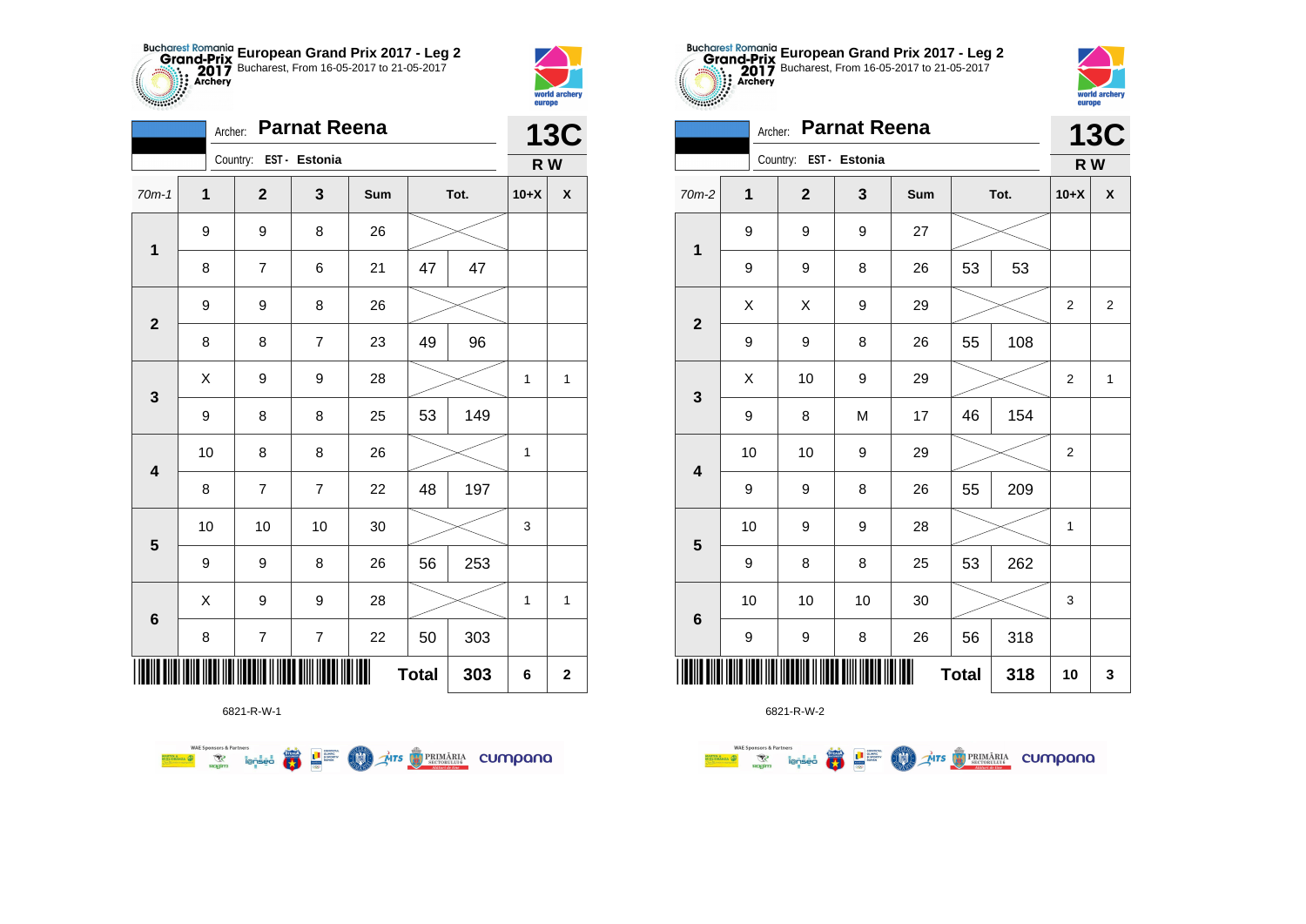



|                         | Archer:          |                          | <b>Parnat Reena</b> |     |              |      |             | <b>13C</b>         |
|-------------------------|------------------|--------------------------|---------------------|-----|--------------|------|-------------|--------------------|
|                         |                  | Country: EST - Estonia   |                     |     |              |      | R W         |                    |
| $70m-1$                 | $\mathbf 1$      | $\overline{2}$           | 3                   | Sum |              | Tot. | $10+X$      | $\pmb{\mathsf{X}}$ |
| $\mathbf 1$             | $\boldsymbol{9}$ | 9                        | 8                   | 26  |              |      |             |                    |
|                         | 8                | $\overline{7}$           | 6                   | 21  | 47           | 47   |             |                    |
| $\mathbf{2}$            | 9                | 9                        | 8                   | 26  |              |      |             |                    |
|                         | 8                | 8                        | $\overline{7}$      | 23  | 49           | 96   |             |                    |
| 3                       | Χ                | 9                        | 9                   | 28  |              |      | 1           | 1                  |
|                         | 9                | 8                        | 8                   | 25  | 53           | 149  |             |                    |
| $\overline{\mathbf{4}}$ | 10               | 8                        | 8                   | 26  |              |      | $\mathbf 1$ |                    |
|                         | 8                | $\overline{7}$           | $\overline{7}$      | 22  | 48           | 197  |             |                    |
| $\overline{\mathbf{5}}$ | 10               | $10$                     | 10                  | 30  |              |      | 3           |                    |
|                         | 9                | 9                        | 8                   | 26  | 56           | 253  |             |                    |
| $\bf 6$                 | X                | 9                        | 9                   | 28  |              |      | 1           | 1                  |
|                         | 8                | $\overline{\mathcal{I}}$ | $\overline{7}$      | 22  | 50           | 303  |             |                    |
|                         |                  |                          |                     |     | <b>Total</b> | 303  | 6           | $\mathbf 2$        |



**第1**章

**COO** 

**THE STRIMARIA CUMPANA** 

**WAE Sponsors & Partners** 



6821-R-W-2

|                         |             | Country:     | EST - Estonia |        |              |      | R W         |                |
|-------------------------|-------------|--------------|---------------|--------|--------------|------|-------------|----------------|
| $70m-2$                 | $\mathbf 1$ | $\mathbf{2}$ | 3             | Sum    |              | Tot. | $10+X$      | X              |
| $\mathbf 1$             | 9           | 9            | 9             | 27     |              |      |             |                |
|                         | 9           | 9            | 8             | 26     | 53           | 53   |             |                |
| $\boldsymbol{2}$        | Χ           | X            | 9             | 29     |              |      | $\mathbf 2$ | $\overline{2}$ |
|                         | 9           | 9            | 8             | 26     | 55           | 108  |             |                |
| $\mathbf{3}$            | Χ           | 10           | 9             | 29     |              |      | 2           | $\mathbf{1}$   |
|                         | 9           | 8            | M             | 17     | 46           | 154  |             |                |
| $\overline{\mathbf{4}}$ | 10          | 10           | 9             | 29     |              |      | 2           |                |
|                         | 9           | 9            | 8             | 26     | 55           | 209  |             |                |
| $5\phantom{1}$          | 10          | 9            | 9             | 28     |              |      | 1           |                |
|                         | 9           | 8            | 8             | 25     | 53           | 262  |             |                |
|                         | 10          | 10           | 10            | $30\,$ |              |      | 3           |                |
| $\bf 6$                 | 9           | 9            | 8             | 26     | 56           | 318  |             |                |
|                         |             |              |               |        | <b>Total</b> | 318  | 10          | 3              |



**13C**

| 1                       | 9  | 9                   | 8  | 26 | 53           | 53  |                |                         |
|-------------------------|----|---------------------|----|----|--------------|-----|----------------|-------------------------|
|                         | X  | X                   | 9  | 29 |              |     | 2              | $\overline{\mathbf{c}}$ |
| $\mathbf{2}$            | 9  | 9                   | 8  | 26 | 55           | 108 |                |                         |
|                         | X  | 10                  | 9  | 29 |              |     | 2              | 1                       |
| $\mathbf{3}$            | 9  | 8                   | M  | 17 | 46           | 154 |                |                         |
| $\overline{\mathbf{4}}$ | 10 | 10                  | 9  | 29 |              |     | $\overline{2}$ |                         |
|                         | 9  | 9                   | 8  | 26 | 55           | 209 |                |                         |
| $\overline{\mathbf{5}}$ | 10 | 9                   | 9  | 28 |              |     | 1              |                         |
|                         | 9  | 8                   | 8  | 25 | 53           | 262 |                |                         |
| $6\phantom{a}$          | 10 | 10                  | 10 | 30 |              |     | 3              |                         |
|                         | 9  | 9                   | 8  | 26 | 56           | 318 |                |                         |
|                         |    |                     |    | Ⅲ  | <b>Total</b> | 318 | 10             | 3                       |
|                         |    | $0.024$ D $111$ $2$ |    |    |              |     |                |                         |

**European Grand Prix 2017 - Leg 2** Bucharest, From 16-05-2017 to 21-05-2017

Archer: **Parnat Reena**

Country: **EST - Estonia**

**THE**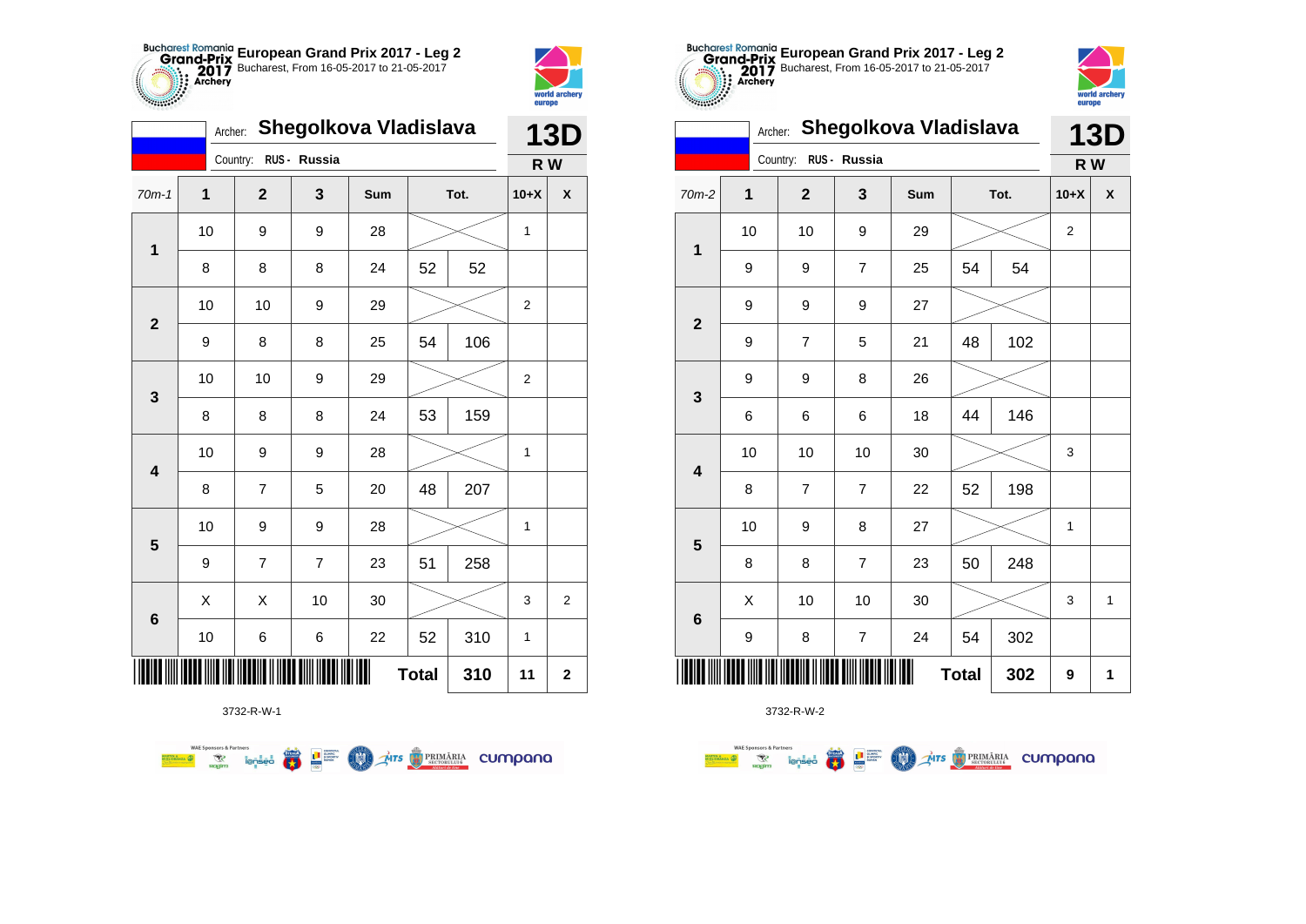



|                         | Archer: |                |                | Shegolkova Vladislava |              |      |        | <b>13D</b>       |
|-------------------------|---------|----------------|----------------|-----------------------|--------------|------|--------|------------------|
|                         |         | Country:       | RUS - Russia   |                       |              |      | R W    |                  |
| $70m-1$                 | 1       | $\mathbf 2$    | 3              | Sum                   |              | Tot. | $10+X$ | χ                |
| $\mathbf 1$             | 10      | 9              | 9              | 28                    |              |      | 1      |                  |
|                         | 8       | 8              | 8              | 24                    | 52           | 52   |        |                  |
| $\mathbf{2}$            | 10      | 10             | 9              | 29                    |              |      | 2      |                  |
|                         | 9       | 8              | 8              | 25                    | 54           | 106  |        |                  |
| 3                       | 10      | 10             | 9              | 29                    |              |      | 2      |                  |
|                         | 8       | 8              | 8              | 24                    | 53           | 159  |        |                  |
| $\overline{\mathbf{4}}$ | 10      | 9              | 9              | 28                    |              |      | 1      |                  |
|                         | 8       | $\overline{7}$ | 5              | 20                    | 48           | 207  |        |                  |
| $\overline{\mathbf{5}}$ | 10      | 9              | 9              | 28                    |              |      | 1      |                  |
|                         | 9       | 7              | $\overline{7}$ | 23                    | 51           | 258  |        |                  |
|                         | X       | X              | 10             | 30                    |              |      | 3      | $\boldsymbol{2}$ |
| $\bf 6$                 | 10      | 6              | 6              | 22                    | 52           | 310  | 1      |                  |
|                         |         |                |                |                       | <b>Total</b> | 310  | 11     | $\mathbf 2$      |

**COL AITS OF PRIMARIA CUMPONO** 



3732-R-W-2

| $$              |         |                |                |                       |              |      | europe |              |
|-----------------|---------|----------------|----------------|-----------------------|--------------|------|--------|--------------|
|                 | Archer: |                |                | Shegolkova Vladislava |              |      |        | <b>13D</b>   |
|                 |         | Country:       | RUS - Russia   |                       |              |      | R W    |              |
| $70m-2$         | 1       | $\mathbf{2}$   | 3              | Sum                   |              | Tot. | $10+X$ | X            |
| $\mathbf{1}$    | 10      | 10             | 9              | 29                    |              |      | 2      |              |
|                 | 9       | 9              | $\overline{7}$ | 25                    | 54           | 54   |        |              |
| $\overline{2}$  | 9       | 9              | 9              | 27                    |              |      |        |              |
|                 | 9       | $\overline{7}$ | 5              | 21                    | 48           | 102  |        |              |
| 3               | 9       | 9              | 8              | 26                    |              |      |        |              |
|                 | 6       | 6              | 6              | 18                    | 44           | 146  |        |              |
| 4               | 10      | 10             | 10             | 30                    |              |      | 3      |              |
|                 | 8       | $\overline{7}$ | $\overline{7}$ | 22                    | 52           | 198  |        |              |
| 5               | 10      | 9              | 8              | 27                    |              |      | 1      |              |
|                 | 8       | 8              | 7              | 23                    | 50           | 248  |        |              |
|                 | X       | 10             | 10             | 30                    |              |      | 3      | $\mathbf{1}$ |
| $6\phantom{1}6$ | 9       | 8              | $\overline{7}$ | 24                    | 54           | 302  |        |              |
| ║║║             |         |                |                |                       | <b>Total</b> | 302  | 9      | 1            |

**European Grand Prix 2017 - Leg 2** Bucharest, From 16-05-2017 to 21-05-2017

world arche

3732-R-W-1

**Excession of the Second Contract of the Contract of Second Contract of the Contract of Second Contract of Second Contract of Second Contract of Second Contract of Second Contract of Second Contract of Second Contract of S** 

**WAE Sponsors & Partners**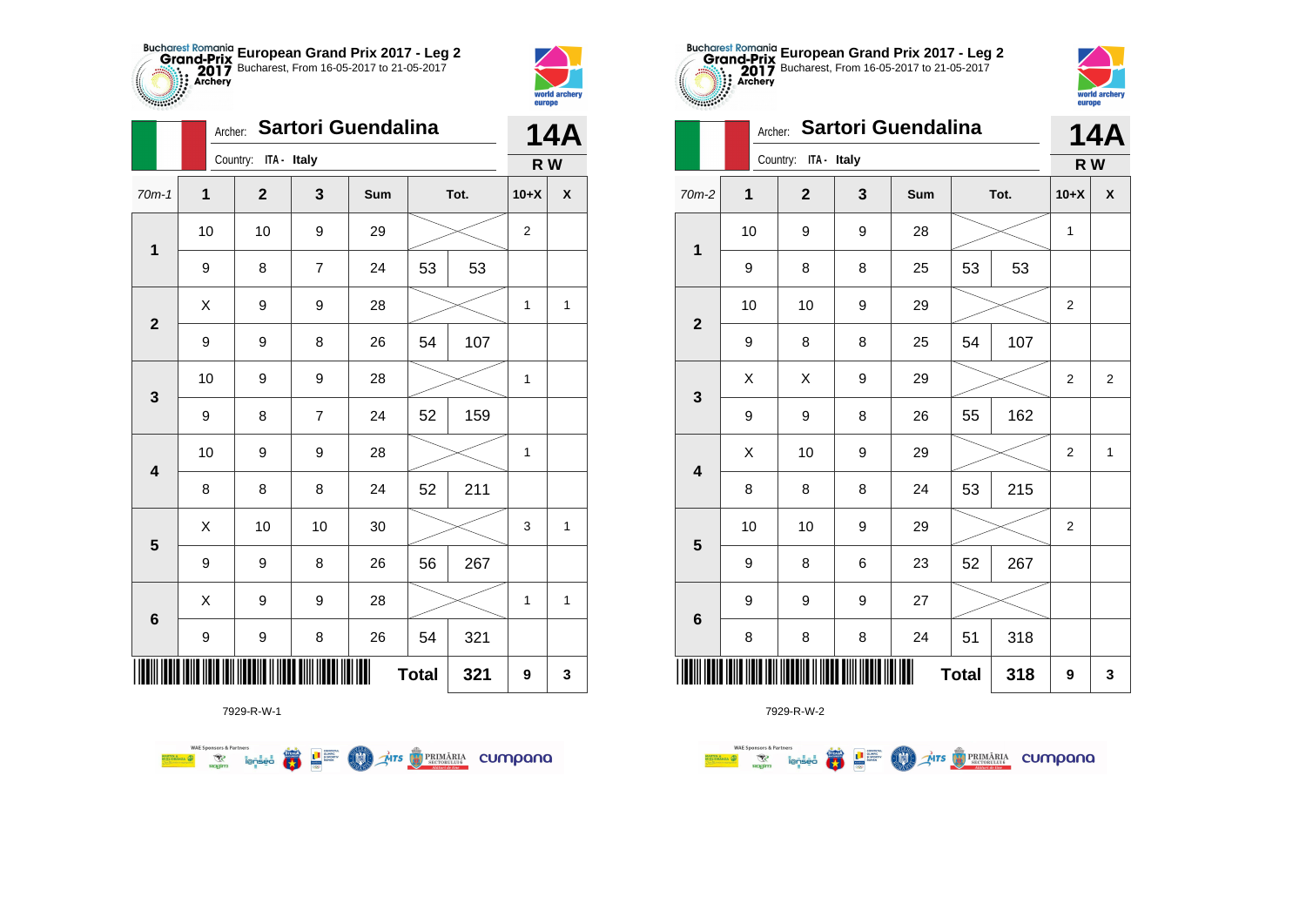



**Sance Co** 

|                         | Archer:     |                      |                | Sartori Guendalina |              |      |                | <b>14A</b>   |
|-------------------------|-------------|----------------------|----------------|--------------------|--------------|------|----------------|--------------|
|                         |             | Country: ITA - Italy |                |                    |              |      | R W            |              |
| $70m-1$                 | $\mathbf 1$ | $\overline{2}$       | 3              | Sum                |              | Tot. | $10+X$         | X            |
|                         | 10          | 10                   | 9              | 29                 |              |      | $\overline{2}$ |              |
| $\mathbf 1$             | 9           | 8                    | 7              | 24                 | 53           | 53   |                |              |
| $\mathbf{2}$            | Χ           | 9                    | 9              | 28                 |              |      | $\mathbf{1}$   | $\mathbf{1}$ |
|                         | 9           | 9                    | 8              | 26                 | 54           | 107  |                |              |
| 3                       | 10          | 9                    | 9              | 28                 |              |      | $\mathbf{1}$   |              |
|                         | 9           | 8                    | $\overline{7}$ | 24                 | 52           | 159  |                |              |
| $\overline{\mathbf{4}}$ | 10          | 9                    | 9              | 28                 |              |      | $\mathbf{1}$   |              |
|                         | 8           | 8                    | 8              | 24                 | 52           | 211  |                |              |
| 5                       | Χ           | 10                   | 10             | 30                 |              |      | 3              | $\mathbf 1$  |
|                         | 9           | 9                    | 8              | 26                 | 56           | 267  |                |              |
| $6\phantom{1}$          | X           | 9                    | 9              | 28                 |              |      | 1              | 1            |
|                         | 9           | 9                    | $\bf8$         | 26                 | 54           | 321  |                |              |
|                         |             |                      |                | Ш                  | <b>Total</b> | 321  | 9              | 3            |

**Exercise on the Second Parties of the Conservation Company of the Conservation Company of the Conservation Company** 



7929-R-W-2

|                         |    | Archer:      | Sartori Guendalina |     |              | <b>14A</b> |                  |                |
|-------------------------|----|--------------|--------------------|-----|--------------|------------|------------------|----------------|
|                         |    | Country:     | ITA - Italy        |     |              |            | R W              |                |
| $70m-2$                 | 1  | $\mathbf{2}$ | 3                  | Sum |              | Tot.       | $10+X$           | χ              |
| $\mathbf 1$             | 10 | 9            | 9                  | 28  |              |            | $\mathbf{1}$     |                |
|                         | 9  | 8            | 8                  | 25  | 53           | 53         |                  |                |
| $\mathbf{2}$            | 10 | 10           | 9                  | 29  |              |            | $\mathbf 2$      |                |
|                         | 9  | 8            | 8                  | 25  | 54           | 107        |                  |                |
| 3                       | Χ  | X            | 9                  | 29  |              |            | $\overline{2}$   | $\overline{2}$ |
|                         | 9  | 9            | 8                  | 26  | 55           | 162        |                  |                |
| $\overline{\mathbf{4}}$ | Χ  | 10           | 9                  | 29  |              |            | $\boldsymbol{2}$ | $\mathbf{1}$   |
|                         | 8  | 8            | 8                  | 24  | 53           | 215        |                  |                |
| $5\phantom{1}$          | 10 | 10           | 9                  | 29  |              |            | 2                |                |
|                         | 9  | 8            | 6                  | 23  | 52           | 267        |                  |                |
| $\bf 6$                 | 9  | 9            | 9                  | 27  |              |            |                  |                |
|                         | 8  | 8            | 8                  | 24  | 51           | 318        |                  |                |
| ║║║                     |    |              |                    | Ш   | <b>Total</b> | 318        | 9                | 3              |

**European Grand Prix 2017 - Leg 2** Bucharest, From 16-05-2017 to 21-05-2017

world arche

europe

7929-R-W-1

**WAE Sponsors & Partners**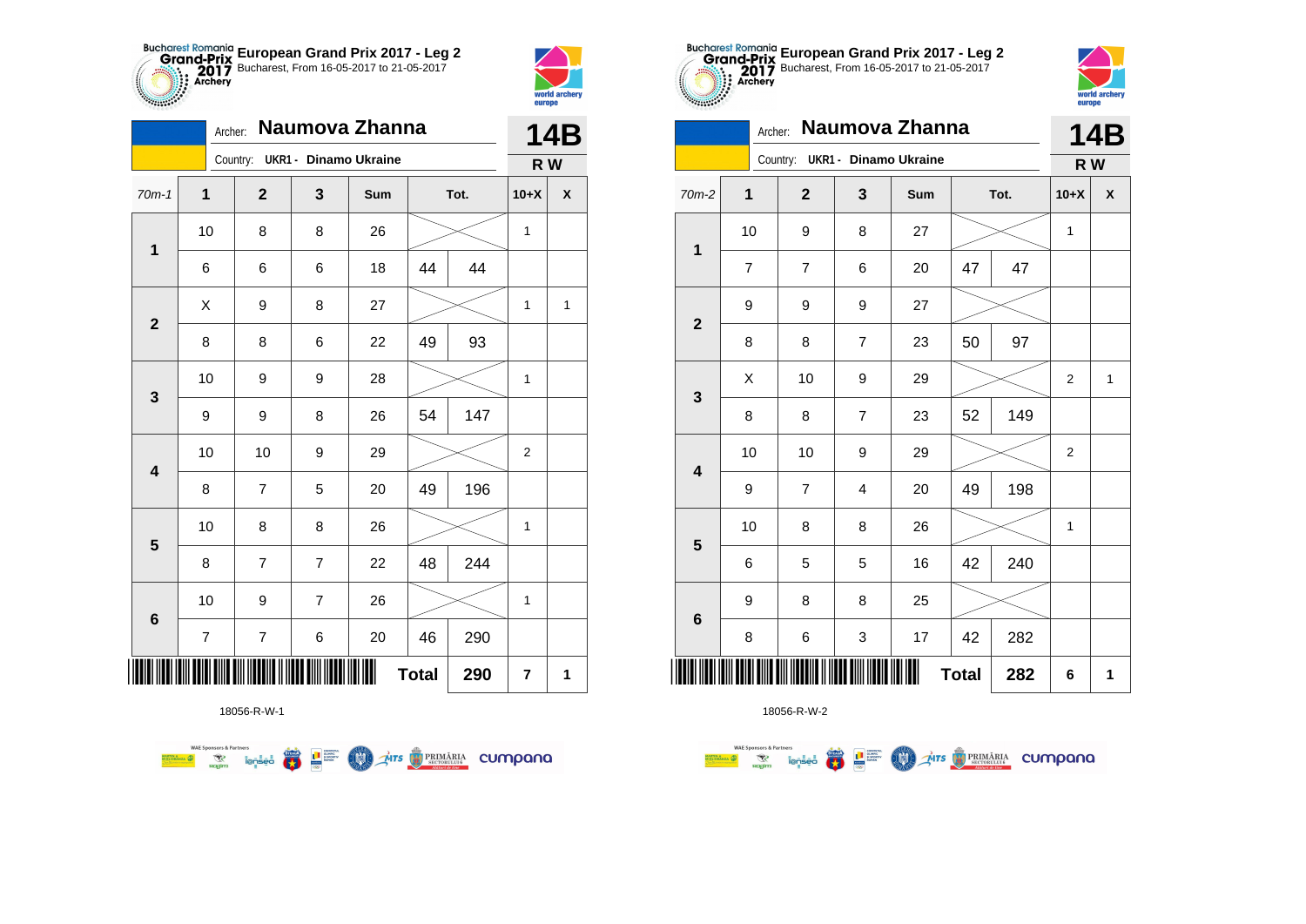



**THE** 

|                         |                         | Archer:                        | Naumova Zhanna |     |              |      |                         | 14B                |
|-------------------------|-------------------------|--------------------------------|----------------|-----|--------------|------|-------------------------|--------------------|
|                         |                         | Country: UKR1 - Dinamo Ukraine |                |     |              |      | R W                     |                    |
| $70m-1$                 | 1                       | $\mathbf{2}$                   | 3              | Sum |              | Tot. | $10+X$                  | $\pmb{\mathsf{X}}$ |
|                         | 10                      | 8                              | 8              | 26  |              |      | 1                       |                    |
| $\mathbf 1$             | 6                       | 6                              | 6              | 18  | 44           | 44   |                         |                    |
| $\mathbf 2$             | Χ                       | 9                              | 8              | 27  |              |      | 1                       | 1                  |
|                         | 8                       | 8                              | 6              | 22  | 49           | 93   |                         |                    |
| $\mathbf 3$             | 10                      | 9                              | 9              | 28  |              |      | 1                       |                    |
|                         | 9                       | 9                              | 8              | 26  | 54           | 147  |                         |                    |
| $\overline{\mathbf{4}}$ | 10                      | 10                             | 9              | 29  |              |      | $\mathbf{2}$            |                    |
|                         | 8                       | $\overline{7}$                 | 5              | 20  | 49           | 196  |                         |                    |
| $\overline{\mathbf{5}}$ | 10                      | 8                              | 8              | 26  |              |      | 1                       |                    |
|                         | 8                       | 7                              | $\overline{7}$ | 22  | 48           | 244  |                         |                    |
| $\bf 6$                 | 10                      | 9                              | $\overline{7}$ | 26  |              |      | 1                       |                    |
|                         | $\overline{\mathbf{7}}$ | $\overline{\mathcal{I}}$       | 6              | 20  | 46           | 290  |                         |                    |
| Ⅲ                       |                         |                                |                |     | <b>Total</b> | 290  | $\overline{\mathbf{r}}$ | 1                  |

**THE STRIMARIA CUMPANA** 



18056-R-W-2

| $\mathbf{1}$     | $\overline{\mathbf{2}}$ | 3                        | Sum |              | Tot. | $10+X$                  | $\pmb{\mathsf{X}}$ |
|------------------|-------------------------|--------------------------|-----|--------------|------|-------------------------|--------------------|
| $10$             | 9                       | 8                        | 27  |              |      | $\mathbf{1}$            |                    |
| $\boldsymbol{7}$ | $\overline{\mathbf{7}}$ | 6                        | 20  | 47           | 47   |                         |                    |
| 9                | 9                       | 9                        | 27  |              |      |                         |                    |
| 8                | 8                       | $\overline{\mathcal{I}}$ | 23  | 50           | 97   |                         |                    |
| Χ                | 10                      | 9                        | 29  |              |      | 2                       | 1                  |
| 8                | 8                       | $\boldsymbol{7}$         | 23  | 52           | 149  |                         |                    |
| 10               | 10                      | 9                        | 29  |              |      | $\overline{\mathbf{c}}$ |                    |
| 9                | $\overline{\mathbf{7}}$ | 4                        | 20  | 49           | 198  |                         |                    |
| 10               | 8                       | 8                        | 26  |              |      | 1                       |                    |
| 6                | 5                       | 5                        | 16  | 42           | 240  |                         |                    |
| 9                | 8                       | 8                        | 25  |              |      |                         |                    |
| 8                | 6                       | 3                        | 17  | 42           | 282  |                         |                    |
| ║║║              |                         |                          | Ш   | <b>Total</b> | 282  | 6                       | 1                  |



**R W**

| $70m-2$                 | $\mathbf 1$    | $\boldsymbol{2}$ | $\mathbf 3$               | Sum | Tot.         |     | $10+X$           | $\pmb{\mathsf{X}}$ |
|-------------------------|----------------|------------------|---------------------------|-----|--------------|-----|------------------|--------------------|
|                         | 10             | 9                | 8                         | 27  |              |     | $\mathbf{1}$     |                    |
| 1                       | $\overline{7}$ | $\overline{7}$   | 6                         | 20  | 47           | 47  |                  |                    |
| $\mathbf 2$             | 9              | 9                | 9                         | 27  |              |     |                  |                    |
|                         | 8              | 8                | $\boldsymbol{7}$          | 23  | 50           | 97  |                  |                    |
| $\mathbf 3$             | Χ              | $10\,$           | 9                         | 29  |              |     | $\mathbf 2$      | 1                  |
|                         | 8              | 8                | $\boldsymbol{7}$          | 23  | 52           | 149 |                  |                    |
| $\overline{\mathbf{4}}$ | 10             | 10               | 9                         | 29  |              |     | $\boldsymbol{2}$ |                    |
|                         | 9              | $\overline{7}$   | $\overline{\mathbf{4}}$   | 20  | 49           | 198 |                  |                    |
| ${\bf 5}$               | 10             | 8                | 8                         | 26  |              |     | $\mathbf{1}$     |                    |
|                         | 6              | 5                | 5                         | 16  | 42           | 240 |                  |                    |
| $\bf 6$                 | 9              | 8                | 8                         | 25  |              |     |                  |                    |
|                         | $\bf 8$        | $\,6$            | $\ensuremath{\mathsf{3}}$ | 17  | 42           | 282 |                  |                    |
| III                     |                |                  |                           |     | <b>Total</b> | 282 | $\bf 6$          | 1                  |

**European Grand Prix 2017 - Leg 2** Bucharest, From 16-05-2017 to 21-05-2017

Archer: **Naumova Zhanna**

Country: **UKR1 - Dinamo Ukraine**

18056-R-W-1

● ■

**COND** 

**WAE Sponsors & Partners**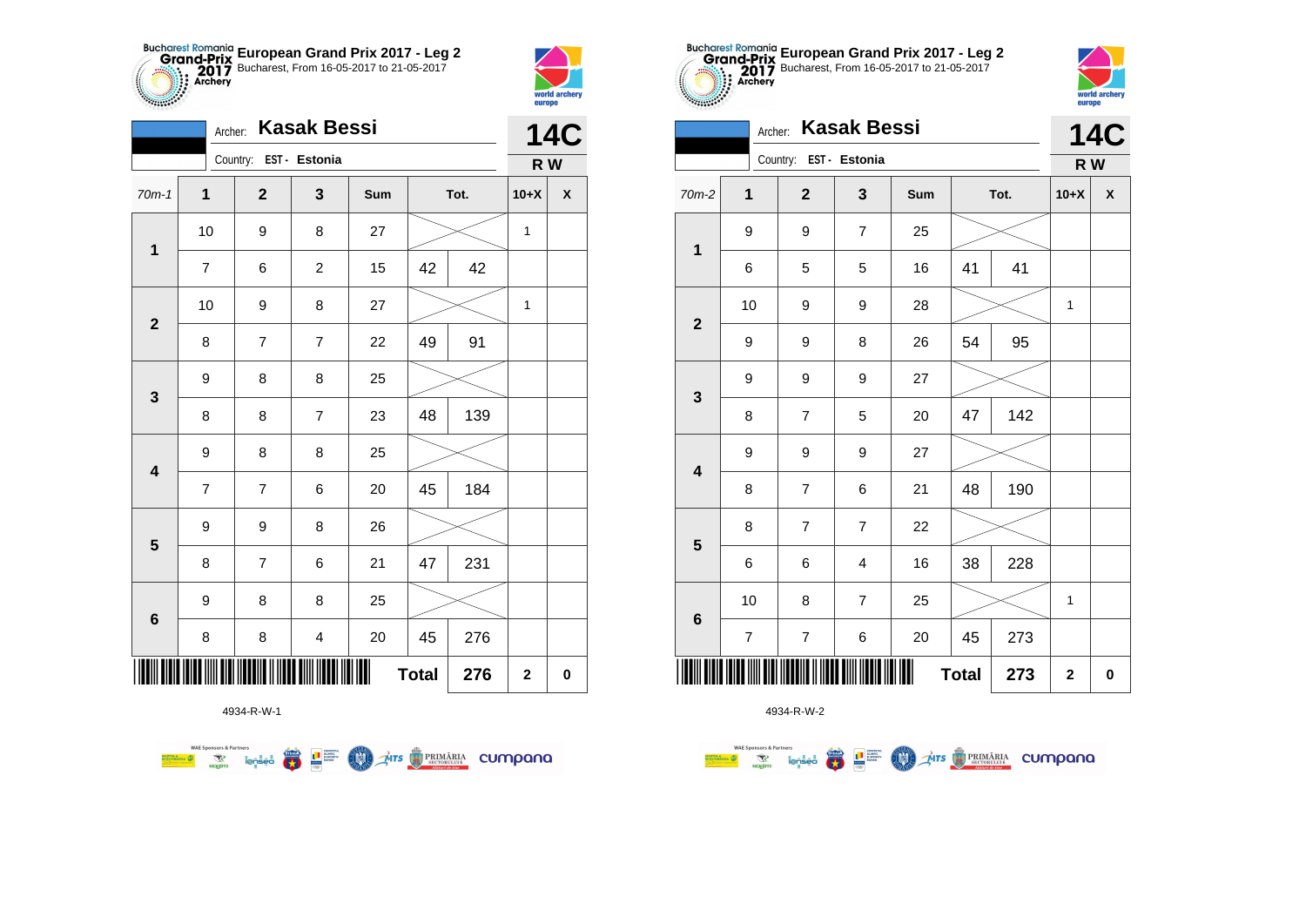



|                         | Archer:          |                        | <b>Kasak Bessi</b>      |     |              |      |              | 14C                |
|-------------------------|------------------|------------------------|-------------------------|-----|--------------|------|--------------|--------------------|
|                         |                  | Country: EST - Estonia |                         |     |              |      | R W          |                    |
| $70m-1$                 | $\mathbf{1}$     | $\mathbf{2}$           | 3                       | Sum |              | Tot. | $10+X$       | $\pmb{\mathsf{X}}$ |
| $\mathbf 1$             | 10               | 9                      | 8                       | 27  |              |      | 1            |                    |
|                         | $\overline{7}$   | 6                      | $\overline{c}$          | 15  | 42           | 42   |              |                    |
| $\mathbf{2}$            | 10               | 9                      | 8                       | 27  |              |      | $\mathbf{1}$ |                    |
|                         | 8                | 7                      | 7                       | 22  | 49           | 91   |              |                    |
| 3                       | 9                | 8                      | 8                       | 25  |              |      |              |                    |
|                         | 8                | 8                      | $\overline{7}$          | 23  | 48           | 139  |              |                    |
| $\overline{\mathbf{4}}$ | 9                | 8                      | 8                       | 25  |              |      |              |                    |
|                         | $\overline{7}$   | $\overline{7}$         | 6                       | 20  | 45           | 184  |              |                    |
| $\overline{\mathbf{5}}$ | $\boldsymbol{9}$ | 9                      | 8                       | 26  |              |      |              |                    |
|                         | 8                | $\overline{7}$         | 6                       | 21  | 47           | 231  |              |                    |
| $\bf 6$                 | $\boldsymbol{9}$ | 8                      | 8                       | 25  |              |      |              |                    |
|                         | 8                | $\bf8$                 | $\overline{\mathbf{4}}$ | 20  | 45           | 276  |              |                    |
|                         |                  |                        |                         | Ш   | <b>Total</b> | 276  | $\mathbf 2$  | $\pmb{0}$          |



**第1**章

**COO** 

**THE STRIMARIA CUMPANA** 

**WAE Sponsors & Partners** 



4934-R-W-2

|                         | Country:<br>EST - Estonia<br>$\overline{\mathbf{1}}$<br>$\overline{\mathbf{2}}$<br>3<br>Sum<br>Tot.<br>9<br>9<br>$\boldsymbol{7}$<br>25<br>$\mathbf 1$<br>41<br>5<br>5<br>16<br>41<br>6<br>10<br>9<br>28<br>9<br>$\mathbf{2}$<br>95<br>54<br>9<br>9<br>8<br>26 |                          |                  |    |              |     |              |                    |  |
|-------------------------|----------------------------------------------------------------------------------------------------------------------------------------------------------------------------------------------------------------------------------------------------------------|--------------------------|------------------|----|--------------|-----|--------------|--------------------|--|
| $70m-2$                 |                                                                                                                                                                                                                                                                |                          |                  |    |              |     | $10+X$       | $\pmb{\mathsf{x}}$ |  |
|                         |                                                                                                                                                                                                                                                                |                          |                  |    |              |     |              |                    |  |
|                         |                                                                                                                                                                                                                                                                |                          |                  |    |              |     |              |                    |  |
|                         |                                                                                                                                                                                                                                                                |                          |                  |    |              |     | 1            |                    |  |
|                         |                                                                                                                                                                                                                                                                |                          |                  |    |              |     |              |                    |  |
| $\mathbf{3}$            | 9                                                                                                                                                                                                                                                              | 9                        | 9                | 27 |              |     |              |                    |  |
|                         | 8                                                                                                                                                                                                                                                              | $\overline{\mathcal{I}}$ | 5                | 20 | 47           | 142 |              |                    |  |
| $\overline{\mathbf{4}}$ | 9                                                                                                                                                                                                                                                              | 9                        | 9                | 27 |              |     |              |                    |  |
|                         | 8                                                                                                                                                                                                                                                              | $\overline{\mathcal{I}}$ | 6                | 21 | 48           | 190 |              |                    |  |
| $\overline{\mathbf{5}}$ | 8                                                                                                                                                                                                                                                              | $\overline{7}$           | $\boldsymbol{7}$ | 22 |              |     |              |                    |  |
|                         | 6                                                                                                                                                                                                                                                              | 6                        | 4                | 16 | 38           | 228 |              |                    |  |
|                         | 10                                                                                                                                                                                                                                                             | 8                        | $\boldsymbol{7}$ | 25 |              |     | $\mathbf{1}$ |                    |  |
| $\bf 6$                 | $\overline{\mathbf{7}}$                                                                                                                                                                                                                                        | $\overline{\mathbf{7}}$  | 6                | 20 | 45           | 273 |              |                    |  |
|                         |                                                                                                                                                                                                                                                                |                          |                  |    | <b>Total</b> | 273 | 2            | $\pmb{0}$          |  |



**14C**

| 1                       |                |                         |                         |        |              |     |             |   |
|-------------------------|----------------|-------------------------|-------------------------|--------|--------------|-----|-------------|---|
|                         | $\,6$          | $\mathbf 5$             | 5                       | 16     | 41           | 41  |             |   |
| $\overline{\mathbf{2}}$ | 10             | 9                       | $\boldsymbol{9}$        | 28     |              |     | 1           |   |
|                         | 9              | 9                       | 8                       | 26     | 54           | 95  |             |   |
| $\mathbf{3}$            | 9              | 9                       | $\boldsymbol{9}$        | $27\,$ |              |     |             |   |
|                         | $\bf8$         | $\overline{\mathbf{7}}$ | $\mathbf 5$             | 20     | 47           | 142 |             |   |
| $\overline{\mathbf{4}}$ | 9              | 9                       | $\boldsymbol{9}$        | 27     |              |     |             |   |
|                         | 8              | $\overline{7}$          | 6                       | 21     | 48           | 190 |             |   |
| 5                       | $\bf8$         | $\boldsymbol{7}$        | $\boldsymbol{7}$        | 22     |              |     |             |   |
|                         | 6              | 6                       | $\overline{\mathbf{4}}$ | 16     | 38           | 228 |             |   |
| $\bf 6$                 | 10             | 8                       | $\overline{7}$          | 25     |              |     | 1           |   |
|                         | $\overline{7}$ | $\boldsymbol{7}$        | 6                       | 20     | 45           | 273 |             |   |
|                         |                |                         |                         |        | <b>Total</b> | 273 | $\mathbf 2$ | 0 |

**European Grand Prix 2017 - Leg 2** Bucharest, From 16-05-2017 to 21-05-2017

Archer: **Kasak Bessi**

Country: **EST - Estonia**

**THE**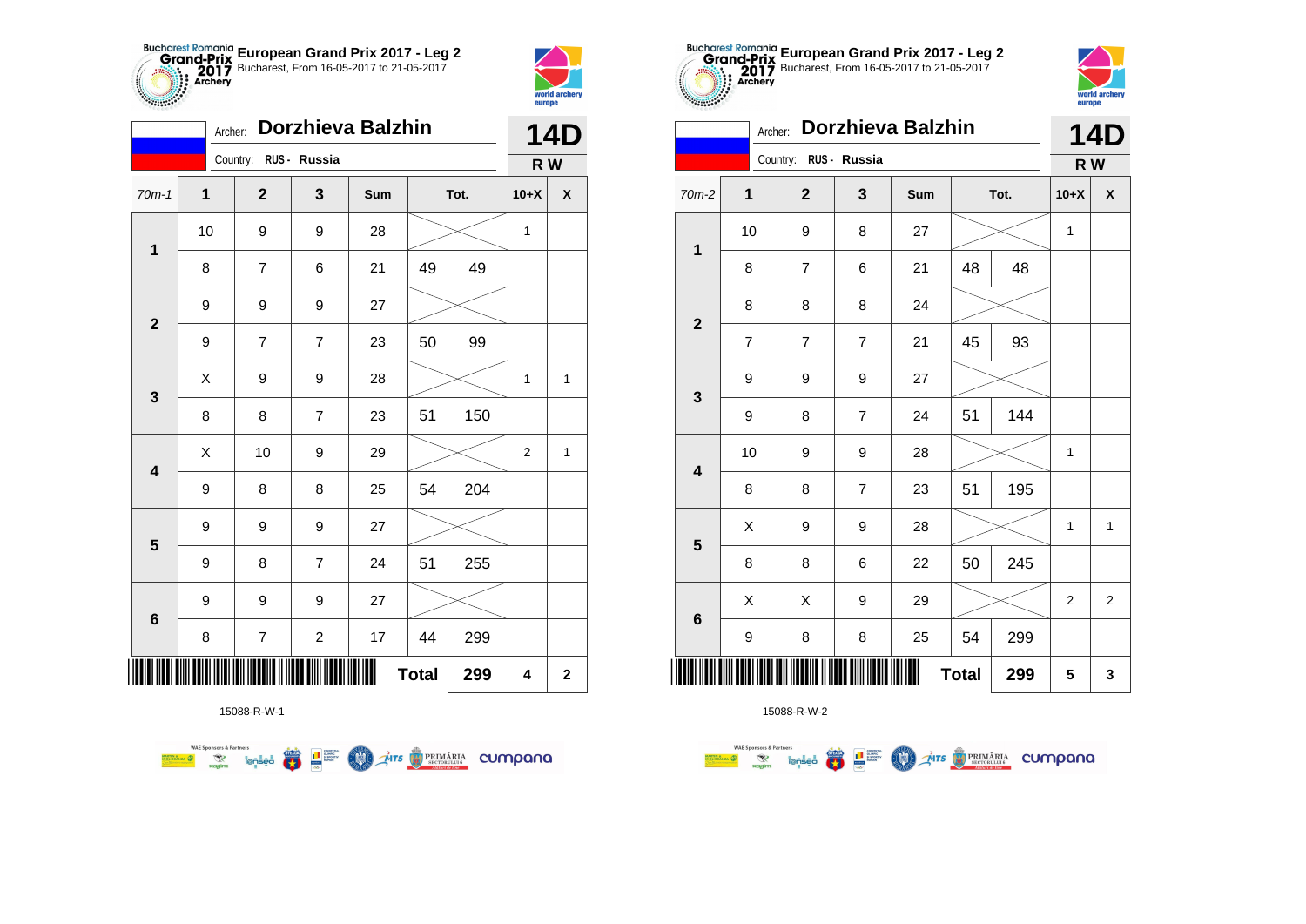



|                         | Archer:          |                          | Dorzhieva Balzhin |     |              |      |                | <b>14D</b>         |
|-------------------------|------------------|--------------------------|-------------------|-----|--------------|------|----------------|--------------------|
|                         |                  | Country: RUS - Russia    |                   |     |              |      | R W            |                    |
| $70m-1$                 | 1                | $\mathbf{2}$             | 3                 | Sum |              | Tot. | $10+X$         | $\pmb{\mathsf{X}}$ |
| $\mathbf 1$             | 10               | 9                        | 9                 | 28  |              |      | $\mathbf 1$    |                    |
|                         | 8                | 7                        | 6                 | 21  | 49           | 49   |                |                    |
| $\mathbf{2}$            | 9                | 9                        | 9                 | 27  |              |      |                |                    |
|                         | 9                | $\overline{7}$           | $\overline{7}$    | 23  | 50           | 99   |                |                    |
| 3                       | $\sf X$          | 9                        | 9                 | 28  |              |      | 1              | 1                  |
|                         | 8                | 8                        | $\overline{7}$    | 23  | 51           | 150  |                |                    |
| $\overline{\mathbf{4}}$ | Χ                | 10                       | 9                 | 29  |              |      | $\overline{2}$ | 1                  |
|                         | 9                | 8                        | 8                 | 25  | 54           | 204  |                |                    |
| $5\phantom{1}$          | $\boldsymbol{9}$ | 9                        | 9                 | 27  |              |      |                |                    |
|                         | 9                | 8                        | $\overline{7}$    | 24  | 51           | 255  |                |                    |
|                         | 9                | 9                        | 9                 | 27  |              |      |                |                    |
| 6                       | 8                | $\overline{\mathcal{I}}$ | $\overline{c}$    | 17  | 44           | 299  |                |                    |
|                         |                  |                          |                   | II  | <b>Total</b> | 299  | 4              | $\mathbf 2$        |

**COL** Ars **TRIMÁRIA** CUMpana



15088-R-W-2

| 0.00000                 | Archer:                 |                       |                | <b>Dorzhieva Balzhin</b> |              |      |                | <b>14D</b>   |
|-------------------------|-------------------------|-----------------------|----------------|--------------------------|--------------|------|----------------|--------------|
|                         |                         | Country: RUS - Russia |                |                          |              |      | R W            |              |
| 70m-2                   | 1                       | $\mathbf 2$           | 3              | Sum                      |              | Tot. | $10+X$         | X            |
|                         | 10                      | 9                     | 8              | 27                       |              |      | $\mathbf{1}$   |              |
| 1                       | 8                       | $\overline{7}$        | 6              | 21                       | 48           | 48   |                |              |
|                         | 8                       | 8                     | 8              | 24                       |              |      |                |              |
| $\mathbf{2}$            | $\overline{\mathbf{7}}$ | $\overline{7}$        | $\overline{7}$ | 21                       | 45           | 93   |                |              |
| $\mathbf{3}$            | 9                       | 9                     | 9              | 27                       |              |      |                |              |
|                         | 9                       | 8                     | $\overline{7}$ | 24                       | 51           | 144  |                |              |
| $\overline{\mathbf{4}}$ | 10                      | 9                     | 9              | 28                       |              |      | 1              |              |
|                         | 8                       | 8                     | $\overline{7}$ | 23                       | 51           | 195  |                |              |
| 5                       | Χ                       | 9                     | 9              | 28                       |              |      | 1              | $\mathbf{1}$ |
|                         | 8                       | 8                     | 6              | 22                       | 50           | 245  |                |              |
| $\bf 6$                 | X                       | X                     | 9              | 29                       |              |      | $\overline{2}$ | 2            |
|                         | 9                       | 8                     | 8              | 25                       | 54           | 299  |                |              |
|                         |                         |                       |                |                          | <b>Total</b> | 299  | 5              | 3            |

**European Grand Prix 2017 - Leg 2** Bucharest, From 16-05-2017 to 21-05-2017

world arche

15088-R-W-1

**WAE Sponsors & Partners**<br>**Example 2009 Representation of the Company of Second 2009** 

**WAE Sponsors & Partners**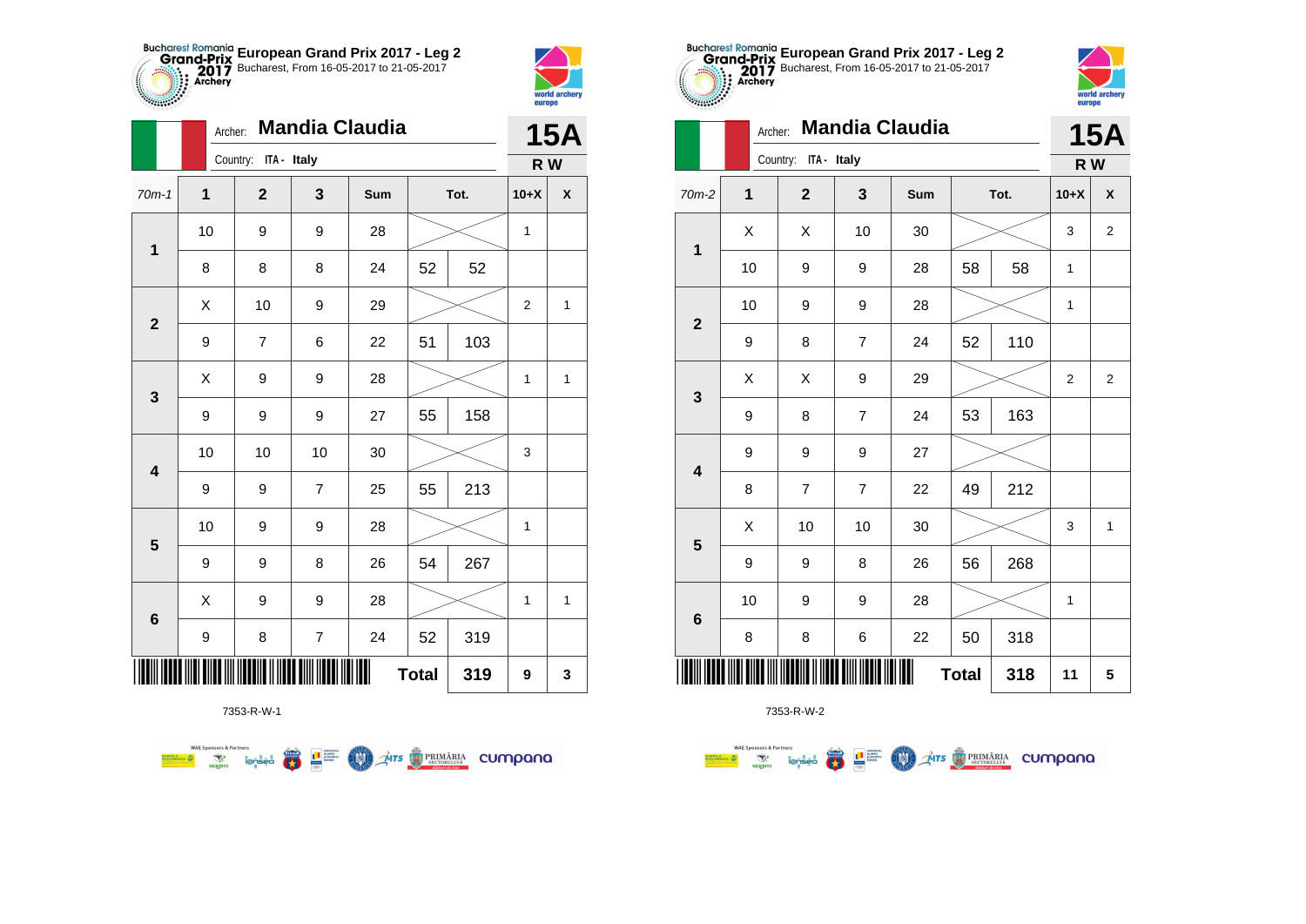



|                         | Archer:      |                      |                | <b>Mandia Claudia</b> |              |      |                | 15A |
|-------------------------|--------------|----------------------|----------------|-----------------------|--------------|------|----------------|-----|
|                         |              | Country: ITA - Italy |                |                       |              |      | R W            |     |
| $70m-1$                 | $\mathbf{1}$ | $\overline{2}$       | 3              | Sum                   |              | Tot. | $10+X$         | X   |
| $\mathbf 1$             | 10           | 9                    | 9              | 28                    |              |      | 1              |     |
|                         | 8            | 8                    | 8              | 24                    | 52           | 52   |                |     |
| $\boldsymbol{2}$        | Χ            | 10                   | 9              | 29                    |              |      | $\overline{2}$ | 1   |
|                         | 9            | 7                    | 6              | 22                    | 51           | 103  |                |     |
| $\mathbf{3}$            | X            | 9                    | 9              | 28                    |              |      | 1              | 1   |
|                         | 9            | 9                    | 9              | 27                    | 55           | 158  |                |     |
| $\overline{\mathbf{4}}$ | 10           | 10                   | 10             | 30                    |              |      | 3              |     |
|                         | 9            | 9                    | $\overline{7}$ | 25                    | 55           | 213  |                |     |
| $\overline{\mathbf{5}}$ | 10           | 9                    | 9              | 28                    |              |      | 1              |     |
|                         | 9            | 9                    | 8              | 26                    | 54           | 267  |                |     |
| $\bf 6$                 | X            | 9                    | 9              | 28                    |              |      | 1              | 1   |
|                         | 9            | 8                    | $\overline{7}$ | 24                    | 52           | 319  |                |     |
|                         |              |                      |                |                       | <b>Total</b> | 319  | 9              | 3   |



|                         |                  | Country:<br>ITA - Italy |                |     |              |      | R W            |                |
|-------------------------|------------------|-------------------------|----------------|-----|--------------|------|----------------|----------------|
| $70m-2$                 | $\mathbf{1}$     | $\overline{\mathbf{2}}$ | 3              | Sum |              | Tot. | $10+X$         | X              |
| $\mathbf 1$             | X                | X                       | 10             | 30  |              |      | 3              | $\overline{2}$ |
|                         | 10               | 9                       | 9              | 28  | 58           | 58   | 1              |                |
| $\overline{\mathbf{2}}$ | 10               | 9                       | 9              | 28  |              |      | 1              |                |
|                         | 9                | 8                       | 7              | 24  | 52           | 110  |                |                |
| $\mathbf{3}$            | X                | X                       | 9              | 29  |              |      | $\overline{2}$ | $\overline{2}$ |
|                         | 9                | 8                       | $\overline{7}$ | 24  | 53           | 163  |                |                |
| $\overline{\mathbf{4}}$ | 9                | 9                       | 9              | 27  |              |      |                |                |
|                         | $\bf8$           | $\overline{7}$          | 7              | 22  | 49           | 212  |                |                |
| 5                       | X                | 10                      | 10             | 30  |              |      | 3              | $\mathbf{1}$   |
|                         | $\boldsymbol{9}$ | 9                       | 8              | 26  | 56           | 268  |                |                |
|                         | 10               | 9                       | 9              | 28  |              |      | 1              |                |
| $6\phantom{1}$          | 8                | 8                       | $\,$ 6 $\,$    | 22  | 50           | 318  |                |                |
|                         |                  |                         |                |     | <b>Total</b> | 318  | 11             | 5              |

**European Grand Prix 2017 - Leg 2** Bucharest, From 16-05-2017 to 21-05-2017

**15A**

world archer

europe

Archer: **Mandia Claudia**

7353-R-W-1

第1章

**COND** 

**THE STRIMARIA CUMPANA** 

**WAE Sponsors & Partners**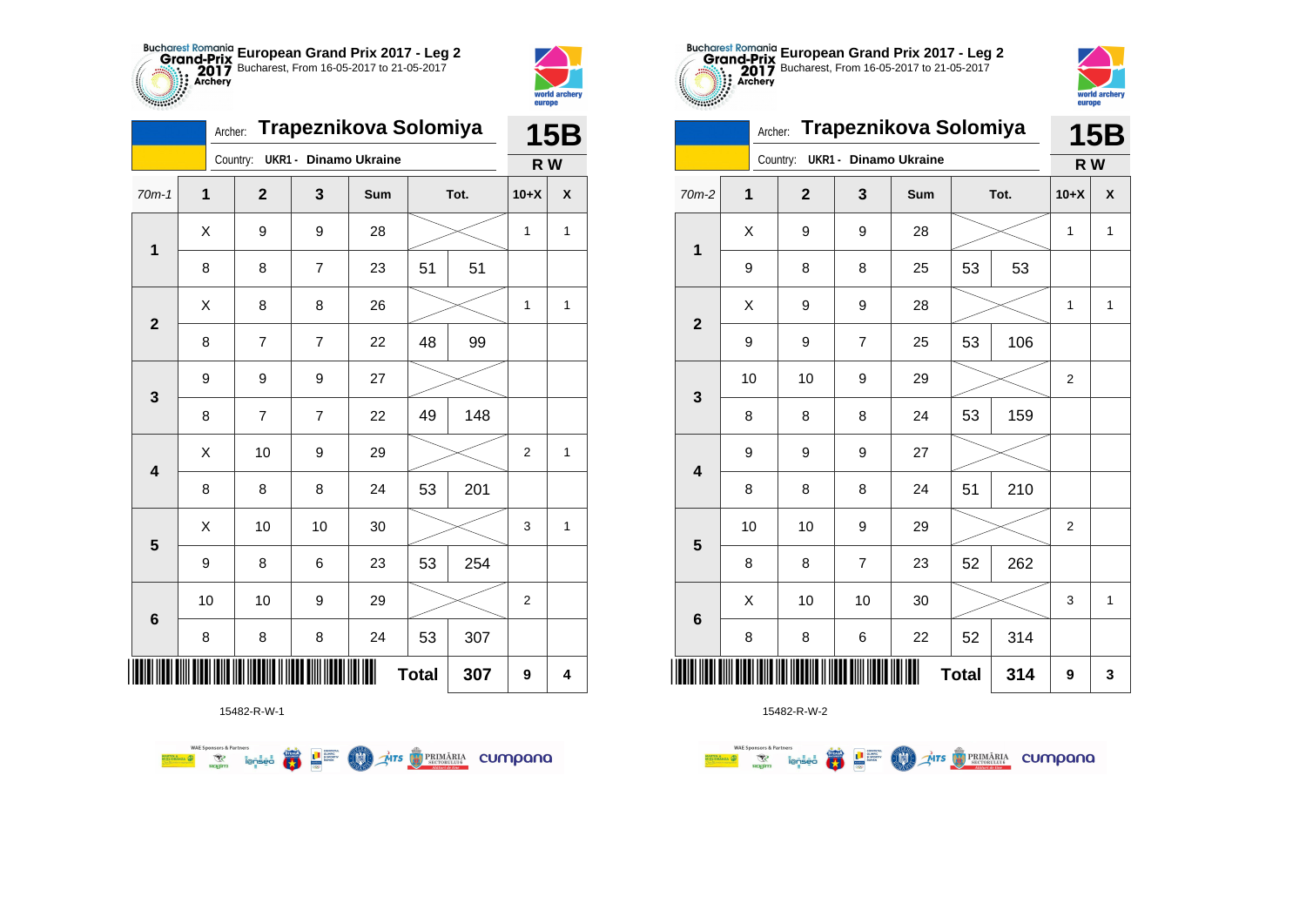



*<b>PARTICIPS* 

|                         | Trapeznikova Solomiya |             | 15B                          |     |              |      |                  |                         |
|-------------------------|-----------------------|-------------|------------------------------|-----|--------------|------|------------------|-------------------------|
|                         |                       | Country:    | <b>UKR1 - Dinamo Ukraine</b> |     |              |      | R W              |                         |
| $70m-1$                 | $\mathbf{1}$          | $\mathbf 2$ | 3                            | Sum |              | Tot. | $10+X$           | X                       |
| $\mathbf 1$             | X                     | 9           | 9                            | 28  |              |      | 1                | $\mathbf{1}$            |
|                         | 8                     | 8           | 7                            | 23  | 51           | 51   |                  |                         |
| $\mathbf{2}$            | X                     | 8           | 8                            | 26  |              |      | 1                | $\mathbf{1}$            |
|                         | 8                     | 7           | 7                            | 22  | 48           | 99   |                  |                         |
| 3                       | 9                     | 9           | 9                            | 27  |              |      |                  |                         |
|                         | 8                     | 7           | $\overline{7}$               | 22  | 49           | 148  |                  |                         |
| $\overline{\mathbf{4}}$ | X                     | 10          | 9                            | 29  |              |      | $\overline{c}$   | $\mathbf{1}$            |
|                         | 8                     | 8           | 8                            | 24  | 53           | 201  |                  |                         |
| $\overline{\mathbf{5}}$ | X                     | 10          | 10                           | 30  |              |      | 3                | 1                       |
|                         | 9                     | 8           | 6                            | 23  | 53           | 254  |                  |                         |
|                         | 10                    | 10          | 9                            | 29  |              |      | $\boldsymbol{2}$ |                         |
| $\bf 6$                 | 8                     | 8           | 8                            | 24  | 53           | 307  |                  |                         |
|                         |                       |             |                              |     | <b>Total</b> | 307  | 9                | $\overline{\mathbf{4}}$ |



15482-R-W-1

**WAE Sponsors & Partners Excession of the Second Contract of the Contract of Second Contract of the Contract of Second Contract of Second Contract of Second Contract of Second Contract of Second Contract of Second Contract of Second Contract of S COLORED PRIMARIA CUMPANA**  15482-R-W-2

| $2m-2$                  | $\mathbf{1}$ | $\mathbf{2}$ | 3                         | Sum |              | Tot. | $10+X$                  | $\pmb{\mathsf{X}}$ |
|-------------------------|--------------|--------------|---------------------------|-----|--------------|------|-------------------------|--------------------|
| $\overline{\mathbf{1}}$ | X            | 9            | 9                         | 28  |              |      | 1                       | 1                  |
|                         | 9            | 8            | 8                         | 25  | 53           | 53   |                         |                    |
| $\overline{2}$          | Χ            | 9            | 9                         | 28  |              |      | 1                       | $\mathbf{1}$       |
|                         | 9            | 9            | $\boldsymbol{7}$          | 25  | 53           | 106  |                         |                    |
| $\mathbf{3}$            | 10           | 10           | 9                         | 29  |              |      | $\overline{\mathbf{c}}$ |                    |
|                         | 8            | 8            | 8                         | 24  | 53           | 159  |                         |                    |
| $\overline{\mathbf{4}}$ | 9            | 9            | 9                         | 27  |              |      |                         |                    |
|                         | 8            | 8            | 8                         | 24  | 51           | 210  |                         |                    |
| $5\phantom{1}$          | $10$         | 10           | 9                         | 29  |              |      | $\overline{\mathbf{c}}$ |                    |
|                         | 8            | 8            | $\boldsymbol{7}$          | 23  | 52           | 262  |                         |                    |
| $\bf 6$                 | Χ            | 10           | 10                        | 30  |              |      | 3                       | $\mathbf{1}$       |
|                         | 8            | 8            | 6                         | 22  | 52           | 314  |                         |                    |
|                         |              |              | DI MODUMEN MODUMENT MONTH |     | <b>Total</b> | 314  | 9                       | $\mathbf 3$        |



|                         | Archer: |                                |                | Trapeznikova Solomiya |              |      |                | <b>15B</b>                |
|-------------------------|---------|--------------------------------|----------------|-----------------------|--------------|------|----------------|---------------------------|
|                         |         | Country: UKR1 - Dinamo Ukraine |                |                       |              |      | R W            |                           |
| $70m-2$                 | 1       | $\mathbf{2}$                   | $\mathbf{3}$   | Sum                   |              | Tot. | $10+X$         | $\boldsymbol{\mathsf{x}}$ |
| $\mathbf{1}$            | X       | 9                              | 9              | 28                    |              |      | $\mathbf{1}$   | $\mathbf{1}$              |
|                         | 9       | 8                              | 8              | 25                    | 53           | 53   |                |                           |
| $\overline{2}$          | X       | 9                              | 9              | 28                    |              |      | 1              | $\mathbf{1}$              |
|                         | 9       | 9                              | $\overline{7}$ | 25                    | 53           | 106  |                |                           |
| 3                       | 10      | 10                             | 9              | 29                    |              |      | $\overline{2}$ |                           |
|                         | 8       | 8                              | 8              | 24                    | 53           | 159  |                |                           |
| $\overline{\mathbf{4}}$ | 9       | 9                              | 9              | 27                    |              |      |                |                           |
|                         | 8       | 8                              | 8              | 24                    | 51           | 210  |                |                           |
| 5                       | 10      | 10                             | 9              | 29                    |              |      | $\overline{2}$ |                           |
|                         | 8       | 8                              | $\overline{7}$ | 23                    | 52           | 262  |                |                           |
| $6\phantom{1}6$         | X       | 10                             | 10             | 30                    |              |      | 3              | $\mathbf{1}$              |
|                         | 8       | 8                              | 6              | 22                    | 52           | 314  |                |                           |
|                         |         |                                |                |                       | <b>Total</b> | 314  | 9              | 3                         |

**European Grand Prix 2017 - Leg 2** Bucharest, From 16-05-2017 to 21-05-2017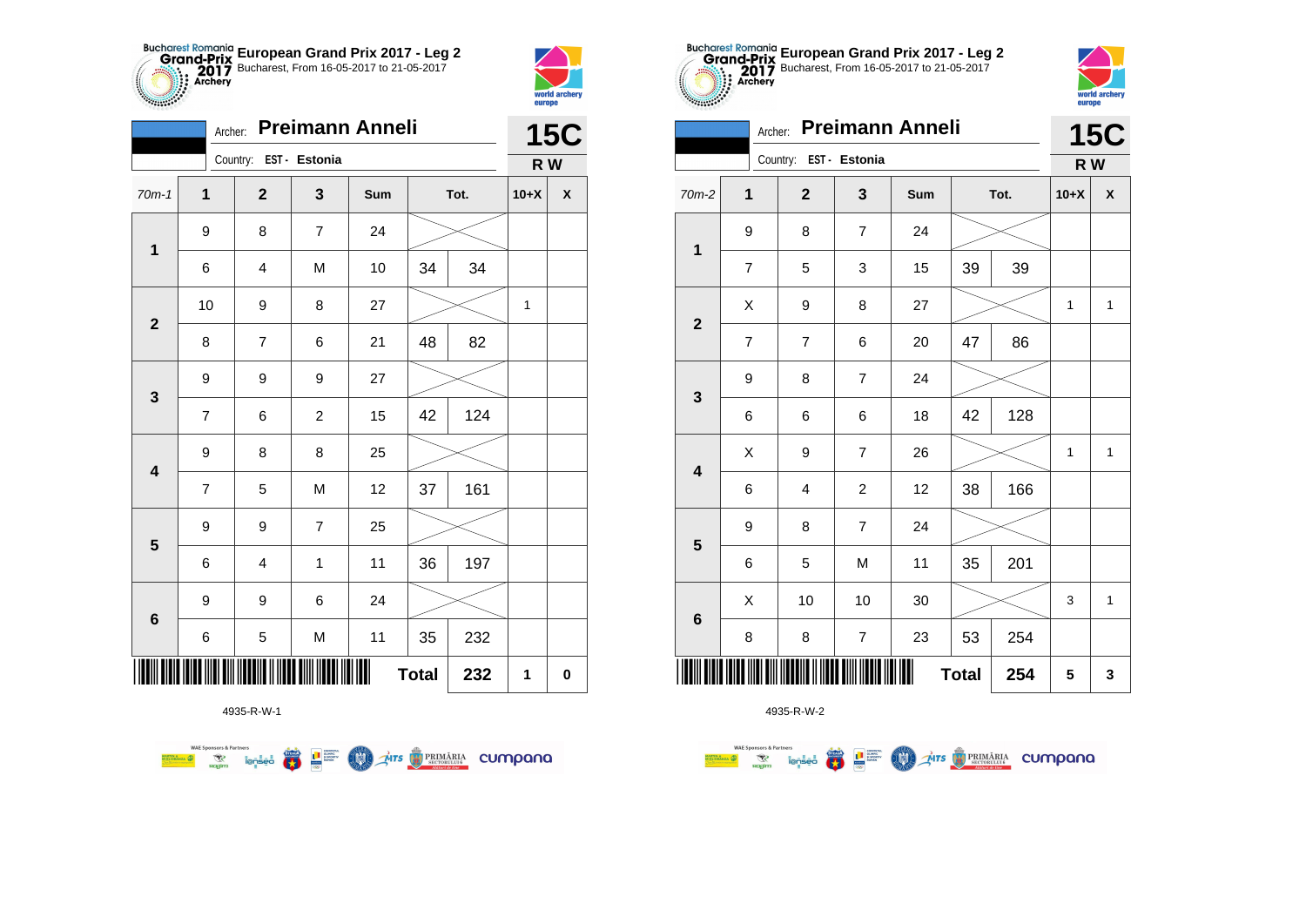



**THE** 

|                         | Archer:          |                         |                | <b>Preimann Anneli</b> |              |      |        | <b>15C</b>         |
|-------------------------|------------------|-------------------------|----------------|------------------------|--------------|------|--------|--------------------|
|                         |                  | Country: EST - Estonia  |                |                        |              |      | R W    |                    |
| $70m-1$                 | $\mathbf{1}$     | $\mathbf{2}$            | 3              | Sum                    |              | Tot. | $10+X$ | $\pmb{\mathsf{X}}$ |
|                         | 9                | 8                       | $\overline{7}$ | 24                     |              |      |        |                    |
| $\mathbf 1$             | 6                | 4                       | M              | 10                     | 34           | 34   |        |                    |
| $\mathbf{2}$            | 10               | 9                       | 8              | 27                     |              |      | 1      |                    |
|                         | 8                | 7                       | 6              | 21                     | 48           | 82   |        |                    |
| $\mathbf 3$             | 9                | 9                       | 9              | 27                     |              |      |        |                    |
|                         | $\overline{7}$   | 6                       | $\overline{c}$ | 15                     | 42           | 124  |        |                    |
| $\overline{\mathbf{4}}$ | 9                | 8                       | 8              | 25                     |              |      |        |                    |
|                         | $\overline{7}$   | 5                       | M              | 12                     | 37           | 161  |        |                    |
|                         | 9                | 9                       | $\overline{7}$ | 25                     |              |      |        |                    |
| ${\bf 5}$               | 6                | $\overline{\mathbf{4}}$ | $\mathbf{1}$   | 11                     | 36           | 197  |        |                    |
| $\bf 6$                 | $\boldsymbol{9}$ | 9                       | 6              | 24                     |              |      |        |                    |
|                         | 6                | 5                       | M              | 11                     | 35           | 232  |        |                    |
|                         |                  |                         |                | Ⅲ                      | <b>Total</b> | 232  | 1      | $\pmb{0}$          |

**Exercise on the Second Parties of the Conservation Company of the Conservation Company of the Conservation Company** 

4935-R-W-1

**WAE Sponsors & Partners** 



4935-R-W-2

|                         |                | Archer: Preimann Anneli |                |     |              |      |              | <b>15C</b>   |
|-------------------------|----------------|-------------------------|----------------|-----|--------------|------|--------------|--------------|
|                         |                | Country: EST - Estonia  |                |     |              |      | R W          |              |
| 70m-2                   | 1              | $\overline{2}$          | 3              | Sum |              | Tot. | $10+X$       | X            |
| $\mathbf 1$             | 9              | 8                       | 7              | 24  |              |      |              |              |
|                         | $\overline{7}$ | 5                       | 3              | 15  | 39           | 39   |              |              |
| $\overline{2}$          | X              | 9                       | 8              | 27  |              |      | $\mathbf{1}$ | $\mathbf{1}$ |
|                         | $\overline{7}$ | $\overline{7}$          | 6              | 20  | 47           | 86   |              |              |
| $\mathbf{3}$            | 9              | 8                       | $\overline{7}$ | 24  |              |      |              |              |
|                         | 6              | 6                       | 6              | 18  | 42           | 128  |              |              |
| $\overline{\mathbf{4}}$ | Χ              | 9                       | 7              | 26  |              |      | $\mathbf{1}$ | 1            |
|                         | 6              | 4                       | 2              | 12  | 38           | 166  |              |              |
|                         | 9              | 8                       | 7              | 24  |              |      |              |              |
| 5                       | 6              | 5                       | M              | 11  | 35           | 201  |              |              |
|                         | X              | 10                      | 10             | 30  |              |      | 3            | $\mathbf{1}$ |
| $\bf 6$                 | 8              | 8                       | 7              | 23  | 53           | 254  |              |              |
|                         |                |                         |                |     | <b>Total</b> | 254  | 5            | 3            |

**European Grand Prix 2017 - Leg 2** Bucharest, From 16-05-2017 to 21-05-2017

world archer

europe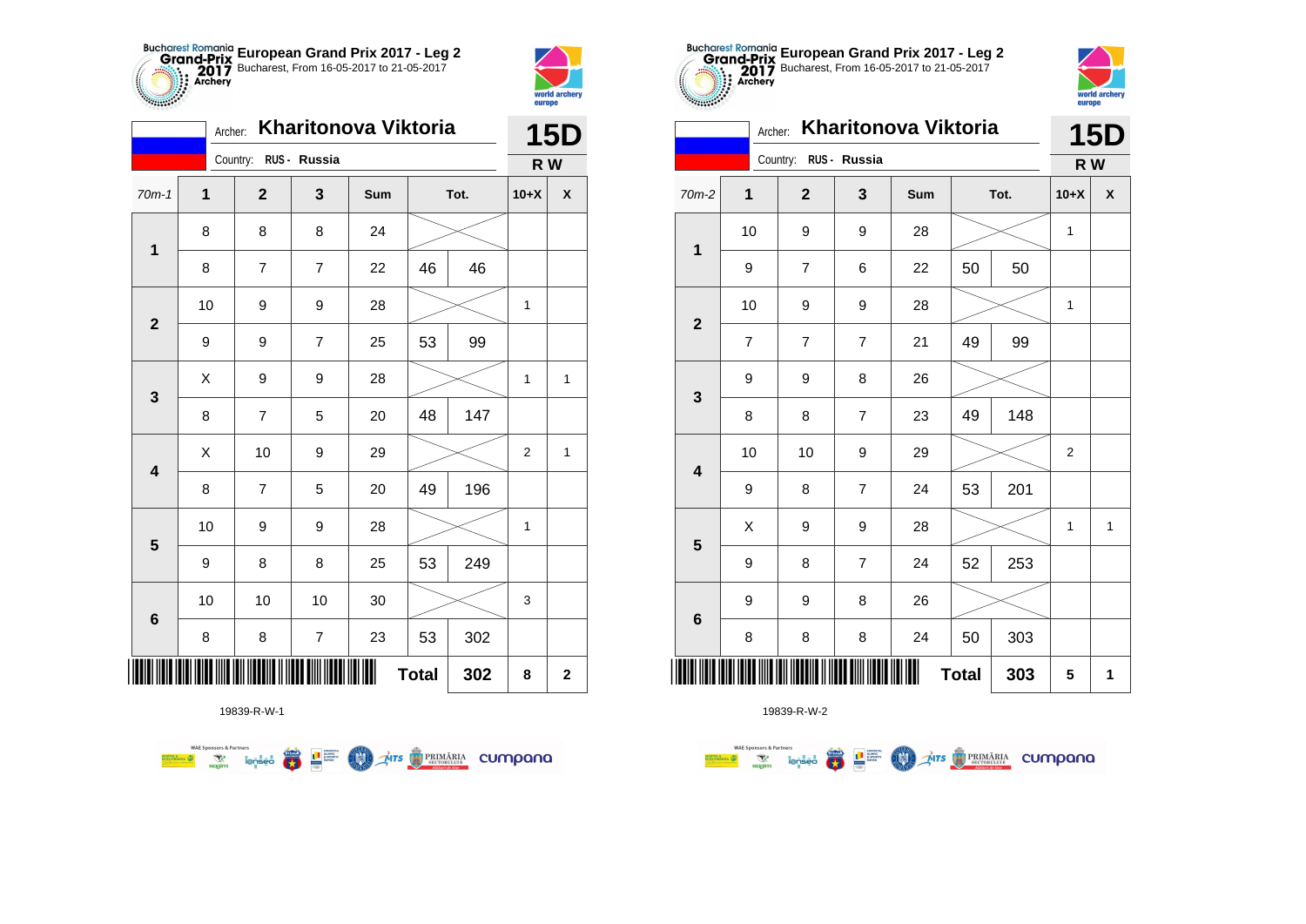



| Kharitonova Viktoria<br>Archer: |    |  |                |                  |     |              | <b>15D</b> |                |                    |  |
|---------------------------------|----|--|----------------|------------------|-----|--------------|------------|----------------|--------------------|--|
| Country: RUS - Russia           |    |  |                |                  |     |              |            | R W            |                    |  |
| $70m-1$                         | 1  |  | $\mathbf 2$    | 3                | Sum | Tot.         |            | $10+X$         | $\pmb{\mathsf{X}}$ |  |
|                                 | 8  |  | 8              | 8                | 24  |              |            |                |                    |  |
| $\mathbf 1$                     | 8  |  | 7              | 7                | 22  | 46           | 46         |                |                    |  |
|                                 | 10 |  | 9              | 9                | 28  |              |            | $\mathbf{1}$   |                    |  |
| $\mathbf 2$                     | 9  |  | 9              | $\overline{7}$   | 25  | 53           | 99         |                |                    |  |
| 3                               | X  |  | 9              | 9                | 28  |              |            | 1              | $\mathbf{1}$       |  |
|                                 | 8  |  | $\overline{7}$ | 5                | 20  | 48           | 147        |                |                    |  |
| $\overline{\mathbf{4}}$         | Χ  |  | 10             | 9                | 29  |              |            | $\overline{2}$ | $\mathbf{1}$       |  |
|                                 | 8  |  | $\overline{7}$ | 5                | 20  | 49           | 196        |                |                    |  |
|                                 | 10 |  | 9              | 9                | 28  |              |            | 1              |                    |  |
| $\overline{\mathbf{5}}$         | 9  |  | 8              | 8                | 25  | 53           | 249        |                |                    |  |
|                                 | 10 |  | 10             | 10               | 30  |              |            | 3              |                    |  |
| $\bf 6$                         | 8  |  | 8              | $\boldsymbol{7}$ | 23  | 53           | 302        |                |                    |  |
| ∭                               |    |  |                |                  | Ш   | <b>Total</b> | 302        | 8              | $\mathbf 2$        |  |

**AITS REMARIA CUMPONO** 



19839-R-W-2

**THE** 

|                         |                         | Country: RUS - Russia    |                  |     |              |     | R W          |              |
|-------------------------|-------------------------|--------------------------|------------------|-----|--------------|-----|--------------|--------------|
| $70m-2$                 | 1                       | $\mathbf{2}$             | 3                | Sum | Tot.         |     | $10+X$       | χ            |
| $\mathbf 1$             | 10                      | 9                        | 9                | 28  |              |     | 1            |              |
|                         | 9                       | $\overline{7}$           | 6                | 22  | 50           | 50  |              |              |
| $\mathbf{2}$            | 10                      | 9                        | 9                | 28  |              |     | 1            |              |
|                         | $\overline{\mathbf{7}}$ | $\overline{\mathcal{I}}$ | $\overline{7}$   | 21  | 49           | 99  |              |              |
| $\mathbf{3}$            | 9                       | 9                        | 8                | 26  |              |     |              |              |
|                         | 8                       | 8                        | $\overline{7}$   | 23  | 49           | 148 |              |              |
| $\overline{\mathbf{4}}$ | 10                      | 10                       | 9                | 29  |              |     | 2            |              |
|                         | 9                       | 8                        | $\overline{7}$   | 24  | 53           | 201 |              |              |
| $5\phantom{1}$          | X                       | 9                        | 9                | 28  |              |     | $\mathbf{1}$ | $\mathbf{1}$ |
|                         | 9                       | 8                        | $\boldsymbol{7}$ | 24  | 52           | 253 |              |              |
| $\bf 6$                 | 9                       | 9                        | 8                | 26  |              |     |              |              |
|                         | 8                       | 8                        | 8                | 24  | 50           | 303 |              |              |
| III                     |                         |                          |                  | III | <b>Total</b> | 303 | 5            | 1            |

**European Grand Prix 2017 - Leg 2** Bucharest, From 16-05-2017 to 21-05-2017

**15D**

world archer

europe

Archer: **Kharitonova Viktoria**

19839-R-W-1

 $\overline{\mathbf{r}}$ 

L<sup>a</sup> Surent

 $\left( 1\right)$ 

**WAE Sponsors & Partner**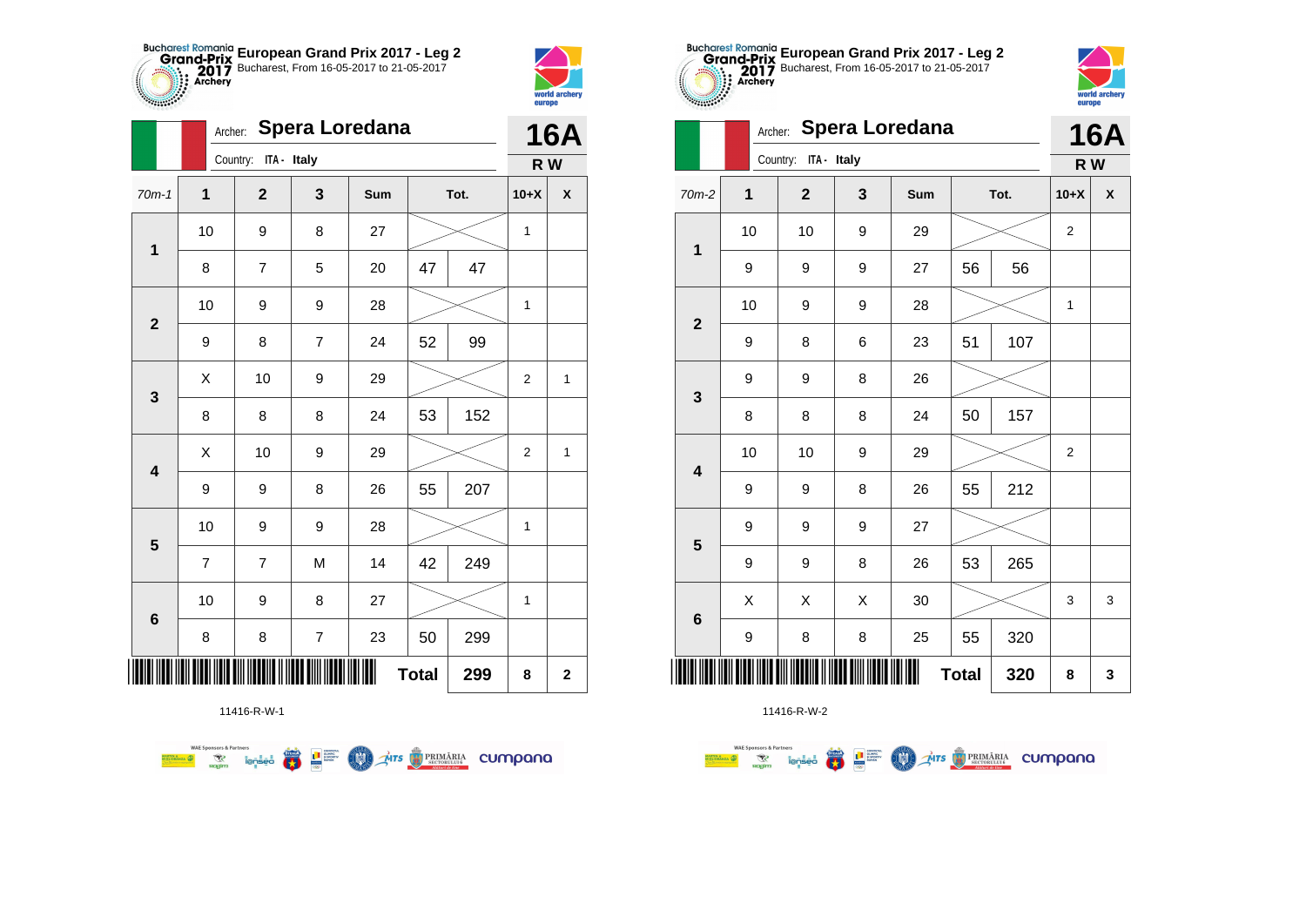



|                         | Archer:        |                      |                  | <b>Spera Loredana</b> |              |      |                | <b>16A</b>  |
|-------------------------|----------------|----------------------|------------------|-----------------------|--------------|------|----------------|-------------|
|                         |                | Country: ITA - Italy |                  |                       |              |      | R W            |             |
| $70m-1$                 | 1              | $\mathbf{2}$         | 3                | Sum                   |              | Tot. | $10+X$         | X           |
| 1                       | 10             | 9                    | 8                | 27                    |              |      | 1              |             |
|                         | 8              | $\overline{7}$       | 5                | 20                    | 47           | 47   |                |             |
| $\mathbf{2}$            | 10             | 9                    | 9                | 28                    |              |      | $\mathbf{1}$   |             |
|                         | 9              | 8                    | $\overline{7}$   | 24                    | 52           | 99   |                |             |
| 3                       | Χ              | 10                   | 9                | 29                    |              |      | $\overline{2}$ | 1           |
|                         | 8              | 8                    | 8                | 24                    | 53           | 152  |                |             |
| 4                       | X              | 10                   | 9                | 29                    |              |      | $\overline{2}$ | 1           |
|                         | 9              | 9                    | 8                | 26                    | 55           | 207  |                |             |
|                         | 10             | 9                    | 9                | 28                    |              |      | 1              |             |
| $\overline{\mathbf{5}}$ | $\overline{7}$ | 7                    | M                | 14                    | 42           | 249  |                |             |
|                         | 10             | 9                    | 8                | 27                    |              |      | 1              |             |
| $\bf 6$                 | 8              | 8                    | $\boldsymbol{7}$ | 23                    | 50           | 299  |                |             |
| Ⅲ                       |                |                      |                  |                       | <b>Total</b> | 299  | 8              | $\mathbf 2$ |

Mrs PRIMÁRIA CUMpana

11416-R-W-1

● ■

**COO** 

**WAE Sponsors & Partners** 



11416-R-W-2

| $-0.00000$              | <b>Spera Loredana</b><br>Archer: |              |   |     |              |     |                | <b>16A</b> |  |
|-------------------------|----------------------------------|--------------|---|-----|--------------|-----|----------------|------------|--|
|                         | Country: ITA - Italy             |              |   |     |              |     |                | R W        |  |
| $70m-2$                 | 1                                | $\mathbf{2}$ | 3 | Sum | Tot.         |     | $10+X$         | X          |  |
| $\mathbf 1$             | 10                               | 10           | 9 | 29  |              |     | $\overline{2}$ |            |  |
|                         | 9                                | 9            | 9 | 27  | 56           | 56  |                |            |  |
| $\overline{\mathbf{2}}$ | 10                               | 9            | 9 | 28  |              |     | $\mathbf 1$    |            |  |
|                         | 9                                | 8            | 6 | 23  | 51           | 107 |                |            |  |
| $\mathbf{3}$            | 9                                | 9            | 8 | 26  |              |     |                |            |  |
|                         | 8                                | 8            | 8 | 24  | 50           | 157 |                |            |  |
| $\overline{\mathbf{4}}$ | 10                               | 10           | 9 | 29  |              |     | $\overline{2}$ |            |  |
|                         | 9                                | 9            | 8 | 26  | 55           | 212 |                |            |  |
| 5                       | 9                                | 9            | 9 | 27  |              |     |                |            |  |
|                         | 9                                | 9            | 8 | 26  | 53           | 265 |                |            |  |
|                         | X                                | X            | X | 30  |              |     | 3              | 3          |  |
| $\bf 6$                 | 9                                | 8            | 8 | 25  | 55           | 320 |                |            |  |
|                         |                                  |              |   |     | <b>Total</b> | 320 | 8              | 3          |  |

**European Grand Prix 2017 - Leg 2** Bucharest, From 16-05-2017 to 21-05-2017

world arche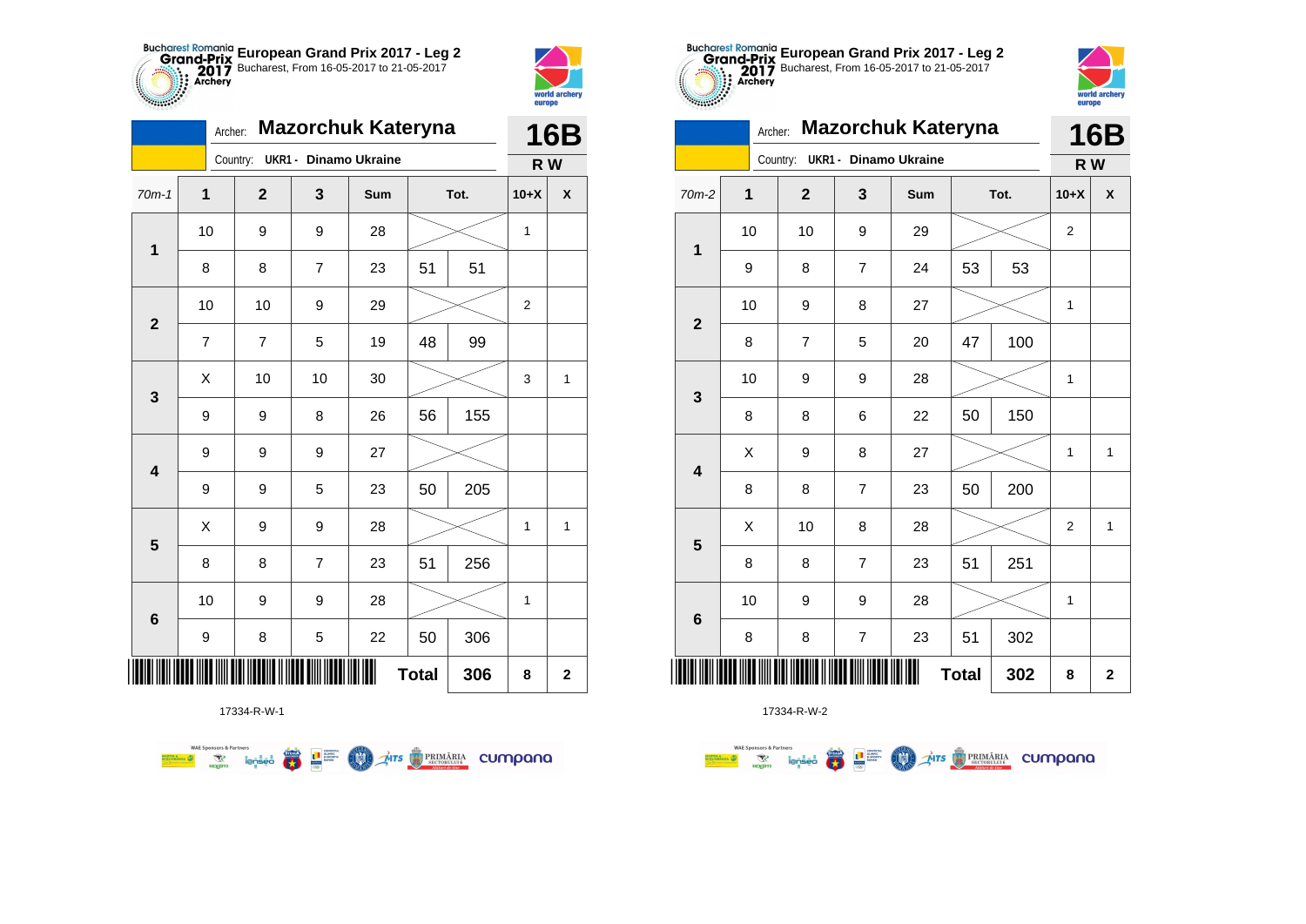



|                         |                | Archer:        |                              | <b>Mazorchuk Kateryna</b> |              |      |                | <b>16B</b>         |
|-------------------------|----------------|----------------|------------------------------|---------------------------|--------------|------|----------------|--------------------|
|                         |                | Country:       | <b>UKR1 - Dinamo Ukraine</b> |                           |              |      | R W            |                    |
| $70m-1$                 | $\mathbf{1}$   | $\mathbf{2}$   | 3                            | Sum                       |              | Tot. | $10+X$         | $\pmb{\mathsf{X}}$ |
| $\mathbf 1$             | 10             | 9              | 9                            | 28                        |              |      | 1              |                    |
|                         | 8              | 8              | 7                            | 23                        | 51           | 51   |                |                    |
| $\overline{2}$          | 10             | 10             | 9                            | 29                        |              |      | $\overline{2}$ |                    |
|                         | $\overline{7}$ | $\overline{7}$ | 5                            | 19                        | 48           | 99   |                |                    |
| 3                       | X              | 10             | 10                           | 30                        |              |      | 3              | $\mathbf{1}$       |
|                         | 9              | 9              | 8                            | 26                        | 56           | 155  |                |                    |
| $\overline{\mathbf{4}}$ | 9              | 9              | 9                            | 27                        |              |      |                |                    |
|                         | 9              | 9              | 5                            | 23                        | 50           | 205  |                |                    |
| $\overline{\mathbf{5}}$ | X              | 9              | 9                            | 28                        |              |      | 1              | 1                  |
|                         | 8              | 8              | $\overline{7}$               | 23                        | 51           | 256  |                |                    |
| 6                       | 10             | 9              | 9                            | 28                        |              |      | 1              |                    |
|                         | 9              | 8              | 5                            | 22                        | 50           | 306  |                |                    |
| ║║║                     |                |                |                              | Ш                         | <b>Total</b> | 306  | 8              | $\mathbf 2$        |

**OD** Ars **D** PRIMÄRIA CUMpana



17334-R-W-2

| $\mathbf 1$             | 10     | 10                       | 9                        | 29             |              |     | $\boldsymbol{2}$ |              |
|-------------------------|--------|--------------------------|--------------------------|----------------|--------------|-----|------------------|--------------|
|                         | 9      | 8                        | $\overline{7}$           | 24             | 53           | 53  |                  |              |
| $\mathbf{2}$            | 10     | $\boldsymbol{9}$         | 8                        | 27             |              |     | 1                |              |
|                         | $\bf8$ | $\overline{\mathcal{I}}$ | 5                        | 20             | 47           | 100 |                  |              |
| $\mathbf{3}$            | 10     | $\boldsymbol{9}$         | 9                        | 28             |              |     | 1                |              |
|                         | 8      | $\bf8$                   | $\,6$                    | 22             | 50           | 150 |                  |              |
| $\overline{\mathbf{4}}$ | X      | 9                        | 8                        | 27             |              |     | 1                | $\mathbf{1}$ |
|                         | 8      | 8                        | $\boldsymbol{7}$         | 23             | 50           | 200 |                  |              |
| 5                       | Χ      | 10                       | 8                        | 28             |              |     | $\boldsymbol{2}$ | $\mathbf{1}$ |
|                         | 8      | 8                        | $\overline{\mathbf{7}}$  | 23             | 51           | 251 |                  |              |
|                         | 10     | $\boldsymbol{9}$         | 9                        | 28             |              |     | 1                |              |
| $\bf 6$                 | 8      | $\bf 8$                  | $\overline{\mathcal{I}}$ | 23             | 51           | 302 |                  |              |
|                         |        |                          |                          | $\blacksquare$ | <b>Total</b> | 302 | 8                | $\mathbf 2$  |

**European Grand Prix 2017 - Leg 2** Bucharest, From 16-05-2017 to 21-05-2017

Archer: **Mazorchuk Kateryna**

70m-2 **1 2 3 Sum Tot. 10+X X**

**16B**

world archer

europe

**R W**

Country: **UKR1 - Dinamo Ukraine**

17334-R-W-1

● ■

**WAE Sponsors & Partners**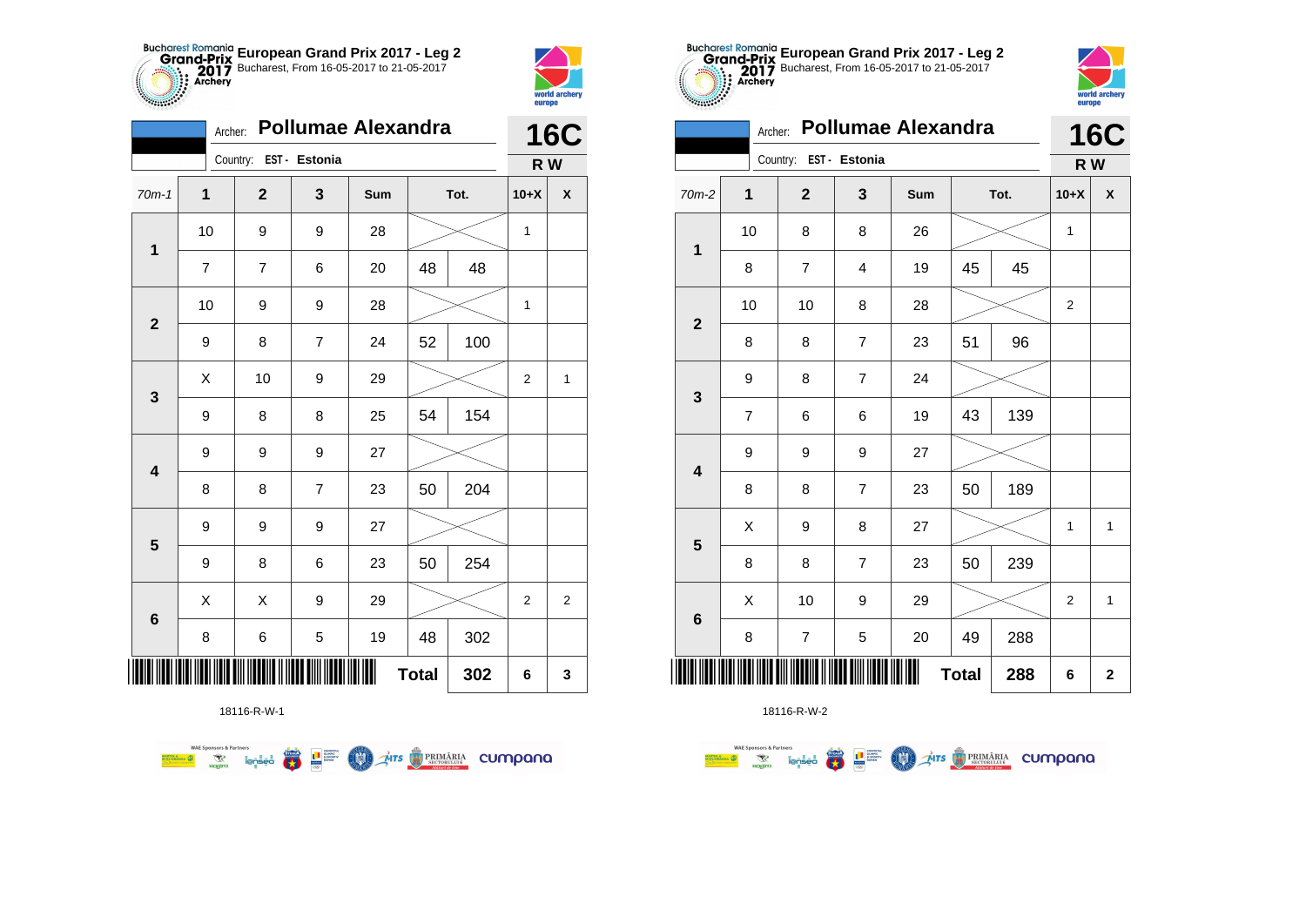



**TABLE** 

|                         | Archer:      |                        |                | <b>Pollumae Alexandra</b> |              |      |        | <b>16C</b>     |  |
|-------------------------|--------------|------------------------|----------------|---------------------------|--------------|------|--------|----------------|--|
|                         |              | Country: EST - Estonia |                |                           |              |      | R W    |                |  |
| $70m-1$                 | $\mathbf{1}$ | $\mathbf{2}$           | 3              | Sum                       |              | Tot. | $10+X$ | X              |  |
|                         | 10           | 9                      | 9              | 28                        |              |      | 1      |                |  |
| $\mathbf 1$             | 7            | 7                      | 6              | 20                        | 48           | 48   |        |                |  |
| $\overline{2}$          | 10           | 9                      | 9              | 28                        |              |      | 1      |                |  |
|                         | 9            | 8                      | $\overline{7}$ | 24                        | 52           | 100  |        |                |  |
| 3                       | Χ            | 10                     | 9              | 29                        |              |      |        | 1              |  |
|                         | 9            | 8                      | 8              | 25                        | 54           | 154  |        |                |  |
| $\overline{\mathbf{4}}$ | 9            | 9                      | 9              | 27                        |              |      |        |                |  |
|                         | 8            | 8                      | $\overline{7}$ | 23                        | 50           | 204  |        |                |  |
| 5                       | 9            | 9                      | 9              | 27                        |              |      |        |                |  |
|                         | 9            | 8                      | 6              | 23                        | 50           | 254  |        |                |  |
| $\boldsymbol{6}$        | Χ            | Χ                      | 9              | 29                        |              |      | 2      | $\overline{2}$ |  |
|                         | 8            | 6                      | 5              | 19                        | 48           | 302  |        |                |  |
| ║║║                     |              |                        |                | Ш                         | <b>Total</b> | 302  | 6      | 3              |  |

**THITS EXPRIMARIA CUMPANA** 



18116-R-W-2

|                          | Archer:      | <b>Pollumae Alexandra</b> |                | <b>16C</b> |    |      |                |              |
|--------------------------|--------------|---------------------------|----------------|------------|----|------|----------------|--------------|
|                          |              | Country: EST - Estonia    |                |            |    |      | R W            |              |
| 70m-2                    | $\mathbf{1}$ | $\overline{2}$            | 3              | Sum        |    | Tot. | $10+X$         | X            |
| $\mathbf{1}$             | 10           | 8                         | 8              | 26         |    |      | 1              |              |
|                          | 8            | $\overline{7}$            | $\overline{4}$ | 19         | 45 | 45   |                |              |
| $\overline{\mathbf{2}}$  | 10           | 10                        | 8              | 28         |    |      | 2              |              |
|                          | 8            | 8                         | $\overline{7}$ | 23         | 51 | 96   |                |              |
| $\mathbf{3}$             | 9            | 8                         | $\overline{7}$ | 24         |    |      |                |              |
|                          | 7            | 6                         | 6              | 19         | 43 | 139  |                |              |
| 4                        | 9            | 9                         | 9              | 27         |    |      |                |              |
|                          | 8            | 8                         | $\overline{7}$ | 23         | 50 | 189  |                |              |
| 5                        | X            | 9                         | 8              | 27         |    |      | 1              | 1            |
|                          | 8            | 8                         | $\overline{7}$ | 23         | 50 | 239  |                |              |
| $6\phantom{1}6$          | Χ            | 10                        | 9              | 29         |    |      | $\overline{2}$ | $\mathbf{1}$ |
|                          | 8            | $\overline{7}$            | 5              | 20         | 49 | 288  |                |              |
| Ш<br><b>Total</b><br>288 |              |                           |                |            |    |      |                | $\mathbf{2}$ |

**European Grand Prix 2017 - Leg 2** Bucharest, From 16-05-2017 to 21-05-2017

world archer

europe

18116-R-W-1

**FRA** 

**L** B SPORTER

**COO** 

**WAE Sponsors & Partners**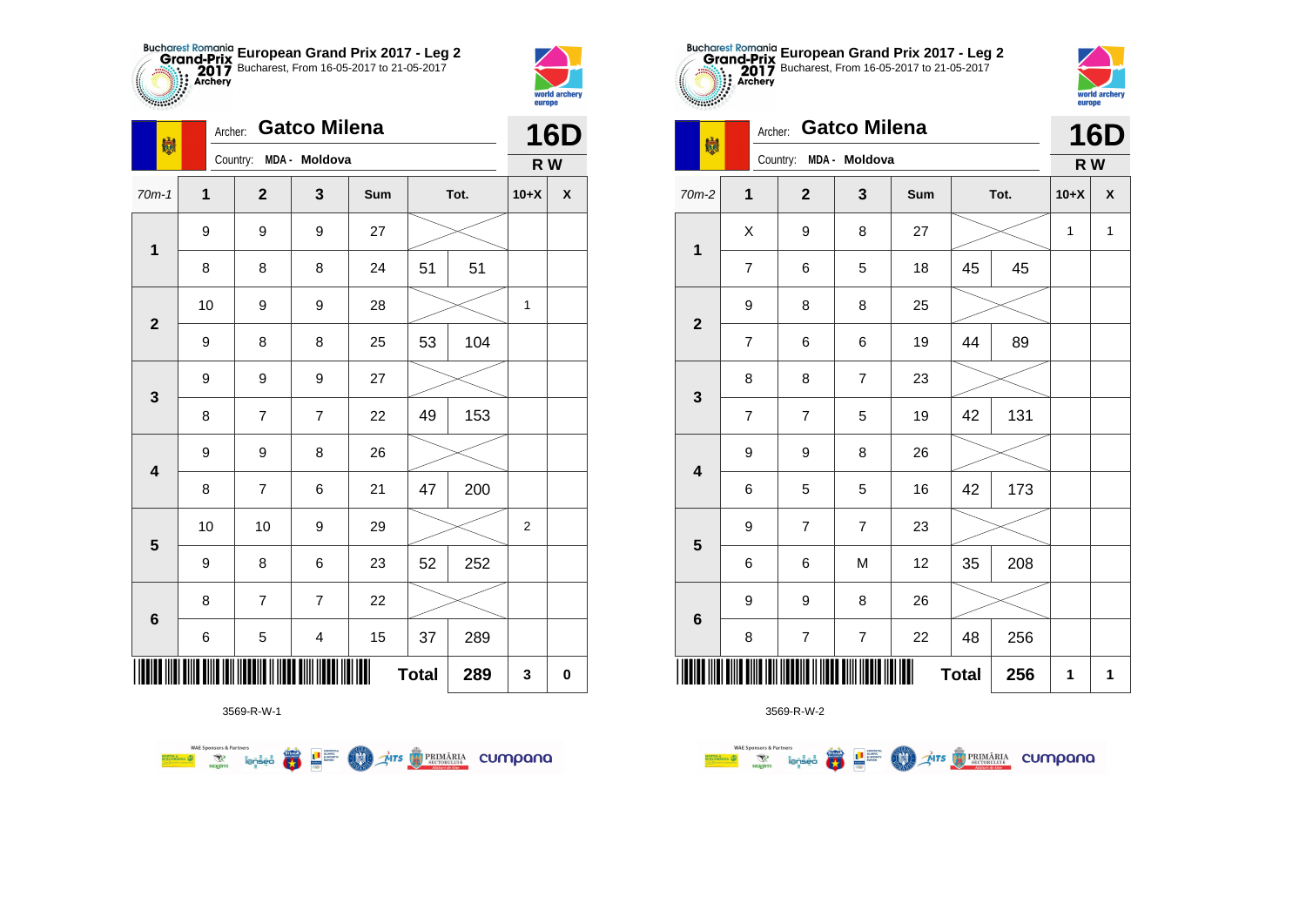



| 喇                       | Archer: | <b>Gatco Milena</b>    |                         |     | <b>16D</b>   |      |                |                    |
|-------------------------|---------|------------------------|-------------------------|-----|--------------|------|----------------|--------------------|
|                         |         | Country: MDA - Moldova |                         |     |              |      | R W            |                    |
| $70m-1$                 | 1       | $\overline{2}$         | $\mathbf{3}$            | Sum |              | Tot. | $10+X$         | $\pmb{\mathsf{X}}$ |
|                         | 9       | 9                      | 9                       | 27  |              |      |                |                    |
| 1                       | 8       | 8                      | 8                       | 24  | 51           | 51   |                |                    |
| $\overline{2}$          | 10      | 9                      | 9                       | 28  |              |      | 1              |                    |
|                         | 9       | 8                      | 8                       | 25  | 53           | 104  |                |                    |
|                         | 9       | 9                      | 9                       | 27  |              |      |                |                    |
| $\mathbf 3$             | 8       | 7                      | $\overline{7}$          | 22  | 49           | 153  |                |                    |
| $\overline{\mathbf{4}}$ | 9       | 9                      | 8                       | 26  |              |      |                |                    |
|                         | 8       | $\overline{7}$         | 6                       | 21  | 47           | 200  |                |                    |
| $\overline{\mathbf{5}}$ | 10      | 10                     | 9                       | 29  |              |      | $\overline{2}$ |                    |
|                         | 9       | 8                      | 6                       | 23  | 52           | 252  |                |                    |
|                         | 8       | 7                      | 7                       | 22  |              |      |                |                    |
| $\bf 6$                 | 6       | 5                      | $\overline{\mathbf{4}}$ | 15  | 37           | 289  |                |                    |
|                         |         |                        |                         |     | <b>Total</b> | 289  | 3              | 0                  |

3569-R-W-1



| $$                      |                |                | europe                   |     |              |      |        |                                |  |  |
|-------------------------|----------------|----------------|--------------------------|-----|--------------|------|--------|--------------------------------|--|--|
| 喇                       | Archer:        |                | <b>Gatco Milena</b>      |     |              |      |        | <b>16D</b><br>X<br>$\mathbf 1$ |  |  |
|                         |                | Country:       | MDA - Moldova            |     |              |      | R W    |                                |  |  |
| $70m-2$                 | $\mathbf{1}$   | $\mathbf 2$    | 3                        | Sum |              | Tot. | $10+X$ |                                |  |  |
| $\mathbf{1}$            | X              | 9              | 8                        | 27  |              |      | 1      |                                |  |  |
|                         | $\overline{7}$ | 6              | 5                        | 18  | 45           | 45   |        |                                |  |  |
| $\mathbf{2}$            | 9              | 8              | 8                        | 25  |              |      |        |                                |  |  |
|                         | $\overline{7}$ | 6              | 6                        | 19  | 44           | 89   |        |                                |  |  |
| $\mathbf 3$             | 8              | 8              | $\overline{7}$           | 23  |              |      |        |                                |  |  |
|                         | $\overline{7}$ | $\overline{7}$ | 5                        | 19  | 42           | 131  |        |                                |  |  |
| $\overline{\mathbf{4}}$ | 9              | 9              | 8                        | 26  |              |      |        |                                |  |  |
|                         | 6              | 5              | 5                        | 16  | 42           | 173  |        |                                |  |  |
|                         | 9              | $\overline{7}$ | $\overline{7}$           | 23  |              |      |        |                                |  |  |
| ${\bf 5}$               | 6              | 6              | M                        | 12  | 35           | 208  |        |                                |  |  |
|                         | 9              | 9              | 8                        | 26  |              |      |        |                                |  |  |
| $\bf 6$                 | 8              | 7              | $\overline{\mathcal{I}}$ | 22  | 48           | 256  |        |                                |  |  |
|                         |                |                |                          |     | <b>Total</b> | 256  | 1      | 1                              |  |  |

**European Grand Prix 2017 - Leg 2** Bucharest, From 16-05-2017 to 21-05-2017



|                  | 8                                                           |            |                                                                                 | 22  | 48           | 256            |
|------------------|-------------------------------------------------------------|------------|---------------------------------------------------------------------------------|-----|--------------|----------------|
|                  | <u>. TENIN BINI BINI NIN MELANI N MELE DINI MELI MI MEL</u> |            |                                                                                 |     | <b>Total</b> | 256            |
|                  |                                                             | 3569-R-W-2 |                                                                                 |     |              |                |
| MARTIN & VICTION | <b>WAE Sponsors &amp; Partners</b>                          | $\sim$     | <b>CONTETUL</b><br>STEAM<br><b>OLIMPIC</b><br><b>SI SPORTIV</b><br><b>BOMAN</b> | MTS | PRIMĂRIA     | $\overline{C}$ |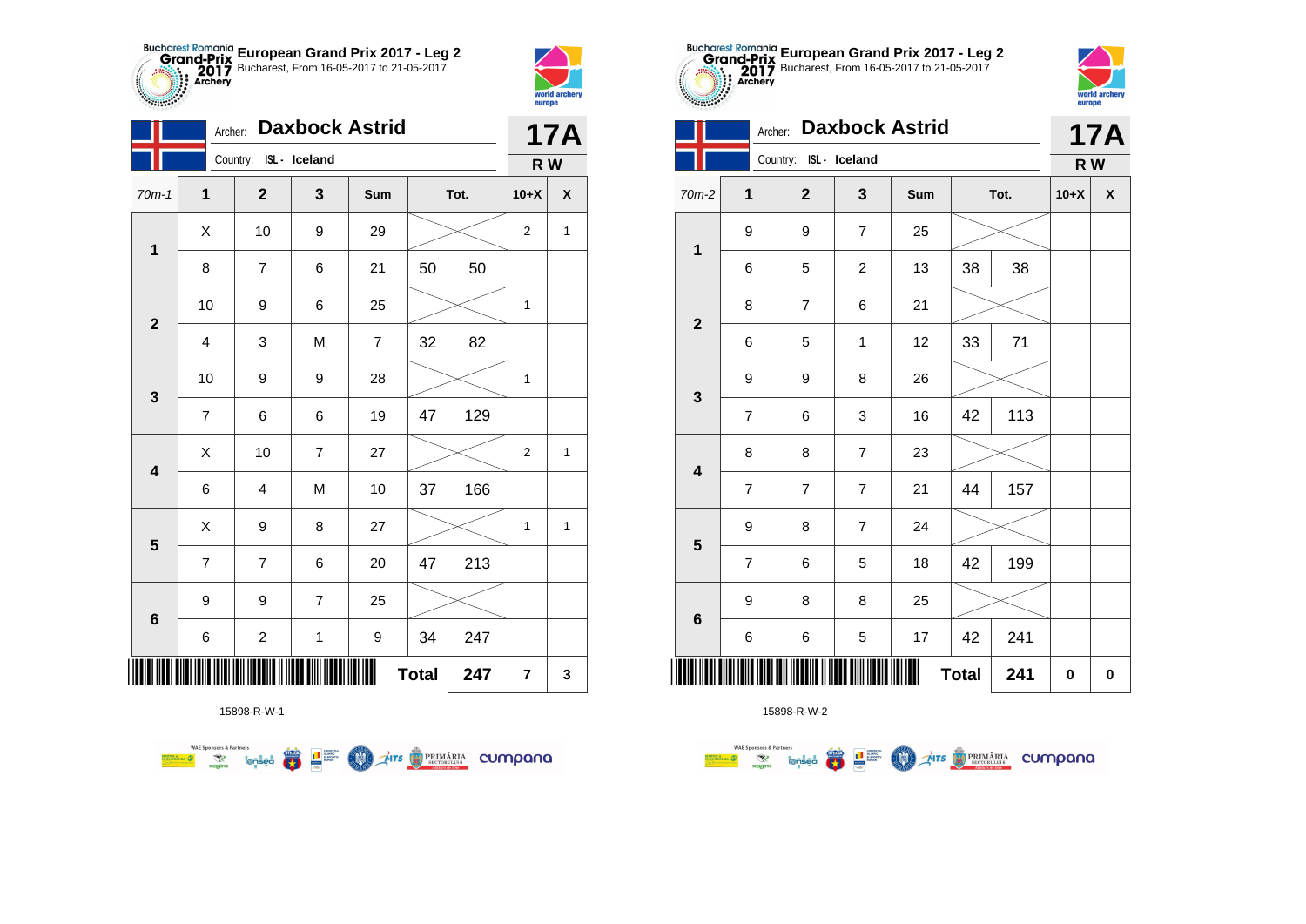



|                         | Archer:                 |                         |                | <b>Daxbock Astrid</b> |              |      |                | <b>17A</b> |
|-------------------------|-------------------------|-------------------------|----------------|-----------------------|--------------|------|----------------|------------|
|                         |                         | Country: ISL - Iceland  |                |                       |              |      | R W            |            |
| $70m-1$                 | $\mathbf{1}$            | $\mathbf 2$             | 3              | Sum                   |              | Tot. | $10+X$         | X          |
| $\mathbf{1}$            | Χ                       | 10                      | 9              | 29                    |              |      |                | 1          |
|                         | 8                       | $\overline{7}$          | 6              | 21                    | 50           | 50   |                |            |
| $\mathbf{2}$            | $10$                    | 9                       | 6              | 25                    |              |      | $\mathbf 1$    |            |
|                         | $\overline{\mathbf{4}}$ | 3                       | M              | $\overline{7}$        | 32           | 82   |                |            |
| 3                       | 10                      | 9                       | 9              | 28                    |              |      | 1              |            |
|                         | 7                       | 6                       | 6              | 19                    | 47           | 129  |                |            |
| $\overline{\mathbf{4}}$ | X                       | 10                      | $\overline{7}$ | 27                    |              |      | $\overline{2}$ | 1          |
|                         | 6                       | 4                       | M              | 10                    | 37           | 166  |                |            |
| $\overline{\mathbf{5}}$ | Χ                       | 9                       | 8              | 27                    |              |      | 1              | 1          |
|                         | $\overline{7}$          | $\overline{7}$          | 6              | 20                    | 47           | 213  |                |            |
| 6                       | $\boldsymbol{9}$        | 9                       | $\overline{7}$ | 25                    |              |      |                |            |
|                         | 6                       | $\overline{\mathbf{c}}$ | $\mathbf 1$    | 9                     | 34           | 247  |                |            |
|                         |                         |                         |                | Ш                     | <b>Total</b> | 247  | 7              | 3          |

**COLORED PRIMARIA CUMPANA** 



15898-R-W-2

| <b><i>PASSAGE</i></b> | europe         |                |                       |     |              |      |     |                 |  |
|-----------------------|----------------|----------------|-----------------------|-----|--------------|------|-----|-----------------|--|
|                       | Archer:        |                | <b>Daxbock Astrid</b> |     |              |      |     | <b>17A</b><br>X |  |
|                       |                | Country:       | ISL- Iceland          |     |              |      | R W |                 |  |
| $70m-2$               | 1              | $\overline{2}$ | 3                     | Sum |              | Tot. |     |                 |  |
| $\mathbf 1$           | 9              | 9              | $\overline{7}$        | 25  |              |      |     |                 |  |
|                       | 6              | 5              | $\overline{c}$        | 13  | 38           | 38   |     |                 |  |
| $\overline{2}$        | 8              | $\overline{7}$ | 6                     | 21  |              |      |     |                 |  |
|                       | 6              | 5              | 1                     | 12  | 33           | 71   |     |                 |  |
| 3                     | 9              | 9              | 8                     | 26  |              |      |     |                 |  |
|                       | $\overline{7}$ | 6              | 3                     | 16  | 42           | 113  |     |                 |  |
|                       | 8              | 8              | $\overline{7}$        | 23  |              |      |     |                 |  |
| 4                     | $\overline{7}$ | $\overline{7}$ | $\overline{7}$        | 21  | 44           | 157  |     |                 |  |
|                       | 9              | 8              | 7                     | 24  |              |      |     |                 |  |
| 5                     | 7              | 6              | 5                     | 18  | 42           | 199  |     |                 |  |
| $6\phantom{1}6$       | 9              | 8              | 8                     | 25  |              |      |     |                 |  |
|                       | 6              | 6              | 5                     | 17  | 42           | 241  |     |                 |  |
|                       |                |                |                       |     | <b>Total</b> | 241  | 0   | 0               |  |

**European Grand Prix 2017 - Leg 2** Bucharest, From 16-05-2017 to 21-05-2017

rorld arche

15898-R-W-1

**Excession of the Second Contract of the Contract of Second Contract of the Contract of Second Contract of Second Contract of Second Contract of Second Contract of Second Contract of Second Contract of Second Contract of S** 

**WAE Sponsors & Partners**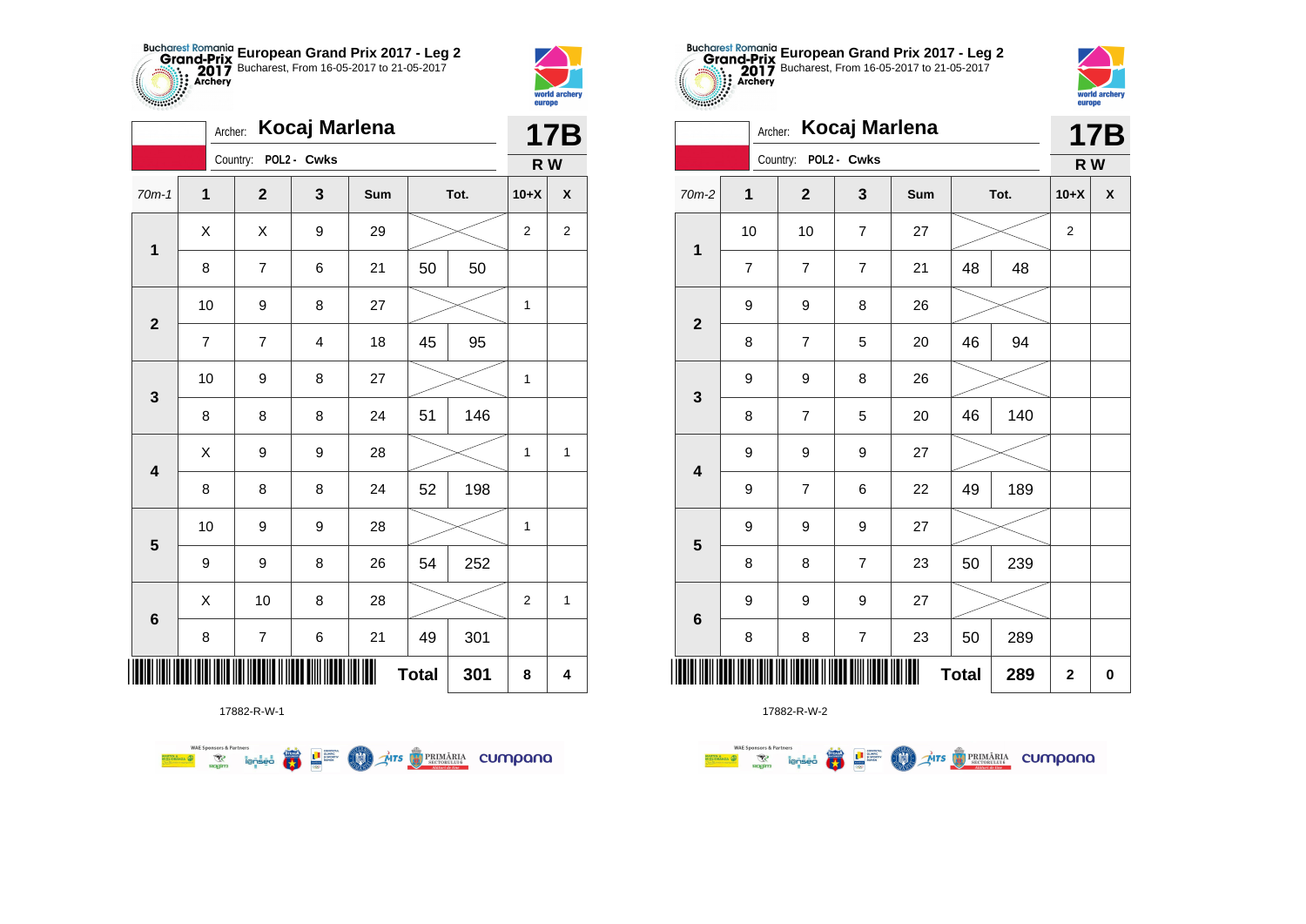



**STATISTICS** 

|                         | Archer:      |                      | Kocaj Marlena |     |              |      |                | <b>17B</b>         |
|-------------------------|--------------|----------------------|---------------|-----|--------------|------|----------------|--------------------|
|                         |              | Country: POL2 - Cwks |               |     |              |      | R W            |                    |
| $70m-1$                 | $\mathbf{1}$ | $\mathbf{2}$         | 3             | Sum |              | Tot. | $10+X$         | $\pmb{\mathsf{X}}$ |
| $\mathbf 1$             | X            | X                    | 9             | 29  |              |      | $\overline{2}$ | $\boldsymbol{2}$   |
|                         | 8            | $\overline{7}$       | 6             | 21  | 50           | 50   |                |                    |
| $\mathbf{2}$            | 10           | 9                    | 8             | 27  |              |      | 1              |                    |
|                         | 7            | 7                    | 4             | 18  | 45           | 95   |                |                    |
| 3                       | 10           | 9                    | 8             | 27  |              |      | 1              |                    |
|                         | 8            | 8                    | 8             | 24  | 51           | 146  |                |                    |
| $\overline{\mathbf{4}}$ | Χ            | 9                    | 9             | 28  |              |      | $\mathbf{1}$   | $\mathbf{1}$       |
|                         | 8            | 8                    | 8             | 24  | 52           | 198  |                |                    |
| $\overline{\mathbf{5}}$ | 10           | 9                    | 9             | 28  |              |      | $\mathbf{1}$   |                    |
|                         | 9            | 9                    | 8             | 26  | 54           | 252  |                |                    |
| 6                       | X            | 10                   | 8             | 28  |              |      | 2              | $\mathbf{1}$       |
|                         | 8            | $\boldsymbol{7}$     | 6             | 21  | 49           | 301  |                |                    |
|                         |              |                      |               |     | <b>Total</b> | 301  | 8              | 4                  |

**THITS EXPRIMARIA CUMPANA** 



17882-R-W-2

| 00000                   |                |                      | Archer: Kocaj Marlena |     |              |     |             | <b>17B</b>         |
|-------------------------|----------------|----------------------|-----------------------|-----|--------------|-----|-------------|--------------------|
|                         |                | Country: POL2 - Cwks |                       |     |              |     | R W         |                    |
| 70m-2                   | 1              | $\mathbf{2}$         | 3                     | Sum | Tot.         |     | $10+X$      | $\pmb{\mathsf{X}}$ |
| $\mathbf 1$             | 10             | 10                   | $\overline{7}$        | 27  |              |     | 2           |                    |
|                         | $\overline{7}$ | $\overline{7}$       | $\overline{7}$        | 21  | 48           | 48  |             |                    |
| $\overline{2}$          | 9              | 9                    | 8                     | 26  |              |     |             |                    |
|                         | 8              | $\overline{7}$       | 5                     | 20  | 46           | 94  |             |                    |
| $\mathbf{3}$            | 9              | 9                    | 8                     | 26  |              |     |             |                    |
|                         | 8              | $\overline{7}$       | 5                     | 20  | 46           | 140 |             |                    |
| $\overline{\mathbf{4}}$ | 9              | 9                    | 9                     | 27  |              |     |             |                    |
|                         | 9              | 7                    | 6                     | 22  | 49           | 189 |             |                    |
| 5                       | 9              | 9                    | 9                     | 27  |              |     |             |                    |
|                         | 8              | 8                    | $\overline{7}$        | 23  | 50           | 239 |             |                    |
| $\bf 6$                 | 9              | 9                    | 9                     | 27  |              |     |             |                    |
|                         | 8              | 8                    | 7                     | 23  | 50           | 289 |             |                    |
|                         |                |                      |                       |     | <b>Total</b> | 289 | $\mathbf 2$ | $\pmb{0}$          |

**European Grand Prix 2017 - Leg 2** Bucharest, From 16-05-2017 to 21-05-2017

world archer

europe

17882-R-W-1

● ■

**COND** 

**WAE Sponsors & Partners**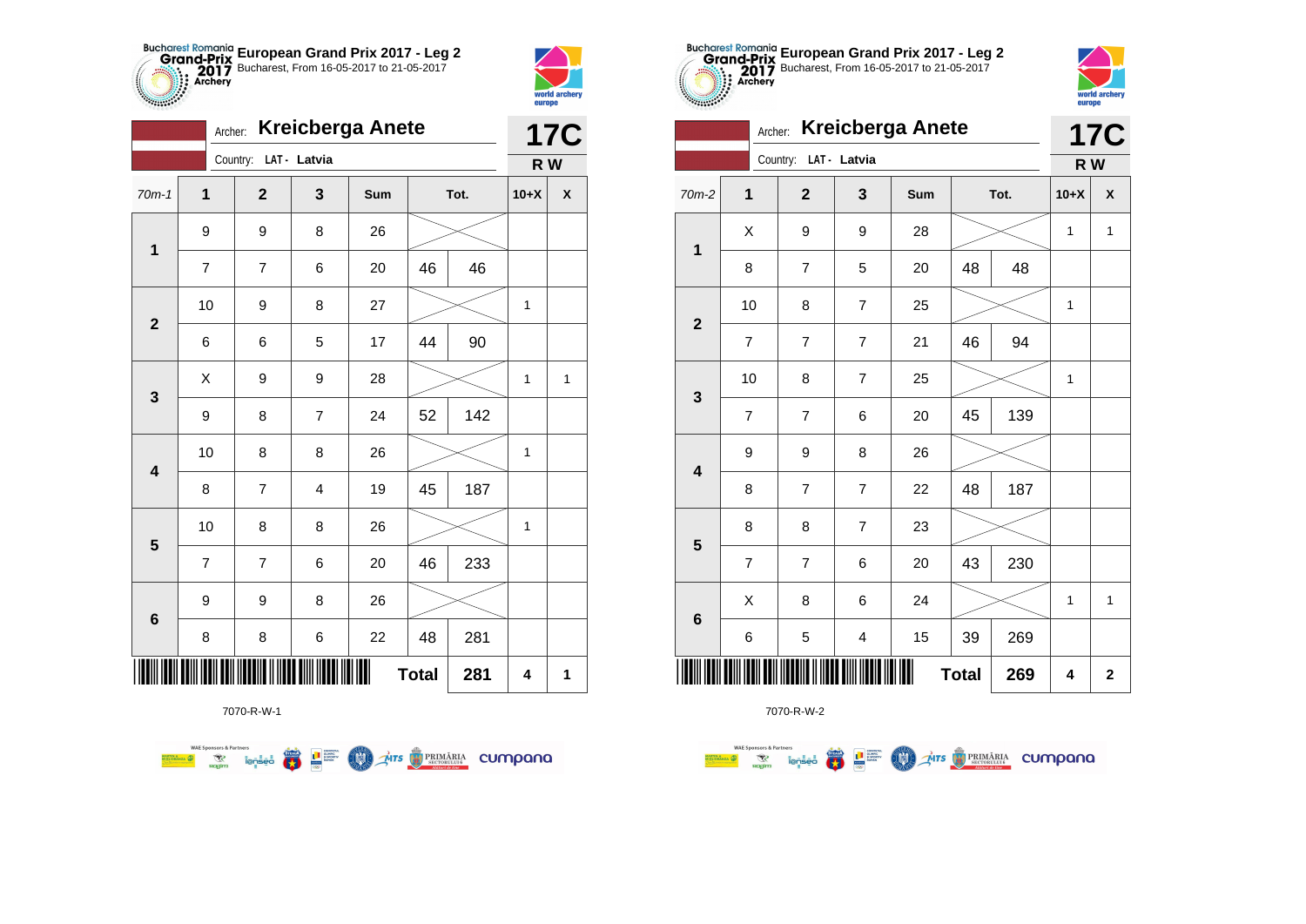



|                         |                | Archer: |                       |                         |    | <b>Kreicberga Anete</b><br>Tot.<br>Sum<br>26<br>20<br>46<br>27<br>44<br>17<br>28<br>52<br>24<br>26 |     |        | <b>17C</b>   |
|-------------------------|----------------|---------|-----------------------|-------------------------|----|----------------------------------------------------------------------------------------------------|-----|--------|--------------|
|                         |                |         | Country: LAT - Latvia |                         |    |                                                                                                    |     | R W    |              |
| $70m-1$                 | 1              |         | $\overline{2}$        | 3                       |    |                                                                                                    |     | $10+X$ | X            |
| $\mathbf 1$             | 9              | 9<br>8  |                       |                         |    |                                                                                                    |     |        |              |
|                         | 7              |         | 7                     | 6                       |    |                                                                                                    | 46  |        |              |
| $\overline{2}$          | 10             |         | 9                     | 8                       |    |                                                                                                    |     | 1      |              |
|                         | 6              |         | 6                     | 5                       |    |                                                                                                    | 90  |        |              |
| 3                       | X              |         | 9                     | 9                       |    |                                                                                                    |     | 1      | 1            |
|                         | 9              |         | 8                     | $\overline{7}$          |    |                                                                                                    | 142 |        |              |
| $\overline{\mathbf{4}}$ | 10             |         | 8                     | 8                       |    |                                                                                                    |     | 1      |              |
|                         | 8              |         | $\overline{7}$        | $\overline{\mathbf{4}}$ | 19 | 45                                                                                                 | 187 |        |              |
| 5                       | 10             |         | 8                     | 8                       | 26 |                                                                                                    |     | 1      |              |
|                         | $\overline{7}$ |         | $\overline{7}$        | 6                       | 20 | 46                                                                                                 | 233 |        |              |
| $\bf 6$                 | 9              |         | 9                     | 8                       | 26 |                                                                                                    |     |        |              |
|                         | 8              |         | 8                     | 6                       | 22 | 48                                                                                                 | 281 |        |              |
|                         |                |         |                       |                         | Ш  | <b>Total</b>                                                                                       | 281 | 4      | $\mathbf{1}$ |



7070-R-W-2

|         | Country: LAT - Latvia<br>$\mathbf 1$<br>$\overline{\mathbf{2}}$<br>3<br>Sum<br>Tot.<br>X<br>9<br>9<br>28<br>$\mathbf{1}$<br>48<br>48<br>8<br>$\overline{\mathbf{7}}$<br>5<br>$20\,$<br>10<br>8<br>$\overline{\mathbf{7}}$<br>25<br>$\mathbf{2}$<br>94<br>46<br>$\overline{\mathbf{7}}$<br>$\boldsymbol{7}$<br>$\overline{7}$<br>21<br>10<br>8<br>$\overline{\mathbf{7}}$<br>25<br>3<br>139<br>45<br>$\overline{7}$<br>$\overline{\mathbf{7}}$<br>6<br>20<br>9<br>9<br>8<br>26<br>$\overline{\mathbf{4}}$<br>187<br>8<br>$\overline{\mathbf{7}}$<br>$\overline{\mathbf{7}}$<br>48<br>22<br>8<br>8<br>$\overline{\mathbf{7}}$<br>23<br>$\overline{\mathbf{5}}$<br>230<br>$\overline{\mathcal{I}}$<br>$\overline{\mathbf{7}}$<br>20<br>43<br>6<br>X<br>8<br>6<br>24 |   |                                               |    |              |     | R W    |                    |
|---------|------------------------------------------------------------------------------------------------------------------------------------------------------------------------------------------------------------------------------------------------------------------------------------------------------------------------------------------------------------------------------------------------------------------------------------------------------------------------------------------------------------------------------------------------------------------------------------------------------------------------------------------------------------------------------------------------------------------------------------------------------------------|---|-----------------------------------------------|----|--------------|-----|--------|--------------------|
| $70m-2$ |                                                                                                                                                                                                                                                                                                                                                                                                                                                                                                                                                                                                                                                                                                                                                                  |   |                                               |    |              |     | $10+X$ | $\pmb{\mathsf{X}}$ |
|         |                                                                                                                                                                                                                                                                                                                                                                                                                                                                                                                                                                                                                                                                                                                                                                  |   |                                               |    |              |     | 1      | $\mathbf{1}$       |
|         |                                                                                                                                                                                                                                                                                                                                                                                                                                                                                                                                                                                                                                                                                                                                                                  |   |                                               |    |              |     |        |                    |
|         |                                                                                                                                                                                                                                                                                                                                                                                                                                                                                                                                                                                                                                                                                                                                                                  |   |                                               |    |              |     | 1      |                    |
|         |                                                                                                                                                                                                                                                                                                                                                                                                                                                                                                                                                                                                                                                                                                                                                                  |   |                                               |    |              |     |        |                    |
|         |                                                                                                                                                                                                                                                                                                                                                                                                                                                                                                                                                                                                                                                                                                                                                                  |   |                                               |    |              |     | 1      |                    |
|         |                                                                                                                                                                                                                                                                                                                                                                                                                                                                                                                                                                                                                                                                                                                                                                  |   |                                               |    |              |     |        |                    |
|         |                                                                                                                                                                                                                                                                                                                                                                                                                                                                                                                                                                                                                                                                                                                                                                  |   |                                               |    |              |     |        |                    |
|         |                                                                                                                                                                                                                                                                                                                                                                                                                                                                                                                                                                                                                                                                                                                                                                  |   |                                               |    |              |     |        |                    |
|         |                                                                                                                                                                                                                                                                                                                                                                                                                                                                                                                                                                                                                                                                                                                                                                  |   |                                               |    |              |     |        |                    |
|         |                                                                                                                                                                                                                                                                                                                                                                                                                                                                                                                                                                                                                                                                                                                                                                  |   |                                               |    |              |     |        |                    |
|         |                                                                                                                                                                                                                                                                                                                                                                                                                                                                                                                                                                                                                                                                                                                                                                  |   |                                               |    |              |     | 1      | $\mathbf{1}$       |
| $\bf 6$ | 6                                                                                                                                                                                                                                                                                                                                                                                                                                                                                                                                                                                                                                                                                                                                                                | 5 | 4                                             | 15 | 39           | 269 |        |                    |
|         |                                                                                                                                                                                                                                                                                                                                                                                                                                                                                                                                                                                                                                                                                                                                                                  |   | TIT TIIII II <mark>IIII</mark> II <b>II</b> I |    | <b>Total</b> | 269 | 4      | $\mathbf 2$        |

**European Grand Prix 2017 - Leg 2** Bucharest, From 16-05-2017 to 21-05-2017

**17C**

world archer<br>europe

Archer: **Kreicberga Anete**

Country: **LAT - Latvia**

**WAE Sponsors & Partners THE STRIMARIA CUMPANA** 第 2章 **COO** 

7070-R-W-1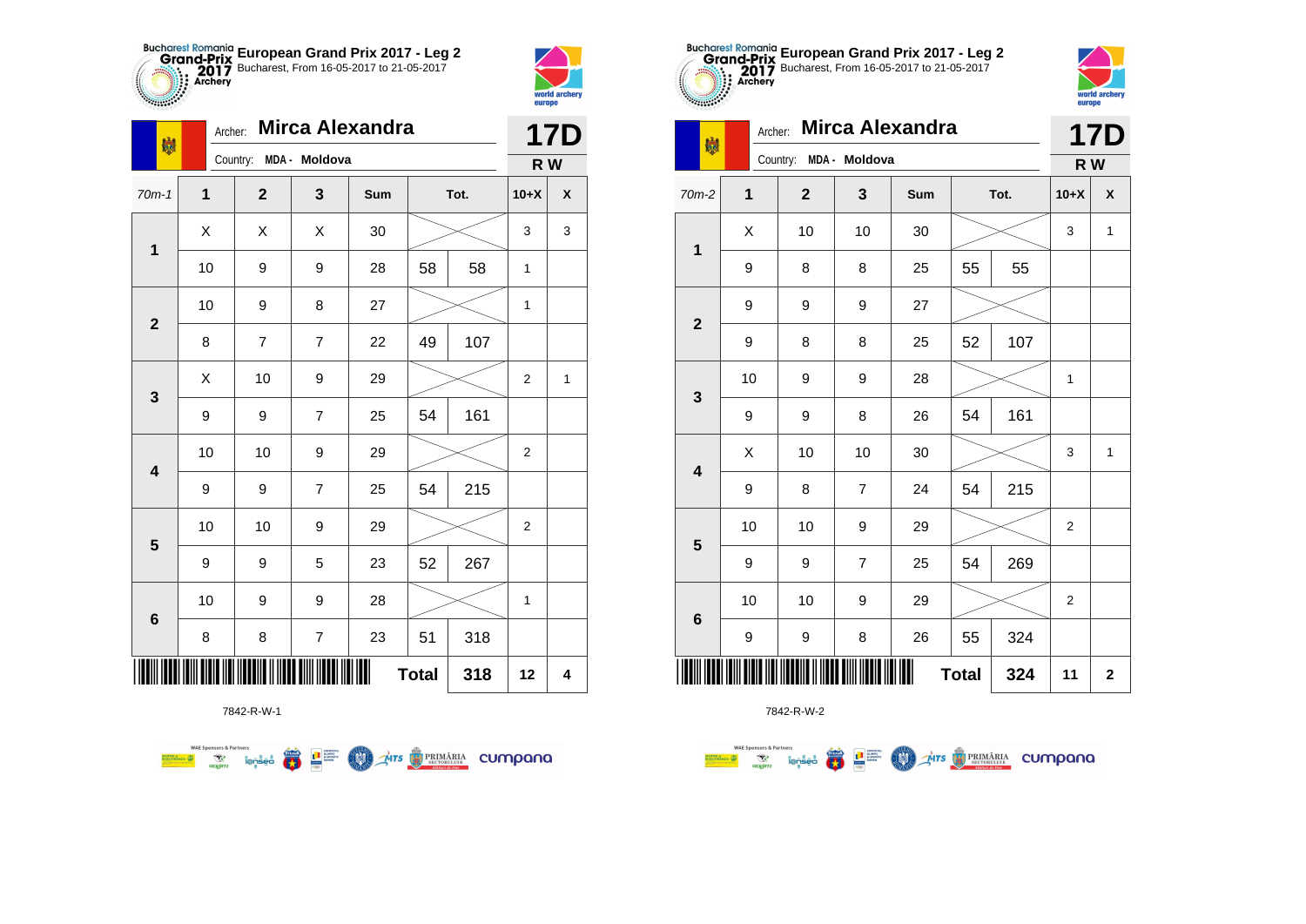



| 喇                       | Archer:     |                        |                          | <b>Mirca Alexandra</b> |              |      |                | <b>17D</b> |
|-------------------------|-------------|------------------------|--------------------------|------------------------|--------------|------|----------------|------------|
|                         |             | Country: MDA - Moldova |                          |                        |              |      | R W            |            |
| $70m-1$                 | $\mathbf 1$ | $\mathbf{2}$           | 3                        | Sum                    |              | Tot. | $10+X$         | X          |
| $\mathbf{1}$            | X           | Χ                      | X                        | 30                     |              |      | 3              | 3          |
|                         | 10          | 9                      | 9                        | 28                     | 58           | 58   | 1              |            |
| $\mathbf{2}$            | 10          | 9                      | 8                        | 27                     |              |      | 1              |            |
|                         | 8           | $\overline{7}$         | $\overline{7}$           | 22                     | 49           | 107  |                |            |
| 3                       | Χ           | 10                     | 9                        | 29                     |              |      | $\overline{2}$ | 1          |
|                         | 9           | 9                      | $\overline{7}$           | 25                     | 54           | 161  |                |            |
| $\overline{\mathbf{4}}$ | 10          | 10                     | 9                        | 29                     |              |      | $\overline{2}$ |            |
|                         | 9           | 9                      | $\overline{7}$           | 25                     | 54           | 215  |                |            |
| 5                       | 10          | 10                     | 9                        | 29                     |              |      | 2              |            |
|                         | 9           | 9                      | 5                        | 23                     | 52           | 267  |                |            |
| 6                       | 10          | 9                      | 9                        | 28                     |              |      | 1              |            |
|                         | 8           | 8                      | $\overline{\mathcal{I}}$ | 23                     | 51           | 318  |                |            |
|                         |             |                        |                          |                        | <b>Total</b> | 318  | 12             | 4          |

7842-R-W-1

**WAE Sponsors & Partners THE STRIMARIA CUMPANA** ● ■ **COND** 



**THE** 

7842-R-W-2

| $\cdots$                |         |                         |                |                        |              |      | <u>varvpo</u>    |              |
|-------------------------|---------|-------------------------|----------------|------------------------|--------------|------|------------------|--------------|
| 喇                       | Archer: |                         |                | <b>Mirca Alexandra</b> |              |      |                  | <b>17D</b>   |
|                         |         | Country:                | MDA - Moldova  |                        |              |      | R W              |              |
| $70m-2$                 | 1       | $\overline{\mathbf{2}}$ | 3              | <b>Sum</b>             |              | Tot. | $10+X$           | X            |
| 1                       | X       | 10                      | 10             | 30                     |              |      | 3                | $\mathbf{1}$ |
|                         | 9       | 8                       | 8              | 25                     | 55           | 55   |                  |              |
| $\mathbf 2$             | 9       | 9                       | 9              | 27                     |              |      |                  |              |
|                         | 9       | 8                       | 8              | 25                     | 52           | 107  |                  |              |
| 3                       | 10      | 9                       | 9              | 28                     |              |      | 1                |              |
|                         | 9       | 9                       | 8              | 26                     | 54           | 161  |                  |              |
| $\overline{\mathbf{4}}$ | Χ       | 10                      | 10             | 30                     |              |      | 3                | $\mathbf{1}$ |
|                         | 9       | 8                       | $\overline{7}$ | 24                     | 54           | 215  |                  |              |
| ${\bf 5}$               | 10      | 10                      | 9              | 29                     |              |      | $\boldsymbol{2}$ |              |
|                         | 9       | 9                       | $\overline{7}$ | 25                     | 54           | 269  |                  |              |
| $\bf 6$                 | 10      | 10                      | 9              | 29                     |              |      | $\overline{2}$   |              |
|                         | 9       | 9                       | 8              | 26                     | 55           | 324  |                  |              |
|                         |         |                         |                |                        | <b>Total</b> | 324  | 11               | $\bf{2}$     |
|                         |         |                         |                |                        |              |      |                  |              |



| $70m-2$                 | $\mathbf 1$ | $\mathbf{2}$ | 3                | Sum |              | Tot. | $10+X$                    | $\pmb{\mathsf{X}}$ |
|-------------------------|-------------|--------------|------------------|-----|--------------|------|---------------------------|--------------------|
| $\mathbf{1}$            | X           | 10           | 10               | 30  |              |      | $\ensuremath{\mathsf{3}}$ | $\mathbf{1}$       |
|                         | 9           | 8            | 8                | 25  | 55           | 55   |                           |                    |
| $\mathbf{2}$            | 9           | 9            | 9                | 27  |              |      |                           |                    |
|                         | 9           | 8            | 8                | 25  | 52           | 107  |                           |                    |
| $\mathbf{3}$            | 10          | 9            | 9                | 28  |              |      | 1                         |                    |
|                         | 9           | 9            | 8                | 26  | 54           | 161  |                           |                    |
| $\overline{\mathbf{4}}$ | X           | 10           | 10               | 30  |              |      | $\ensuremath{\mathsf{3}}$ | $\mathbf 1$        |
|                         | 9           | 8            | $\boldsymbol{7}$ | 24  | 54           | 215  |                           |                    |
| $5\phantom{1}$          | 10          | 10           | 9                | 29  |              |      | $\boldsymbol{2}$          |                    |
|                         | 9           | 9            | $\boldsymbol{7}$ | 25  | 54           | 269  |                           |                    |
| $\bf 6$                 | 10          | $10$         | 9                | 29  |              |      | $\boldsymbol{2}$          |                    |
|                         | 9           | 9            | 8                | 26  | 55           | 324  |                           |                    |
| IIII                    |             |              |                  |     | <b>Total</b> | 324  | 11                        | $\mathbf 2$        |

**European Grand Prix 2017 - Leg 2** Bucharest, From 16-05-2017 to 21-05-2017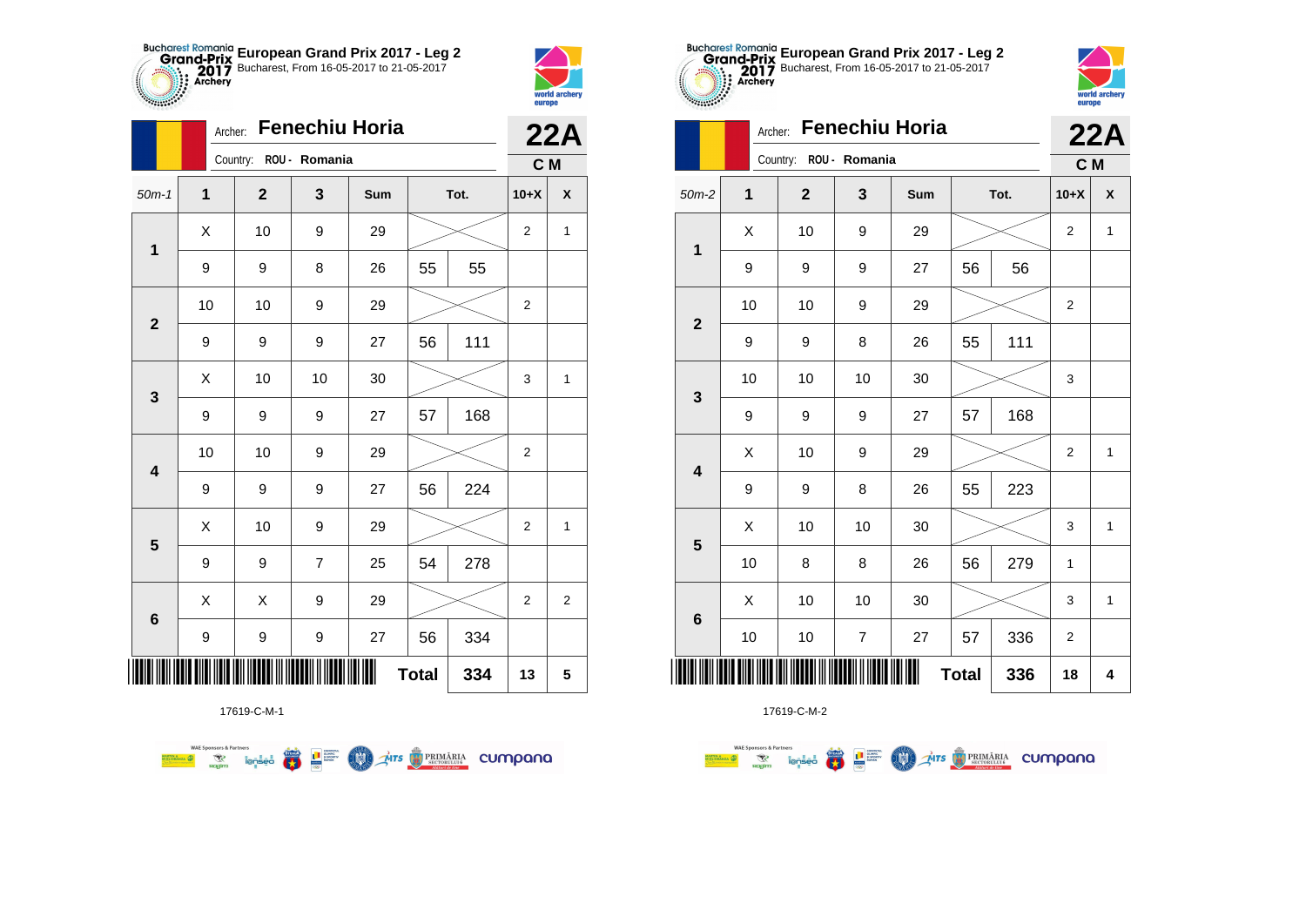



|                         | Archer:        |                        |                | <b>Fenechiu Horia</b> |              |      |                  | 22A                |
|-------------------------|----------------|------------------------|----------------|-----------------------|--------------|------|------------------|--------------------|
|                         |                | Country: ROU - Romania |                |                       |              |      | C M              |                    |
| $50m-1$                 | $\overline{1}$ | $\mathbf{2}$           | 3              | Sum                   |              | Tot. | $10+X$           | $\pmb{\mathsf{X}}$ |
| 1                       | Χ              | 10                     | 9              | 29                    |              |      | $\mathbf{2}$     | $\mathbf{1}$       |
|                         | 9              | 9                      | 8              | 26                    | 55           | 55   |                  |                    |
| $\mathbf{2}$            | 10             | 10                     | 9              | 29                    |              |      | $\overline{2}$   |                    |
|                         | 9              | 9                      | 9              | 27                    | 56           | 111  |                  |                    |
| 3                       | Χ              | 10                     | 10             | 30                    |              |      | 3                | 1                  |
|                         | 9              | 9                      | 9              | 27                    | 57           | 168  |                  |                    |
| $\overline{\mathbf{4}}$ | 10             | 10                     | 9              | 29                    |              |      | $\overline{2}$   |                    |
|                         | 9              | 9                      | 9              | 27                    | 56           | 224  |                  |                    |
| 5                       | X              | 10                     | 9              | 29                    |              |      | $\overline{2}$   | $\mathbf{1}$       |
|                         | 9              | 9                      | $\overline{7}$ | 25                    | 54           | 278  |                  |                    |
| $\bf 6$                 | X              | Χ                      | 9              | 29                    |              |      | $\boldsymbol{2}$ | $\overline{c}$     |
|                         | 9              | 9                      | 9              | 27                    | 56           | 334  |                  |                    |
|                         |                |                        |                |                       | <b>Total</b> | 334  | 13               | 5                  |

Mrs PRIMÁRIA CUMpana



17619-C-M-2

|                         | Archer: |             |                  | <b>Fenechiu Horia</b> |              |     | <u></u> .               | <b>22A</b>   |
|-------------------------|---------|-------------|------------------|-----------------------|--------------|-----|-------------------------|--------------|
|                         |         | Country:    | ROU - Romania    |                       |              |     | C M                     |              |
| $50m-2$                 | 1       | $\mathbf 2$ | 3                | Sum                   | Tot.         |     | $10+X$                  | X            |
| $\mathbf 1$             | X       | 10          | 9                | 29                    |              |     |                         | 1            |
|                         | 9       | 9           | $\boldsymbol{9}$ | 27                    | 56           | 56  |                         |              |
| $\mathbf{2}$            | 10      | 10          | 9                | 29                    |              |     | $\overline{\mathbf{c}}$ |              |
|                         | 9       | 9           | 8                | 26                    | 55           | 111 |                         |              |
| 3                       | 10      | 10          | 10               | 30                    |              |     | 3                       |              |
|                         | 9       | 9           | 9                | 27                    | 57           | 168 |                         |              |
| $\overline{\mathbf{4}}$ | X       | 10          | 9                | 29                    |              |     | $\overline{2}$          | 1            |
|                         | 9       | 9           | 8                | 26                    | 55           | 223 |                         |              |
| 5                       | X       | 10          | 10               | 30                    |              |     | 3                       | 1            |
|                         | 10      | 8           | 8                | 26                    | 56           | 279 | 1                       |              |
| $6\phantom{1}6$         | X       | 10          | 10               | 30                    |              |     | 3                       | $\mathbf{1}$ |
|                         | 10      | 10          | $\overline{7}$   | 27                    | 57           | 336 | 2                       |              |
|                         |         |             |                  |                       | <b>Total</b> | 336 | 18                      | 4            |

**European Grand Prix 2017 - Leg 2** Bucharest, From 16-05-2017 to 21-05-2017

world arche

17619-C-M-1

● ■

**COND** 

**WAE Sponsors & Partners**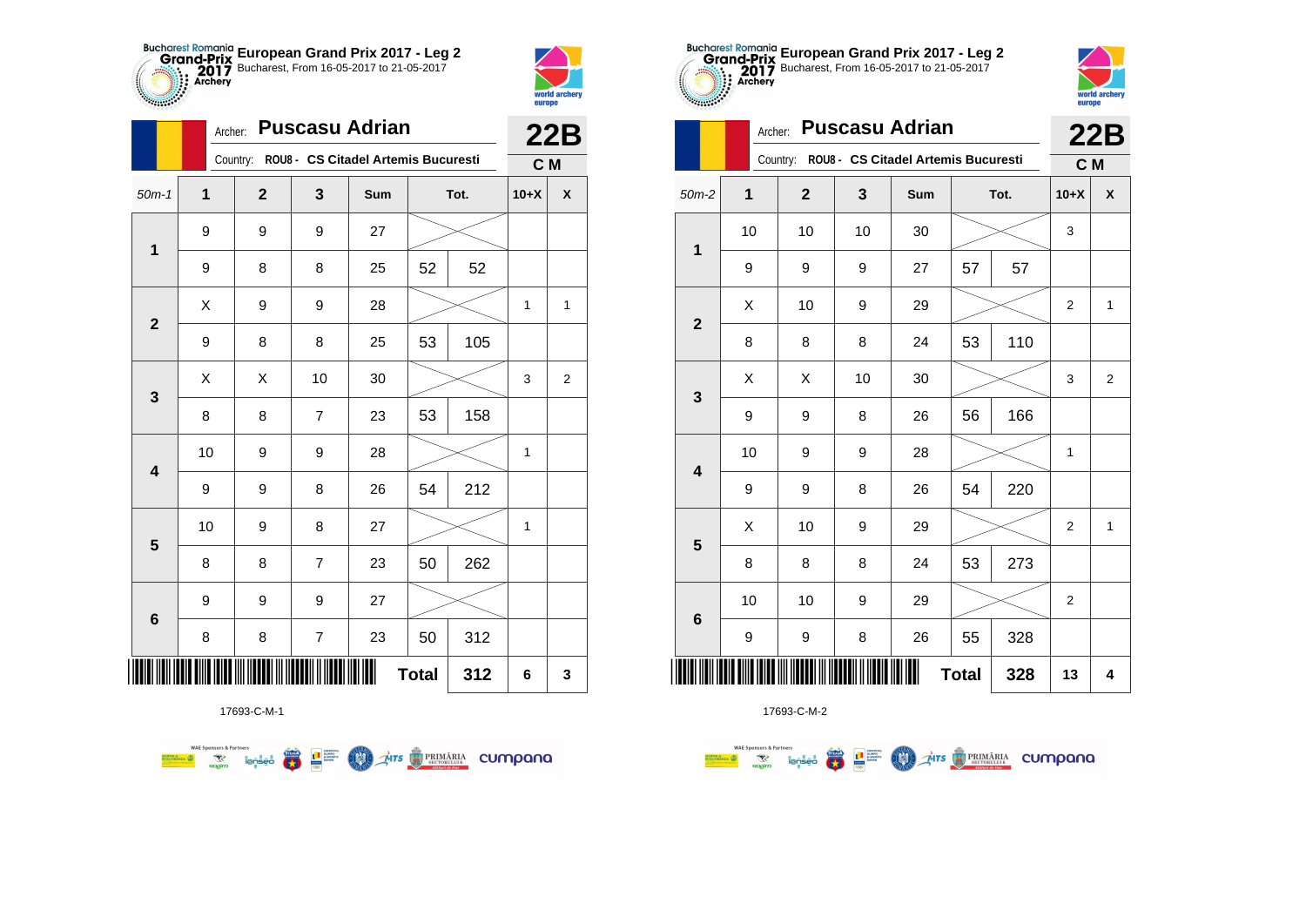



|              | Archer:     |                         |                          | <b>Puscasu Adrian</b>                        |              |      |              | 22B          |
|--------------|-------------|-------------------------|--------------------------|----------------------------------------------|--------------|------|--------------|--------------|
|              |             |                         |                          | Country: ROU8 - CS Citadel Artemis Bucuresti |              |      | C M          |              |
| $50m-1$      | $\mathbf 1$ | $\overline{\mathbf{2}}$ | 3                        | Sum                                          |              | Tot. | $10+X$       | X            |
| $\mathbf{1}$ | 9           | 9                       | 9                        | 27                                           |              |      |              |              |
|              | 9           | 8                       | 8                        | 25                                           | 52           | 52   |              |              |
| $\mathbf{2}$ | X           | 9                       | 9                        | 28                                           |              |      | $\mathbf{1}$ | $\mathbf{1}$ |
|              | 9           | 8                       | 8                        | 25                                           | 53           | 105  |              |              |
| 3            | X           | X                       | 10                       | 30                                           |              |      | 3            | 2            |
|              | 8           | 8                       | $\overline{7}$           | 23                                           | 53           | 158  |              |              |
| 4            | 10          | 9                       | 9                        | 28                                           |              |      | $\mathbf{1}$ |              |
|              | 9           | 9                       | 8                        | 26                                           | 54           | 212  |              |              |
| 5            | 10          | 9                       | 8                        | 27                                           |              |      | 1            |              |
|              | 8           | 8                       | $\overline{7}$           | 23                                           | 50           | 262  |              |              |
| 6            | 9           | 9                       | 9                        | 27                                           |              |      |              |              |
|              | 8           | 8                       | $\overline{\mathcal{I}}$ | 23                                           | 50           | 312  |              |              |
| ║║║          |             |                         |                          |                                              | <b>Total</b> | 312  | 6            | 3            |



**WAE Sponsors & Partners AITS** PRIMARIA CUMPANO  $\overline{\mathbf{r}}$ L<sup>a</sup> Surent LON)

17693-C-M-1



|                         | <b>Puscasu Adrian</b><br>Archer:<br>ROU8 - CS Citadel Artemis Bucuresti<br>Country:<br>$\mathbf 1$<br>$\mathbf{2}$<br>3<br>Sum<br>Tot.<br>10<br>10<br>10<br>30<br>57<br>9<br>9<br>9<br>27<br>X<br>10<br>29<br>9<br>53<br>8<br>8<br>8<br>24<br>X<br>X<br>30<br>10<br>9<br>9<br>56<br>8<br>26<br>10<br>9<br>28<br>9<br>54<br>9<br>9<br>8<br>26<br>X<br>10<br>9<br>29<br>24<br>53<br>8<br>8<br>8<br>10<br>10<br>9<br>29<br>9<br>9<br>8<br>26<br>55 |  |  |              |     | <b>22B</b>     |                         |
|-------------------------|-------------------------------------------------------------------------------------------------------------------------------------------------------------------------------------------------------------------------------------------------------------------------------------------------------------------------------------------------------------------------------------------------------------------------------------------------|--|--|--------------|-----|----------------|-------------------------|
|                         |                                                                                                                                                                                                                                                                                                                                                                                                                                                 |  |  |              |     | C M            |                         |
| $50m-2$                 |                                                                                                                                                                                                                                                                                                                                                                                                                                                 |  |  |              |     | $10+X$         | X                       |
| 1                       |                                                                                                                                                                                                                                                                                                                                                                                                                                                 |  |  |              |     | 3              |                         |
|                         |                                                                                                                                                                                                                                                                                                                                                                                                                                                 |  |  |              | 57  |                |                         |
| $\overline{\mathbf{2}}$ |                                                                                                                                                                                                                                                                                                                                                                                                                                                 |  |  |              |     | $\overline{2}$ | $\mathbf{1}$            |
|                         |                                                                                                                                                                                                                                                                                                                                                                                                                                                 |  |  |              | 110 |                |                         |
| $\mathbf{3}$            |                                                                                                                                                                                                                                                                                                                                                                                                                                                 |  |  |              |     | 3              | $\overline{\mathbf{c}}$ |
|                         |                                                                                                                                                                                                                                                                                                                                                                                                                                                 |  |  |              | 166 |                |                         |
| 4                       |                                                                                                                                                                                                                                                                                                                                                                                                                                                 |  |  |              |     | 1              |                         |
|                         |                                                                                                                                                                                                                                                                                                                                                                                                                                                 |  |  |              | 220 |                |                         |
| 5                       |                                                                                                                                                                                                                                                                                                                                                                                                                                                 |  |  |              |     | $\overline{2}$ | $\mathbf{1}$            |
|                         |                                                                                                                                                                                                                                                                                                                                                                                                                                                 |  |  |              | 273 |                |                         |
| $\bf 6$                 |                                                                                                                                                                                                                                                                                                                                                                                                                                                 |  |  |              |     | $\overline{c}$ |                         |
|                         |                                                                                                                                                                                                                                                                                                                                                                                                                                                 |  |  |              | 328 |                |                         |
|                         |                                                                                                                                                                                                                                                                                                                                                                                                                                                 |  |  | <b>Total</b> | 328 | 13             | 4                       |

**European Grand Prix 2017 - Leg 2** Bucharest, From 16-05-2017 to 21-05-2017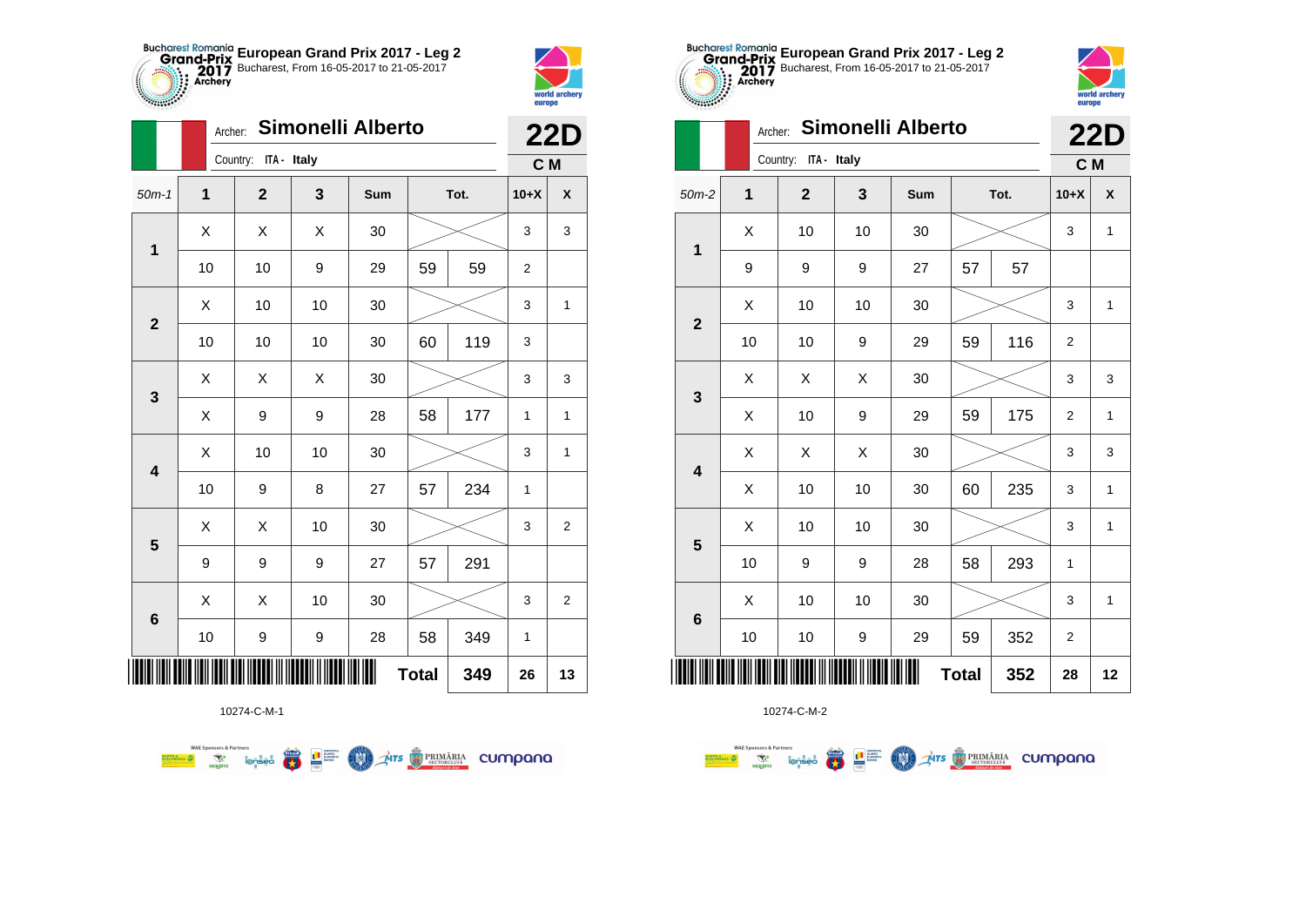



|                | Archer: |                      | Simonelli Alberto |     |              |      |                | <b>22D</b>     |
|----------------|---------|----------------------|-------------------|-----|--------------|------|----------------|----------------|
|                |         | Country: ITA - Italy |                   |     |              |      | C M            |                |
| $50m-1$        | 1       | $\mathbf{2}$         | 3                 | Sum |              | Tot. | $10+X$         | X              |
| $\mathbf 1$    | Χ       | X                    | X                 | 30  |              |      | 3              | 3              |
|                | 10      | 10                   | 9                 | 29  | 59           | 59   | $\overline{2}$ |                |
| $\overline{2}$ | X       | 10                   | 10                | 30  |              |      | 3              | 1              |
|                | 10      | 10                   | 10                | 30  | 60           | 119  | 3              |                |
| 3              | X       | X                    | X                 | 30  |              |      | 3              | 3              |
|                | Χ       | 9                    | 9                 | 28  | 58           | 177  | 1              | $\mathbf{1}$   |
| 4              | Χ       | 10                   | 10                | 30  |              |      | 3              | $\mathbf{1}$   |
|                | 10      | 9                    | 8                 | 27  | 57           | 234  | 1              |                |
| 5              | Χ       | X                    | 10                | 30  |              |      | 3              | $\overline{2}$ |
|                | 9       | 9                    | 9                 | 27  | 57           | 291  |                |                |
| 6              | X       | X                    | 10                | 30  |              |      | 3              | $\overline{c}$ |
|                | $10$    | 9                    | 9                 | 28  | 58           | 349  | $\mathbf{1}$   |                |
|                |         |                      |                   | I   | <b>Total</b> | 349  | 26             | 13             |



| $-2222200$              |         |                         | europe |                          |              |      |                |              |
|-------------------------|---------|-------------------------|--------|--------------------------|--------------|------|----------------|--------------|
|                         | Archer: |                         |        | <b>Simonelli Alberto</b> |              |      |                | <b>22D</b>   |
|                         |         | Country:<br>ITA - Italy |        |                          |              |      | C M            |              |
| $50m-2$                 | 1       | $\overline{2}$          | 3      | Sum                      |              | Tot. | $10+X$         | X            |
| $\mathbf 1$             | Χ       | 10                      | 10     | 30                       |              |      | 3              | 1            |
|                         | 9       | 9                       | 9      | 27                       | 57           | 57   |                |              |
| $\overline{2}$          | X       | 10                      | 10     | 30                       |              |      | 3              | $\mathbf{1}$ |
|                         | 10      | 10                      | 9      | 29                       | 59           | 116  | $\overline{2}$ |              |
| 3                       | X       | X                       | X      | 30                       |              |      | 3              | 3            |
|                         | X       | 10                      | 9      | 29                       | 59           | 175  | $\overline{2}$ | $\mathbf{1}$ |
| $\overline{\mathbf{4}}$ | Χ       | X                       | X      | 30                       |              |      | 3              | 3            |
|                         | Χ       | 10                      | 10     | 30                       | 60           | 235  | 3              | $\mathbf{1}$ |
| 5                       | Χ       | 10                      | 10     | 30                       |              |      | 3              | $\mathbf{1}$ |
|                         | 10      | 9                       | 9      | 28                       | 58           | 293  | 1              |              |
| $6\phantom{1}6$         | Χ       | 10                      | 10     | 30                       |              |      | 3              | $\mathbf{1}$ |
|                         | 10      | 10                      | 9      | 29                       | 59           | 352  | $\overline{2}$ |              |
|                         |         |                         |        |                          | <b>Total</b> | 352  | 28             | 12           |

**European Grand Prix 2017 - Leg 2** Bucharest, From 16-05-2017 to 21-05-2017





**WAE Sponsors & Partners**  $\left(\frac{\sinh\theta}{\cos\theta}\right)$ L B SLIPPER **COO** 

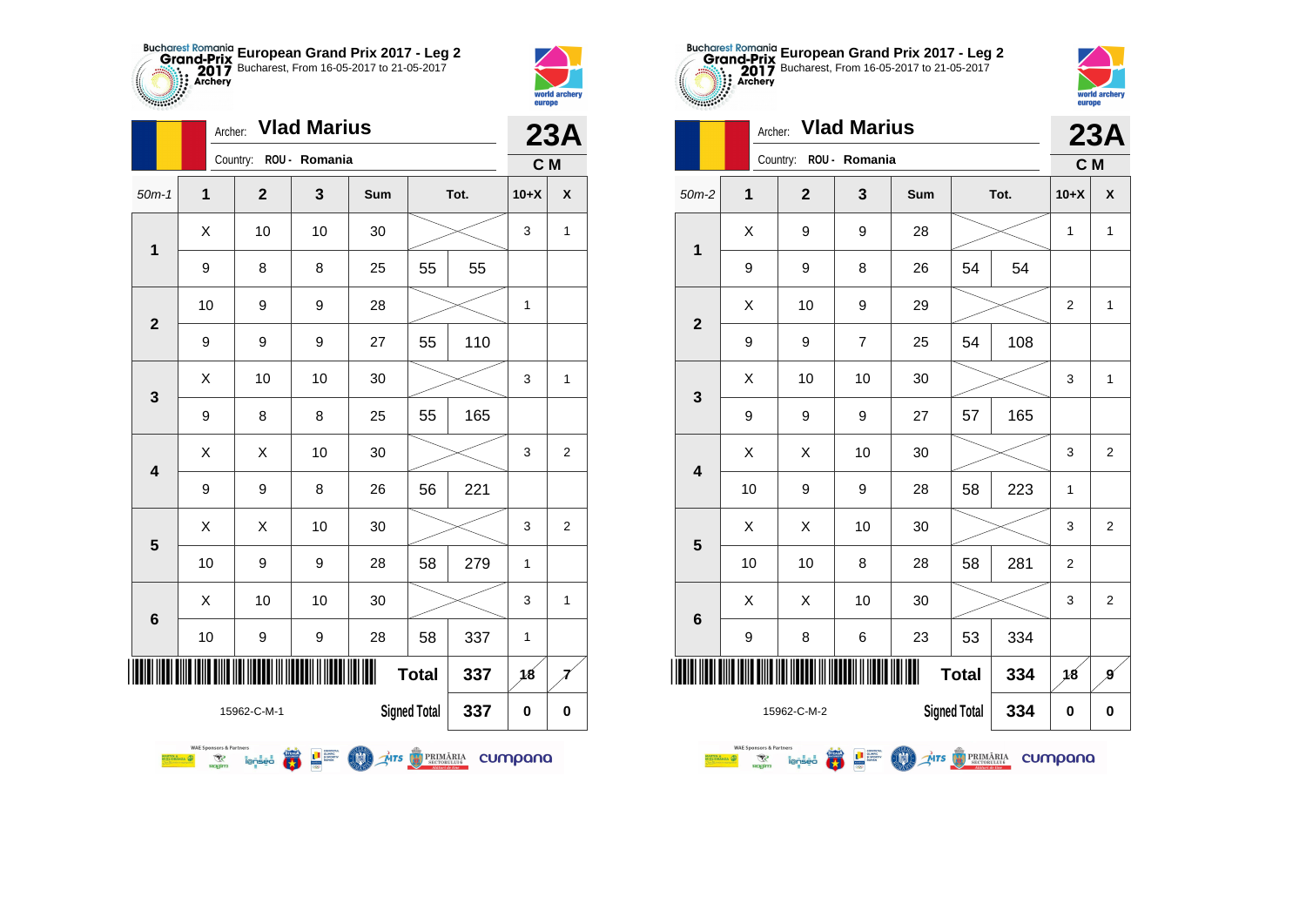



|                 | Archer:                                                              |                        | <b>Vlad Marius</b> |                |                     |      |         | 23A            |
|-----------------|----------------------------------------------------------------------|------------------------|--------------------|----------------|---------------------|------|---------|----------------|
|                 |                                                                      | Country: ROU - Romania |                    |                |                     |      | C M     |                |
| $50m-1$         | 1                                                                    | $\overline{2}$         | 3                  | Sum            |                     | Tot. | $10+X$  | X              |
| $\mathbf{1}$    | Χ                                                                    | 10                     | 10                 | 30             |                     |      | 3       | $\mathbf{1}$   |
|                 | 9                                                                    | 8                      | 8                  | 25             | 55                  | 55   |         |                |
| $\overline{2}$  | 10                                                                   | 9                      | 9                  | 28             |                     |      | 1       |                |
|                 | 9                                                                    | 9                      | 9                  | 27             | 55                  | 110  |         |                |
| 3               | X                                                                    | 10                     | 10                 | 30             |                     |      | 3       | $\mathbf{1}$   |
|                 | 9                                                                    | 8                      | 8                  | 25             | 55                  | 165  |         |                |
| 4               | Χ                                                                    | X                      | 10                 | 30             |                     |      | 3       | $\overline{2}$ |
|                 | 9                                                                    | 9                      | 8                  | 26             | 56                  | 221  |         |                |
| 5               | X                                                                    | Χ                      | 10                 | 30             |                     |      | 3       | 2              |
|                 | 10                                                                   | 9                      | 9                  | 28             | 58                  | 279  | 1       |                |
| $6\phantom{1}6$ | Χ                                                                    | 10                     | 10                 | 30             |                     |      | 3       | 1              |
|                 | 10                                                                   | 9                      | 9                  | 28             | 58                  | 337  | 1       |                |
|                 |                                                                      |                        |                    | Ш              | <b>Total</b>        | 337  | 18      |                |
|                 |                                                                      | 15962-C-M-1            |                    |                | <b>Signed Total</b> | 337  | 0       | 0              |
|                 | <b>WAE Sponsors &amp; Partners</b><br><b>SLIORANZA</b><br>R<br>nagim | lenseo                 |                    | Mrs & PRIMĂRIA |                     |      | cumpana |                |





|                | Archer:                                                                                                                                                                                      |                | <b>Vlad Marius</b> |     |                     |      |                | 23A            |  |  |
|----------------|----------------------------------------------------------------------------------------------------------------------------------------------------------------------------------------------|----------------|--------------------|-----|---------------------|------|----------------|----------------|--|--|
|                |                                                                                                                                                                                              | Country:       | ROU - Romania      |     |                     |      | C M            |                |  |  |
| $50m-2$        | 1                                                                                                                                                                                            | $\overline{2}$ | 3                  | Sum |                     | Tot. | $10+X$         | X              |  |  |
| 1              | X                                                                                                                                                                                            | 9              | 9                  | 28  |                     |      | $\mathbf{1}$   | 1              |  |  |
|                | 9                                                                                                                                                                                            | 9              | 8                  | 26  | 54                  | 54   |                |                |  |  |
| $\overline{2}$ | Χ                                                                                                                                                                                            | 10             | 9                  | 29  |                     |      | $\overline{2}$ | 1              |  |  |
|                | 9                                                                                                                                                                                            | 9              | $\overline{7}$     | 25  | 54                  | 108  |                |                |  |  |
| 3              | X                                                                                                                                                                                            | 10             | 10                 | 30  |                     |      | 3              | 1              |  |  |
|                | 9                                                                                                                                                                                            | 9              | 9                  | 27  | 57                  | 165  |                |                |  |  |
| 4              | X                                                                                                                                                                                            | X              | 10                 | 30  |                     |      | 3              | 2              |  |  |
|                | 10                                                                                                                                                                                           | 9              | 9                  | 28  | 58                  | 223  | 1              |                |  |  |
| 5              | X                                                                                                                                                                                            | X              | 10                 | 30  |                     |      | 3              | $\overline{2}$ |  |  |
|                | 10                                                                                                                                                                                           | 10             | 8                  | 28  | 58                  | 281  | $\overline{2}$ |                |  |  |
| 6              | X                                                                                                                                                                                            | X              | 10                 | 30  |                     |      | 3              | $\overline{2}$ |  |  |
|                | 9                                                                                                                                                                                            | 8              | 6                  | 23  | 53                  | 334  |                |                |  |  |
| ║║║            |                                                                                                                                                                                              |                |                    |     | <b>Total</b>        | 334  | 18             | g              |  |  |
|                |                                                                                                                                                                                              | 15962-C-M-2    |                    |     | <b>Signed Total</b> | 334  | 0              | 0              |  |  |
|                | <b>WAE Sponsors &amp; Partners</b><br>$\underset{\substack{\text{SECTIONARIA} \\ \text{SECTIONULU16}}} \hspace{-10pt} \textbf{PRIM}$<br>Arr<br>cumpana<br><b>TAI</b><br>٧P<br>lenseo<br>podm |                |                    |     |                     |      |                |                |  |  |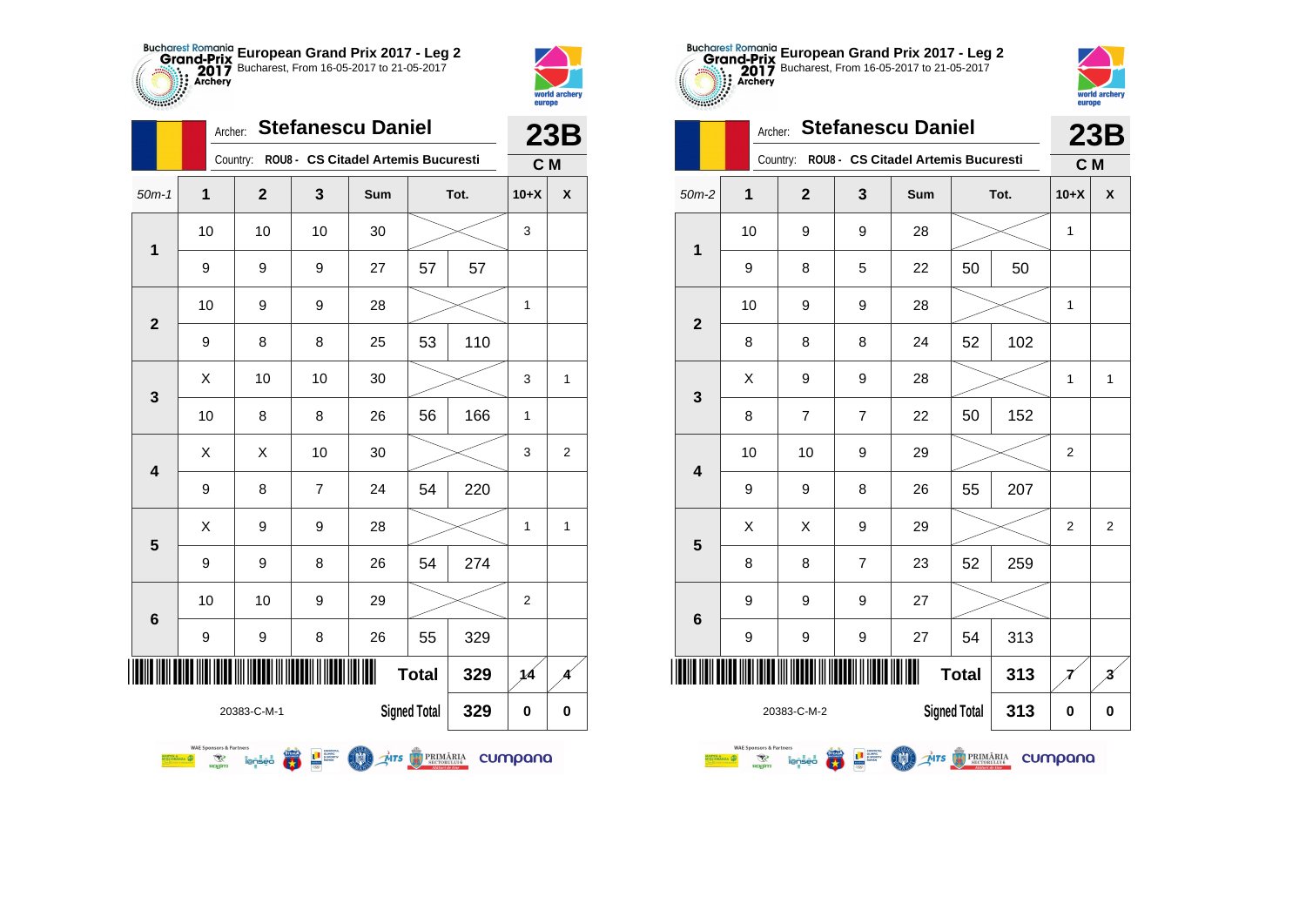



|                 |                                                                      | Archer:        |                                                                                                                                                                         | <b>Stefanescu Daniel</b>                     |                     |      |                | 23B            |
|-----------------|----------------------------------------------------------------------|----------------|-------------------------------------------------------------------------------------------------------------------------------------------------------------------------|----------------------------------------------|---------------------|------|----------------|----------------|
|                 |                                                                      |                |                                                                                                                                                                         | Country: ROU8 - CS Citadel Artemis Bucuresti |                     |      | C M            |                |
| $50m-1$         | 1                                                                    | $\overline{2}$ | 3                                                                                                                                                                       | Sum                                          |                     | Tot. | $10+X$         | X              |
| 1               | 10                                                                   | 10             | 10                                                                                                                                                                      | 30                                           |                     |      | 3              |                |
|                 | 9                                                                    | 9              | 9                                                                                                                                                                       | 27                                           | 57                  | 57   |                |                |
|                 | 10                                                                   | 9              | 9                                                                                                                                                                       | 28                                           |                     |      | $\mathbf{1}$   |                |
| $\overline{2}$  | 9                                                                    | 8              | 8                                                                                                                                                                       | 25                                           | 53                  | 110  |                |                |
| 3               | Χ                                                                    | 10             | 10                                                                                                                                                                      | 30                                           |                     |      | 3              | 1              |
|                 | 10                                                                   | 8              | 8                                                                                                                                                                       | 26                                           | 56                  | 166  | $\mathbf{1}$   |                |
| 4               | Χ                                                                    | Χ              | 10                                                                                                                                                                      | 30                                           |                     |      | 3              | $\overline{2}$ |
|                 | 9                                                                    | 8              | $\overline{7}$                                                                                                                                                          | 24                                           | 54                  | 220  |                |                |
| 5               | X                                                                    | 9              | 9                                                                                                                                                                       | 28                                           |                     |      | 1              | 1              |
|                 | 9                                                                    | 9              | 8                                                                                                                                                                       | 26                                           | 54                  | 274  |                |                |
| $6\phantom{1}6$ | 10                                                                   | 10             | 9                                                                                                                                                                       | 29                                           |                     |      | $\overline{2}$ |                |
|                 | 9                                                                    | 9              | 8                                                                                                                                                                       | 26                                           | 55                  | 329  |                |                |
| IIII            |                                                                      |                |                                                                                                                                                                         |                                              | <b>Total</b>        | 329  | 14             |                |
|                 |                                                                      | 20383-C-M-1    |                                                                                                                                                                         |                                              | <b>Signed Total</b> | 329  | 0              | 0              |
|                 | <b>WAE Sponsors &amp; Partners</b><br>R<br>ORANZA DE<br><b>Rogim</b> | <i>lenseo</i>  | $\begin{array}{c c} \hline \textbf{I} & \text{coherent} \\ \hline \textbf{B} & \text{prostatic} \\ \text{nonlocal} \\ \hline \text{loop} & \text{nonlocal} \end{array}$ | MTS BRIMARIA                                 |                     |      | cumpana        |                |





|                            | <b>Stefanescu Daniel</b><br>Archer:                                                    |                |                            |                                     |                     |      |                |                         |
|----------------------------|----------------------------------------------------------------------------------------|----------------|----------------------------|-------------------------------------|---------------------|------|----------------|-------------------------|
|                            |                                                                                        | Country:       |                            | ROU8 - CS Citadel Artemis Bucuresti |                     |      | C M            | <b>23B</b>              |
| $50m-2$                    | 1                                                                                      | $\mathbf{2}$   | 3                          | Sum                                 |                     | Tot. | $10+X$         | X                       |
|                            | 10                                                                                     | 9              | 9                          | 28                                  |                     |      | 1              |                         |
| 1                          | 9                                                                                      | 8              | 5                          | 22                                  | 50                  | 50   |                |                         |
|                            | 10                                                                                     | 9              | 9                          | 28                                  |                     |      | 1              |                         |
| $\overline{2}$             | 8                                                                                      | 8              | 8                          | 24                                  | 52                  | 102  |                |                         |
| 3                          | X                                                                                      | 9              | 9                          | 28                                  |                     |      | 1              | 1                       |
|                            | 8                                                                                      | $\overline{7}$ | $\overline{7}$             | 22                                  | 50                  | 152  |                |                         |
| 4                          | 10                                                                                     | 10             | 9                          | 29                                  |                     |      | 2              |                         |
|                            | 9                                                                                      | 9              | 8                          | 26                                  | 55                  | 207  |                |                         |
| 5                          | X                                                                                      | X              | 9                          | 29                                  |                     |      | $\overline{2}$ | 2                       |
|                            | 8                                                                                      | 8              | $\overline{7}$             | 23                                  | 52                  | 259  |                |                         |
| 6                          | 9                                                                                      | 9              | 9                          | 27                                  |                     |      |                |                         |
|                            | 9                                                                                      | 9              | 9                          | 27                                  | 54                  | 313  |                |                         |
| ║║║<br><b>Total</b><br>313 |                                                                                        |                |                            |                                     |                     |      |                | $\overline{\mathbf{3}}$ |
|                            |                                                                                        | 20383-C-M-2    |                            |                                     | <b>Signed Total</b> | 313  | 0              | 0                       |
|                            | <b>WAE Sponsors &amp; Partners</b><br><b>SETIN &amp; SETTIN &amp;</b><br>স্থা<br>nagim | lensec         | <b>THE SECRET CONTRACT</b> | MTS PRIMĂRIA                        |                     |      | cumpana        |                         |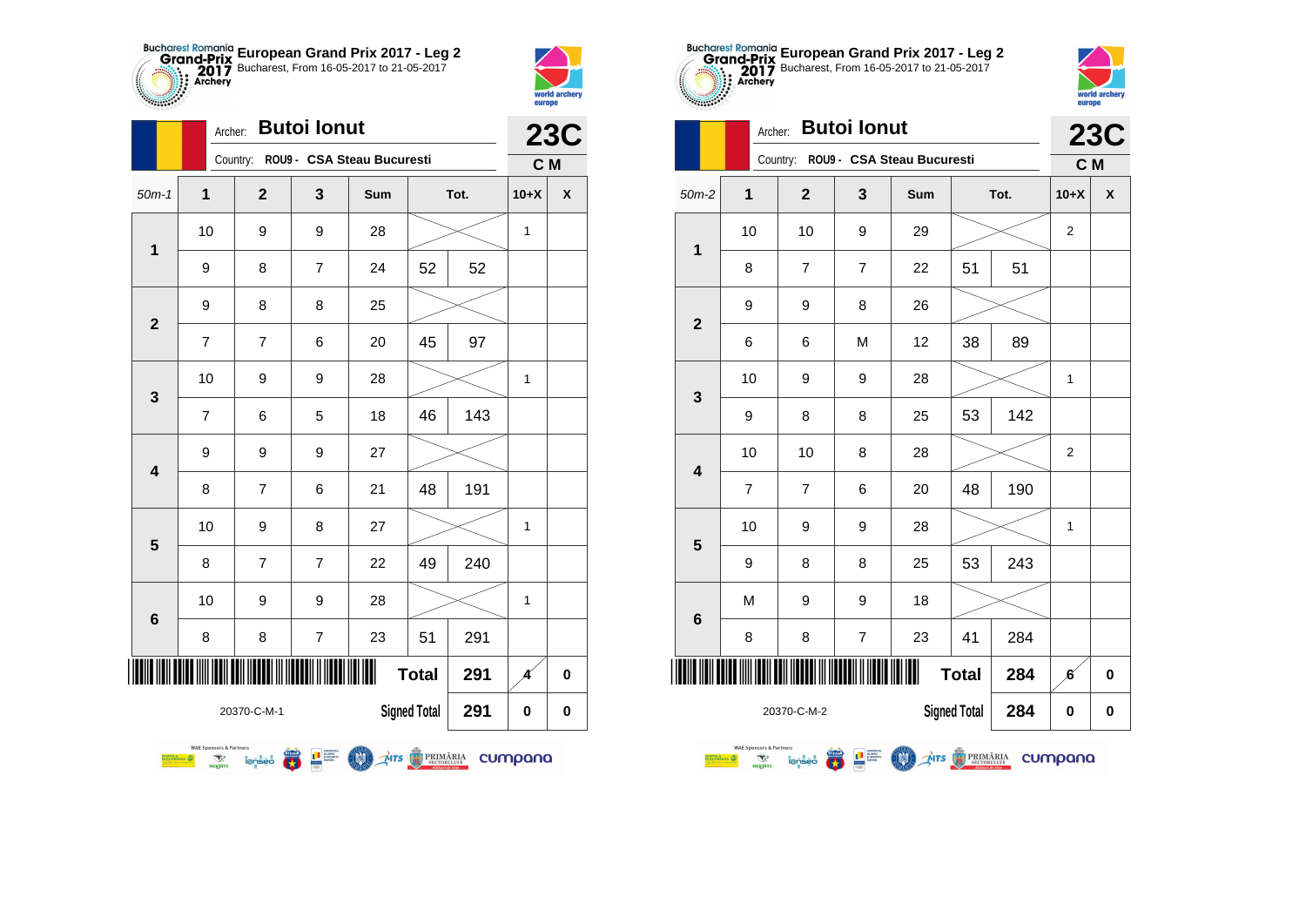



|                |               |                                                  |                | <b>23C</b>                                                                                                                                                                                                                                                                                   |                            |                     |      |                |   |
|----------------|---------------|--------------------------------------------------|----------------|----------------------------------------------------------------------------------------------------------------------------------------------------------------------------------------------------------------------------------------------------------------------------------------------|----------------------------|---------------------|------|----------------|---|
|                |               |                                                  | Country:       |                                                                                                                                                                                                                                                                                              | ROU9 - CSA Steau Bucuresti |                     |      | C <sub>M</sub> |   |
| $50m-1$        |               | 1                                                | $\overline{2}$ | 3                                                                                                                                                                                                                                                                                            | Sum                        |                     | Tot. | $10+X$         | X |
| 1              |               | 10                                               | 9              | 9                                                                                                                                                                                                                                                                                            | 28                         |                     |      | 1              |   |
|                |               | 9                                                | 8              | $\overline{7}$                                                                                                                                                                                                                                                                               | 24                         | 52                  | 52   |                |   |
| $\overline{2}$ |               | 9                                                | 8              | 8                                                                                                                                                                                                                                                                                            | 25                         |                     |      |                |   |
|                |               | 7                                                | $\overline{7}$ | 6                                                                                                                                                                                                                                                                                            | 20                         | 45                  | 97   |                |   |
| 3              |               | 10                                               | 9              | 9                                                                                                                                                                                                                                                                                            | 28                         |                     |      | 1              |   |
|                |               | $\overline{7}$                                   | 6              | 5                                                                                                                                                                                                                                                                                            | 18                         | 46                  | 143  |                |   |
| 4              |               | 9                                                | 9              | 9                                                                                                                                                                                                                                                                                            | 27                         |                     |      |                |   |
|                |               | 8                                                | 7              | 6                                                                                                                                                                                                                                                                                            | 21                         | 48                  | 191  |                |   |
| 5              |               | 10                                               | 9              | 8                                                                                                                                                                                                                                                                                            | 27                         |                     |      | $\mathbf{1}$   |   |
|                |               | 8                                                | 7              | $\overline{7}$                                                                                                                                                                                                                                                                               | 22                         | 49                  | 240  |                |   |
| 6              |               | 10                                               | 9              | 9                                                                                                                                                                                                                                                                                            | 28                         |                     |      | 1              |   |
|                |               | 8                                                | 8              | $\overline{7}$                                                                                                                                                                                                                                                                               | 23                         | 51                  | 291  |                |   |
| IIIII          |               |                                                  |                |                                                                                                                                                                                                                                                                                              | Ш                          | <b>Total</b>        | 291  | Δ              | 0 |
|                |               |                                                  | 20370-C-M-1    |                                                                                                                                                                                                                                                                                              |                            | <b>Signed Total</b> | 291  | $\bf{0}$       | 0 |
|                | <b>DRANZA</b> | <b>WAE Sponsors &amp; Partners</b><br>R<br>nagim | lensed         | $\begin{array}{c}\n\begin{array}{c}\n\text{1} & \text{1} & \text{1} & \text{1} & \text{1} \\ \text{2} & \text{3} & \text{4} & \text{5} & \text{6} \\ \text{4} & \text{5} & \text{6} & \text{6} & \text{6} \\ \text{5} & \text{6} & \text{6} & \text{6} & \text{6}\n\end{array}\n\end{array}$ | MTS PRIMĂRIA               |                     |      | cumpana        |   |





|                 |                                                                                         | <b>23C</b>     |                                               |                |                     |      |                |   |
|-----------------|-----------------------------------------------------------------------------------------|----------------|-----------------------------------------------|----------------|---------------------|------|----------------|---|
|                 |                                                                                         | Country:       | ROU9 - CSA Steau Bucuresti                    |                |                     |      | C M            |   |
| $50m-2$         | 1                                                                                       | $\mathbf{2}$   | 3                                             | Sum            |                     | Tot. | $10+X$         | X |
| 1               | 10                                                                                      | 10             | 9                                             | 29             |                     |      | $\overline{2}$ |   |
|                 | 8                                                                                       | $\overline{7}$ | $\overline{7}$                                | 22             | 51                  | 51   |                |   |
|                 | 9                                                                                       | 9              | 8                                             | 26             |                     |      |                |   |
| $\overline{2}$  | 6                                                                                       | 6              | M                                             | 12             | 38                  | 89   |                |   |
|                 | 10                                                                                      | 9              | 9                                             | 28             |                     |      | 1              |   |
| 3               | 9                                                                                       | 8              | 8                                             | 25             | 53                  | 142  |                |   |
| 4               | 10                                                                                      | 10             | 8                                             | 28             |                     |      | $\overline{2}$ |   |
|                 | $\overline{7}$                                                                          | $\overline{7}$ | 6                                             | 20             | 48                  | 190  |                |   |
| 5               | 10                                                                                      | 9              | 9                                             | 28             |                     |      | 1              |   |
|                 | 9                                                                                       | 8              | 8                                             | 25             | 53                  | 243  |                |   |
| $6\phantom{1}6$ | M                                                                                       | 9              | 9                                             | 18             |                     |      |                |   |
|                 | 8                                                                                       | 8              | $\overline{7}$                                | 23             | 41                  | 284  |                |   |
| IIIII           |                                                                                         |                |                                               | Ш              | <b>Total</b>        | 284  | ß.             | 0 |
|                 |                                                                                         | 20370-C-M-2    |                                               |                | <b>Signed Total</b> | 284  | 0              | 0 |
|                 | <b>WAE Sponsors &amp; Partners</b><br><b>RTIN A</b><br>GLIORANZA<br>অং<br><b>ROGITY</b> | lenseo         | <b>THE SUPPORT OF STATE OF STATE OF STATE</b> | MIS O PRIMĂRIA |                     |      | cumpana        |   |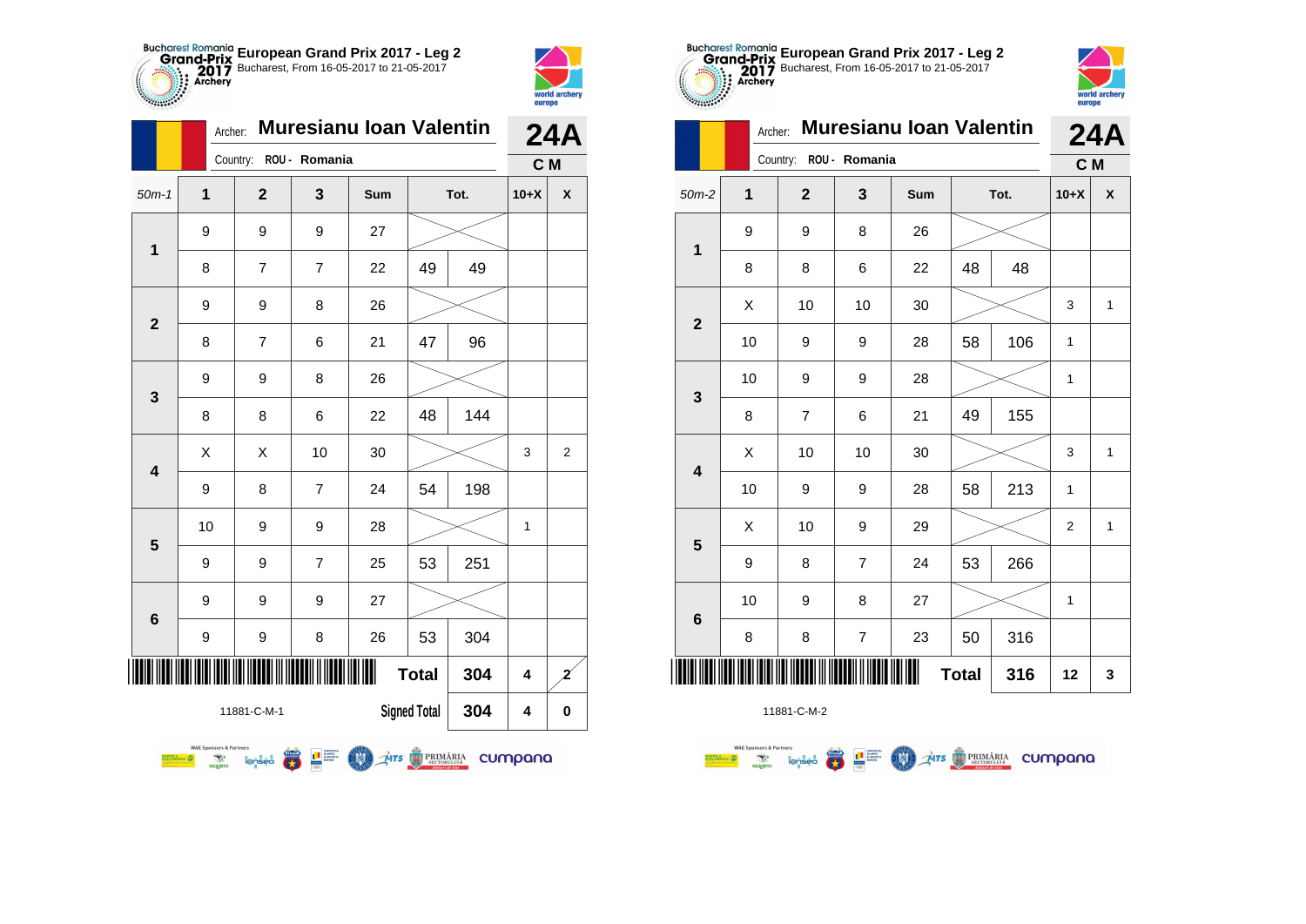

world archery<br>europe

|              | Archer:                                                                 | <b>Muresianu Ioan Valentin</b> | <b>24A</b>        |              |                     |      |         |                |
|--------------|-------------------------------------------------------------------------|--------------------------------|-------------------|--------------|---------------------|------|---------|----------------|
|              |                                                                         | Country:                       | ROU - Romania     |              |                     |      | C M     |                |
| $50m-1$      | 1                                                                       | $\overline{2}$                 | 3                 | Sum          |                     | Tot. | $10+X$  | X              |
| 1            | 9                                                                       | 9                              | 9                 | 27           |                     |      |         |                |
|              | 8                                                                       | $\overline{7}$                 | $\overline{7}$    | 22           | 49                  | 49   |         |                |
|              | 9                                                                       | 9                              | 8                 | 26           |                     |      |         |                |
| $\mathbf{2}$ | 8                                                                       | $\overline{7}$                 | 6                 | 21           | 47                  | 96   |         |                |
| 3            | 9                                                                       | 9                              | 8                 | 26           |                     |      |         |                |
|              | 8                                                                       | 8                              | 6                 | 22           | 48                  | 144  |         |                |
| 4            | X                                                                       | X                              | 10                | 30           |                     |      | 3       | 2              |
|              | 9                                                                       | 8                              | $\overline{7}$    | 24           | 54                  | 198  |         |                |
| 5            | 10                                                                      | 9                              | 9                 | 28           |                     |      | 1       |                |
|              | 9                                                                       | 9                              | $\overline{7}$    | 25           | 53                  | 251  |         |                |
| 6            | 9                                                                       | 9                              | 9                 | 27           |                     |      |         |                |
|              | 9                                                                       | 9                              | 8                 | 26           | 53                  | 304  |         |                |
| ║║║          |                                                                         |                                |                   |              | <b>Total</b>        | 304  | 4       | $\overline{z}$ |
|              |                                                                         | 11881-C-M-1                    |                   |              | <b>Signed Total</b> | 304  | 4       | 0              |
|              | <b>WAE Sponsors &amp; Partners</b><br><b>RTIN &amp;</b><br>ক্ষ<br>nagim | lenseo                         | <b>THE SUPPRE</b> | MTS BRIMARIA |                     |      | cumpana |                |





|                         | <b>Muresianu Ioan Valentin</b><br>Archer: |                |                         |     |              |      |                | <b>24A</b>   |
|-------------------------|-------------------------------------------|----------------|-------------------------|-----|--------------|------|----------------|--------------|
|                         |                                           | Country:       | ROU - Romania           |     |              |      | C M            |              |
| $50m-2$                 | 1                                         | $\overline{2}$ | 3                       | Sum |              | Tot. | $10+X$         | X            |
| $\mathbf{1}$            | 9                                         | 9              | 8                       | 26  |              |      |                |              |
|                         | 8                                         | 8              | 6                       | 22  | 48           | 48   |                |              |
| $\mathbf{2}$            | X                                         | 10             | 10                      | 30  |              |      | 3              | $\mathbf{1}$ |
|                         | 10                                        | 9              | 9                       | 28  | 58           | 106  | 1              |              |
| 3                       | 10                                        | 9              | 9                       | 28  |              |      | 1              |              |
|                         | 8                                         | 7              | 6                       | 21  | 49           | 155  |                |              |
| $\overline{\mathbf{4}}$ | Χ                                         | 10             | 10                      | 30  |              |      | 3              | 1            |
|                         | 10                                        | 9              | 9                       | 28  | 58           | 213  | 1              |              |
| 5                       | X                                         | 10             | 9                       | 29  |              |      | $\overline{2}$ | $\mathbf{1}$ |
|                         | 9                                         | 8              | $\overline{7}$          | 24  | 53           | 266  |                |              |
| $6\phantom{1}6$         | 10                                        | 9              | 8                       | 27  |              |      | 1              |              |
|                         | 8                                         | 8              | $\overline{\mathbf{7}}$ | 23  | 50           | 316  |                |              |
|                         |                                           |                |                         |     | <b>Total</b> | 316  | 12             | 3            |

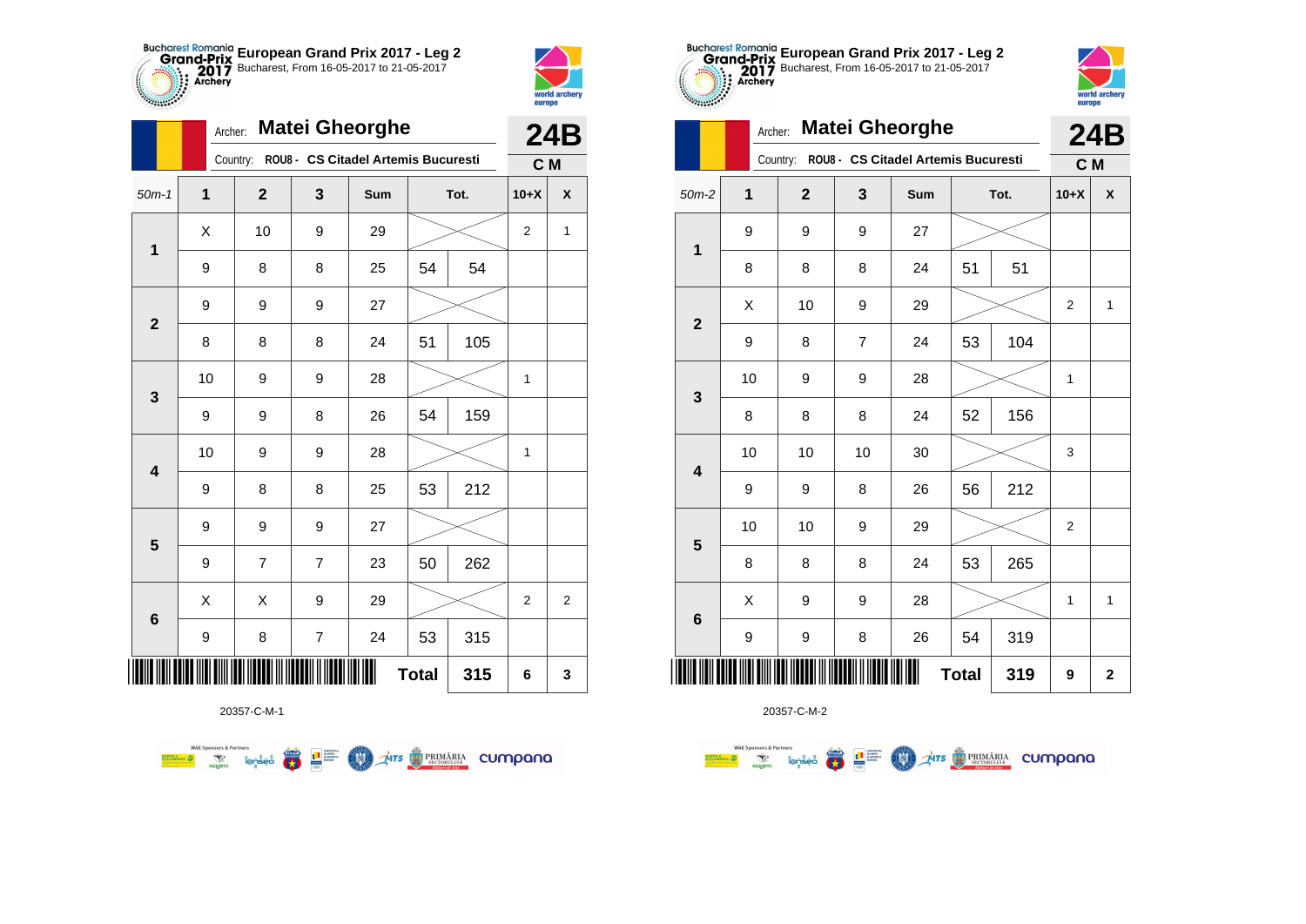



|                         | Archer: |                         |                | <b>Matei Gheorghe</b>               |              |      |                | <b>24B</b>       |
|-------------------------|---------|-------------------------|----------------|-------------------------------------|--------------|------|----------------|------------------|
|                         |         | Country:                |                | ROU8 - CS Citadel Artemis Bucuresti |              |      | C M            |                  |
| $50m-1$                 | 1       | $\overline{\mathbf{2}}$ | 3              | Sum                                 |              | Tot. | $10+X$         | X                |
| $\mathbf{1}$            | X       | 10                      | 9              | 29                                  |              |      | $\overline{2}$ | 1                |
|                         | 9       | 8                       | 8              | 25                                  | 54           | 54   |                |                  |
| $\mathbf{2}$            | 9       | 9                       | 9              | 27                                  |              |      |                |                  |
|                         | 8       | 8                       | 8              | 24                                  | 51           | 105  |                |                  |
| 3                       | 10      | 9                       | 9              | 28                                  |              |      | 1              |                  |
|                         | 9       | 9                       | 8              | 26                                  | 54           | 159  |                |                  |
| $\overline{\mathbf{4}}$ | 10      | 9                       | 9              | 28                                  |              |      | $\mathbf{1}$   |                  |
|                         | 9       | 8                       | 8              | 25                                  | 53           | 212  |                |                  |
| 5                       | 9       | 9                       | 9              | 27                                  |              |      |                |                  |
|                         | 9       | 7                       | $\overline{7}$ | 23                                  | 50           | 262  |                |                  |
| 6                       | Χ       | Χ                       | 9              | 29                                  |              |      | 2              | $\boldsymbol{2}$ |
|                         | 9       | 8                       | $\overline{7}$ | 24                                  | 53           | 315  |                |                  |
| ║║║                     |         |                         |                |                                     | <b>Total</b> | 315  | 6              | 3                |

**THE STRIMARIA CUMPANA** 



20357-C-M-2

|                                                      |    | Country: ROU8 - CS Citadel Artemis Bucuresti |                |        |      |     |                  |                    |  |
|------------------------------------------------------|----|----------------------------------------------|----------------|--------|------|-----|------------------|--------------------|--|
| $50m-2$                                              | 1  | $\mathbf{2}$                                 | 3              | Sum    | Tot. |     | $10+X$           | $\pmb{\mathsf{X}}$ |  |
| $\mathbf{1}$                                         | 9  | 9                                            | 9              | 27     |      |     |                  |                    |  |
|                                                      | 8  | 8                                            | 8              | 24     | 51   | 51  |                  |                    |  |
| $\overline{2}$                                       | Χ  | 10                                           | 9              | 29     |      |     | $\overline{c}$   | $\mathbf{1}$       |  |
|                                                      | 9  | 8                                            | $\overline{7}$ | 24     | 53   | 104 |                  |                    |  |
| $\mathbf{3}$                                         | 10 | 9                                            | 9              | 28     |      |     | 1                |                    |  |
|                                                      | 8  | 8                                            | 8              | 24     | 52   | 156 |                  |                    |  |
| $\overline{\mathbf{4}}$                              | 10 | 10                                           | 10             | $30\,$ |      |     | 3                |                    |  |
|                                                      | 9  | 9                                            | 8              | 26     | 56   | 212 |                  |                    |  |
| $5\phantom{1}$                                       | 10 | $10$                                         | 9              | 29     |      |     | $\boldsymbol{2}$ |                    |  |
|                                                      | 8  | 8                                            | 8              | 24     | 53   | 265 |                  |                    |  |
| $\bf 6$                                              | Χ  | 9                                            | 9              | 28     |      |     | 1                | $\mathbf{1}$       |  |
|                                                      | 9  | 9                                            | 8              | 26     | 54   | 319 |                  |                    |  |
| IIIII<br>11         <u>  </u><br><b>Total</b><br>319 |    |                                              |                |        |      |     | 9                | $\mathbf{2}$       |  |

**European Grand Prix 2017 - Leg 2** Bucharest, From 16-05-2017 to 21-05-2017

Country: **ROU8 - CS Citadel Artemis Bucuresti**

**24B**

world archer

europe

Archer: **Matei Gheorghe**

20357-C-M-1

**第三** 

**MAN** 

**WAE Sponsors & Partners**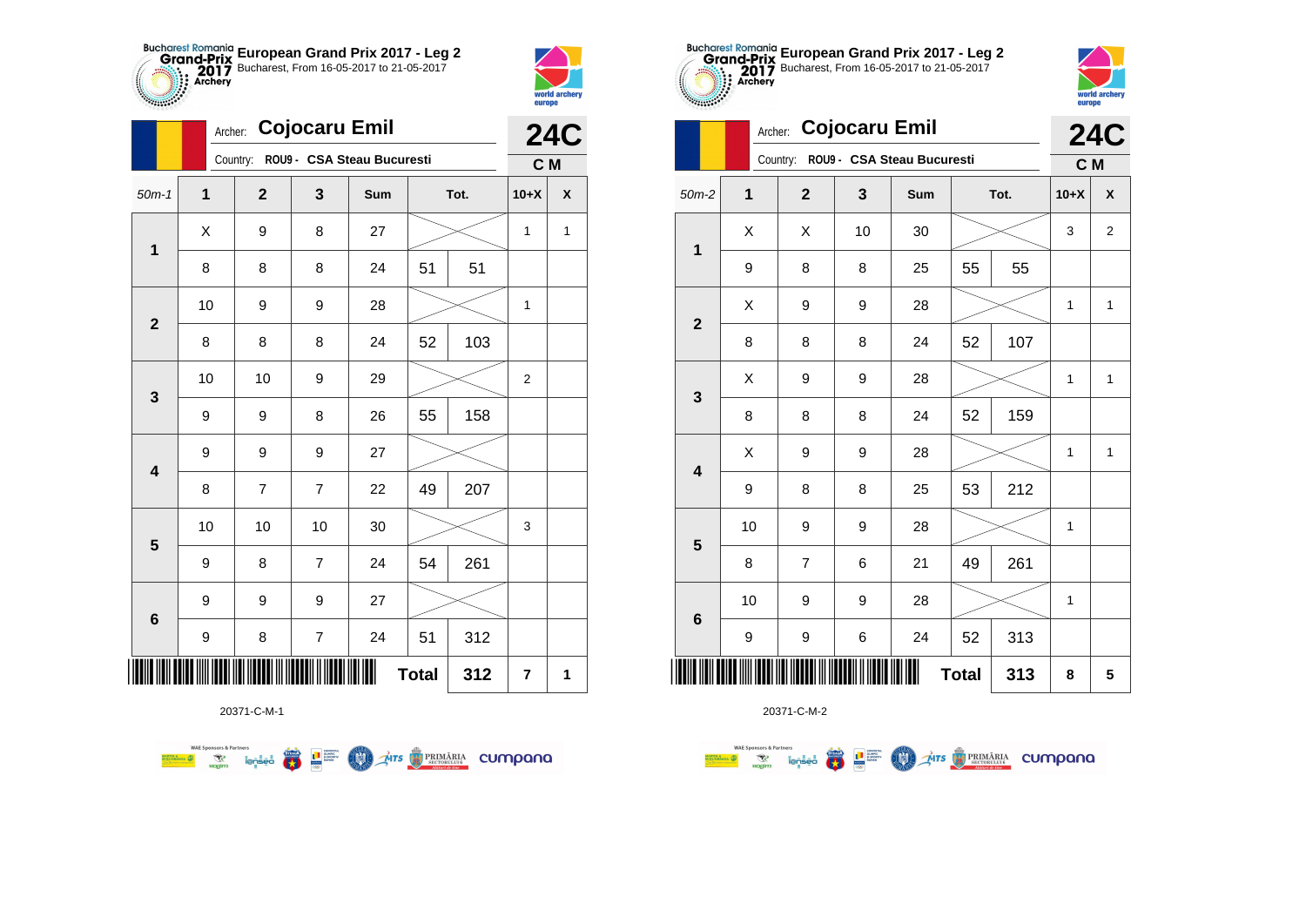



|                         |    |                | <b>24C</b>               |                                     |              |      |                         |                    |
|-------------------------|----|----------------|--------------------------|-------------------------------------|--------------|------|-------------------------|--------------------|
|                         |    |                |                          | Country: ROU9 - CSA Steau Bucuresti |              |      | C M                     |                    |
| $50m-1$                 | 1  | $\mathbf 2$    | 3                        | Sum                                 |              | Tot. | $10+X$                  | $\pmb{\mathsf{X}}$ |
| $\mathbf{1}$            | Χ  | 9              | 8                        | 27                                  |              |      | 1                       | $\mathbf{1}$       |
|                         | 8  | 8              | 8                        | 24                                  | 51           | 51   |                         |                    |
| $\mathbf{2}$            | 10 | 9              | 9                        | 28                                  |              |      | 1                       |                    |
|                         | 8  | 8              | 8                        | 24                                  | 52           | 103  |                         |                    |
| 3                       | 10 | 10             | 9                        | 29                                  |              |      | $\boldsymbol{2}$        |                    |
|                         | 9  | 9              | 8                        | 26                                  | 55           | 158  |                         |                    |
| $\overline{\mathbf{4}}$ | 9  | 9              | 9                        | 27                                  |              |      |                         |                    |
|                         | 8  | $\overline{7}$ | $\overline{7}$           | 22                                  | 49           | 207  |                         |                    |
| $\overline{\mathbf{5}}$ | 10 | 10             | 10                       | 30                                  |              |      | 3                       |                    |
|                         | 9  | 8              | $\overline{7}$           | 24                                  | 54           | 261  |                         |                    |
|                         | 9  | 9              | 9                        | 27                                  |              |      |                         |                    |
| $\bf 6$                 | 9  | 8              | $\overline{\mathcal{I}}$ | 24                                  | 51           | 312  |                         |                    |
| ║║║                     |    |                |                          |                                     | <b>Total</b> | 312  | $\overline{\mathbf{r}}$ | 1                  |

**COO** 

**THE STRIMARIA CUMPANA** 



20371-C-M-2

**TABLE** 

 $\overline{\phantom{a}}$ 

 $\sqrt{2}$ 

| $50m-2$                 | 1  | $\boldsymbol{2}$        | 3  | Sum    |              | Tot. | $10+X$ | χ            |
|-------------------------|----|-------------------------|----|--------|--------------|------|--------|--------------|
| $\mathbf{1}$            | Χ  | X                       | 10 | $30\,$ |              |      | 3      | $\mathbf{2}$ |
|                         | 9  | 8                       | 8  | 25     | 55           | 55   |        |              |
| $\mathbf 2$             | Χ  | 9                       | 9  | 28     |              |      | 1      | $\mathbf{1}$ |
|                         | 8  | 8                       | 8  | 24     | 52           | 107  |        |              |
| $\mathbf{3}$            | Χ  | 9                       | 9  | 28     |              |      | 1      | $\mathbf{1}$ |
|                         | 8  | 8                       | 8  | 24     | 52           | 159  |        |              |
| $\overline{\mathbf{4}}$ | Χ  | 9                       | 9  | 28     |              |      | 1      | $\mathbf{1}$ |
|                         | 9  | 8                       | 8  | 25     | 53           | 212  |        |              |
| ${\bf 5}$               | 10 | 9                       | 9  | 28     |              |      | 1      |              |
|                         | 8  | $\overline{\mathbf{7}}$ | 6  | 21     | 49           | 261  |        |              |
| $\bf 6$                 | 10 | 9                       | 9  | 28     |              |      | 1      |              |
|                         | 9  | 9                       | 6  | 24     | 52           | 313  |        |              |
|                         |    |                         |    |        | <b>Total</b> | 313  | 8      | 5            |

**European Grand Prix 2017 - Leg 2** Bucharest, From 16-05-2017 to 21-05-2017

> **24C C M**

world archery<br>europe

Archer: **Cojocaru Emil**

Country: **ROU9 - CSA Steau Bucuresti**

20371-C-M-1

**Excessive Contract on Service Contract Contract Contract Contract Contract Contract Contract Contract Contract Contract Contract Contract Contract Contract Contract Contract Contract Contract Contract Contract Contract Co** 

**WAE Sponsors & Partners**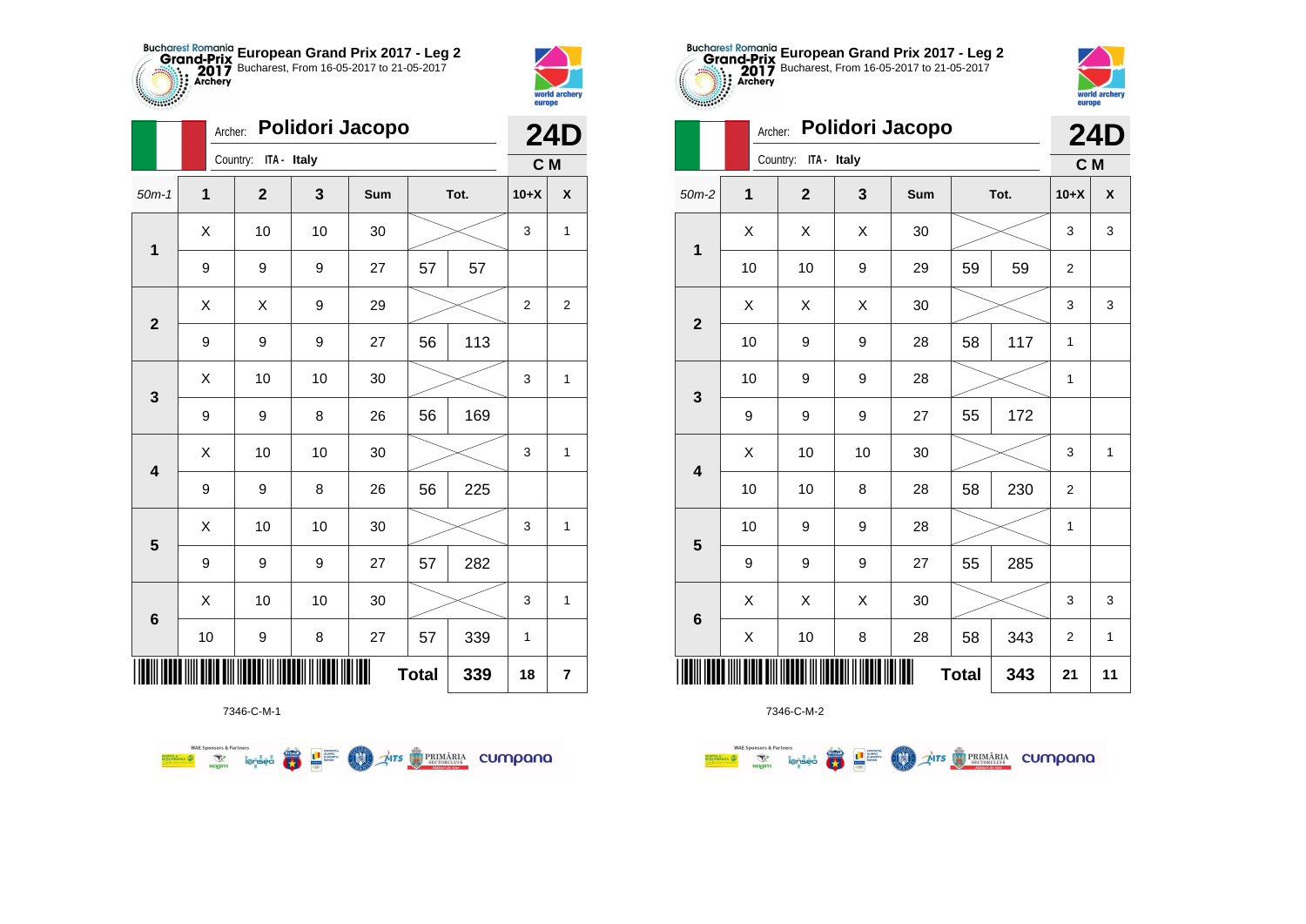



**BENDER OF BENDER** 

|                         | Archer:      |                      |              | Polidori Jacopo |              |      |                | <b>24D</b>              |
|-------------------------|--------------|----------------------|--------------|-----------------|--------------|------|----------------|-------------------------|
|                         |              | Country: ITA - Italy |              |                 |              |      | C M            |                         |
| $50m-1$                 | $\mathbf{1}$ | $\overline{2}$       | $\mathbf{3}$ | Sum             |              | Tot. | $10+X$         | $\pmb{\mathsf{X}}$      |
| $\mathbf 1$             | X            | 10                   | 10           | 30              |              |      | 3              | $\mathbf{1}$            |
|                         | 9            | 9                    | 9            | 27              | 57           | 57   |                |                         |
| $\mathbf{2}$            | X            | X                    | 9            | 29              |              |      | $\overline{2}$ | $\boldsymbol{2}$        |
|                         | 9            | 9                    | 9            | 27              | 56           | 113  |                |                         |
| $\mathbf{3}$            | X            | 10                   | 10           | 30              |              |      | 3              | 1                       |
|                         | 9            | 9                    | 8            | 26              | 56           | 169  |                |                         |
| $\overline{\mathbf{4}}$ | X            | 10                   | 10           | 30              |              |      | 3              | 1                       |
|                         | 9            | 9                    | 8            | 26              | 56           | 225  |                |                         |
| $\overline{\mathbf{5}}$ | Χ            | 10                   | 10           | 30              |              |      | 3              | 1                       |
|                         | 9            | 9                    | 9            | 27              | 57           | 282  |                |                         |
| $\bf 6$                 | X            | 10                   | 10           | 30              |              |      | 3              | 1                       |
|                         | 10           | 9                    | 8            | 27              | 57           | 339  | $\mathbf{1}$   |                         |
|                         |              |                      |              |                 | <b>Total</b> | 339  | 18             | $\overline{\mathbf{r}}$ |

**THE STRIMARIA CUMPANA** 



第 2章

**COO** 

**WAE Sponsors & Partners** 



7346-C-M-2

|                         |                         | ovuni y.<br>$\cdots$ |                  | C M |      |     |                  |                    |
|-------------------------|-------------------------|----------------------|------------------|-----|------|-----|------------------|--------------------|
| n-2                     | $\overline{\mathbf{1}}$ | $\mathbf{2}$         | 3                | Sum | Tot. |     | $10+X$           | $\pmb{\mathsf{X}}$ |
|                         | X                       | X                    | Χ                | 30  |      |     | 3                | 3                  |
|                         | 10                      | 10                   | 9                | 29  | 59   | 59  | $\overline{c}$   |                    |
| $\overline{\mathbf{r}}$ | Χ                       | X                    | X                | 30  |      |     | 3                | 3                  |
|                         | 10                      | 9                    | 9                | 28  | 58   | 117 | $\mathbf 1$      |                    |
| 3                       | 10                      | 9                    | 9                | 28  |      |     | 1                |                    |
|                         | 9                       | 9                    | 9                | 27  | 55   | 172 |                  |                    |
| ļ                       | Χ                       | 10                   | 10               | 30  |      |     | 3                | $\mathbf{1}$       |
|                         | 10                      | 10                   | 8                | 28  | 58   | 230 | $\boldsymbol{2}$ |                    |
| 5                       | 10                      | 9                    | 9                | 28  |      |     | $\mathbf 1$      |                    |
|                         | 9                       | 9                    | $\boldsymbol{9}$ | 27  | 55   | 285 |                  |                    |
| ć                       | X                       | X                    | X                | 30  |      |     | 3                | 3                  |
|                         | X                       | 10                   | 8                | 28  | 58   | 343 | $\boldsymbol{2}$ | $\mathbf{1}$       |
| IIII                    |                         | <b>Total</b>         | 343              | 21  | 11   |     |                  |                    |
|                         |                         |                      |                  |     |      |     |                  |                    |



|                         |                         | Polidori Jacopo<br>Archer: |    |     |              |      |                |              |  |
|-------------------------|-------------------------|----------------------------|----|-----|--------------|------|----------------|--------------|--|
|                         |                         | Country: ITA - Italy       |    |     |              |      | C M            |              |  |
| $50m-2$                 | $\overline{\mathbf{1}}$ | $\overline{2}$             | 3  | Sum |              | Tot. | $10+X$         | X            |  |
| $\mathbf{1}$            | X                       | X                          | X  | 30  |              |      | 3              | 3            |  |
|                         | 10                      | 10                         | 9  | 29  | 59           | 59   | $\overline{2}$ |              |  |
|                         | X                       | X                          | X  | 30  |              |      | 3              | 3            |  |
| $\mathbf{2}$            | 10                      | 9                          | 9  | 28  | 58           | 117  | 1              |              |  |
|                         | 10                      | 9                          | 9  | 28  |              |      | 1              |              |  |
| $\mathbf{3}$            | 9                       | 9                          | 9  | 27  | 55           | 172  |                |              |  |
| $\overline{\mathbf{4}}$ | X                       | 10                         | 10 | 30  |              |      | 3              | $\mathbf{1}$ |  |
|                         | 10                      | 10                         | 8  | 28  | 58           | 230  | $\overline{2}$ |              |  |
|                         | 10                      | 9                          | 9  | 28  |              |      | $\mathbf{1}$   |              |  |
| $5\phantom{1}$          | 9                       | 9                          | 9  | 27  | 55           | 285  |                |              |  |
|                         | X                       | X                          | X  | 30  |              |      | 3              | 3            |  |
| $\bf 6$                 | X                       | 10                         | 8  | 28  | 58           | 343  | 2              | $\mathbf{1}$ |  |
| ║║║                     |                         |                            |    | I   | <b>Total</b> | 343  | 21             | 11           |  |

**European Grand Prix 2017 - Leg 2** Bucharest, From 16-05-2017 to 21-05-2017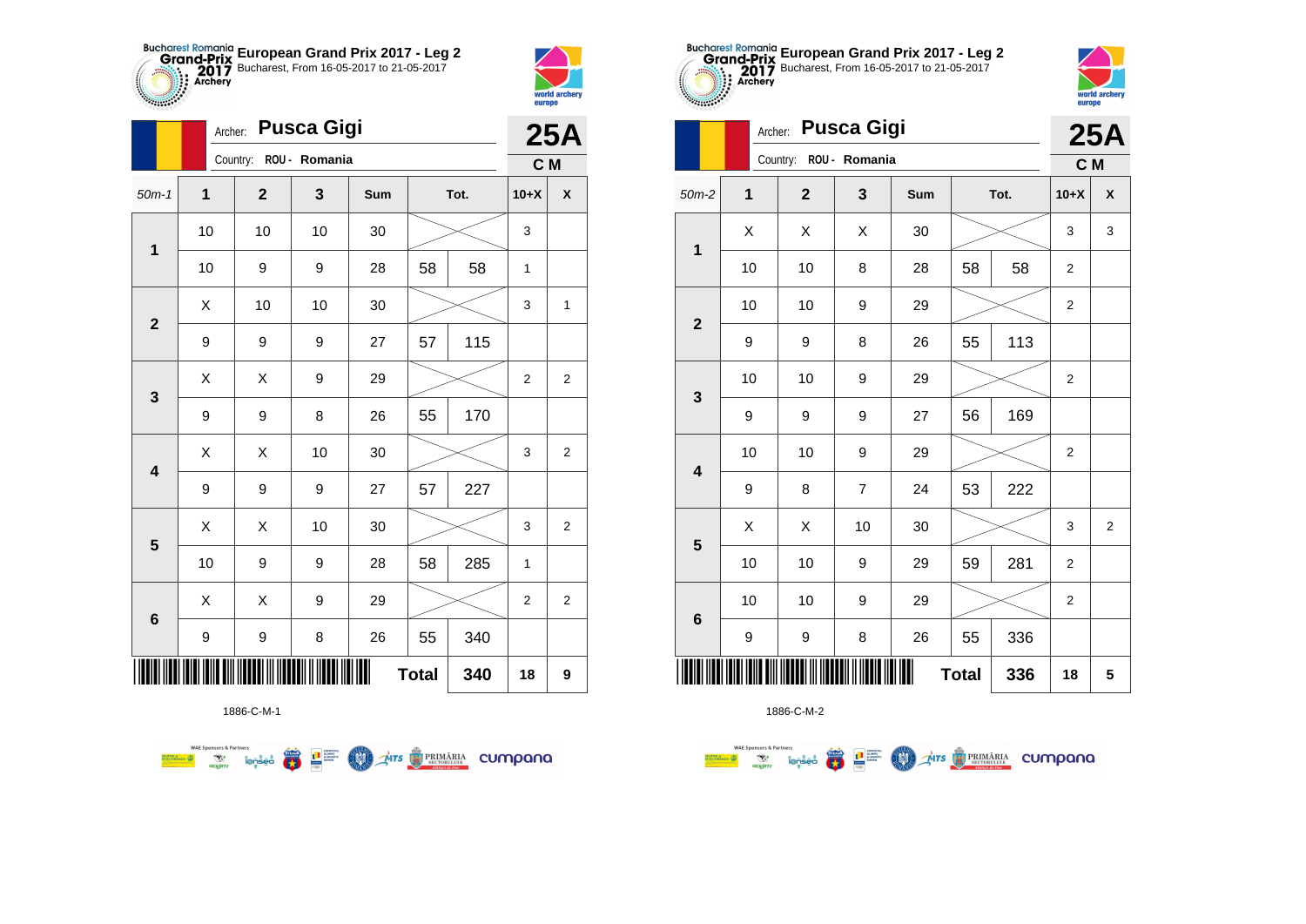



|                         |              | <b>Pusca Gigi</b><br>Archer: |              |     |              |      |                |                    |
|-------------------------|--------------|------------------------------|--------------|-----|--------------|------|----------------|--------------------|
|                         |              | Country: ROU - Romania       |              |     |              |      | C M            | <b>25A</b>         |
| $50m-1$                 | $\mathbf{1}$ | $\overline{2}$               | $\mathbf{3}$ | Sum |              | Tot. | $10+X$         | $\pmb{\mathsf{X}}$ |
| $\mathbf 1$             | 10           | 10                           | 10           | 30  |              |      | 3              |                    |
|                         | 10           | 9                            | 9            | 28  | 58           | 58   | 1              |                    |
| $\mathbf{2}$            | X            | 10                           | 10           | 30  |              |      | 3              | 1                  |
|                         | 9            | 9                            | 9            | 27  | 57           | 115  |                |                    |
| 3                       | Χ            | X                            | 9            | 29  |              |      | $\overline{2}$ | $\overline{2}$     |
|                         | 9            | 9                            | 8            | 26  | 55           | 170  |                |                    |
| $\overline{\mathbf{4}}$ | X            | Χ                            | 10           | 30  |              |      | 3              | $\overline{c}$     |
|                         | 9            | 9                            | 9            | 27  | 57           | 227  |                |                    |
| $\overline{\mathbf{5}}$ | X            | Χ                            | 10           | 30  |              |      | 3              | $\boldsymbol{2}$   |
|                         | 10           | 9                            | 9            | 28  | 58           | 285  | $\mathbf{1}$   |                    |
| $\bf 6$                 | X            | X                            | 9            | 29  |              |      | 2              | $\overline{c}$     |
|                         | 9            | 9                            | 8            | 26  | 55           | 340  |                |                    |
|                         |              |                              |              |     | <b>Total</b> | 340  | 18             | 9                  |



1886-C-M-2

| <b>Pusca Gigi</b><br>Archer: |              |  |              |                |     |              |      |                | <b>25A</b>     |  |  |
|------------------------------|--------------|--|--------------|----------------|-----|--------------|------|----------------|----------------|--|--|
|                              |              |  | Country:     | ROU - Romania  |     |              |      | C M            |                |  |  |
| $50m-2$                      | $\mathbf{1}$ |  | $\mathbf{2}$ | 3              | Sum |              | Tot. | $10+X$         | X              |  |  |
| X<br>$\mathbf 1$             |              |  | X            | X              | 30  |              |      | 3              | 3              |  |  |
|                              | 10           |  | 10           | 8              | 28  | 58           | 58   | $\overline{2}$ |                |  |  |
| $\mathbf{2}$                 | 10           |  | 10           | 9              | 29  |              |      | 2              |                |  |  |
|                              | 9            |  | 9            | 8              | 26  | 55           | 113  |                |                |  |  |
|                              | 10           |  | 10           | 9              | 29  |              |      | $\overline{2}$ |                |  |  |
| $\mathbf{3}$                 | 9            |  | 9            | 9              | 27  | 56           | 169  |                |                |  |  |
| $\overline{\mathbf{4}}$      | 10           |  | 10           | 9              | 29  |              |      | 2              |                |  |  |
|                              | 9            |  | 8            | $\overline{7}$ | 24  | 53           | 222  |                |                |  |  |
| $\overline{\mathbf{5}}$      | X            |  | X            | 10             | 30  |              |      | 3              | $\overline{2}$ |  |  |
|                              | 10           |  | 10           | 9              | 29  | 59           | 281  | $\overline{2}$ |                |  |  |
| $\bf 6$                      | 10           |  | 10           | 9              | 29  |              |      | 2              |                |  |  |
|                              | 9            |  | 9            | 8              | 26  | 55           | 336  |                |                |  |  |
|                              |              |  |              |                | Ш   | <b>Total</b> | 336  | 18             | 5              |  |  |



|                         |             | Country:<br>ROU - Romania |                |     |              |      |                         |                         |  |  |
|-------------------------|-------------|---------------------------|----------------|-----|--------------|------|-------------------------|-------------------------|--|--|
| $50m-2$                 | $\mathbf 1$ | $\mathbf{2}$              | 3              | Sum |              | Tot. | $10+X$                  | X                       |  |  |
|                         | Χ           | Χ                         | Χ              | 30  |              |      | 3                       | 3                       |  |  |
| $\mathbf 1$             | 10          | 10                        | 8              | 28  | 58           | 58   | $\mathbf{2}$            |                         |  |  |
|                         | 10          | 10                        | 9              | 29  |              |      | $\overline{\mathbf{c}}$ |                         |  |  |
| $\mathbf{2}$            | 9           | 9                         | 8              | 26  | 55           | 113  |                         |                         |  |  |
| $\mathbf{3}$            | 10          | 10                        | 9              | 29  |              |      | $\boldsymbol{2}$        |                         |  |  |
|                         | 9           | 9                         | 9              | 27  | 56           | 169  |                         |                         |  |  |
| $\overline{\mathbf{4}}$ | 10          | 10                        | 9              | 29  |              |      | $\mathbf 2$             |                         |  |  |
|                         | 9           | 8                         | $\overline{7}$ | 24  | 53           | 222  |                         |                         |  |  |
| $\overline{\mathbf{5}}$ | X           | Χ                         | 10             | 30  |              |      | 3                       | $\overline{\mathbf{c}}$ |  |  |
|                         | 10          | 10                        | 9              | 29  | 59           | 281  | 2                       |                         |  |  |
| $\bf 6$                 | 10          | 10                        | 9              | 29  |              |      | $\overline{\mathbf{c}}$ |                         |  |  |
|                         | 9           | 9                         | 8              | 26  | 55           | 336  |                         |                         |  |  |
|                         |             |                           |                | Ⅲ   | <b>Total</b> | 336  | 18                      | 5                       |  |  |

**European Grand Prix 2017 - Leg 2** Bucharest, From 16-05-2017 to 21-05-2017

1886-C-M-1

**WAE Sponsors & Partners AITS REMARIA CUMPONO**  $\overline{\mathbf{r}}$ (M)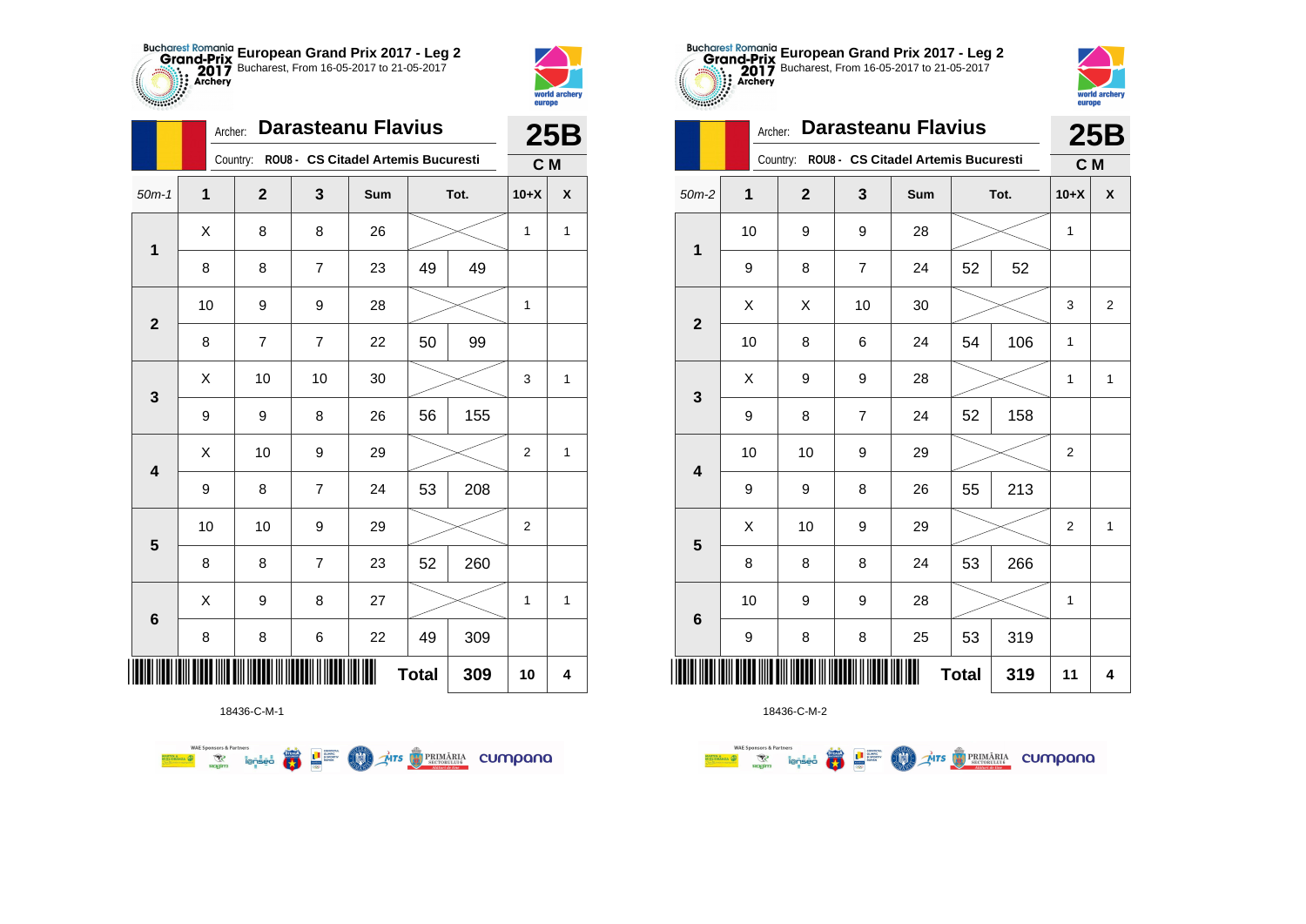



2783

|                         |              | <b>Darasteanu Flavius</b><br>Archer: |                |                                              |              |      |                |                    |  |  |
|-------------------------|--------------|--------------------------------------|----------------|----------------------------------------------|--------------|------|----------------|--------------------|--|--|
|                         |              |                                      |                | Country: ROU8 - CS Citadel Artemis Bucuresti |              |      | C M            |                    |  |  |
| $50m-1$                 | $\mathbf{1}$ | $\mathbf 2$                          | 3              | Sum                                          |              | Tot. | $10+X$         | $\pmb{\mathsf{X}}$ |  |  |
| $\mathbf 1$             | X            | 8                                    | 8              | 26                                           |              |      | 1              | 1                  |  |  |
|                         | 8            | 8                                    | 7              | 23                                           | 49           | 49   |                |                    |  |  |
| $\mathbf{2}$            | 10           | 9                                    | 9              | 28                                           |              |      | 1              |                    |  |  |
|                         | 8            | 7                                    | $\overline{7}$ | 22                                           | 50           | 99   |                |                    |  |  |
| 3                       | X            | 10                                   | 10             | 30                                           |              |      | 3              | $\mathbf{1}$       |  |  |
|                         | 9            | 9                                    | 8              | 26                                           | 56           | 155  |                |                    |  |  |
| $\overline{\mathbf{4}}$ | Χ            | 10                                   | 9              | 29                                           |              |      | $\overline{2}$ | $\mathbf{1}$       |  |  |
|                         | 9            | 8                                    | $\overline{7}$ | 24                                           | 53           | 208  |                |                    |  |  |
| $\overline{\mathbf{5}}$ | 10           | 10                                   | 9              | 29                                           |              |      | $\overline{2}$ |                    |  |  |
|                         | 8            | 8                                    | $\overline{7}$ | 23                                           | 52           | 260  |                |                    |  |  |
|                         | Χ            | 9                                    | 8              | 27                                           |              |      | 1              | 1                  |  |  |
| $\bf 6$                 | 8            | 8                                    | 6              | 22                                           | 49           | 309  |                |                    |  |  |
|                         |              |                                      |                |                                              | <b>Total</b> | 309  | 10             | 4                  |  |  |

**Exercise on the Second Parties of the Conservation Company of the Conservation Company of the Conservation Company** 



18436-C-M-2

| .00000          |    | <b>Darasteanu Flavius</b><br>Archer: |                |                                              |              |      |                |                |  |  |
|-----------------|----|--------------------------------------|----------------|----------------------------------------------|--------------|------|----------------|----------------|--|--|
|                 |    |                                      |                | Country: ROU8 - CS Citadel Artemis Bucuresti |              |      | C M            |                |  |  |
| $50m-2$         | 1  | $\overline{2}$                       | 3              | Sum                                          |              | Tot. | $10+X$         | X              |  |  |
| $\mathbf 1$     | 10 | 9                                    | 9              | 28                                           |              |      | 1              |                |  |  |
|                 | 9  | 8                                    | 7              | 24                                           | 52           | 52   |                |                |  |  |
| $\overline{2}$  | X  | X                                    | 10             | 30                                           |              |      | 3              | $\overline{2}$ |  |  |
|                 | 10 | 8                                    | 6              | 24                                           | 54           | 106  | $\mathbf{1}$   |                |  |  |
| 3               | X  | 9                                    | 9              | 28                                           |              |      | 1              | $\mathbf{1}$   |  |  |
|                 | 9  | 8                                    | $\overline{7}$ | 24                                           | 52           | 158  |                |                |  |  |
| 4               | 10 | 10                                   | 9              | 29                                           |              |      | 2              |                |  |  |
|                 | 9  | 9                                    | 8              | 26                                           | 55           | 213  |                |                |  |  |
| 5               | Χ  | 10                                   | 9              | 29                                           |              |      | $\overline{2}$ | $\mathbf{1}$   |  |  |
|                 | 8  | 8                                    | 8              | 24                                           | 53           | 266  |                |                |  |  |
| $6\phantom{1}6$ | 10 | 9                                    | 9              | 28                                           |              |      | 1              |                |  |  |
|                 | 9  | 8                                    | 8              | 25                                           | 53           | 319  |                |                |  |  |
|                 |    |                                      |                |                                              | <b>Total</b> | 319  | 11             | 4              |  |  |

**European Grand Prix 2017 - Leg 2** Bucharest, From 16-05-2017 to 21-05-2017

> world archer europe

18436-C-M-1

**WAE Sponsors & Partners**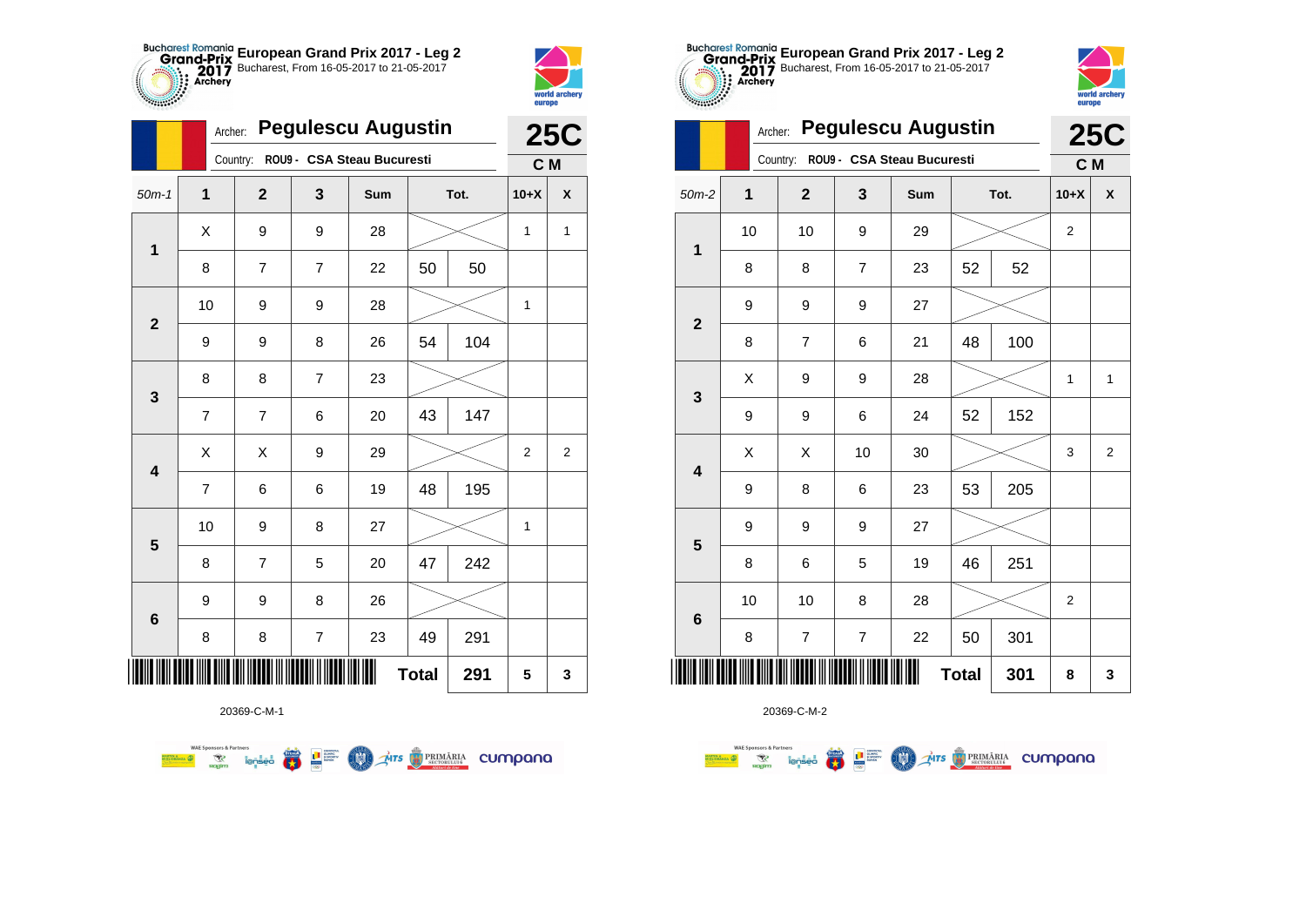



**TABLE** 

|                         |                | <b>Pegulescu Augustin</b><br>Archer: |                          |                            |              |      |                |                  |  |
|-------------------------|----------------|--------------------------------------|--------------------------|----------------------------|--------------|------|----------------|------------------|--|
|                         |                | Country:                             |                          | ROU9 - CSA Steau Bucuresti |              |      | C M            |                  |  |
| $50m-1$                 | 1              | $\mathbf{2}$                         | 3                        | Sum                        |              | Tot. | $10+X$         | X                |  |
| $\overline{\mathbf{1}}$ | Χ              | 9                                    | 9                        | 28                         |              |      | 1              | 1                |  |
|                         | 8              | 7                                    | 7                        | 22                         | 50           | 50   |                |                  |  |
| $\overline{\mathbf{2}}$ | 10             | 9                                    | 9                        | 28                         |              |      | 1              |                  |  |
|                         | 9              | 9                                    | 8                        | 26                         | 54           | 104  |                |                  |  |
| 3                       | 8              | 8                                    | $\overline{7}$           | 23                         |              |      |                |                  |  |
|                         | $\overline{7}$ | $\overline{7}$                       | 6                        | 20                         | 43           | 147  |                |                  |  |
| $\overline{\mathbf{4}}$ | X              | X                                    | 9                        | 29                         |              |      | $\overline{c}$ | $\boldsymbol{2}$ |  |
|                         | $\overline{7}$ | 6                                    | 6                        | 19                         | 48           | 195  |                |                  |  |
| $\overline{\mathbf{5}}$ | 10             | 9                                    | 8                        | 27                         |              |      | 1              |                  |  |
|                         | 8              | 7                                    | 5                        | 20                         | 47           | 242  |                |                  |  |
| 6                       | 9              | 9                                    | 8                        | 26                         |              |      |                |                  |  |
|                         | 8              | 8                                    | $\overline{\mathcal{I}}$ | 23                         | 49           | 291  |                |                  |  |
|                         |                |                                      |                          |                            | <b>Total</b> | 291  | 5              | 3                |  |



20369-C-M-2

| $\mathbf 1$             | 10          | 10                       | 9                        | 29 |              |     | $\mathbf 2$ |                         |
|-------------------------|-------------|--------------------------|--------------------------|----|--------------|-----|-------------|-------------------------|
|                         | 8           | 8                        | $\overline{\mathcal{I}}$ | 23 | 52           | 52  |             |                         |
| $\mathbf{2}$            | 9           | 9                        | 9                        | 27 |              |     |             |                         |
|                         | 8           | $\overline{\mathcal{I}}$ | 6                        | 21 | 48           | 100 |             |                         |
| $\mathbf{3}$            | $\mathsf X$ | 9                        | 9                        | 28 |              |     | 1           | $\mathbf{1}$            |
|                         | 9           | 9                        | 6                        | 24 | 52           | 152 |             |                         |
| $\overline{\mathbf{4}}$ | Χ           | Χ                        | 10                       | 30 |              |     | 3           | $\overline{\mathbf{c}}$ |
|                         | 9           | 8                        | 6                        | 23 | 53           | 205 |             |                         |
| 5                       | 9           | 9                        | 9                        | 27 |              |     |             |                         |
|                         | 8           | 6                        | 5                        | 19 | 46           | 251 |             |                         |
| $\bf 6$                 | 10          | 10                       | 8                        | 28 |              |     | $\mathbf 2$ |                         |
|                         | 8           | $\overline{\mathbf{7}}$  | $\boldsymbol{7}$         | 22 | 50           | 301 |             |                         |
|                         |             |                          |                          | Ш  | <b>Total</b> | 301 | 8           | 3                       |

**European Grand Prix 2017 - Leg 2** Bucharest, From 16-05-2017 to 21-05-2017

Archer: **Pegulescu Augustin**

Country: **ROU9 - CSA Steau Bucuresti**





**25C C M**

**WAE Sponsors & Partners Examples and Second Second Second Second Second Second Second Second Second Second Second Second Second Second Second Second Second Second Second Second Second Second Second Second Second Second Second Second Second Secon** 

20369-C-M-1

**COLORED PRIMARIA CUMPANA**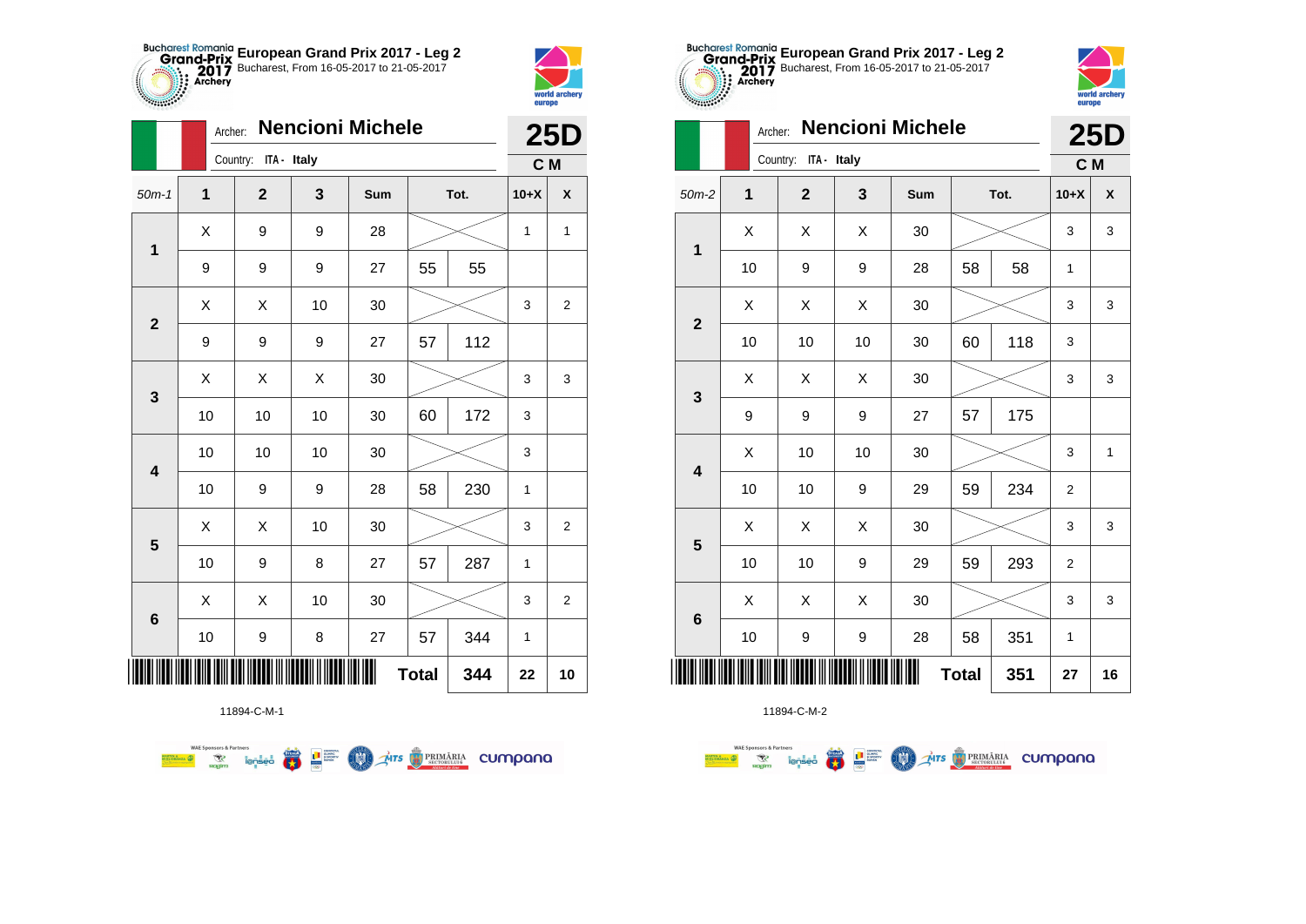



*<b>PARTICIPS* 

|                |              | <b>Nencioni Michele</b><br>Archer: |    |     |              |      |              |                    |  |  |
|----------------|--------------|------------------------------------|----|-----|--------------|------|--------------|--------------------|--|--|
|                |              | Country: ITA - Italy               |    |     |              |      | C M          | <b>25D</b>         |  |  |
| $50m-1$        | $\mathbf{1}$ | $\overline{2}$                     | 3  | Sum |              | Tot. | $10+X$       | $\pmb{\mathsf{X}}$ |  |  |
| $\mathbf 1$    | Χ            | 9                                  | 9  | 28  |              |      | 1            | 1                  |  |  |
|                | 9            | 9                                  | 9  | 27  | 55           | 55   |              |                    |  |  |
| $\overline{2}$ | X            | Χ                                  | 10 | 30  |              |      | 3            | $\overline{2}$     |  |  |
|                | 9            | 9                                  | 9  | 27  | 57           | 112  |              |                    |  |  |
| 3              | Χ            | X                                  | Χ  | 30  |              |      | 3            | 3                  |  |  |
|                | 10           | 10                                 | 10 | 30  | 60           | 172  | 3            |                    |  |  |
| 4              | 10           | 10                                 | 10 | 30  |              |      | 3            |                    |  |  |
|                | 10           | 9                                  | 9  | 28  | 58           | 230  | 1            |                    |  |  |
| 5              | X            | X                                  | 10 | 30  |              |      | 3            | $\overline{2}$     |  |  |
|                | 10           | 9                                  | 8  | 27  | 57           | 287  | $\mathbf{1}$ |                    |  |  |
| 6              | Χ            | Χ                                  | 10 | 30  |              |      | 3            | $\overline{c}$     |  |  |
|                | 10           | 9                                  | 8  | 27  | 57           | 344  | 1            |                    |  |  |
|                |              |                                    |    |     | <b>Total</b> | 344  | 22           | 10                 |  |  |



11894-C-M-2

|                         |              | Country:<br>ITA - Italy |    | C M |              |      |                |                    |
|-------------------------|--------------|-------------------------|----|-----|--------------|------|----------------|--------------------|
| $m-2$                   | $\mathbf{1}$ | $\overline{\mathbf{2}}$ | 3  | Sum |              | Tot. | $10+X$         | $\pmb{\mathsf{X}}$ |
| $\mathbf{1}$            | Χ            | Χ                       | X  | 30  |              |      | 3              | 3                  |
|                         | 10           | 9                       | 9  | 28  | 58           | 58   | 1              |                    |
| $\overline{2}$          | Χ            | Χ                       | X  | 30  |              |      | 3              | 3                  |
|                         | 10           | 10                      | 10 | 30  | 60           | 118  | 3              |                    |
| $\overline{\mathbf{3}}$ | Χ            | Χ                       | X  | 30  |              |      | 3              | 3                  |
|                         | 9            | 9                       | 9  | 27  | 57           | 175  |                |                    |
| $\overline{\mathbf{4}}$ | X            | 10                      | 10 | 30  |              |      | 3              | 1                  |
|                         | 10           | 10                      | 9  | 29  | 59           | 234  | $\overline{2}$ |                    |
| 5                       | X            | Χ                       | X  | 30  |              |      | 3              | 3                  |
|                         | 10           | 10                      | 9  | 29  | 59           | 293  | $\mathbf 2$    |                    |
| $6\phantom{1}$          | Χ            | X                       | X  | 30  |              |      | 3              | 3                  |
|                         | $10\,$       | 9                       | 9  | 28  | 58           | 351  | 1              |                    |
|                         |              | <b>IIIIIIIIIIII</b>     |    | Ш   | <b>Total</b> | 351  | 27             | 16                 |



|                         |              | <b>Nencioni Michele</b><br>Archer: |    |     |              |      |                |                    |
|-------------------------|--------------|------------------------------------|----|-----|--------------|------|----------------|--------------------|
|                         |              | Country: ITA - Italy               |    |     |              |      | C M            |                    |
| $50m-2$                 | $\mathbf{1}$ | $\mathbf{2}$                       | 3  | Sum |              | Tot. | $10+X$         | $\pmb{\mathsf{X}}$ |
| 1                       | X            | X                                  | X  | 30  |              |      | 3              | 3                  |
|                         | 10           | 9                                  | 9  | 28  | 58           | 58   | 1              |                    |
| $\overline{2}$          | X            | X                                  | X  | 30  |              |      | 3              | 3                  |
|                         | 10           | 10                                 | 10 | 30  | 60           | 118  | 3              |                    |
| 3                       | Χ            | Χ                                  | Χ  | 30  |              |      | 3              | 3                  |
|                         | 9            | 9                                  | 9  | 27  | 57           | 175  |                |                    |
| $\overline{\mathbf{4}}$ | X            | 10                                 | 10 | 30  |              |      | 3              | 1                  |
|                         | 10           | 10                                 | 9  | 29  | 59           | 234  | $\overline{2}$ |                    |
| 5                       | Χ            | Χ                                  | X  | 30  |              |      | 3              | 3                  |
|                         | 10           | 10                                 | 9  | 29  | 59           | 293  | $\overline{2}$ |                    |
| $6\phantom{1}6$         | X            | X                                  | X  | 30  |              |      | 3              | 3                  |
|                         | 10           | 9                                  | 9  | 28  | 58           | 351  | 1              |                    |
|                         |              |                                    |    |     | <b>Total</b> | 351  | 27             | 16                 |

**European Grand Prix 2017 - Leg 2** Bucharest, From 16-05-2017 to 21-05-2017

11894-C-M-1

**WAE Sponsors & Partners THITS BETORIARIA CUMPANA** ● ■ **COND**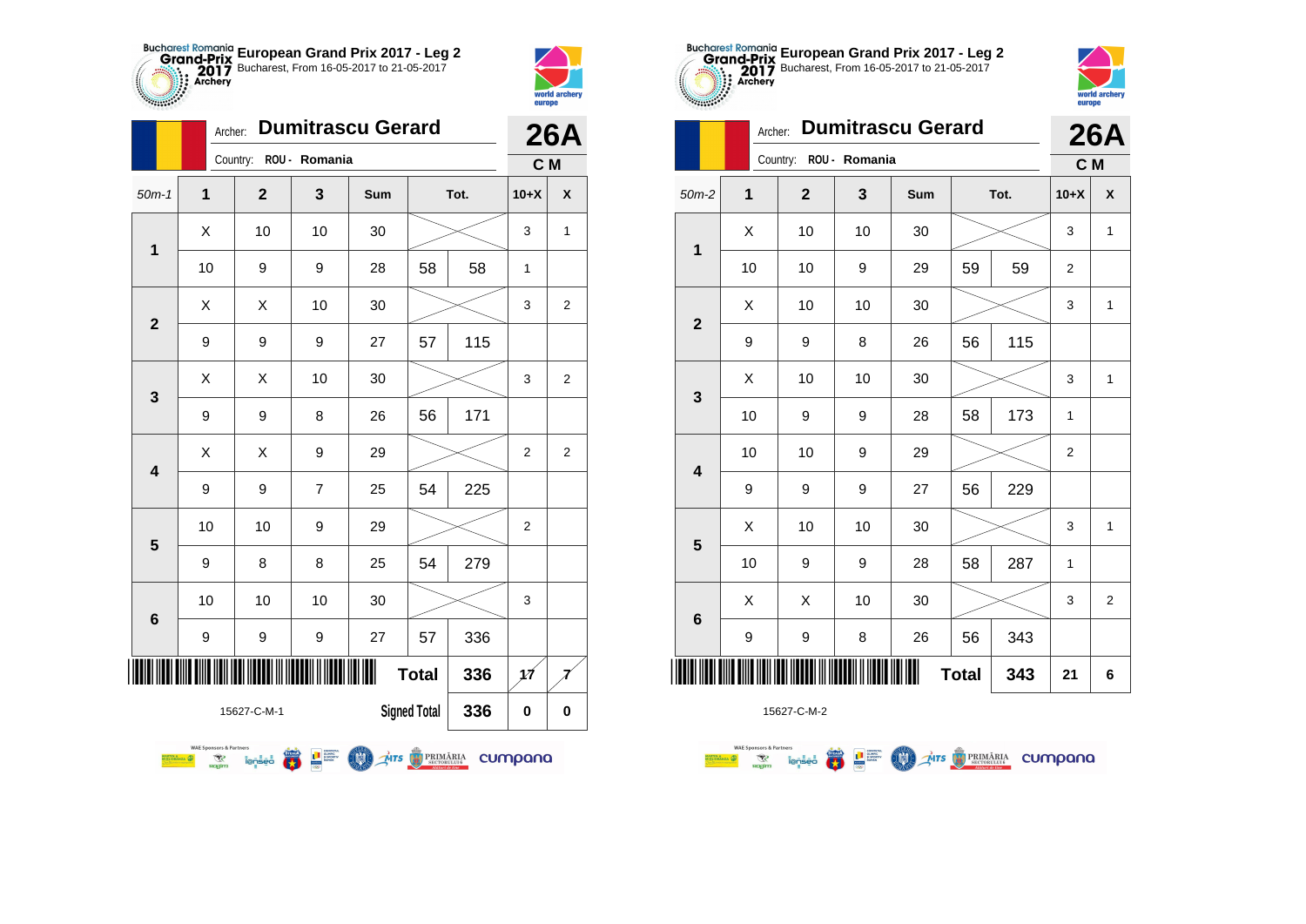



|              |                  |                                                  |                | <b>26A</b>                                                              |              |                     |      |                |                |
|--------------|------------------|--------------------------------------------------|----------------|-------------------------------------------------------------------------|--------------|---------------------|------|----------------|----------------|
|              |                  |                                                  | Country:       | ROU - Romania                                                           |              |                     |      | C <sub>M</sub> |                |
| $50m-1$      | 1                |                                                  | $\overline{2}$ | 3                                                                       | Sum          |                     | Tot. | $10+X$         | X              |
| 1            | X                |                                                  | 10             | 10                                                                      | 30           |                     |      | 3              | $\mathbf{1}$   |
|              | 10               |                                                  | 9              | 9                                                                       | 28           | 58                  | 58   | 1              |                |
| $\mathbf{2}$ | X                |                                                  | X              | 10                                                                      | 30           |                     |      | 3              | $\overline{2}$ |
|              | 9                |                                                  | 9              | 9                                                                       | 27           | 57                  | 115  |                |                |
| 3            | Χ                |                                                  | X              | 10                                                                      | 30           |                     |      | 3              | $\overline{2}$ |
|              | 9                |                                                  | 9              | 8                                                                       | 26           | 56                  | 171  |                |                |
| 4            | X                |                                                  | X              | 9                                                                       | 29           |                     |      | $\overline{2}$ | $\overline{2}$ |
|              | 9                |                                                  | 9              | 7                                                                       | 25           | 54                  | 225  |                |                |
| 5            | 10               |                                                  | 10             | 9                                                                       | 29           |                     |      | $\overline{2}$ |                |
|              | 9                |                                                  | 8              | 8                                                                       | 25           | 54                  | 279  |                |                |
| 6            | 10               |                                                  | 10             | 10                                                                      | 30           |                     |      | 3              |                |
|              | 9                |                                                  | 9              | 9                                                                       | 27           | 57                  | 336  |                |                |
| IIII         |                  |                                                  |                |                                                                         | Ш            | <b>Total</b>        | 336  | 1Á             |                |
|              |                  |                                                  | 15627-C-M-1    |                                                                         |              | <b>Signed Total</b> | 336  | 0              | $\bf{0}$       |
|              | <b>TIN &amp;</b> | <b>WAE Sponsors &amp; Partners</b><br>R<br>nagim | ienseo         | $\begin{array}{c c}\n\hline\n\textbf{I} & \text{coherent}\n\end{array}$ | MTS BRIMARIA |                     |      | cumpana        |                |





|                 | Archer: |              |               | <b>26A</b> |              |      |                |                |
|-----------------|---------|--------------|---------------|------------|--------------|------|----------------|----------------|
|                 |         | Country:     | ROU - Romania |            |              |      | C M            |                |
| $50m-2$         | 1       | $\mathbf{2}$ | 3             | Sum        |              | Tot. | $10+X$         | X              |
| 1               | X       | 10           | 10            | 30         |              |      | 3              | $\mathbf{1}$   |
|                 | 10      | 10           | 9             | 29         | 59           | 59   | $\overline{2}$ |                |
| $\mathbf{2}$    | X       | 10           | 10            | 30         |              |      | 3              | 1              |
|                 | 9       | 9            | 8             | 26         | 56           | 115  |                |                |
| 3               | X       | 10           | 10            | 30         |              |      | 3              | 1              |
|                 | 10      | 9            | 9             | 28         | 58           | 173  | 1              |                |
| 4               | 10      | 10           | 9             | 29         |              |      | $\overline{2}$ |                |
|                 | 9       | 9            | 9             | 27         | 56           | 229  |                |                |
| 5               | X       | 10           | 10            | 30         |              |      | 3              | 1              |
|                 | 10      | 9            | 9             | 28         | 58           | 287  | 1              |                |
| $6\phantom{1}6$ | X       | X            | 10            | 30         |              |      | 3              | $\overline{2}$ |
|                 | 9       | 9            | 8             | 26         | 56           | 343  |                |                |
|                 |         |              |               |            | <b>Total</b> | 343  | 21             | 6              |

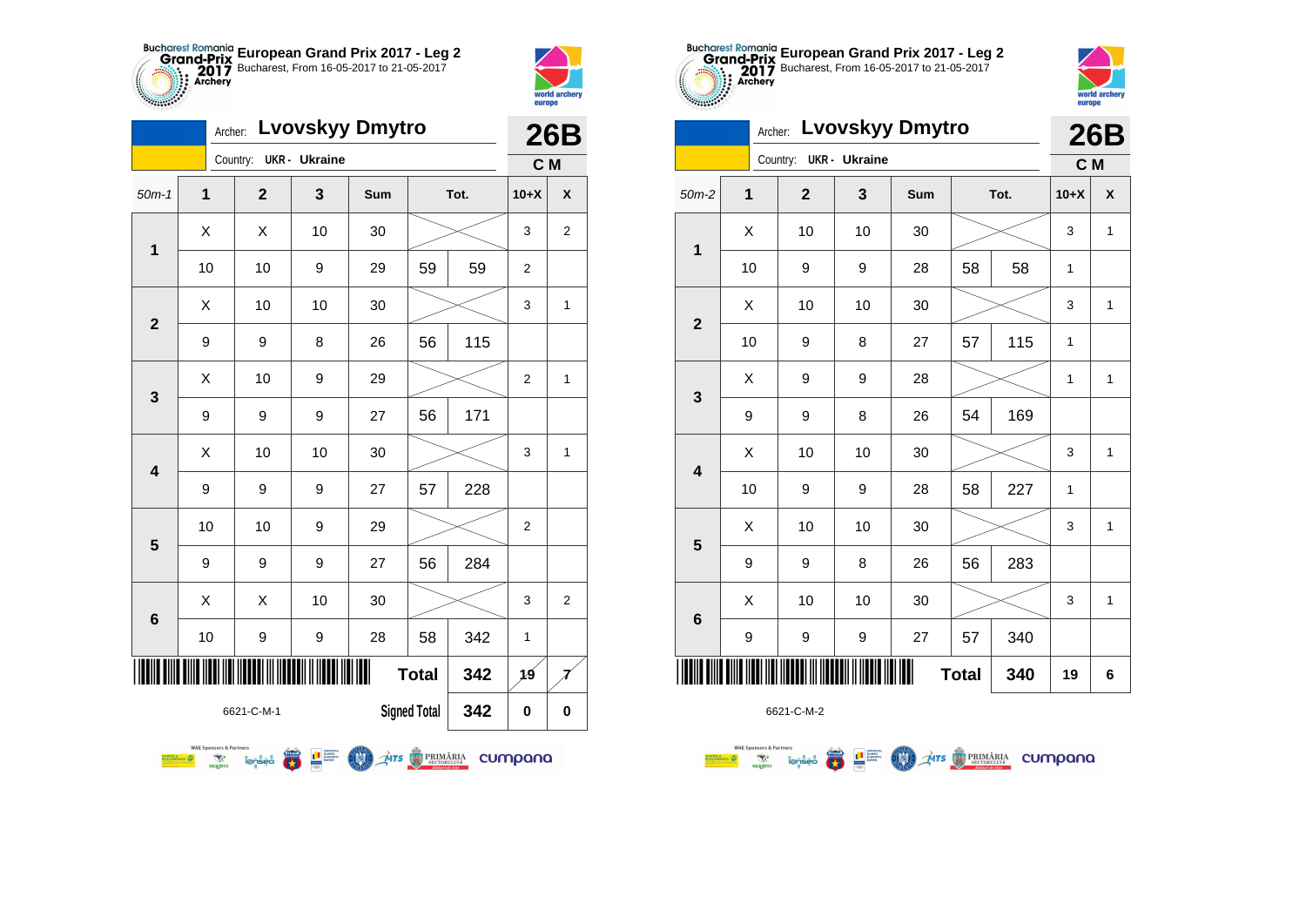



|                 | <b>Lvovskyy Dmytro</b><br>Archer:                                    |                |                                                                                                                                                                                                                                                                                                                                                                                                                                                                                                                                     |              |    |      |                |                  |  |
|-----------------|----------------------------------------------------------------------|----------------|-------------------------------------------------------------------------------------------------------------------------------------------------------------------------------------------------------------------------------------------------------------------------------------------------------------------------------------------------------------------------------------------------------------------------------------------------------------------------------------------------------------------------------------|--------------|----|------|----------------|------------------|--|
|                 |                                                                      | Country:       | UKR - Ukraine                                                                                                                                                                                                                                                                                                                                                                                                                                                                                                                       |              |    |      | C <sub>M</sub> |                  |  |
| $50m-1$         | $\overline{1}$                                                       | $\overline{2}$ | 3                                                                                                                                                                                                                                                                                                                                                                                                                                                                                                                                   | Sum          |    | Tot. | $10+X$         | $\boldsymbol{x}$ |  |
| 1               | X                                                                    | X              | 10                                                                                                                                                                                                                                                                                                                                                                                                                                                                                                                                  | 30           |    |      | 3              | 2                |  |
|                 | 10                                                                   | 10             | 9                                                                                                                                                                                                                                                                                                                                                                                                                                                                                                                                   | 29           | 59 | 59   | 2              |                  |  |
| $\overline{2}$  | X                                                                    | 10             | 10                                                                                                                                                                                                                                                                                                                                                                                                                                                                                                                                  | 30           |    |      | 3              | 1                |  |
|                 | 9                                                                    | 9              | 8                                                                                                                                                                                                                                                                                                                                                                                                                                                                                                                                   | 26           | 56 | 115  |                |                  |  |
| 3               | Χ                                                                    | 10             | 9                                                                                                                                                                                                                                                                                                                                                                                                                                                                                                                                   | 29           |    |      | $\overline{2}$ | 1                |  |
|                 | 9                                                                    | 9              | 9                                                                                                                                                                                                                                                                                                                                                                                                                                                                                                                                   | 27           | 56 | 171  |                |                  |  |
| 4               | Χ                                                                    | 10             | 10                                                                                                                                                                                                                                                                                                                                                                                                                                                                                                                                  | 30           |    |      | 3              | 1                |  |
|                 | 9                                                                    | 9              | 9                                                                                                                                                                                                                                                                                                                                                                                                                                                                                                                                   | 27           | 57 | 228  |                |                  |  |
| 5               | 10                                                                   | 10             | 9                                                                                                                                                                                                                                                                                                                                                                                                                                                                                                                                   | 29           |    |      | 2              |                  |  |
|                 | 9                                                                    | 9              | 9                                                                                                                                                                                                                                                                                                                                                                                                                                                                                                                                   | 27           | 56 | 284  |                |                  |  |
| $6\phantom{1}6$ | X                                                                    | X              | 10                                                                                                                                                                                                                                                                                                                                                                                                                                                                                                                                  | 30           |    |      | 3              | $\overline{2}$   |  |
|                 | 10                                                                   | 9              | 9                                                                                                                                                                                                                                                                                                                                                                                                                                                                                                                                   | 28           | 58 | 342  | 1              |                  |  |
|                 | <b>Total</b><br>342                                                  |                |                                                                                                                                                                                                                                                                                                                                                                                                                                                                                                                                     |              |    |      |                |                  |  |
|                 | <b>Signed Total</b><br>342<br>6621-C-M-1                             |                |                                                                                                                                                                                                                                                                                                                                                                                                                                                                                                                                     |              |    |      | 0              | 0                |  |
|                 | <b>WAE Sponsors &amp; Partners</b><br>R<br>N A<br>DRANZA MA<br>nagim | <i>lenses</i>  | $\begin{array}{c c}\n & \text{coserve} \\  & \text{g. power} \\  & \text{g. power} \\  & \text{f. power} \\  & \text{f. power} \\  & \text{f. power} \\ \hline\n & \text{f. power} \\  & \text{f. power} \\ \hline\n & \text{f. power} \\ \hline\n & \text{f. power} \\ \hline\n & \text{f. power} \\ \hline\n & \text{f. power} \\ \hline\n & \text{f. power} \\ \hline\n & \text{f. power} \\ \hline\n & \text{f. power} \\ \hline\n & \text{f. power} \\ \hline\n & \text{f. power} \\ \hline\n & \text{f. power} \\ \hline\n &$ | MTS BRIMARIA |    |      | cumpana        |                  |  |





|                         |    | <b>26B</b>     |                      |     |              |      |              |              |
|-------------------------|----|----------------|----------------------|-----|--------------|------|--------------|--------------|
|                         |    | Country:       | <b>UKR</b> - Ukraine |     |              |      | C M          |              |
| $50m-2$                 | 1  | $\overline{2}$ | 3                    | Sum |              | Tot. | $10+X$       | X            |
| 1                       | Χ  | 10             | 10                   | 30  |              |      | 3            | 1            |
|                         | 10 | 9              | 9                    | 28  | 58           | 58   | 1            |              |
| $\overline{\mathbf{2}}$ | X  | 10             | 10                   | 30  |              |      | 3            | $\mathbf{1}$ |
|                         | 10 | 9              | 8                    | 27  | 57           | 115  | 1            |              |
|                         | X  | 9              | 9                    | 28  |              |      | 1            | 1            |
| 3                       | 9  | 9              | 8                    | 26  | 54           | 169  |              |              |
| $\overline{\mathbf{4}}$ | Χ  | 10             | 10                   | 30  |              |      | 3            | 1            |
|                         | 10 | 9              | 9                    | 28  | 58           | 227  | $\mathbf{1}$ |              |
| 5                       | Χ  | 10             | 10                   | 30  |              |      | 3            | 1            |
|                         | 9  | 9              | 8                    | 26  | 56           | 283  |              |              |
| $\bf 6$                 | X  | 10             | 10                   | 30  |              |      | 3            | $\mathbf{1}$ |
|                         | 9  | 9              | 9                    | 27  | 57           | 340  |              |              |
| ▎▍▌▌▎▎▏                 |    |                |                      |     | <b>Total</b> | 340  | 19           | 6            |

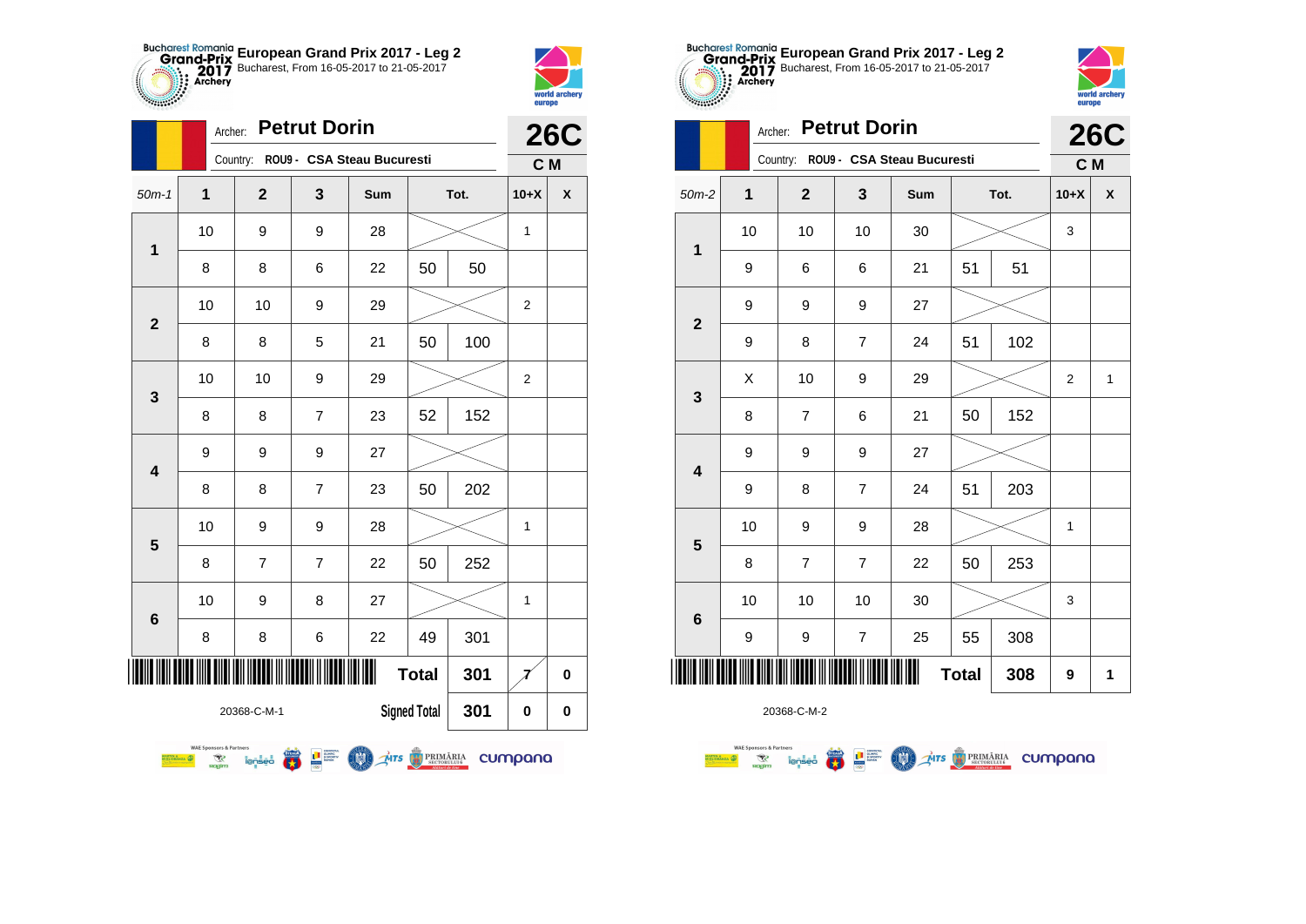



|                         | <b>Petrut Dorin</b><br>Archer: |                                                  |              |                            |              |                     |      |                | <b>26C</b> |
|-------------------------|--------------------------------|--------------------------------------------------|--------------|----------------------------|--------------|---------------------|------|----------------|------------|
|                         |                                |                                                  | Country:     | ROU9 - CSA Steau Bucuresti |              |                     |      | C <sub>M</sub> |            |
| $50m-1$                 | 1                              |                                                  | $\mathbf{2}$ | 3                          | Sum          |                     | Tot. | $10+X$         | X          |
| $\overline{1}$          | 10                             |                                                  | 9            | 9                          | 28           |                     |      | 1              |            |
|                         | 8                              |                                                  | 8            | 6                          | 22           | 50                  | 50   |                |            |
| $\mathbf{2}$            | 10                             |                                                  | 10           | 9                          | 29           |                     |      | $\overline{2}$ |            |
|                         | 8                              |                                                  | 8            | 5                          | 21           | 50                  | 100  |                |            |
| 3                       | 10                             |                                                  | 10           | 9                          | 29           |                     |      | $\overline{2}$ |            |
|                         | 8                              |                                                  | 8            | $\overline{7}$             | 23           | 52                  | 152  |                |            |
| $\overline{\mathbf{4}}$ | 9                              |                                                  | 9            | 9                          | 27           |                     |      |                |            |
|                         | 8                              |                                                  | 8            | $\overline{7}$             | 23           | 50                  | 202  |                |            |
| 5                       | 10                             |                                                  | 9            | 9                          | 28           |                     |      | 1              |            |
|                         | 8                              |                                                  | 7            | $\overline{7}$             | 22           | 50                  | 252  |                |            |
| $6\phantom{1}6$         | 10                             |                                                  | 9            | 8                          | 27           |                     |      | 1              |            |
|                         | 8                              |                                                  | 8            | 6                          | 22           | 49                  | 301  |                |            |
| IIIII                   |                                |                                                  |              |                            | Ш            | <b>Total</b>        | 301  |                | $\bf{0}$   |
|                         |                                |                                                  | 20368-C-M-1  |                            |              | <b>Signed Total</b> | 301  | 0              | 0          |
|                         | <b>SETIN &amp; CONTRACTOR</b>  | <b>WAE Sponsors &amp; Partners</b><br>R<br>nagim | lenseo       |                            | MTS BRIMARIA |                     |      | cumpana        |            |





|                |    | <b>Petrut Dorin</b><br>Archer: |                |                                     |              |      |                |                    |  |
|----------------|----|--------------------------------|----------------|-------------------------------------|--------------|------|----------------|--------------------|--|
|                |    |                                |                | Country: ROU9 - CSA Steau Bucuresti |              |      | C M            | <b>26C</b>         |  |
| $50m-2$        | 1  | $\mathbf{2}$                   | 3              | Sum                                 |              | Tot. | $10+X$         | $\pmb{\mathsf{X}}$ |  |
| 1              | 10 | 10                             | 10             | 30                                  |              |      | 3              |                    |  |
|                | 9  | 6                              | 6              | 21                                  | 51           | 51   |                |                    |  |
| $\overline{2}$ | 9  | 9                              | 9              | 27                                  |              |      |                |                    |  |
|                | 9  | 8                              | $\overline{7}$ | 24                                  | 51           | 102  |                |                    |  |
| 3              | X  | 10                             | 9              | 29                                  |              |      | $\overline{2}$ | $\mathbf{1}$       |  |
|                | 8  | $\overline{7}$                 | 6              | 21                                  | 50           | 152  |                |                    |  |
| 4              | 9  | 9                              | 9              | 27                                  |              |      |                |                    |  |
|                | 9  | 8                              | $\overline{7}$ | 24                                  | 51           | 203  |                |                    |  |
| 5              | 10 | 9                              | 9              | 28                                  |              |      | $\mathbf{1}$   |                    |  |
|                | 8  | 7                              | $\overline{7}$ | 22                                  | 50           | 253  |                |                    |  |
| 6              | 10 | 10                             | 10             | 30                                  |              |      | 3              |                    |  |
|                | 9  | 9                              | $\overline{7}$ | 25                                  | 55           | 308  |                |                    |  |
| ║║║║           |    |                                |                |                                     | <b>Total</b> | 308  | 9              | 1                  |  |

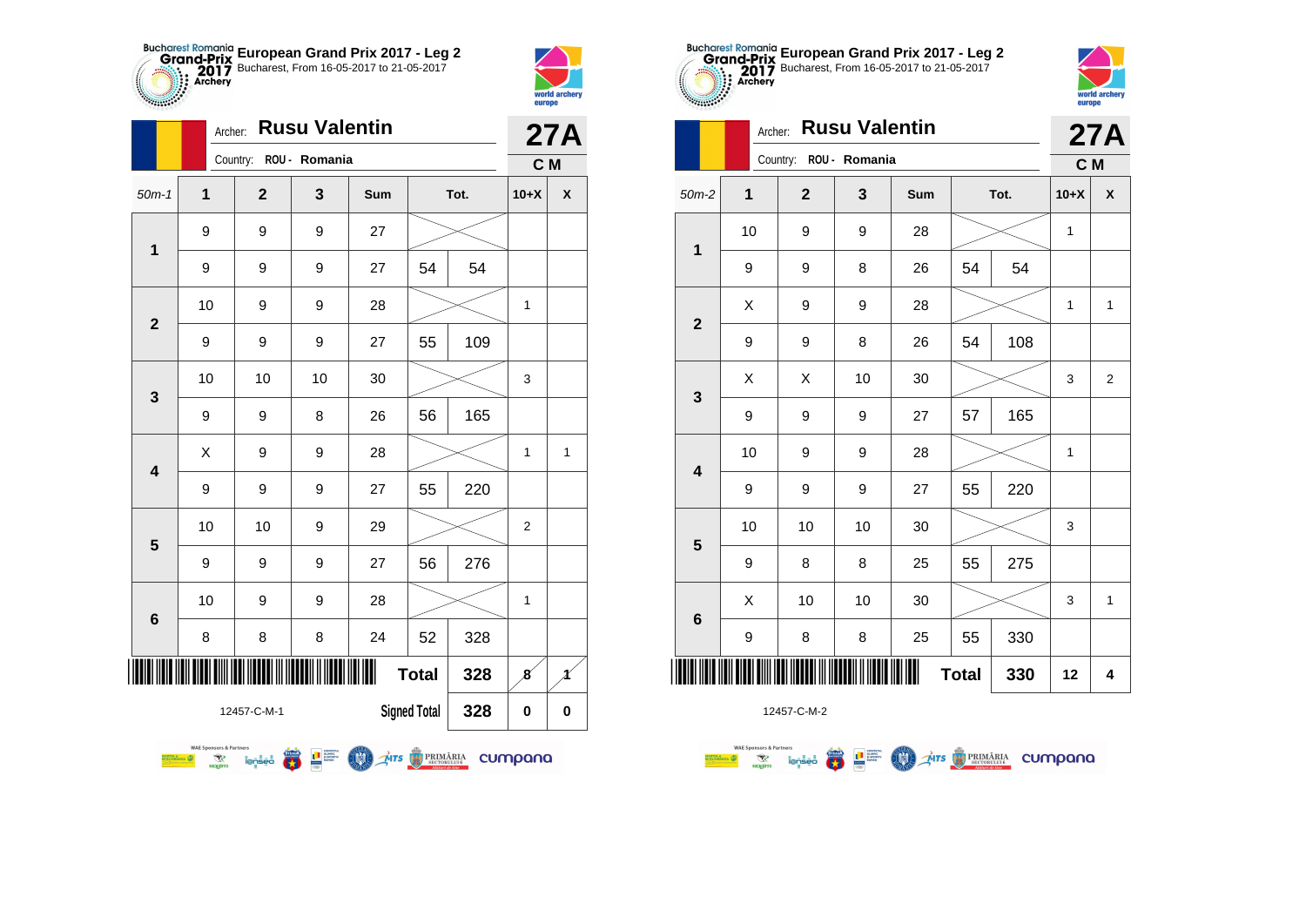



|                                           | <b>Rusu Valentin</b><br>Archer:                                          |                        |                                                                           |                |              |      |                |   |  |
|-------------------------------------------|--------------------------------------------------------------------------|------------------------|---------------------------------------------------------------------------|----------------|--------------|------|----------------|---|--|
|                                           |                                                                          | Country: ROU - Romania |                                                                           |                |              |      | C M            |   |  |
| $50m-1$                                   | 1                                                                        | $\overline{2}$         | 3                                                                         | <b>Sum</b>     |              | Tot. | $10+X$         | X |  |
| 1                                         | 9                                                                        | 9                      | 9                                                                         | 27             |              |      |                |   |  |
|                                           | 9                                                                        | 9                      | 9                                                                         | 27             | 54           | 54   |                |   |  |
| $\overline{2}$                            | 10                                                                       | 9                      | 9                                                                         | 28             |              |      | 1              |   |  |
|                                           | 9                                                                        | 9                      | 9                                                                         | 27             | 55           | 109  |                |   |  |
| 3                                         | 10                                                                       | 10                     | 10                                                                        | 30             |              |      | 3              |   |  |
|                                           | 9                                                                        | 9                      | 8                                                                         | 26             | 56           | 165  |                |   |  |
| 4                                         | X                                                                        | 9                      | 9                                                                         | 28             |              |      | 1              | 1 |  |
|                                           | 9                                                                        | 9                      | 9                                                                         | 27             | 55           | 220  |                |   |  |
| 5                                         | 10                                                                       | 10                     | 9                                                                         | 29             |              |      | $\overline{2}$ |   |  |
|                                           | 9                                                                        | 9                      | 9                                                                         | 27             | 56           | 276  |                |   |  |
| $6\phantom{1}6$                           | 10                                                                       | 9                      | 9                                                                         | 28             |              |      | 1              |   |  |
|                                           | 8                                                                        | 8                      | 8                                                                         | 24             | 52           | 328  |                |   |  |
| IIII                                      |                                                                          |                        |                                                                           | Ⅲ              | <b>Total</b> | 328  | 8              |   |  |
| <b>Signed Total</b><br>328<br>12457-C-M-1 |                                                                          |                        |                                                                           |                |              |      | 0              | 0 |  |
|                                           | <b>WAE Sponsors &amp; Partners</b><br>R<br><b>DRANZA</b><br><b>Rogim</b> | <i>lenseo</i>          | <b>THE SURFACE</b><br><b>EXPORTER</b><br><b>CONTROL</b><br><b>CONTROL</b> | MIS D'PRIMARIA |              |      | cumpana        |   |  |





|                 | Archer: |                        |                  | <b>27A</b> |              |      |              |                |
|-----------------|---------|------------------------|------------------|------------|--------------|------|--------------|----------------|
|                 |         | Country: ROU - Romania |                  |            |              |      | C M          |                |
| $50m-2$         | 1       | $\mathbf{2}$           | 3                | Sum        |              | Tot. | $10+X$       | χ              |
| $\mathbf 1$     | 10      | 9                      | $\boldsymbol{9}$ | 28         |              |      | 1            |                |
|                 | 9       | 9                      | 8                | 26         | 54           | 54   |              |                |
| $\overline{2}$  | X       | 9                      | 9                | 28         |              |      | $\mathbf{1}$ | $\mathbf{1}$   |
|                 | 9       | 9                      | 8                | 26         | 54           | 108  |              |                |
| 3               | X       | X                      | 10               | 30         |              |      | 3            | $\overline{2}$ |
|                 | 9       | 9                      | 9                | 27         | 57           | 165  |              |                |
| 4               | 10      | 9                      | 9                | 28         |              |      | 1            |                |
|                 | 9       | 9                      | 9                | 27         | 55           | 220  |              |                |
| 5               | 10      | 10                     | 10               | 30         |              |      | 3            |                |
|                 | 9       | 8                      | 8                | 25         | 55           | 275  |              |                |
| $6\phantom{1}6$ | Χ       | 10                     | 10               | 30         |              |      | 3            | 1              |
|                 | 9       | 8                      | 8                | 25         | 55           | 330  |              |                |
| ║║║             |         |                        |                  |            | <b>Total</b> | 330  | 12           | 4              |

**AITS** PRIMARIA CUMPANO

12457-C-M-2

**THE SUBBRETRE** 

**THE** 

**WAE Sponsors & Partners Executive Communication**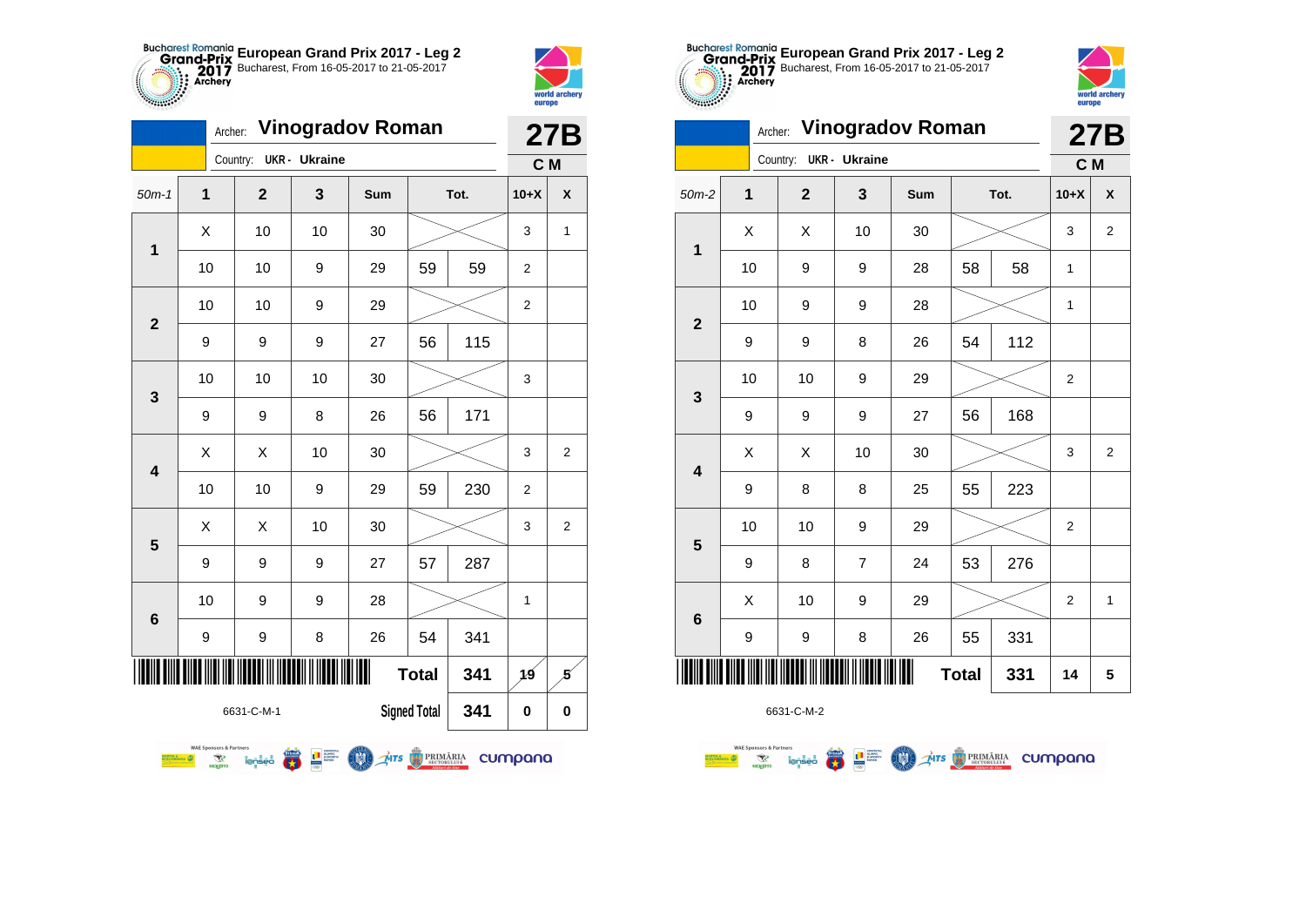



|                          |               |                                                              | 27B            |                                           |                |                     |      |                |                |
|--------------------------|---------------|--------------------------------------------------------------|----------------|-------------------------------------------|----------------|---------------------|------|----------------|----------------|
|                          |               |                                                              | Country:       | <b>UKR</b> - Ukraine                      |                |                     |      | C <sub>M</sub> |                |
| $50m-1$                  | $\mathbf 1$   |                                                              | $\overline{2}$ | 3                                         | Sum            |                     | Tot. | $10+X$         | X              |
| 1                        | X             |                                                              | 10             | 10                                        | 30             |                     |      | 3              | 1              |
|                          |               | 10                                                           | 10             | 9                                         | 29             | 59                  | 59   | $\overline{2}$ |                |
| $\overline{2}$           |               | 10                                                           | 10             | 9                                         | 29             |                     |      | $\overline{2}$ |                |
|                          | 9             |                                                              | 9              | 9                                         | 27             | 56                  | 115  |                |                |
| 3                        | 10            |                                                              | 10             | 10                                        | 30             |                     |      | 3              |                |
|                          | 9             |                                                              | 9              | 8                                         | 26             | 56                  | 171  |                |                |
| 4                        | Χ             |                                                              | X              | 10                                        | 30             |                     |      | 3              | $\overline{2}$ |
|                          |               | 10                                                           | 10             | 9                                         | 29             | 59                  | 230  | $\overline{2}$ |                |
| 5                        | X             |                                                              | X              | 10                                        | 30             |                     |      | 3              | $\overline{2}$ |
|                          | 9             |                                                              | 9              | 9                                         | 27             | 57                  | 287  |                |                |
| 6                        | 10            |                                                              | 9              | 9                                         | 28             |                     |      | 1              |                |
|                          | 9             |                                                              | 9              | 8                                         | 26             | 54                  | 341  |                |                |
| Ш<br><b>Total</b><br>341 |               |                                                              |                |                                           |                |                     |      | 19             | 5              |
|                          |               |                                                              | 6631-C-M-1     |                                           |                | <b>Signed Total</b> | 341  | 0              | 0              |
|                          | <b>ORANZA</b> | <b>WAE Sponsors &amp; Partners</b><br>$\mathcal{R}$<br>nagim | <i>lensed</i>  | $\mathbf{E}$<br><b>THE SURVEY CONTENT</b> | Mrs B PRIMĂRIA |                     |      | cumpana        |                |





|                         | Archer:     | <b>Vinogradov Roman</b> |                      |     | <b>27B</b>   |      |                |                |
|-------------------------|-------------|-------------------------|----------------------|-----|--------------|------|----------------|----------------|
|                         |             | Country:                | <b>UKR</b> - Ukraine |     |              |      | C M            |                |
| $50m-2$                 | $\mathbf 1$ | $\overline{2}$          | 3                    | Sum |              | Tot. | $10+X$         | X              |
| $\mathbf 1$             | X           | X                       | 10                   | 30  |              |      | 3              | $\overline{2}$ |
|                         | 10          | 9                       | 9                    | 28  | 58           | 58   | 1              |                |
| $\overline{2}$          | 10          | 9                       | 9                    | 28  |              |      | 1              |                |
|                         | 9           | 9                       | 8                    | 26  | 54           | 112  |                |                |
| 3                       | 10          | 10                      | 9                    | 29  |              |      | $\overline{2}$ |                |
|                         | 9           | 9                       | 9                    | 27  | 56           | 168  |                |                |
| $\overline{\mathbf{4}}$ | X           | X                       | 10                   | 30  |              |      | 3              | $\overline{2}$ |
|                         | 9           | 8                       | 8                    | 25  | 55           | 223  |                |                |
| 5                       | 10          | 10                      | 9                    | 29  |              |      | $\overline{2}$ |                |
|                         | 9           | 8                       | 7                    | 24  | 53           | 276  |                |                |
| $\bf 6$                 | X           | 10                      | 9                    | 29  |              |      | $\overline{2}$ | $\mathbf{1}$   |
|                         | 9           | 9                       | 8                    | 26  | 55           | 331  |                |                |
| ║║║                     |             |                         |                      |     | <b>Total</b> | 331  | 14             | 5              |

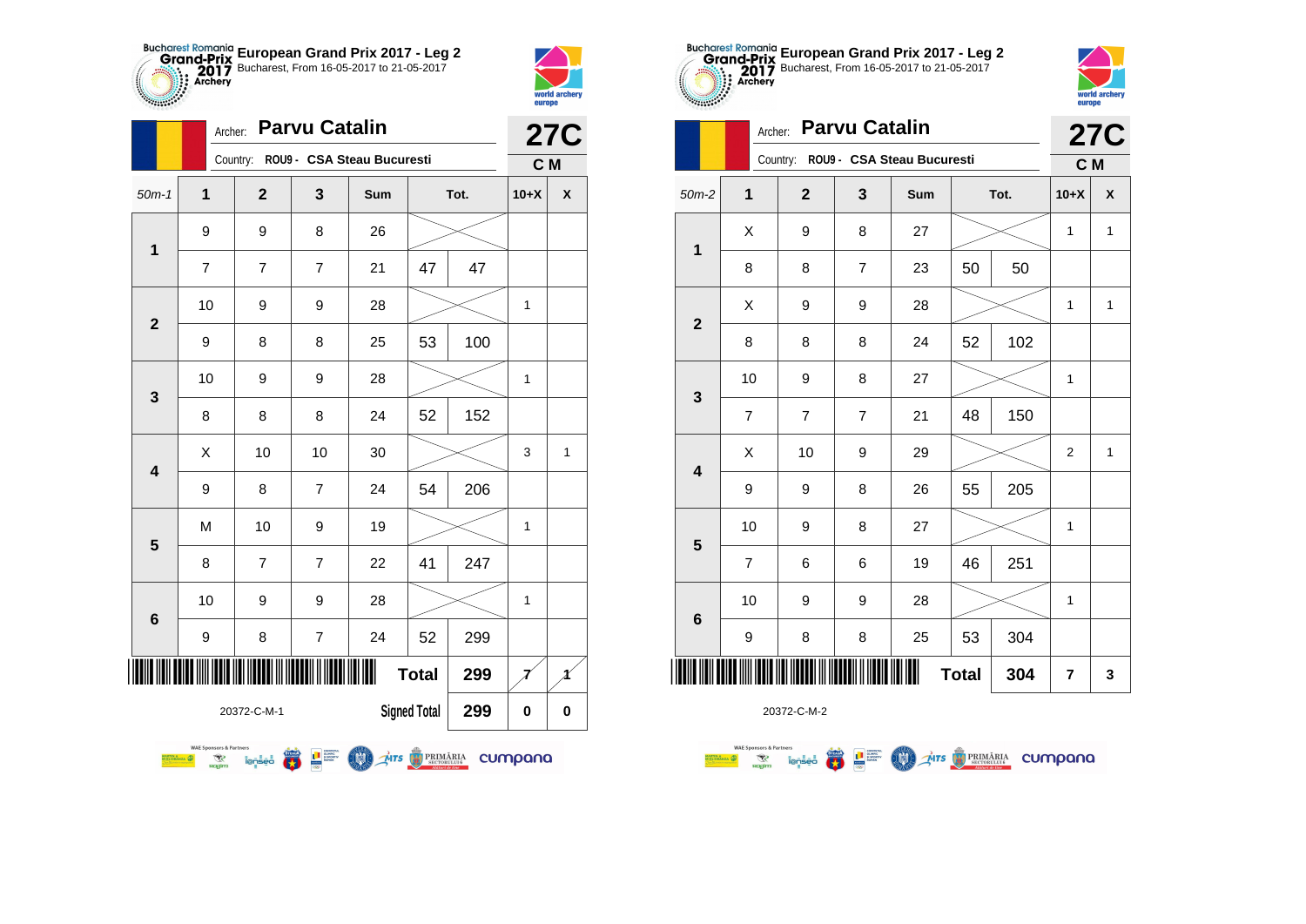



|                         |                                                                                   | <b>Parvu Catalin</b><br>Archer: |                            |              | <b>27C</b>          |      |                |              |
|-------------------------|-----------------------------------------------------------------------------------|---------------------------------|----------------------------|--------------|---------------------|------|----------------|--------------|
|                         |                                                                                   | Country:                        | ROU9 - CSA Steau Bucuresti |              |                     |      | C <sub>M</sub> |              |
| $50m-1$                 | 1                                                                                 | $\mathbf{2}$                    | 3                          | Sum          |                     | Tot. | $10+X$         | X            |
| $\overline{1}$          | 9                                                                                 | 9                               | 8                          | 26           |                     |      |                |              |
|                         | 7                                                                                 | 7                               | $\overline{7}$             | 21           | 47                  | 47   |                |              |
| $\mathbf{2}$            | 10                                                                                | 9                               | 9                          | 28           |                     |      | 1              |              |
|                         | 9                                                                                 | 8                               | 8                          | 25           | 53                  | 100  |                |              |
| 3                       | 10                                                                                | 9                               | 9                          | 28           |                     |      | 1              |              |
|                         | 8                                                                                 | 8                               | 8                          | 24           | 52                  | 152  |                |              |
| $\overline{\mathbf{4}}$ | X                                                                                 | 10                              | 10                         | 30           |                     |      | 3              | $\mathbf{1}$ |
|                         | 9                                                                                 | 8                               | $\overline{7}$             | 24           | 54                  | 206  |                |              |
| 5                       | M                                                                                 | 10                              | 9                          | 19           |                     |      | 1              |              |
|                         | 8                                                                                 | $\overline{7}$                  | $\overline{7}$             | 22           | 41                  | 247  |                |              |
| $6\phantom{1}6$         | 10                                                                                | 9                               | 9                          | 28           |                     |      | 1              |              |
|                         | 9                                                                                 | 8                               | $\overline{7}$             | 24           | 52                  | 299  |                |              |
| IIIII                   |                                                                                   |                                 |                            | Ш            | <b>Total</b>        | 299  |                |              |
|                         |                                                                                   | 20372-C-M-1                     |                            |              | <b>Signed Total</b> | 299  | 0              | 0            |
|                         | <b>WAE Sponsors &amp; Partners</b><br><b>SETIN &amp; CONTRACTOR</b><br>R<br>nagim | lenseo                          |                            | MTS BRIMARIA |                     |      | cumpana        |              |





|                 | Archer:        |                         | <b>27C</b> |                                     |              |      |                |              |
|-----------------|----------------|-------------------------|------------|-------------------------------------|--------------|------|----------------|--------------|
|                 |                |                         |            | Country: ROU9 - CSA Steau Bucuresti |              |      | C M            |              |
| $50m-2$         | 1              | $\overline{\mathbf{2}}$ | 3          | Sum                                 |              | Tot. | $10+X$         | X            |
| $\mathbf{1}$    | Χ              | 9                       | 8          | 27                                  |              |      | 1              | $\mathbf{1}$ |
|                 | 8              | 8                       | 7          | 23                                  | 50           | 50   |                |              |
| $\mathbf{2}$    | X              | 9                       | 9          | 28                                  |              |      | 1              | $\mathbf{1}$ |
|                 | 8              | 8                       | 8          | 24                                  | 52           | 102  |                |              |
| 3               | 10             | 9                       | 8          | 27                                  |              |      | 1              |              |
|                 | 7              | $\overline{7}$          | 7          | 21                                  | 48           | 150  |                |              |
| 4               | X              | 10                      | 9          | 29                                  |              |      | $\overline{2}$ | $\mathbf{1}$ |
|                 | 9              | 9                       | 8          | 26                                  | 55           | 205  |                |              |
| 5               | 10             | 9                       | 8          | 27                                  |              |      | 1              |              |
|                 | $\overline{7}$ | 6                       | 6          | 19                                  | 46           | 251  |                |              |
| $6\phantom{1}6$ | 10             | 9                       | 9          | 28                                  |              |      | 1              |              |
|                 | 9              | 8                       | 8          | 25                                  | 53           | 304  |                |              |
|                 |                |                         |            |                                     | <b>Total</b> | 304  | 7              | 3            |

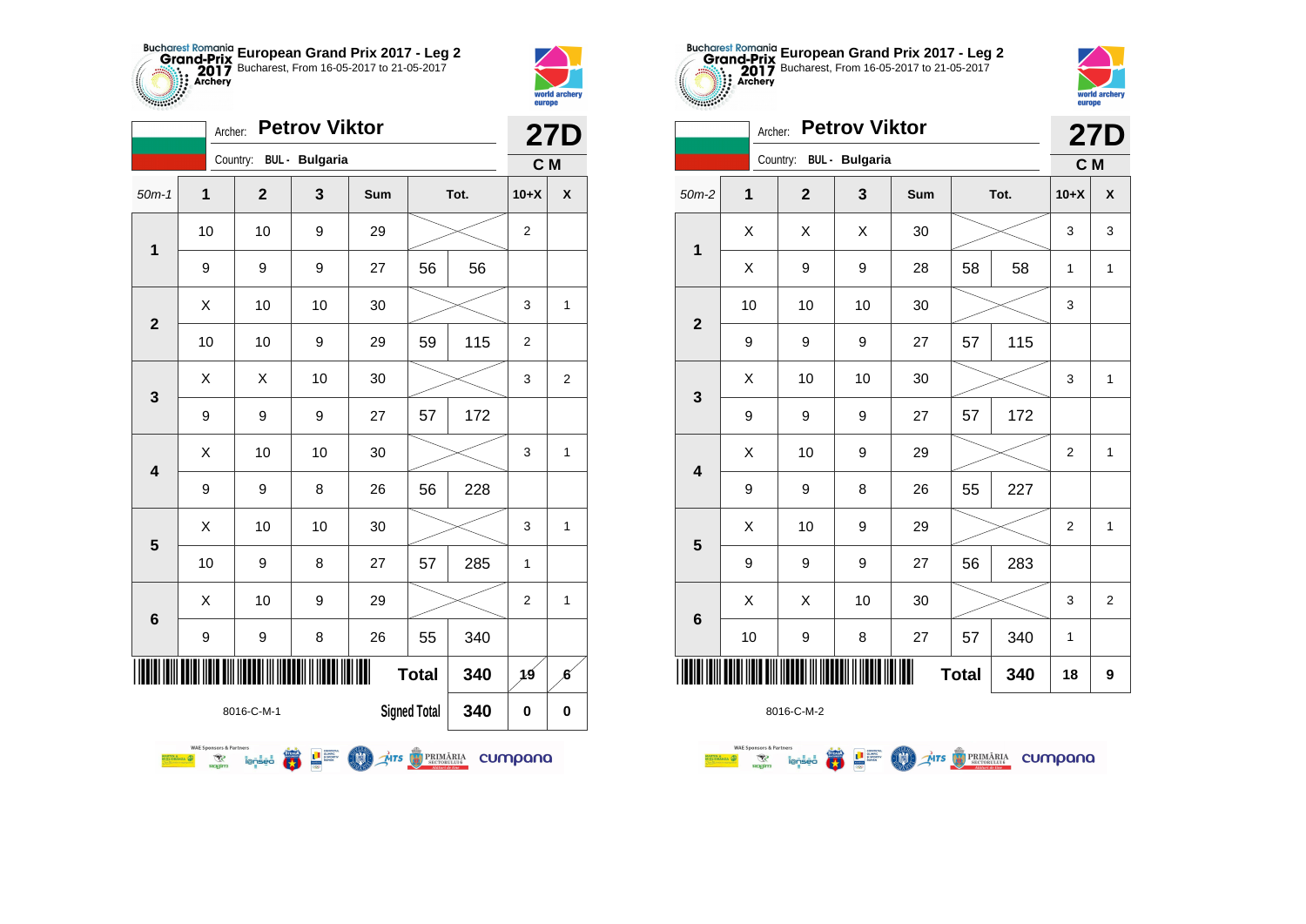



| <b>Petrov Viktor</b><br>Archer:          |                              |                                                  |                               |                                                                                                                                                         |              |              |      |                | <b>27D</b>       |
|------------------------------------------|------------------------------|--------------------------------------------------|-------------------------------|---------------------------------------------------------------------------------------------------------------------------------------------------------|--------------|--------------|------|----------------|------------------|
|                                          |                              |                                                  | Country:                      | <b>BUL</b> - Bulgaria                                                                                                                                   |              |              |      | C <sub>M</sub> |                  |
| $50m-1$                                  | 1                            |                                                  | $\overline{2}$                | 3                                                                                                                                                       | Sum          |              | Tot. | $10+X$         | X                |
| $\mathbf 1$                              | 10                           |                                                  | 10                            | 9                                                                                                                                                       | 29           |              |      | $\overline{2}$ |                  |
|                                          |                              | 9                                                | 9                             | 9                                                                                                                                                       | 27           | 56           | 56   |                |                  |
| $\overline{2}$                           |                              | X                                                | 10                            | 10                                                                                                                                                      | 30           |              |      | 3              | 1                |
|                                          |                              | 10                                               | 10                            | 9                                                                                                                                                       | 29           | 59           | 115  | $\overline{2}$ |                  |
| 3                                        |                              | X                                                | X                             | 10                                                                                                                                                      | 30           |              |      | 3              | $\overline{2}$   |
|                                          |                              | 9                                                | 9                             | 9                                                                                                                                                       | 27           | 57           | 172  |                |                  |
| $\overline{\mathbf{4}}$                  |                              | X                                                | 10                            | 10                                                                                                                                                      | 30           |              |      | 3              | 1                |
|                                          |                              | 9                                                | 9                             | 8                                                                                                                                                       | 26           | 56           | 228  |                |                  |
| 5                                        |                              | X                                                | 10                            | 10                                                                                                                                                      | 30           |              |      | 3              | 1                |
|                                          |                              | 10                                               | 9                             | 8                                                                                                                                                       | 27           | 57           | 285  | 1              |                  |
| 6                                        |                              | X                                                | 10                            | 9                                                                                                                                                       | 29           |              |      | $\overline{2}$ | 1                |
|                                          |                              | 9                                                | 9                             | 8                                                                                                                                                       | 26           | 55           | 340  |                |                  |
|                                          |                              |                                                  | <b>                      </b> |                                                                                                                                                         | Ⅲ            | <b>Total</b> | 340  | 19             | $\boldsymbol{6}$ |
| <b>Signed Total</b><br>340<br>8016-C-M-1 |                              |                                                  |                               |                                                                                                                                                         |              |              | 0    | $\mathbf 0$    |                  |
|                                          | <b>ETIN A</b><br>LIORANZA MA | <b>WAE Sponsors &amp; Partners</b><br>R<br>nagim | <i>lensed</i>                 | $\begin{array}{c}\n\begin{array}{c}\n\text{Loplerity} \\ \hline\n\end{array} \\ \begin{array}{c}\n\text{Loplerity} \\ \hline\n\end{array}\n\end{array}$ | MTS BRIMARIA |              |      | cumpana        |                  |





|                         | <b>Petrov Viktor</b><br>Archer: |                  |                         |     |              |      |                |                |
|-------------------------|---------------------------------|------------------|-------------------------|-----|--------------|------|----------------|----------------|
|                         |                                 |                  | Country: BUL - Bulgaria |     |              |      | C M            | <b>27D</b>     |
| $50m-2$                 | 1                               | $\overline{2}$   | 3                       | Sum |              | Tot. | $10+X$         | X              |
| $\overline{\mathbf{1}}$ | X                               | X                | X                       | 30  |              |      | 3              | 3              |
|                         | Χ                               | 9                | 9                       | 28  | 58           | 58   | 1              | $\mathbf{1}$   |
| $\overline{2}$          | 10                              | 10               | 10                      | 30  |              |      | 3              |                |
|                         | 9                               | 9                | 9                       | 27  | 57           | 115  |                |                |
| 3                       | X                               | 10               | 10                      | 30  |              |      | 3              | $\mathbf{1}$   |
|                         | 9                               | 9                | 9                       | 27  | 57           | 172  |                |                |
| $\overline{\mathbf{4}}$ | X                               | 10               | 9                       | 29  |              |      | $\overline{2}$ | $\mathbf{1}$   |
|                         | 9                               | 9                | 8                       | 26  | 55           | 227  |                |                |
| $5\phantom{1}$          | X                               | 10               | 9                       | 29  |              |      | $\overline{2}$ | $\mathbf{1}$   |
|                         | 9                               | $\boldsymbol{9}$ | 9                       | 27  | 56           | 283  |                |                |
|                         | Χ                               | X                | 10                      | 30  |              |      | 3              | $\overline{2}$ |
| $\bf 6$                 | 10                              | 9                | 8                       | 27  | 57           | 340  | 1              |                |
|                         |                                 |                  |                         |     | <b>Total</b> | 340  | 18             | 9              |

**WAE Sponsors & Partners Estate of the Second Conduct of the Second Conduct of the Second Conduct of the Second Conduct of the Second C THE CONTRACTOR OD** Ars **DERIMÁRIA** CUMpana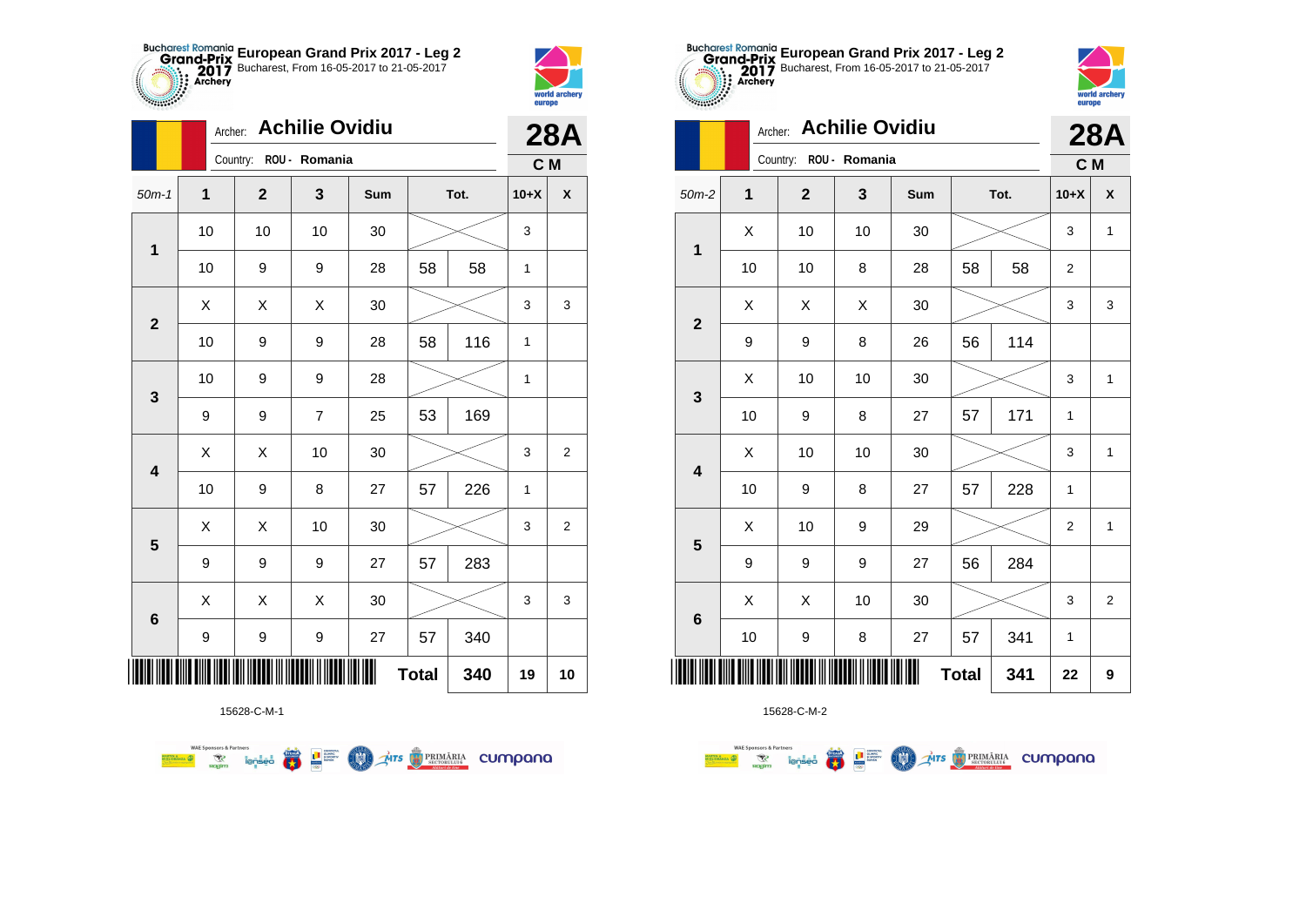



**THE** 

|                         | Archer: | <b>Achilie Ovidiu</b> |                        |     | <b>28A</b>   |      |        |                    |
|-------------------------|---------|-----------------------|------------------------|-----|--------------|------|--------|--------------------|
|                         |         |                       | Country: ROU - Romania |     |              |      | C M    |                    |
| $50m-1$                 | 1       | $\overline{2}$        | 3                      | Sum |              | Tot. | $10+X$ | $\pmb{\mathsf{X}}$ |
| $\mathbf 1$             | 10      | 10                    | 10                     | 30  |              |      | 3      |                    |
|                         | 10      | 9                     | 9                      | 28  | 58           | 58   | 1      |                    |
| $\overline{2}$          | X       | X                     | Χ                      | 30  |              |      | 3      | 3                  |
|                         | 10      | 9                     | 9                      | 28  | 58           | 116  | 1      |                    |
| 3                       | 10      | 9                     | 9                      | 28  |              |      | 1      |                    |
|                         | 9       | 9                     | 7                      | 25  | 53           | 169  |        |                    |
| $\overline{\mathbf{4}}$ | Χ       | Χ                     | 10                     | 30  |              |      | 3      | $\overline{2}$     |
|                         | 10      | 9                     | 8                      | 27  | 57           | 226  | 1      |                    |
| 5                       | Χ       | Χ                     | 10                     | 30  |              |      | 3      | $\overline{2}$     |
|                         | 9       | 9                     | 9                      | 27  | 57           | 283  |        |                    |
|                         | Χ       | X                     | X                      | 30  |              |      | 3      | 3                  |
| $\bf 6$                 | 9       | 9                     | 9                      | 27  | 57           | 340  |        |                    |
| Ш                       |         |                       |                        |     | <b>Total</b> | 340  | 19     | 10                 |



15628-C-M-2

|                         | Archer:        | <b>Achilie Ovidiu</b> |               | <b>28A</b> |              |      |              |                |
|-------------------------|----------------|-----------------------|---------------|------------|--------------|------|--------------|----------------|
|                         |                | Country:              | ROU - Romania |            |              |      | C M          |                |
| $50m-2$                 | $\overline{1}$ | $\mathbf{2}$          | 3             | Sum        |              | Tot. | $10+X$       | X              |
| $\mathbf 1$             | X              | 10                    | 10            | 30         |              |      | 3            | 1              |
|                         | 10             | 10                    | 8             | 28         | 58           | 58   | 2            |                |
| $\overline{2}$          | X              | X                     | X             | 30         |              |      | 3            | 3              |
|                         | 9              | 9                     | 8             | 26         | 56           | 114  |              |                |
| $\mathbf{3}$            | X              | 10                    | 10            | 30         |              |      | 3            | 1              |
|                         | 10             | 9                     | 8             | 27         | 57           | 171  | 1            |                |
| $\overline{\mathbf{4}}$ | Χ              | 10                    | 10            | 30         |              |      | 3            | $\mathbf{1}$   |
|                         | 10             | 9                     | 8             | 27         | 57           | 228  | $\mathbf{1}$ |                |
| 5                       | X              | 10                    | 9             | 29         |              |      | 2            | 1              |
|                         | 9              | 9                     | 9             | 27         | 56           | 284  |              |                |
| $\bf 6$                 | X              | X                     | 10            | 30         |              |      | 3            | $\overline{2}$ |
|                         | 10             | 9                     | 8             | 27         | 57           | 341  | 1            |                |
|                         |                |                       |               |            | <b>Total</b> | 341  | 22           | 9              |



|                         |    | <b>Achilie Ovidiu</b><br>Archer: |    |     |              |      |                |                    |  |  |
|-------------------------|----|----------------------------------|----|-----|--------------|------|----------------|--------------------|--|--|
|                         |    | Country: ROU - Romania           |    |     |              |      | C M            |                    |  |  |
| $50m-2$                 | 1  | $\mathbf 2$                      | 3  | Sum |              | Tot. | $10+X$         | $\pmb{\mathsf{X}}$ |  |  |
| 1                       | Χ  | 10                               | 10 | 30  |              |      | 3              | $\mathbf{1}$       |  |  |
|                         | 10 | 10                               | 8  | 28  | 58           | 58   | $\overline{2}$ |                    |  |  |
| $\mathbf{2}$            | Χ  | Χ                                | Χ  | 30  |              |      | 3              | 3                  |  |  |
|                         | 9  | 9                                | 8  | 26  | 56           | 114  |                |                    |  |  |
| 3                       | X  | 10                               | 10 | 30  |              |      | 3              | $\mathbf{1}$       |  |  |
|                         | 10 | 9                                | 8  | 27  | 57           | 171  | 1              |                    |  |  |
| $\overline{\mathbf{4}}$ | Χ  | 10                               | 10 | 30  |              |      | 3              | $\mathbf{1}$       |  |  |
|                         | 10 | 9                                | 8  | 27  | 57           | 228  | 1              |                    |  |  |
| 5                       | X  | 10                               | 9  | 29  |              |      | $\overline{c}$ | $\mathbf{1}$       |  |  |
|                         | 9  | 9                                | 9  | 27  | 56           | 284  |                |                    |  |  |
| $6\phantom{1}$          | X  | Χ                                | 10 | 30  |              |      | 3              | $\overline{2}$     |  |  |
|                         | 10 | 9                                | 8  | 27  | 57           | 341  | 1              |                    |  |  |
| ║║║                     |    |                                  |    |     | <b>Total</b> | 341  | 22             | 9                  |  |  |

**European Grand Prix 2017 - Leg 2** Bucharest, From 16-05-2017 to 21-05-2017

15628-C-M-1

**WAE Sponsors & Partners Example 19 and 1975 COLORED PRIMARIA CUMPANA**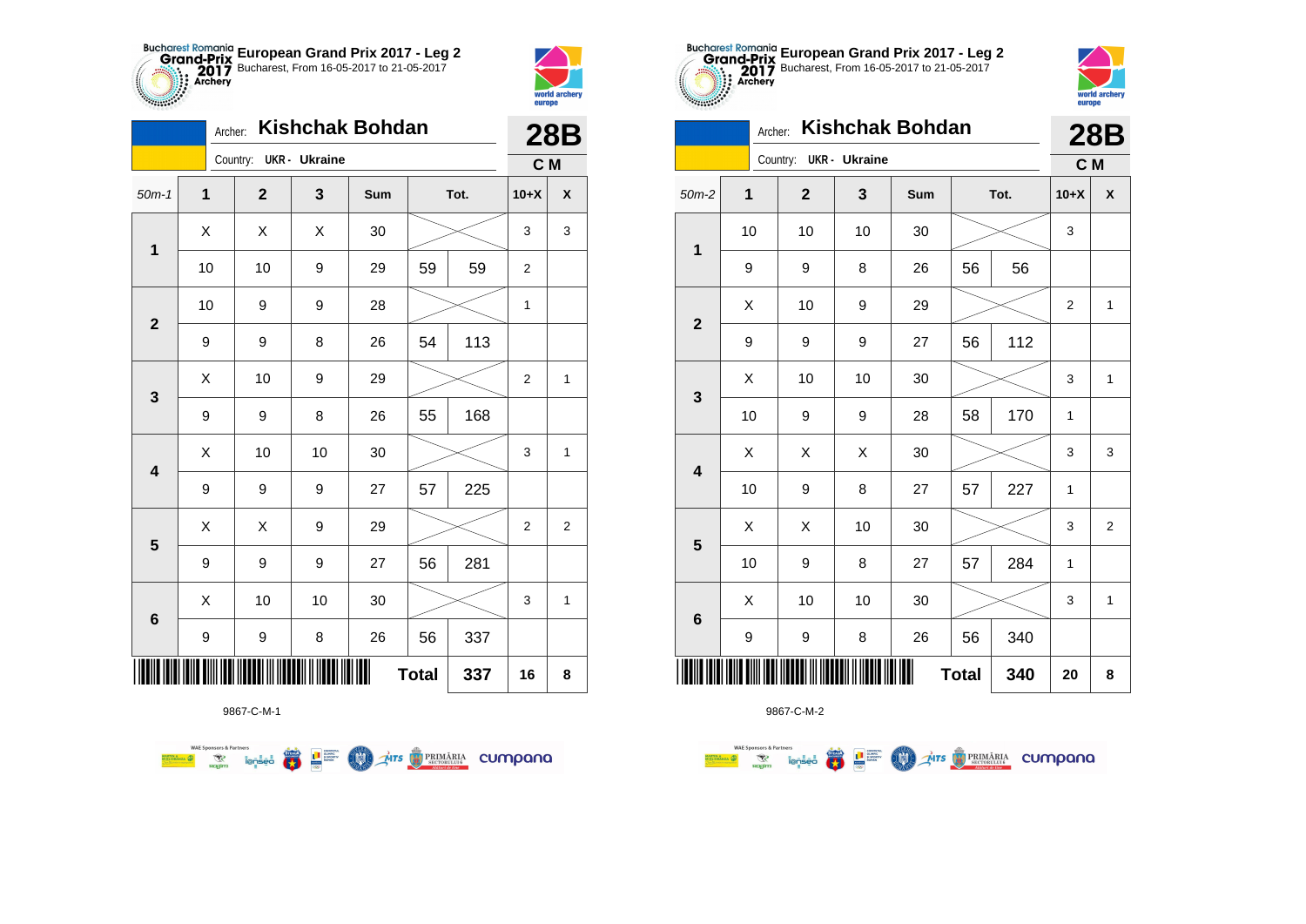



|                         | <b>Kishchak Bohdan</b><br>Archer: |              |                      |     |              |      |                |                    |
|-------------------------|-----------------------------------|--------------|----------------------|-----|--------------|------|----------------|--------------------|
|                         |                                   | Country:     | <b>UKR</b> - Ukraine |     |              |      | C M            |                    |
| $50m-1$                 | $\mathbf 1$                       | $\mathbf{2}$ | 3                    | Sum |              | Tot. | $10+X$         | $\pmb{\mathsf{X}}$ |
| 1                       | X                                 | X            | X                    | 30  |              |      | 3              | 3                  |
|                         | 10                                | 10           | 9                    | 29  | 59           | 59   | $\overline{2}$ |                    |
| $\mathbf{2}$            | 10                                | 9            | 9                    | 28  |              |      | 1              |                    |
|                         | 9                                 | 9            | 8                    | 26  | 54           | 113  |                |                    |
| 3                       | X                                 | 10           | 9                    | 29  |              |      | $\overline{2}$ | 1                  |
|                         | 9                                 | 9            | 8                    | 26  | 55           | 168  |                |                    |
| $\overline{\mathbf{4}}$ | X                                 | 10           | 10                   | 30  |              |      | 3              | $\mathbf{1}$       |
|                         | 9                                 | 9            | 9                    | 27  | 57           | 225  |                |                    |
| $\overline{\mathbf{5}}$ | X                                 | Χ            | 9                    | 29  |              |      | 2              | $\overline{c}$     |
|                         | 9                                 | 9            | 9                    | 27  | 56           | 281  |                |                    |
| 6                       | X                                 | 10           | 10                   | 30  |              |      | 3              | $\mathbf{1}$       |
|                         | 9                                 | 9            | 8                    | 26  | 56           | 337  |                |                    |
|                         |                                   |              |                      |     | <b>Total</b> | 337  | 16             | 8                  |

**THITS BETORIARIA CUMPANA** 

9867-C-M-1

● ■

**COND** 

**WAE Sponsors & Partners** 



9867-C-M-2

|                         |    |    |                        | LUD |        |              |      |                |                    |  |  |
|-------------------------|----|----|------------------------|-----|--------|--------------|------|----------------|--------------------|--|--|
|                         |    |    | Country: UKR - Ukraine |     |        |              |      | C M            |                    |  |  |
| $50m-2$                 | 1  |    | $\mathbf{2}$           | 3   | Sum    |              | Tot. | $10+X$         | $\pmb{\mathsf{X}}$ |  |  |
| $\mathbf 1$             | 10 |    | 10                     | 10  | 30     |              |      | 3              |                    |  |  |
|                         | 9  |    | 9                      | 8   | 26     | 56           | 56   |                |                    |  |  |
| $\mathbf{2}$            | X  |    | 10                     | 9   | 29     |              |      | $\overline{2}$ | $\mathbf{1}$       |  |  |
|                         | 9  |    | 9                      | 9   | 27     | 56           | 112  |                |                    |  |  |
| $\mathbf 3$             | X  |    | 10                     | 10  | 30     |              |      | 3              | $\mathbf{1}$       |  |  |
|                         | 10 |    | 9                      | 9   | 28     | 58           | 170  | 1              |                    |  |  |
| $\overline{\mathbf{4}}$ | X  |    | X                      | X   | 30     |              |      | 3              | 3                  |  |  |
|                         |    | 10 | 9                      | 8   | 27     | 57           | 227  | 1              |                    |  |  |
| $5\phantom{1}$          | Χ  |    | X                      | 10  | 30     |              |      | 3              | $\overline{2}$     |  |  |
|                         | 10 |    | 9                      | 8   | 27     | 57           | 284  | 1              |                    |  |  |
| $\bf 6$                 | X  |    | 10                     | 10  | $30\,$ |              |      | 3              | 1                  |  |  |
|                         | 9  |    | 9                      | 8   | 26     | 56           | 340  |                |                    |  |  |
| IIII                    |    |    |                        |     | Ш      | <b>Total</b> | 340  | 20             | 8                  |  |  |
|                         |    |    |                        |     |        |              |      |                |                    |  |  |



|                         | Kishchak Bohdan<br>Archer: |  |                        |    |     |              |      |                | <b>28B</b>     |
|-------------------------|----------------------------|--|------------------------|----|-----|--------------|------|----------------|----------------|
|                         |                            |  | Country: UKR - Ukraine |    |     |              |      | C M            |                |
| $50m-2$                 | 1                          |  | $\mathbf 2$            | 3  | Sum |              | Tot. | $10+X$         | X              |
| $\mathbf{1}$            | 10                         |  | 10                     | 10 | 30  |              |      | 3              |                |
|                         | 9                          |  | 9                      | 8  | 26  | 56           | 56   |                |                |
| $\mathbf 2$             | X                          |  | 10                     | 9  | 29  |              |      | $\overline{2}$ | 1              |
|                         | 9                          |  | 9                      | 9  | 27  | 56           | 112  |                |                |
| 3                       | X                          |  | 10                     | 10 | 30  |              |      | 3              | 1              |
|                         | 10                         |  | 9                      | 9  | 28  | 58           | 170  | 1              |                |
| $\overline{\mathbf{4}}$ | Χ                          |  | X                      | Χ  | 30  |              |      | 3              | 3              |
|                         | 10                         |  | 9                      | 8  | 27  | 57           | 227  | $\mathbf{1}$   |                |
| $\overline{\mathbf{5}}$ | X                          |  | X                      | 10 | 30  |              |      | 3              | $\overline{2}$ |
|                         | 10                         |  | 9                      | 8  | 27  | 57           | 284  | 1              |                |
| $\bf 6$                 | Χ                          |  | 10                     | 10 | 30  |              |      | 3              | $\mathbf{1}$   |
|                         | 9                          |  | 9                      | 8  | 26  | 56           | 340  |                |                |
|                         |                            |  |                        |    | Ⅲ   | <b>Total</b> | 340  | 20             | 8              |

**European Grand Prix 2017 - Leg 2** Bucharest, From 16-05-2017 to 21-05-2017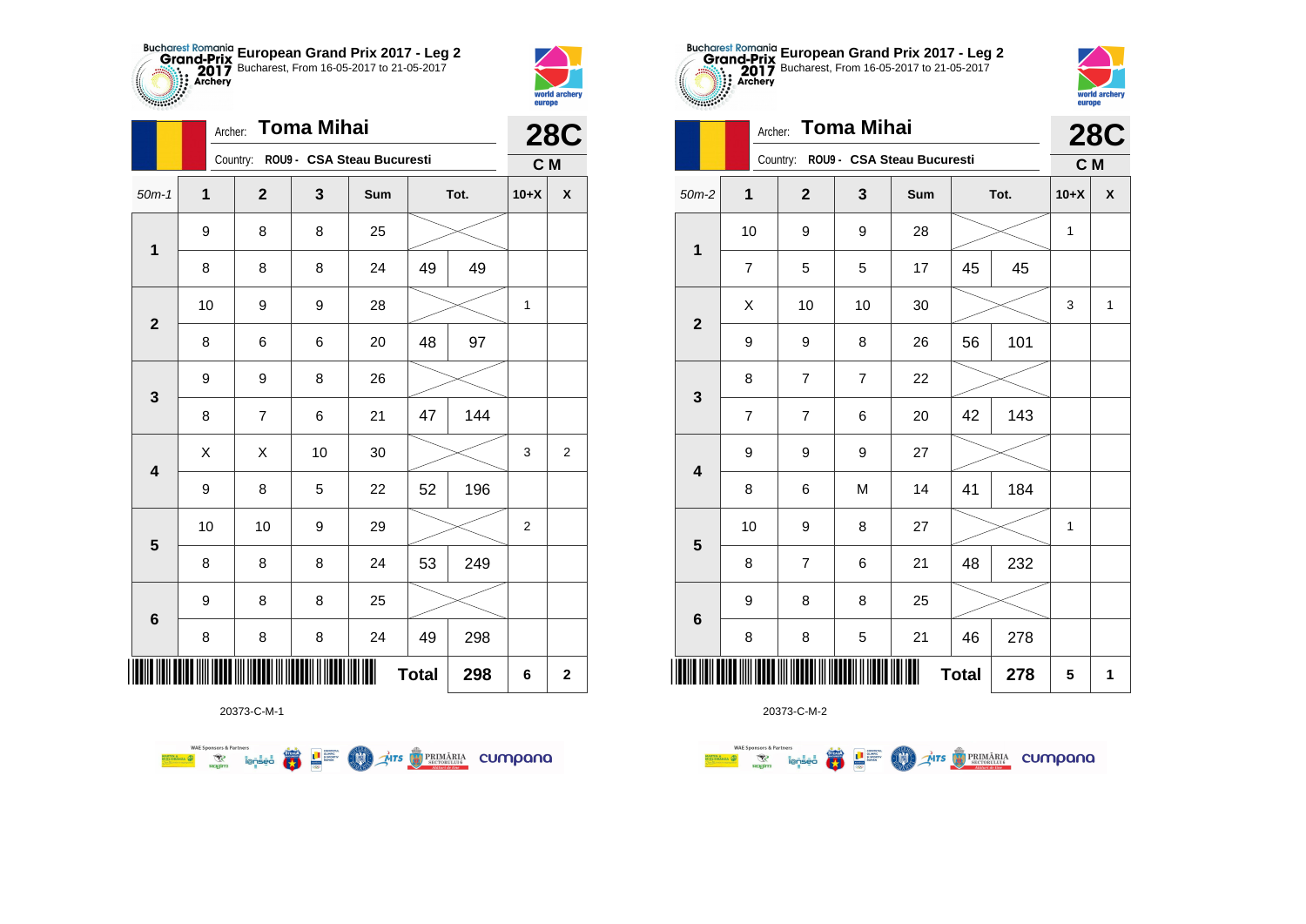



|                         |    | Toma Mihai<br>Archer: |    |                                     |              |      |                         |                  |  |
|-------------------------|----|-----------------------|----|-------------------------------------|--------------|------|-------------------------|------------------|--|
|                         |    |                       |    | Country: ROU9 - CSA Steau Bucuresti |              |      | C M                     | <b>28C</b>       |  |
| $50m-1$                 | 1  | $\mathbf{2}$          | 3  | Sum                                 |              | Tot. | $10+X$                  | X                |  |
|                         | 9  | 8                     | 8  | 25                                  |              |      |                         |                  |  |
| $\mathbf 1$             | 8  | 8                     | 8  | 24                                  | 49           | 49   |                         |                  |  |
|                         | 10 | 9                     | 9  | 28                                  |              |      | 1                       |                  |  |
| $\mathbf{2}$            | 8  | 6                     | 6  | 20                                  | 48           | 97   |                         |                  |  |
| 3                       | 9  | 9                     | 8  | 26                                  |              |      |                         |                  |  |
|                         | 8  | $\overline{7}$        | 6  | 21                                  | 47           | 144  |                         |                  |  |
| $\overline{\mathbf{4}}$ | X  | Χ                     | 10 | 30                                  |              |      | $\mathsf 3$             | $\boldsymbol{2}$ |  |
|                         | 9  | 8                     | 5  | 22                                  | 52           | 196  |                         |                  |  |
| $\overline{\mathbf{5}}$ | 10 | 10                    | 9  | 29                                  |              |      | $\overline{\mathbf{c}}$ |                  |  |
|                         | 8  | 8                     | 8  | 24                                  | 53           | 249  |                         |                  |  |
|                         | 9  | 8                     | 8  | 25                                  |              |      |                         |                  |  |
| 6                       | 8  | 8                     | 8  | 24                                  | 49           | 298  |                         |                  |  |
| ║║║                     |    |                       |    |                                     | <b>Total</b> | 298  | 6                       | $\mathbf 2$      |  |



|                         |                | Archer: |                                     | <b>28C</b>     |     |              |      |        |                    |
|-------------------------|----------------|---------|-------------------------------------|----------------|-----|--------------|------|--------|--------------------|
|                         |                |         | Country: ROU9 - CSA Steau Bucuresti |                |     |              |      | C M    |                    |
| $50m-2$                 | 1              |         | $\overline{2}$                      | 3              | Sum |              | Tot. | $10+X$ | $\pmb{\mathsf{X}}$ |
|                         | 10             |         | 9                                   | 9              | 28  |              |      | 1      |                    |
| $\mathbf 1$             | 7              |         | 5                                   | 5              | 17  | 45           | 45   |        |                    |
| $\mathbf{2}$            | X              |         | 10                                  | 10             | 30  |              |      | 3      | $\mathbf{1}$       |
|                         | 9              |         | 9                                   | 8              | 26  | 56           | 101  |        |                    |
| $\mathbf{3}$            | 8              |         | $\overline{7}$                      | $\overline{7}$ | 22  |              |      |        |                    |
|                         | $\overline{7}$ |         | $\overline{7}$                      | 6              | 20  | 42           | 143  |        |                    |
| $\overline{\mathbf{4}}$ | 9              |         | 9                                   | 9              | 27  |              |      |        |                    |
|                         | 8              |         | 6                                   | M              | 14  | 41           | 184  |        |                    |
| 5                       | 10             |         | 9                                   | 8              | 27  |              |      | 1      |                    |
|                         | 8              |         | $\overline{7}$                      | 6              | 21  | 48           | 232  |        |                    |
| $\bf 6$                 | 9              |         | 8                                   | 8              | 25  |              |      |        |                    |
|                         | 8              |         | 8                                   | 5              | 21  | 46           | 278  |        |                    |
| ∭                       |                |         |                                     |                | Ш   | <b>Total</b> | 278  | 5      | 1                  |



|                         |                          | Country:<br>ROU9 - CSA Steau Bucuresti |                | C M |    |      |        |              |
|-------------------------|--------------------------|----------------------------------------|----------------|-----|----|------|--------|--------------|
| $50m-2$                 | $\overline{\mathbf{1}}$  | $\mathbf{2}$                           | $\mathbf 3$    | Sum |    | Tot. | $10+X$ | X            |
| $\mathbf 1$             | 10                       | 9                                      | 9              | 28  |    |      | 1      |              |
|                         | $\overline{\mathbf{7}}$  | 5                                      | 5              | 17  | 45 | 45   |        |              |
|                         | X                        | 10                                     | 10             | 30  |    |      | 3      | $\mathbf{1}$ |
| $\boldsymbol{2}$        | 9                        | 9                                      | 8              | 26  | 56 | 101  |        |              |
| $\mathbf{3}$            | 8                        | $\overline{\mathbf{7}}$                | $\overline{7}$ | 22  |    |      |        |              |
|                         | $\overline{\mathbf{7}}$  | $\overline{\mathbf{7}}$                | $\,6$          | 20  | 42 | 143  |        |              |
| $\overline{\mathbf{4}}$ | 9                        | 9                                      | 9              | 27  |    |      |        |              |
|                         | 8                        | 6                                      | M              | 14  | 41 | 184  |        |              |
|                         | 10                       | 9                                      | 8              | 27  |    |      | 1      |              |
| 5                       | 8                        | $\overline{\mathbf{7}}$                | 6              | 21  | 48 | 232  |        |              |
|                         | 9                        | 8                                      | 8              | 25  |    |      |        |              |
| $6\phantom{1}$          | 8                        | 8                                      | 5              | 21  | 46 | 278  |        |              |
| ║║║                     | Ш<br>278<br><b>Total</b> |                                        |                |     |    |      | 5      | 1            |

**European Grand Prix 2017 - Leg 2** Bucharest, From 16-05-2017 to 21-05-2017

Archer: **Toma Mihai**

20373-C-M-1

**WAE Sponsors & Partners THE STRIMARIA CUMPANA**  $\left(\frac{\sinh\theta}{\cos\theta}\right)$ **LE SURFACE COO**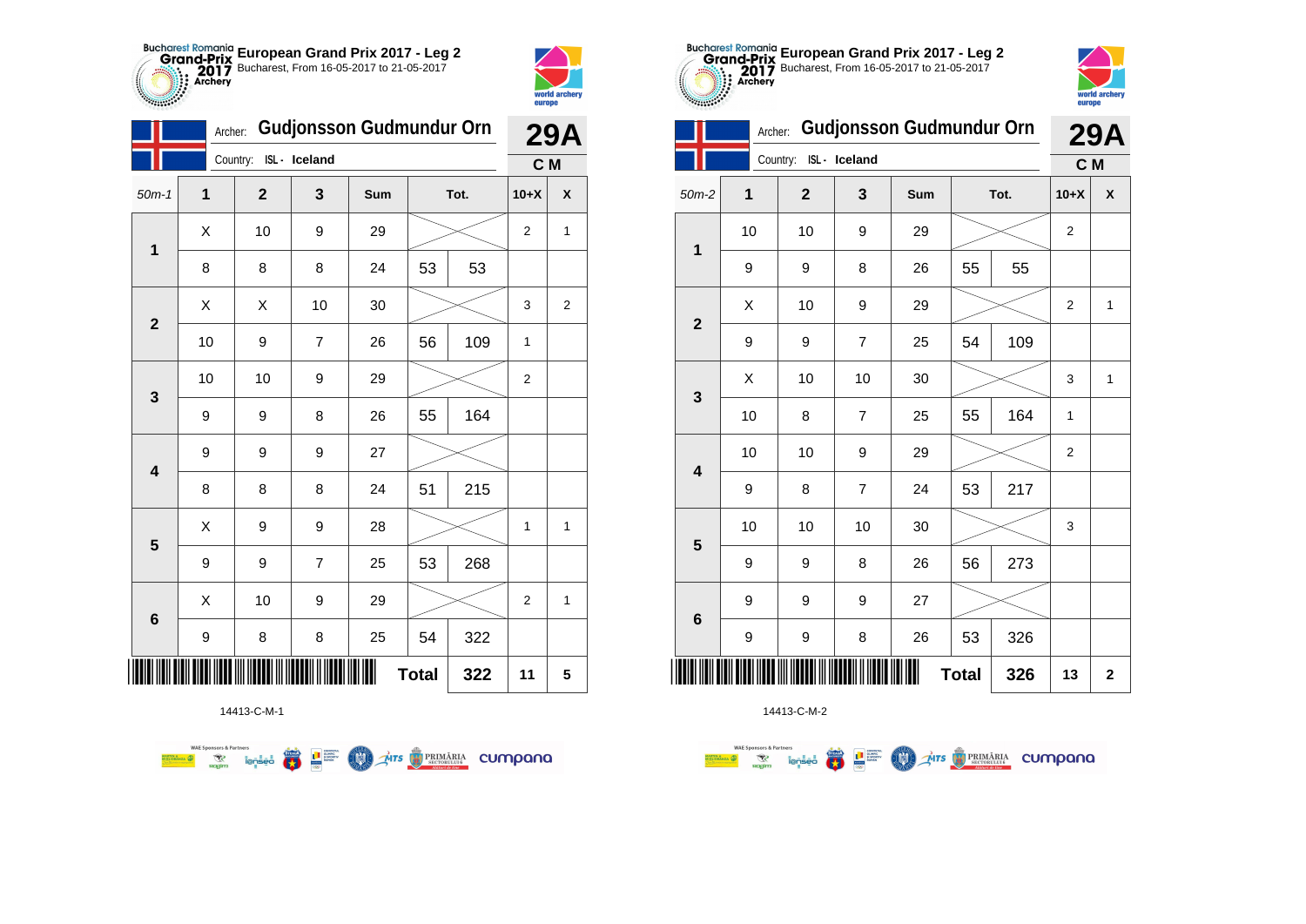



|                         | Archer: |             | Gudjonsson Gudmundur Orn |     | <b>29A</b>   |      |                |                    |
|-------------------------|---------|-------------|--------------------------|-----|--------------|------|----------------|--------------------|
|                         |         | Country:    | ISL - Iceland            |     |              |      | C M            |                    |
| $50m-1$                 | 1       | $\mathbf 2$ | 3                        | Sum |              | Tot. | $10+X$         | $\pmb{\mathsf{X}}$ |
| $\mathbf{1}$            | Χ       | 10          | 9                        | 29  |              |      | $\overline{2}$ | 1                  |
|                         | 8       | 8           | 8                        | 24  | 53           | 53   |                |                    |
| $\overline{\mathbf{2}}$ | X       | X           | 10                       | 30  |              |      | 3              | $\overline{2}$     |
|                         | 10      | 9           | $\overline{7}$           | 26  | 56           | 109  | 1              |                    |
| $\mathbf{3}$            | 10      | 10          | 9                        | 29  |              |      | $\overline{c}$ |                    |
|                         | 9       | 9           | 8                        | 26  | 55           | 164  |                |                    |
| $\overline{\mathbf{4}}$ | 9       | 9           | 9                        | 27  |              |      |                |                    |
|                         | 8       | 8           | 8                        | 24  | 51           | 215  |                |                    |
| $5\phantom{1}$          | X       | 9           | 9                        | 28  |              |      | 1              | $\mathbf 1$        |
|                         | 9       | 9           | $\overline{7}$           | 25  | 53           | 268  |                |                    |
| 6                       | Χ       | 10          | 9                        | 29  |              |      | 2              | 1                  |
|                         | 9       | 8           | 8                        | 25  | 54           | 322  |                |                    |
|                         |         |             |                          |     | <b>Total</b> | 322  | 11             | 5                  |

**Exercise on the Second Partial Company of the Company of the Company of the Company of the Company of Company of the Company of the Company of Company of the Company of the Company of the Company of the Company of the Com** 



14413-C-M-2

|                         | <b><i>Changed Company</i></b> |                |                |                                 |    |      |                |   |  |  |  |
|-------------------------|-------------------------------|----------------|----------------|---------------------------------|----|------|----------------|---|--|--|--|
|                         | Archer:                       |                |                | <b>Gudjonsson Gudmundur Orn</b> |    |      | <b>29A</b>     |   |  |  |  |
|                         |                               | Country:       | ISL- Iceland   |                                 |    |      | C M            |   |  |  |  |
| $50m-2$                 | 1                             | $\mathbf{2}$   |                | Sum                             |    | Tot. | $10+X$         | X |  |  |  |
| 1                       | 10                            | 10             | 9              | 29                              |    |      | $\overline{2}$ |   |  |  |  |
|                         | 9                             | 9              | 8              | 26                              | 55 | 55   |                |   |  |  |  |
| $\overline{2}$          | X                             | 10             | 9              | 29                              |    |      | $\overline{2}$ | 1 |  |  |  |
|                         | 9                             | 9              | $\overline{7}$ | 25                              | 54 | 109  |                |   |  |  |  |
| 3                       | Χ                             | 10             | 10             | 30                              |    |      | 3              | 1 |  |  |  |
|                         | 10                            | 8              | $\overline{7}$ | 25                              | 55 | 164  | 1              |   |  |  |  |
|                         | 10                            | 10             | 9              | 29                              |    |      | $\overline{2}$ |   |  |  |  |
| $\overline{\mathbf{4}}$ | 9                             | 8              | 7              | 24                              | 53 | 217  |                |   |  |  |  |
| 5                       | 10                            | 10             | 10             | 30                              |    |      | 3              |   |  |  |  |
|                         | 9                             | 9              | 8              | 26                              | 56 | 273  |                |   |  |  |  |
| $6\phantom{1}6$         | 9                             | 9              | 9              | 27                              |    |      |                |   |  |  |  |
|                         | 9                             | 9              | 8              | 26                              | 53 | 326  |                |   |  |  |  |
|                         | 13                            | $\overline{2}$ |                |                                 |    |      |                |   |  |  |  |

**European Grand Prix 2017 - Leg 2** Bucharest, From 16-05-2017 to 21-05-2017

14413-C-M-1

**WAE Sponsors & Partners**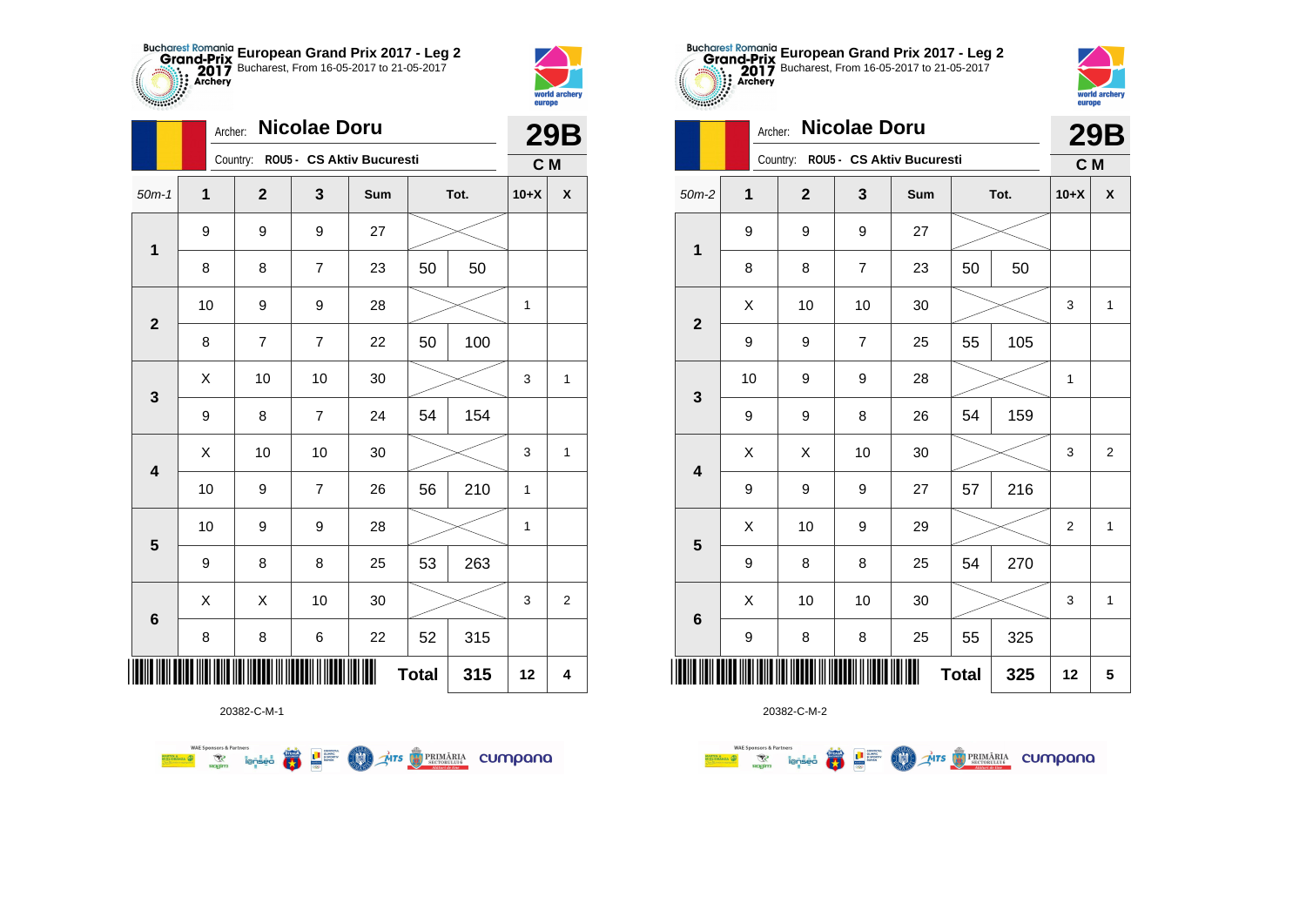



**Sance Co** 

|                         | Archer: |             | <b>Nicolae Doru</b> |                                    |              |      |             | <b>29B</b>              |
|-------------------------|---------|-------------|---------------------|------------------------------------|--------------|------|-------------|-------------------------|
|                         |         |             |                     | Country: ROU5 - CS Aktiv Bucuresti |              |      | C M         |                         |
| $50m-1$                 | 1       | $\mathbf 2$ | 3                   | Sum                                |              | Tot. | $10+X$      | X                       |
| $\mathbf 1$             | 9       | 9           | 9                   | 27                                 |              |      |             |                         |
|                         | 8       | 8           | 7                   | 23                                 | 50           | 50   |             |                         |
| $\mathbf{2}$            | 10      | 9           | 9                   | 28                                 |              |      | 1           |                         |
|                         | 8       | 7           | 7                   | 22                                 | 50           | 100  |             |                         |
| 3                       | Χ       | 10          | 10                  | 30                                 |              |      | 3           | 1                       |
|                         | 9       | 8           | $\overline{7}$      | 24                                 | 54           | 154  |             |                         |
| $\overline{\mathbf{4}}$ | X       | 10          | 10                  | 30                                 |              |      | 3           | 1                       |
|                         | 10      | 9           | $\overline{7}$      | 26                                 | 56           | 210  | 1           |                         |
| $\overline{\mathbf{5}}$ | 10      | 9           | 9                   | 28                                 |              |      | $\mathbf 1$ |                         |
|                         | 9       | 8           | 8                   | 25                                 | 53           | 263  |             |                         |
|                         | Χ       | Χ           | 10                  | 30                                 |              |      | 3           | $\overline{\mathbf{c}}$ |
| $\bf 6$                 | 8       | 8           | 6                   | 22                                 | 52           | 315  |             |                         |
| ║║║                     |         |             |                     |                                    | <b>Total</b> | 315  | 12          | $\overline{\mathbf{4}}$ |

**Exercise on the Second Parties of the Conservation Company of the Conservation Company of the Conservation Company** 



20382-C-M-2

|                         | Archer: |                  | <b>Nicolae Doru</b> |                                    |              |     |        | <b>29B</b>         |
|-------------------------|---------|------------------|---------------------|------------------------------------|--------------|-----|--------|--------------------|
|                         |         |                  |                     | Country: ROU5 - CS Aktiv Bucuresti |              |     | C M    |                    |
| $50m-2$                 | 1       | $\mathbf{2}$     | 3                   | Sum                                | Tot.         |     | $10+X$ | $\pmb{\mathsf{X}}$ |
| $\mathbf 1$             | 9       | 9                | 9                   | 27                                 |              |     |        |                    |
|                         | 8       | 8                | 7                   | 23                                 | 50           | 50  |        |                    |
| $\mathbf{2}$            | X       | 10               | 10                  | 30                                 |              |     | 3      | $\mathbf{1}$       |
|                         | 9       | 9                | $\overline{7}$      | 25                                 | 55           | 105 |        |                    |
| $\mathbf 3$             | 10      | 9                | 9                   | 28                                 |              |     | 1      |                    |
|                         | 9       | $\boldsymbol{9}$ | 8                   | 26                                 | 54           | 159 |        |                    |
| $\overline{\mathbf{4}}$ | X       | X                | 10                  | 30                                 |              |     | 3      | $\overline{c}$     |
|                         | 9       | 9                | 9                   | 27                                 | 57           | 216 |        |                    |
| $\overline{\mathbf{5}}$ | X       | 10               | 9                   | 29                                 |              |     | 2      | $\mathbf{1}$       |
|                         | 9       | 8                | 8                   | 25                                 | 54           | 270 |        |                    |
| $\bf 6$                 | X       | 10               | 10                  | 30                                 |              |     | 3      | $\mathbf{1}$       |
|                         | 9       | 8                | 8                   | 25                                 | 55           | 325 |        |                    |
|                         |         |                  |                     |                                    | <b>Total</b> | 325 | 12     | 5                  |

**European Grand Prix 2017 - Leg 2** Bucharest, From 16-05-2017 to 21-05-2017

world archer

europe

20382-C-M-1

**WAE Sponsors & Partners**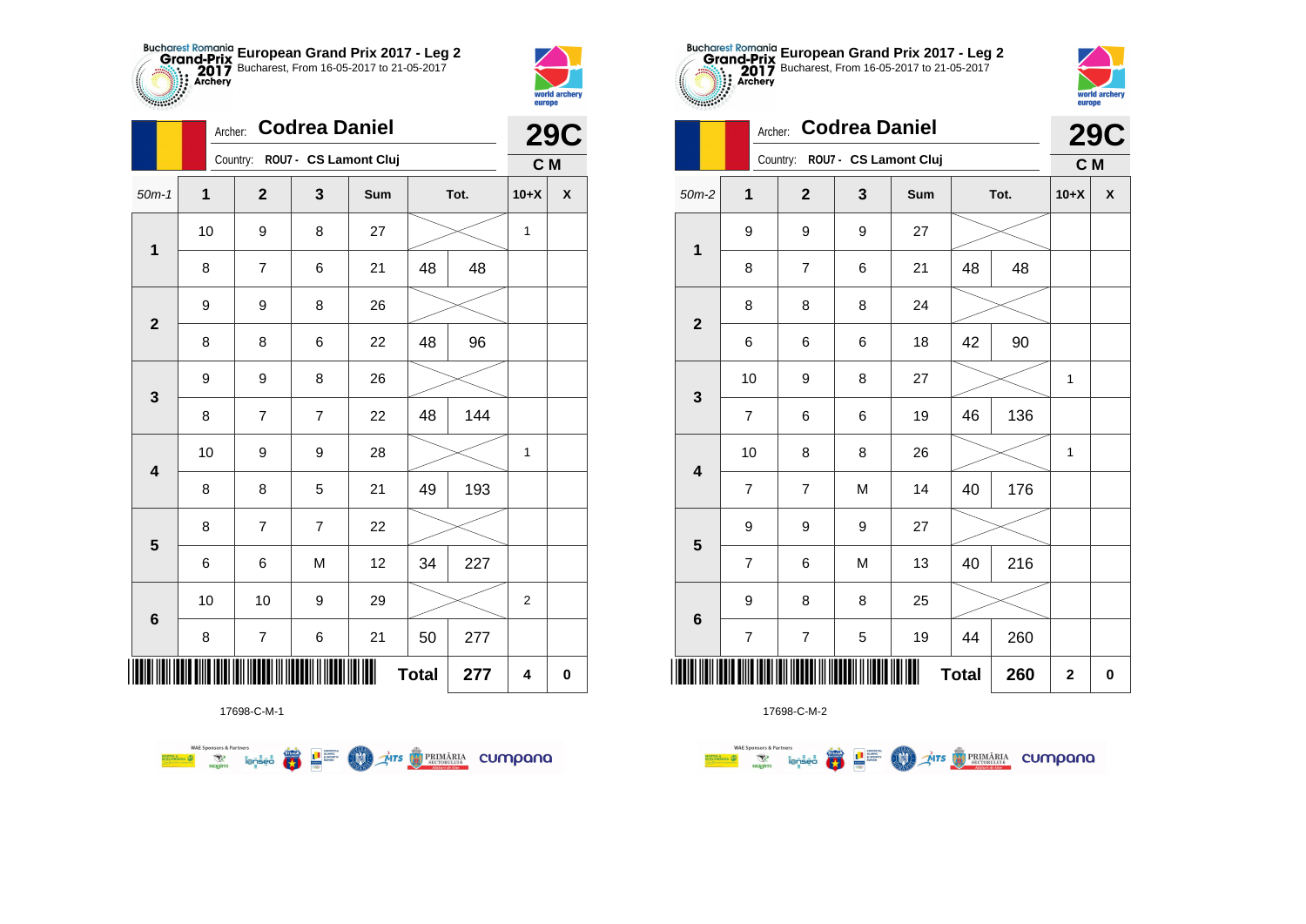



**STATISTICS** 

|                         | Archer: |                                | <b>Codrea Daniel</b> |     |              |      |                         | <b>29C</b>         |
|-------------------------|---------|--------------------------------|----------------------|-----|--------------|------|-------------------------|--------------------|
|                         |         | Country: ROU7 - CS Lamont Cluj |                      |     |              |      | C M                     |                    |
| $50m-1$                 | 1       | $\overline{2}$                 | 3                    | Sum |              | Tot. | $10+X$                  | $\pmb{\mathsf{X}}$ |
| $\mathbf 1$             | 10      | 9                              | 8                    | 27  |              |      | 1                       |                    |
|                         | 8       | 7                              | 6                    | 21  | 48           | 48   |                         |                    |
| $\mathbf{2}$            | 9       | 9                              | 8                    | 26  |              |      |                         |                    |
|                         | 8       | 8                              | 6                    | 22  | 48           | 96   |                         |                    |
| $\mathbf{3}$            | 9       | 9                              | 8                    | 26  |              |      |                         |                    |
|                         | 8       | $\overline{7}$                 | $\overline{7}$       | 22  | 48           | 144  |                         |                    |
| $\overline{\mathbf{4}}$ | 10      | 9                              | 9                    | 28  |              |      | 1                       |                    |
|                         | 8       | 8                              | 5                    | 21  | 49           | 193  |                         |                    |
| 5                       | 8       | 7                              | $\overline{7}$       | 22  |              |      |                         |                    |
|                         | 6       | 6                              | M                    | 12  | 34           | 227  |                         |                    |
| $\bf 6$                 | 10      | 10                             | 9                    | 29  |              |      | $\overline{\mathbf{c}}$ |                    |
|                         | 8       | $\boldsymbol{7}$               | 6                    | 21  | 50           | 277  |                         |                    |
| ║║║                     |         |                                |                      |     | <b>Total</b> | 277  | 4                       | $\pmb{0}$          |

**COND** 

**THITS BEINDERIA** CUMPANO



WAE Sponsors & Partners<br>Misionaliza (D) C Territori Contract (D) C Managers (D) C Territori C Managers (D) C Managers (D) C Managers (<br>Mision C Managers (D) C Managers (D) C Managers (D) C Managers (D) C Managers (D) C Man

**WAE Sponsors & Partners** 



|                         |                         | Country:                | ROU7 - CS Lamont Cluj |     |              |      | C M      |                    |
|-------------------------|-------------------------|-------------------------|-----------------------|-----|--------------|------|----------|--------------------|
| $50m-2$                 | $\mathbf{1}$            | $\overline{\mathbf{2}}$ | $\mathbf{3}$          | Sum |              | Tot. | $10+X$   | $\pmb{\mathsf{X}}$ |
| $\mathbf 1$             | 9                       | 9                       | 9                     | 27  |              |      |          |                    |
|                         | 8                       | $\overline{\mathbf{7}}$ | 6                     | 21  | 48           | 48   |          |                    |
| $\mathbf{2}$            | 8                       | 8                       | 8                     | 24  |              |      |          |                    |
|                         | 6                       | 6                       | 6                     | 18  | 42           | 90   |          |                    |
| $\mathbf 3$             | 10                      | 9                       | 8                     | 27  |              |      | 1        |                    |
|                         | $\overline{\mathbf{7}}$ | 6                       | 6                     | 19  | 46           | 136  |          |                    |
|                         | 10                      | 8                       | 8                     | 26  |              |      | 1        |                    |
| $\overline{\mathbf{4}}$ | $\overline{7}$          | $\overline{\mathbf{7}}$ | M                     | 14  | 40           | 176  |          |                    |
| $5\phantom{1}$          | 9                       | 9                       | 9                     | 27  |              |      |          |                    |
|                         | $\overline{\mathbf{7}}$ | 6                       | M                     | 13  | 40           | 216  |          |                    |
| $\bf 6$                 | 9                       | 8                       | 8                     | 25  |              |      |          |                    |
|                         | $\overline{7}$          | $\overline{\mathbf{7}}$ | 5                     | 19  | 44           | 260  |          |                    |
|                         |                         |                         |                       | Ш   | <b>Total</b> | 260  | $\bf{2}$ | $\pmb{0}$          |

**European Grand Prix 2017 - Leg 2** Bucharest, From 16-05-2017 to 21-05-2017

Archer: **Codrea Daniel**



**29C**

|                                    |             |                                                    |            | <b>Total</b>       | 260 | 2       |  |
|------------------------------------|-------------|----------------------------------------------------|------------|--------------------|-----|---------|--|
|                                    | 17698-C-M-2 |                                                    |            |                    |     |         |  |
| <b>WAE Sponsors &amp; Partners</b> | 5.          | <b>CONTETUL</b><br>STEAL!<br>OLIMPIC<br>SI SPORTIV | <b>MTS</b> | <b>14 PRIMĂRIA</b> |     | CUMOOOO |  |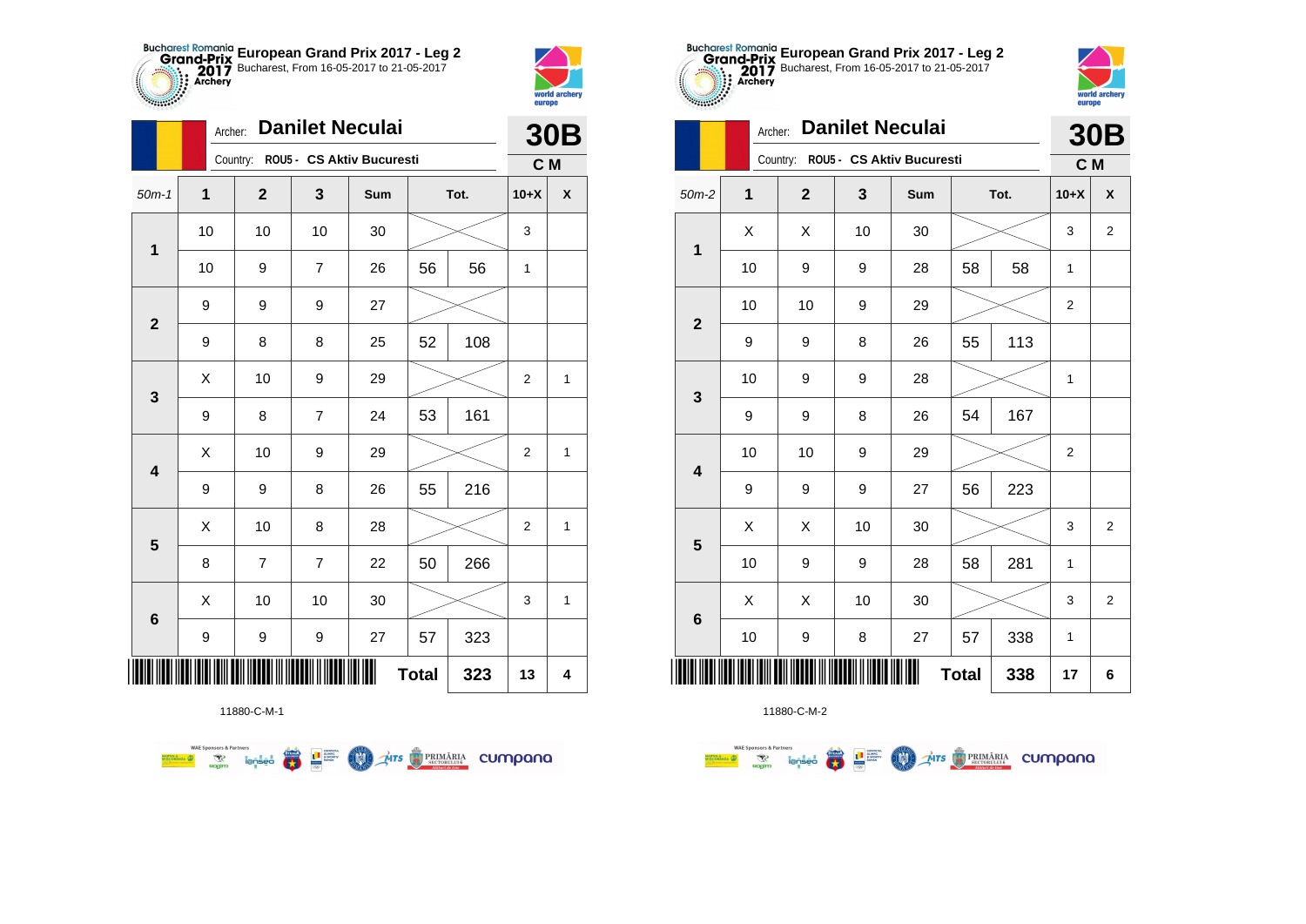



**THE** 

|                         | Archer:          |                | <b>Danilet Neculai</b> |                           |              |      |                  | <b>30B</b>         |
|-------------------------|------------------|----------------|------------------------|---------------------------|--------------|------|------------------|--------------------|
|                         |                  | Country:       |                        | ROU5 - CS Aktiv Bucuresti |              |      | C M              |                    |
| $50m-1$                 | 1                | $\mathbf 2$    | 3                      | Sum                       |              | Tot. | $10+X$           | $\pmb{\mathsf{X}}$ |
| $\mathbf 1$             | 10               | 10             | 10                     | 30                        |              |      | 3                |                    |
|                         | 10               | 9              | 7                      | 26                        | 56           | 56   | 1                |                    |
| $\overline{2}$          | $\boldsymbol{9}$ | 9              | 9                      | 27                        |              |      |                  |                    |
|                         | 9                | 8              | 8                      | 25                        | 52           | 108  |                  |                    |
| 3                       | X                | 10             | 9                      | 29                        |              |      | $\overline{2}$   | $\mathbf{1}$       |
|                         | 9                | 8              | $\overline{7}$         | 24                        | 53           | 161  |                  |                    |
| $\overline{\mathbf{4}}$ | Χ                | 10             | 9                      | 29                        |              |      | $\boldsymbol{2}$ | $\mathbf{1}$       |
|                         | 9                | 9              | 8                      | 26                        | 55           | 216  |                  |                    |
| 5                       | X                | 10             | 8                      | 28                        |              |      | 2                | 1                  |
|                         | 8                | $\overline{7}$ | $\overline{7}$         | 22                        | 50           | 266  |                  |                    |
| 6                       | X                | 10             | 10                     | 30                        |              |      | 3                | 1                  |
|                         | 9                | 9              | 9                      | 27                        | 57           | 323  |                  |                    |
| ║║║                     |                  |                |                        | Ш                         | <b>Total</b> | 323  | 13               | 4                  |



11880-C-M-2

|                         |             | Archer:      |    | <b>Danilet Neculai</b>    |              |      |                  | <b>30B</b>       |
|-------------------------|-------------|--------------|----|---------------------------|--------------|------|------------------|------------------|
|                         |             | Country:     |    | ROU5 - CS Aktiv Bucuresti |              |      | C M              |                  |
| $50m-2$                 | $\mathbf 1$ | $\mathbf{2}$ | 3  | Sum                       |              | Tot. | $10+X$           | $\boldsymbol{x}$ |
| 1                       | X           | X            | 10 | 30                        |              |      | 3                | $\overline{2}$   |
|                         | 10          | 9            | 9  | 28                        | 58           | 58   | 1                |                  |
| $\overline{2}$          | 10          | 10           | 9  | 29                        |              |      | $\boldsymbol{2}$ |                  |
|                         | 9           | 9            | 8  | 26                        | 55           | 113  |                  |                  |
| 3                       | 10          | 9            | 9  | 28                        |              |      | 1                |                  |
|                         | 9           | 9            | 8  | 26                        | 54           | 167  |                  |                  |
| $\overline{\mathbf{4}}$ | 10          | 10           | 9  | 29                        |              |      | $\overline{2}$   |                  |
|                         | 9           | 9            | 9  | 27                        | 56           | 223  |                  |                  |
| 5                       | X           | X            | 10 | 30                        |              |      | 3                | $\overline{2}$   |
|                         | 10          | 9            | 9  | 28                        | 58           | 281  | 1                |                  |
| $6\phantom{1}6$         | X           | X            | 10 | 30                        |              |      | 3                | $\overline{2}$   |
|                         | 10          | 9            | 8  | 27                        | 57           | 338  | 1                |                  |
|                         |             |              |    |                           | <b>Total</b> | 338  | 17               | 6                |

**European Grand Prix 2017 - Leg 2** Bucharest, From 16-05-2017 to 21-05-2017

world archer

europe

11880-C-M-1

第 9章

**COND** 

**THITS BETORIARIA CUMPANA** 

**WAE Sponsors & Partners**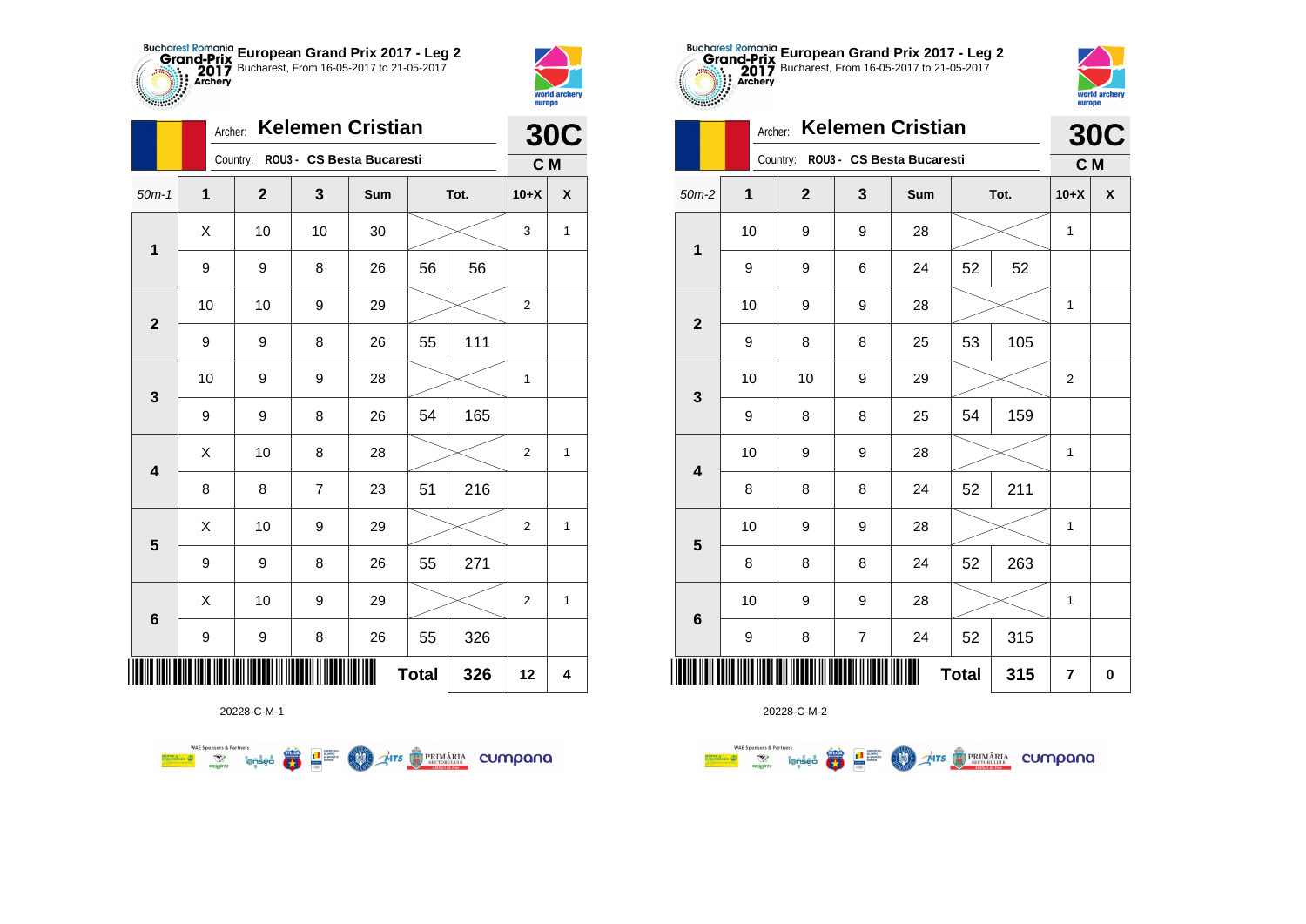



|                         | Archer: |             |                | <b>Kelemen Cristian</b>            |              |      |                         | <b>30C</b> |
|-------------------------|---------|-------------|----------------|------------------------------------|--------------|------|-------------------------|------------|
|                         |         |             |                | Country: ROU3 - CS Besta Bucaresti |              |      | C M                     |            |
| $50m-1$                 | 1       | $\mathbf 2$ | 3              | Sum                                |              | Tot. | $10+X$                  | X          |
| $\mathbf 1$             | Χ       | 10          | 10             | 30                                 |              |      | 3                       | 1          |
|                         | 9       | 9           | 8              | 26                                 | 56           | 56   |                         |            |
| $\mathbf 2$             | 10      | 10          | 9              | 29                                 |              |      | $\overline{2}$          |            |
|                         | 9       | 9           | 8              | 26                                 | 55           | 111  |                         |            |
| 3                       | 10      | 9           | 9              | 28                                 |              |      | $\mathbf 1$             |            |
|                         | 9       | 9           | 8              | 26                                 | 54           | 165  |                         |            |
| $\overline{\mathbf{4}}$ | Χ       | 10          | 8              | 28                                 |              |      | $\overline{2}$          | 1          |
|                         | 8       | 8           | $\overline{7}$ | 23                                 | 51           | 216  |                         |            |
| 5                       | Χ       | 10          | 9              | 29                                 |              |      | 2                       | 1          |
|                         | 9       | 9           | 8              | 26                                 | 55           | 271  |                         |            |
| 6                       | Χ       | 10          | 9              | 29                                 |              |      | $\overline{\mathbf{c}}$ | 1          |
|                         | 9       | 9           | $\bf 8$        | 26                                 | 55           | 326  |                         |            |
| IIII                    |         |             |                |                                    | <b>Total</b> | 326  | 12                      | 4          |

**Exercise on the Second Partial Company of the Company of the Company of the Company of the Company of Company of the Company of the Company of Company of the Company of the Company of the Company of the Company of the Com** 



20228-C-M-2

| $\sim$                  | Archer: |                |                | <b>Kelemen Cristian</b>            |              |     | <b>30C</b>     |                    |
|-------------------------|---------|----------------|----------------|------------------------------------|--------------|-----|----------------|--------------------|
|                         |         |                |                | Country: ROU3 - CS Besta Bucaresti |              |     | C M            |                    |
| $50m-2$                 | 1       | $\overline{2}$ | 3              | Sum                                | Tot.         |     | $10+X$         | $\pmb{\mathsf{X}}$ |
|                         | 10      | 9              | 9              | 28                                 |              |     | 1              |                    |
| 1                       | 9       | 9              | 6              | 24                                 | 52           | 52  |                |                    |
|                         | 10      | 9              | 9              | 28                                 |              |     | 1              |                    |
| $\overline{2}$          | 9       | 8              | 8              | 25                                 | 53           | 105 |                |                    |
|                         | 10      | 10             | 9              | 29                                 |              |     | $\overline{2}$ |                    |
| 3                       | 9       | 8              | 8              | 25                                 | 54           | 159 |                |                    |
| $\overline{\mathbf{4}}$ | 10      | 9              | 9              | 28                                 |              |     | 1              |                    |
|                         | 8       | 8              | 8              | 24                                 | 52           | 211 |                |                    |
| 5                       | 10      | 9              | 9              | 28                                 |              |     | 1              |                    |
|                         | 8       | 8              | 8              | 24                                 | 52           | 263 |                |                    |
| $6\phantom{1}6$         | 10      | 9              | 9              | 28                                 |              |     | 1              |                    |
|                         | 9       | 8              | $\overline{7}$ | 24                                 | 52           | 315 |                |                    |
|                         |         |                |                |                                    | <b>Total</b> | 315 | $\overline{7}$ | $\bf{0}$           |

**European Grand Prix 2017 - Leg 2** Bucharest, From 16-05-2017 to 21-05-2017

world archer

20228-C-M-1

**WAE Sponsors & Partners**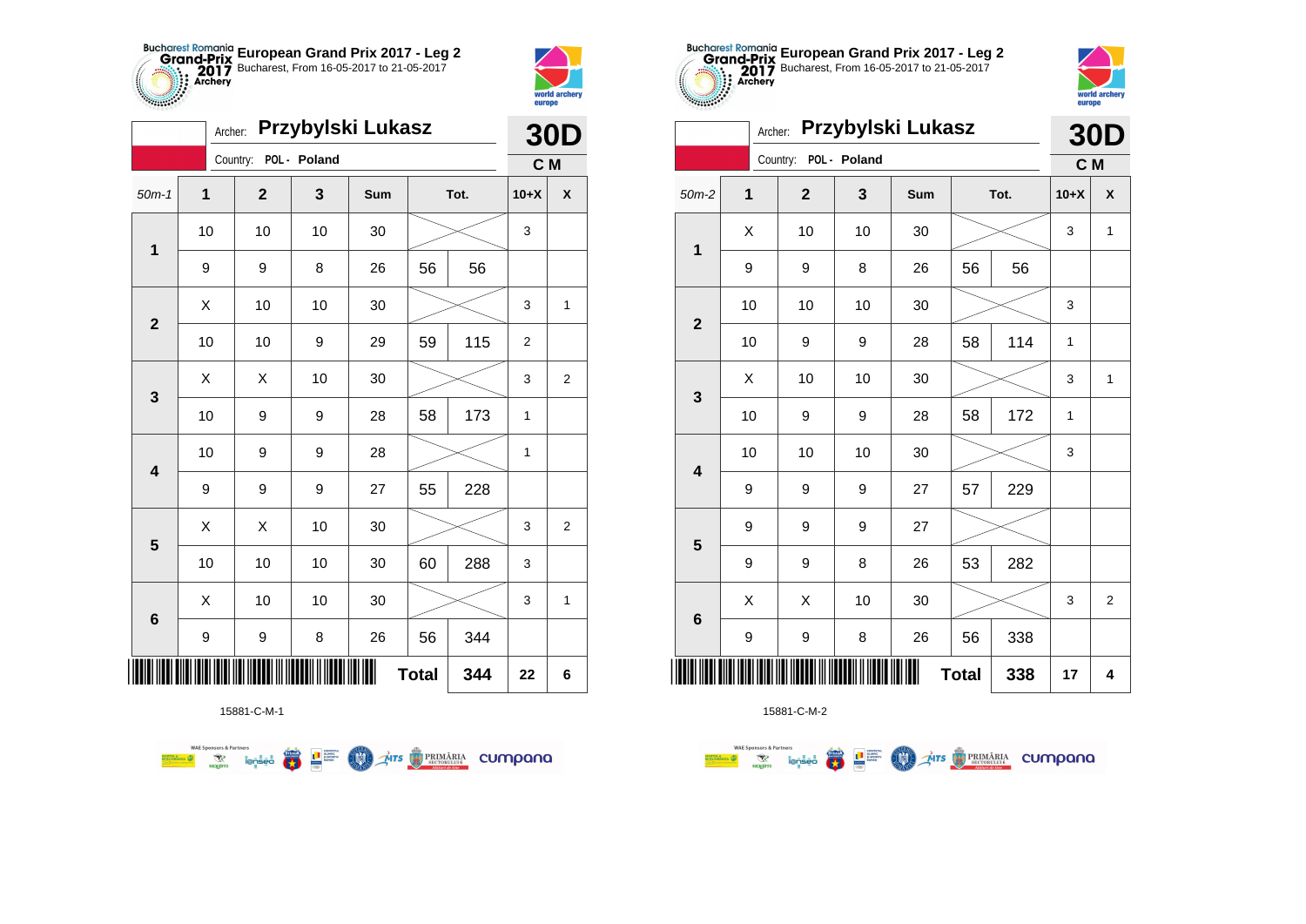



**TABLE** 

|         | Przybylski Lukasz<br>Archer:<br>POL - Poland<br>Country:<br>$\mathbf{1}$<br>$\mathbf 2$<br>3<br>Sum<br>Tot.<br>10<br>10<br>10<br>30<br>1<br>56<br>8<br>56<br>9<br>9<br>26<br>X<br>10<br>10<br>30<br>$\mathbf 2$<br>115<br>59<br>10<br>10<br>9<br>29<br>10<br>Χ<br>Χ<br>30<br>3<br>10<br>58<br>173<br>9<br>9<br>28<br>10<br>9<br>9<br>28<br>$\overline{\mathbf{4}}$<br>228<br>9<br>9<br>9<br>27<br>55<br>X<br>10<br>X<br>30<br>5<br>10<br>10<br>10<br>30<br>288<br>60 |    |    |    |              |     | <b>30D</b>       |                    |
|---------|----------------------------------------------------------------------------------------------------------------------------------------------------------------------------------------------------------------------------------------------------------------------------------------------------------------------------------------------------------------------------------------------------------------------------------------------------------------------|----|----|----|--------------|-----|------------------|--------------------|
|         |                                                                                                                                                                                                                                                                                                                                                                                                                                                                      |    |    |    |              |     | C M              |                    |
| $50m-1$ |                                                                                                                                                                                                                                                                                                                                                                                                                                                                      |    |    |    |              |     | $10+X$           | $\pmb{\mathsf{X}}$ |
|         |                                                                                                                                                                                                                                                                                                                                                                                                                                                                      |    |    |    |              |     | 3                |                    |
|         |                                                                                                                                                                                                                                                                                                                                                                                                                                                                      |    |    |    |              |     |                  |                    |
|         |                                                                                                                                                                                                                                                                                                                                                                                                                                                                      |    |    |    |              |     | 3                | 1                  |
|         |                                                                                                                                                                                                                                                                                                                                                                                                                                                                      |    |    |    |              |     | $\boldsymbol{2}$ |                    |
|         |                                                                                                                                                                                                                                                                                                                                                                                                                                                                      |    |    |    |              |     | 3                | $\boldsymbol{2}$   |
|         |                                                                                                                                                                                                                                                                                                                                                                                                                                                                      |    |    |    |              |     | 1                |                    |
|         |                                                                                                                                                                                                                                                                                                                                                                                                                                                                      |    |    |    |              |     | 1                |                    |
|         |                                                                                                                                                                                                                                                                                                                                                                                                                                                                      |    |    |    |              |     |                  |                    |
|         |                                                                                                                                                                                                                                                                                                                                                                                                                                                                      |    |    |    |              |     | 3                | 2                  |
|         |                                                                                                                                                                                                                                                                                                                                                                                                                                                                      |    |    |    |              |     | 3                |                    |
|         | Χ                                                                                                                                                                                                                                                                                                                                                                                                                                                                    | 10 | 10 | 30 |              |     | 3                | 1                  |
| 6       | 9                                                                                                                                                                                                                                                                                                                                                                                                                                                                    | 9  | 8  | 26 | 56           | 344 |                  |                    |
| ║║║     |                                                                                                                                                                                                                                                                                                                                                                                                                                                                      |    |    |    | <b>Total</b> | 344 | 22               | 6                  |

**TATS BRIMARIA CUMPANA** 

15881-C-M-1

**FRA** 

**L** B SPORTER

**COND** 

**WAE Sponsors & Partners** 



15881-C-M-2



|                                        | Przybylski Lukasz<br>Archer: |              |              |     |    |      |        |                           |  |
|----------------------------------------|------------------------------|--------------|--------------|-----|----|------|--------|---------------------------|--|
|                                        |                              | Country:     | POL - Poland |     |    |      | C M    |                           |  |
| $50m-2$                                | $\mathbf{1}$                 | $\mathbf{2}$ | 3            | Sum |    | Tot. | $10+X$ | $\boldsymbol{\mathsf{x}}$ |  |
| $\mathbf 1$                            | X                            | 10           | 10           | 30  |    |      | 3      | $\mathbf{1}$              |  |
|                                        | 9                            | 9            | 8            | 26  | 56 | 56   |        |                           |  |
| $\overline{\mathbf{2}}$                | 10                           | 10           | 10           | 30  |    |      | 3      |                           |  |
|                                        | 10                           | 9            | 9            | 28  | 58 | 114  | 1      |                           |  |
| 3                                      | Χ                            | 10           | 10           | 30  |    |      | 3      | $\mathbf{1}$              |  |
|                                        | 10                           | 9            | 9            | 28  | 58 | 172  | 1      |                           |  |
| $\overline{\mathbf{4}}$                | 10                           | 10           | 10           | 30  |    |      | 3      |                           |  |
|                                        | 9                            | 9            | 9            | 27  | 57 | 229  |        |                           |  |
| 5                                      | 9                            | 9            | 9            | 27  |    |      |        |                           |  |
|                                        | 9                            | 9            | 8            | 26  | 53 | 282  |        |                           |  |
| $\bf 6$                                | X                            | Χ            | 10           | 30  |    |      | 3      | $\overline{2}$            |  |
|                                        | 9                            | 9            | 8            | 26  | 56 | 338  |        |                           |  |
| IIII<br>Ш<br><b>Total</b><br>338<br>17 |                              |              |              |     |    |      |        | 4                         |  |

**European Grand Prix 2017 - Leg 2** Bucharest, From 16-05-2017 to 21-05-2017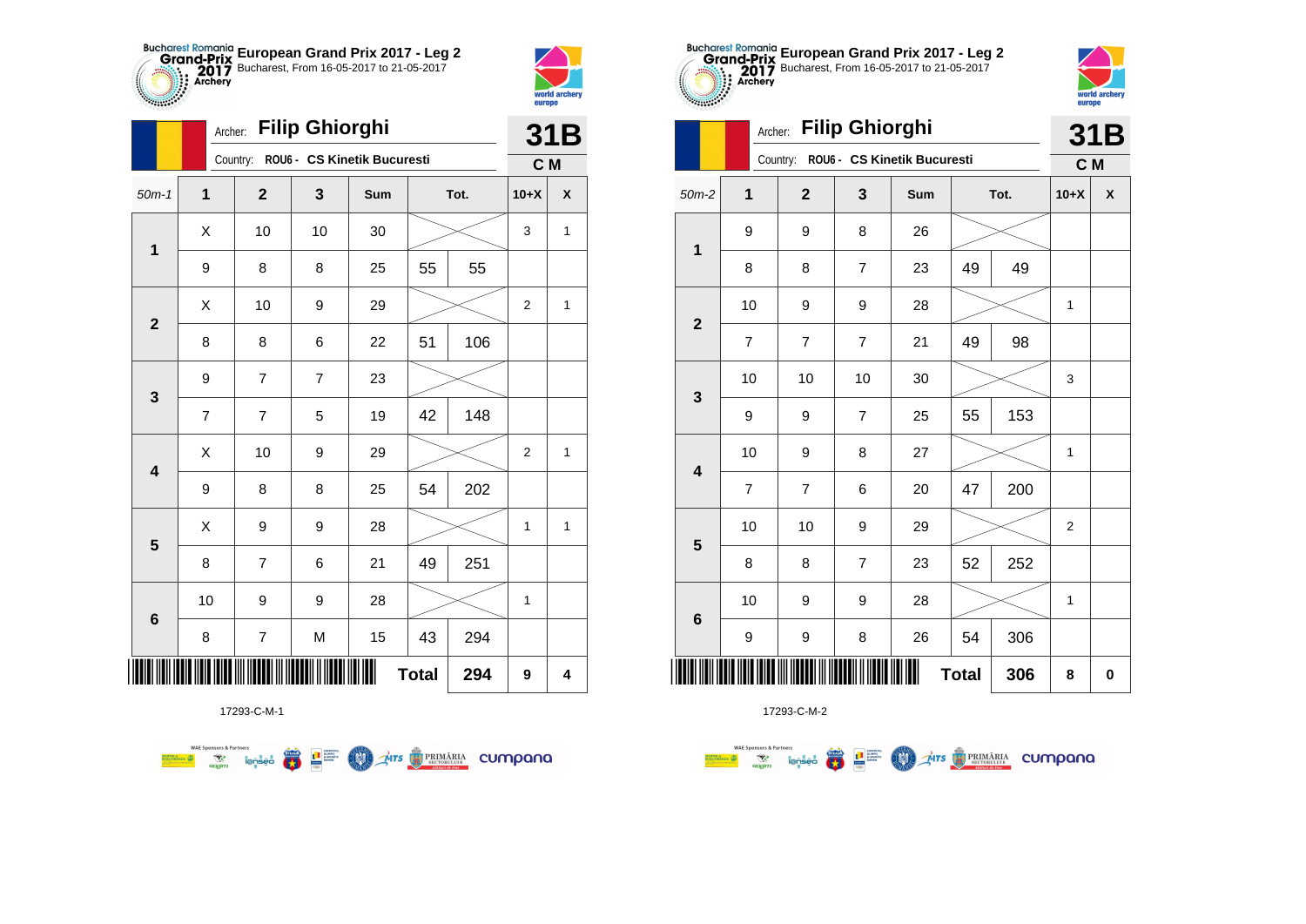



**TABLE** 

|                         | Archer:        |                | <b>Filip Ghiorghi</b> |                                      |              |      |                | 31B                |
|-------------------------|----------------|----------------|-----------------------|--------------------------------------|--------------|------|----------------|--------------------|
|                         |                |                |                       | Country: ROU6 - CS Kinetik Bucuresti |              |      | C M            |                    |
| $50m-1$                 | 1              | $\overline{2}$ | 3                     | Sum                                  |              | Tot. | $10+X$         | $\pmb{\mathsf{X}}$ |
| 1                       | X              | 10             | 10                    | 30                                   |              |      | 3              | $\mathbf{1}$       |
|                         | 9              | 8              | 8                     | 25                                   | 55           | 55   |                |                    |
| $\overline{2}$          | X              | 10             | 9                     | 29                                   |              |      | $\overline{2}$ | $\mathbf{1}$       |
|                         | 8              | 8              | 6                     | 22                                   | 51           | 106  |                |                    |
| 3                       | 9              | $\overline{7}$ | $\overline{7}$        | 23                                   |              |      |                |                    |
|                         | $\overline{7}$ | $\overline{7}$ | 5                     | 19                                   | 42           | 148  |                |                    |
| $\overline{\mathbf{4}}$ | Χ              | 10             | 9                     | 29                                   |              |      | $\overline{2}$ | $\mathbf{1}$       |
|                         | 9              | 8              | 8                     | 25                                   | 54           | 202  |                |                    |
| 5                       | X              | 9              | 9                     | 28                                   |              |      | 1              | 1                  |
|                         | 8              | $\overline{7}$ | 6                     | 21                                   | 49           | 251  |                |                    |
| $6\phantom{1}6$         | 10             | 9              | 9                     | 28                                   |              |      | 1              |                    |
|                         | 8              | 7              | M                     | 15                                   | 43           | 294  |                |                    |
|                         |                |                |                       |                                      | <b>Total</b> | 294  | 9              | 4                  |

Mrs PRIMÁRIA CUMpana



17293-C-M-2

|                         |                | <b>Filip Ghiorghi</b><br>Archer: |                |                             | 31B          |      |                |          |
|-------------------------|----------------|----------------------------------|----------------|-----------------------------|--------------|------|----------------|----------|
|                         |                | Country:                         |                | ROU6 - CS Kinetik Bucuresti |              |      | C M            |          |
| $50m-2$                 | 1              | $\overline{2}$                   | 3              | Sum                         |              | Tot. | $10+X$         | X        |
| $\mathbf 1$             | 9              | 9                                | 8              | 26                          |              |      |                |          |
|                         | 8              | 8                                | $\overline{7}$ | 23                          | 49           | 49   |                |          |
| $\overline{2}$          | 10             | 9                                | 9              | 28                          |              |      | 1              |          |
|                         | $\overline{7}$ | 7                                | $\overline{7}$ | 21                          | 49           | 98   |                |          |
| 3                       | 10             | 10                               | 10             | 30                          |              |      | 3              |          |
|                         | 9              | 9                                | 7              | 25                          | 55           | 153  |                |          |
| $\overline{\mathbf{4}}$ | 10             | 9                                | 8              | 27                          |              |      | 1              |          |
|                         | $\overline{7}$ | $\overline{7}$                   | 6              | 20                          | 47           | 200  |                |          |
| 5                       | 10             | 10                               | 9              | 29                          |              |      | $\overline{2}$ |          |
|                         | 8              | 8                                | $\overline{7}$ | 23                          | 52           | 252  |                |          |
| $6\phantom{1}6$         | 10             | 9                                | 9              | 28                          |              |      | 1              |          |
|                         | 9              | 9                                | 8              | 26                          | 54           | 306  |                |          |
|                         |                |                                  |                |                             | <b>Total</b> | 306  | 8              | $\bf{0}$ |

**European Grand Prix 2017 - Leg 2** Bucharest, From 16-05-2017 to 21-05-2017

world arche

europe

17293-C-M-1

**FRA** 

L<sup>a</sup> super

**COO** 

**WAE Sponsors & Partners**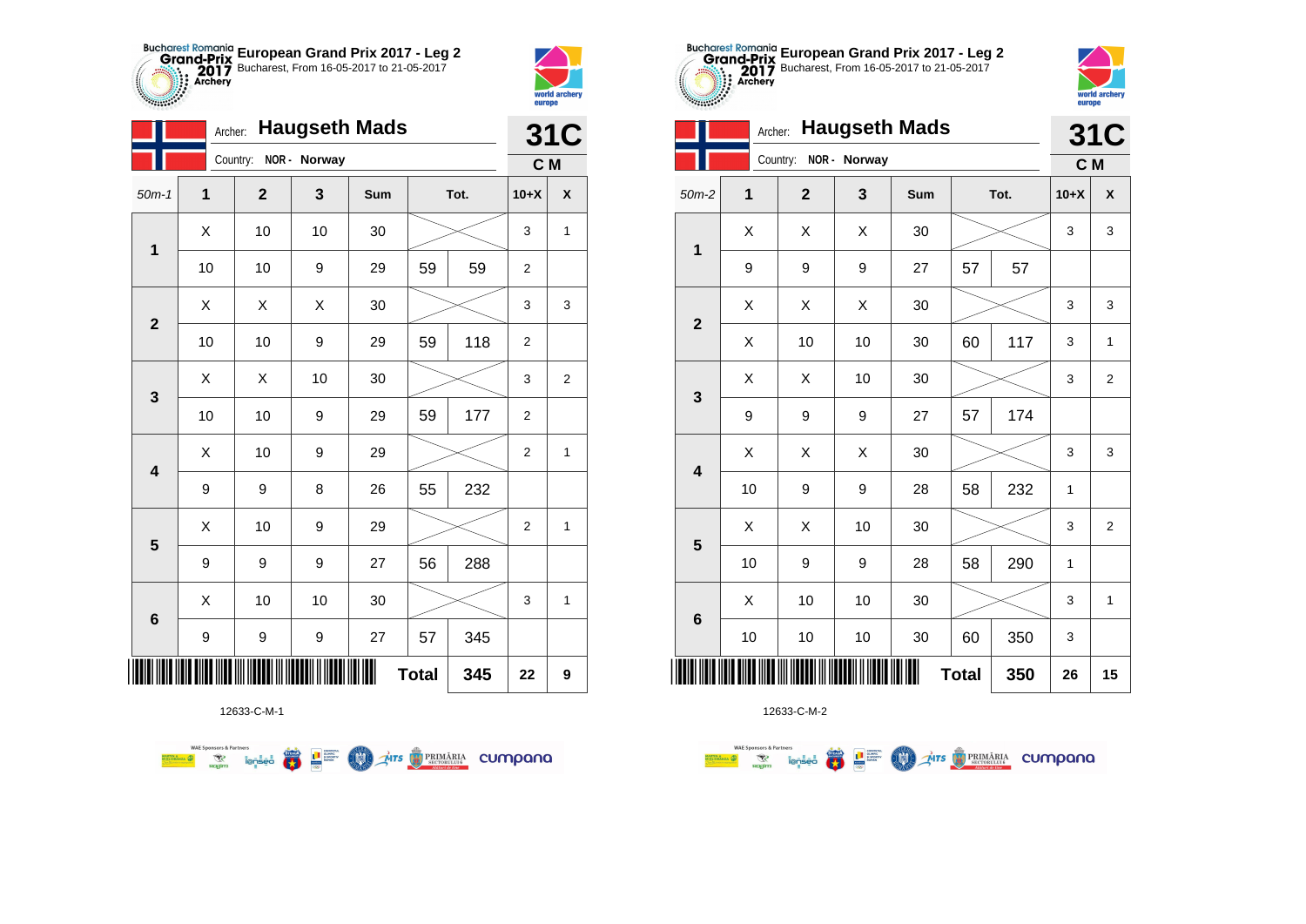



*<u>SHING OF STRAIN STRAINS OF STRAIN STRAINS OF STRAIN STRAINS OF STRAIN STRAIN STRAINS OF STRAIN STRAIN STRAIN STR*</u>

|             | Archer:      |              |              | <b>Haugseth Mads</b> |              |      |                | <b>31C</b>   |
|-------------|--------------|--------------|--------------|----------------------|--------------|------|----------------|--------------|
|             |              | Country:     | NOR - Norway |                      |              |      | C M            |              |
| $50m-1$     | $\mathbf{1}$ | $\mathbf{2}$ | 3            | Sum                  |              | Tot. | $10+X$         | X            |
| $\mathbf 1$ | X            | 10           | 10           | 30                   |              |      | 3              | 1            |
|             | 10           | 10           | 9            | 29                   | 59           | 59   | $\overline{2}$ |              |
| $\mathbf 2$ | X            | Χ            | X            | 30                   |              |      | 3              | 3            |
|             | 10           | 10           | 9            | 29                   | 59           | 118  | $\overline{2}$ |              |
| 3           | Χ            | X            | 10           | 30                   |              |      | 3              | 2            |
|             | 10           | 10           | 9            | 29                   | 59           | 177  | 2              |              |
| 4           | X            | 10           | 9            | 29                   |              |      | $\overline{2}$ | $\mathbf{1}$ |
|             | 9            | 9            | 8            | 26                   | 55           | 232  |                |              |
| 5           | X            | 10           | 9            | 29                   |              |      | $\overline{2}$ | $\mathbf{1}$ |
|             | 9            | 9            | 9            | 27                   | 56           | 288  |                |              |
| 6           | Χ            | 10           | 10           | 30                   |              |      | 3              | $\mathbf 1$  |
|             | 9            | 9            | 9            | 27                   | 57           | 345  |                |              |
|             |              |              |              |                      | <b>Total</b> | 345  | 22             | 9            |

**THE STRIMARIA CUMPANA** 



12633-C-M-2

|                         | Archer:             |              |                  | <b>Haugseth Mads</b> |    |      |        | <b>31C</b>     |
|-------------------------|---------------------|--------------|------------------|----------------------|----|------|--------|----------------|
|                         |                     | Country:     | NOR - Norway     |                      |    |      | C M    |                |
| $50m-2$                 | 1                   | $\mathbf{2}$ | 3                | Sum                  |    | Tot. | $10+X$ | X              |
| $\mathbf 1$             | X                   | X            | X                | 30                   |    |      | 3      | 3              |
|                         | 9                   | 9            | $\boldsymbol{9}$ | 27                   | 57 | 57   |        |                |
| $\mathbf{2}$            | X                   | X            | X                | 30                   |    |      | 3      | 3              |
|                         | X                   | 10           | 10               | 30                   | 60 | 117  | 3      | $\mathbf{1}$   |
|                         | X                   | Χ            | 10               | 30                   |    |      | 3      | $\overline{2}$ |
| 3                       | 9                   | 9            | 9                | 27                   | 57 | 174  |        |                |
| $\overline{\mathbf{4}}$ | X                   | X            | X                | 30                   |    |      | 3      | 3              |
|                         | 10                  | 9            | 9                | 28                   | 58 | 232  | 1      |                |
| 5                       | X                   | X            | 10               | 30                   |    |      | 3      | $\overline{2}$ |
|                         | 10                  | 9            | 9                | 28                   | 58 | 290  | 1      |                |
| $\bf 6$                 | X                   | 10           | 10               | 30                   |    |      | 3      | $\mathbf{1}$   |
|                         | 10                  | 10           | $10$             | 30                   | 60 | 350  | 3      |                |
| IIII                    | <b>Total</b><br>350 |              |                  |                      |    |      |        |                |

**European Grand Prix 2017 - Leg 2** Bucharest, From 16-05-2017 to 21-05-2017

world arche

europe

12633-C-M-1

第 2章

**COND** 

**WAE Sponsors & Partners**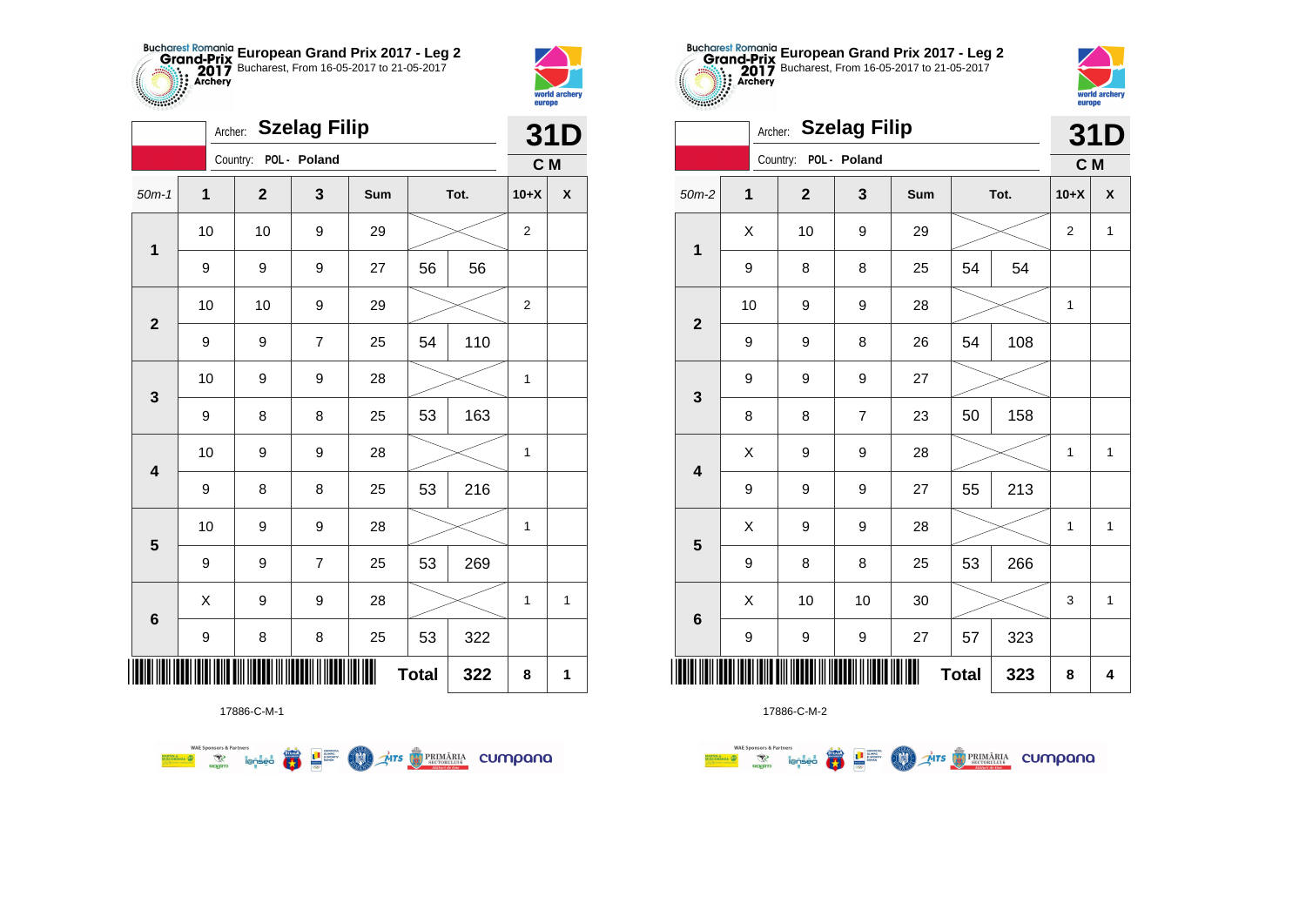



|                         |             | Archer:               | <b>Szelag Filip</b> |     |              |      | 31D<br>C M<br>$10+X$<br>$\overline{2}$<br>$\overline{2}$<br>1<br>1 |              |  |  |
|-------------------------|-------------|-----------------------|---------------------|-----|--------------|------|--------------------------------------------------------------------|--------------|--|--|
|                         |             | Country: POL - Poland |                     |     |              |      |                                                                    |              |  |  |
| $50m-1$                 | $\mathbf 1$ | $\mathbf{2}$          | 3                   | Sum |              | Tot. |                                                                    | $\pmb{\chi}$ |  |  |
| 1                       | 10          | 10                    | 9                   | 29  |              |      |                                                                    |              |  |  |
|                         | 9           | 9                     | 9                   | 27  | 56           | 56   |                                                                    |              |  |  |
| $\mathbf{2}$            | 10          | 10                    | 9                   | 29  |              |      |                                                                    |              |  |  |
|                         | 9           | 9                     | 7                   | 25  | 54           | 110  |                                                                    |              |  |  |
| 3                       | 10          | 9                     | 9                   | 28  |              |      |                                                                    |              |  |  |
|                         | 9           | 8                     | 8                   | 25  | 53           | 163  |                                                                    |              |  |  |
| $\overline{\mathbf{4}}$ | 10          | 9                     | 9                   | 28  |              |      |                                                                    |              |  |  |
|                         | 9           | 8                     | 8                   | 25  | 53           | 216  |                                                                    |              |  |  |
| $\overline{\mathbf{5}}$ | 10          | 9                     | 9                   | 28  |              |      | 1                                                                  |              |  |  |
|                         | 9           | 9                     | $\overline{7}$      | 25  | 53           | 269  |                                                                    |              |  |  |
| $\bf 6$                 | X           | 9                     | 9                   | 28  |              |      | 1                                                                  | 1            |  |  |
|                         | 9           | 8                     | 8                   | 25  | 53           | 322  |                                                                    |              |  |  |
| ║║║                     |             |                       |                     |     | <b>Total</b> | 322  | 8                                                                  | 1            |  |  |

**THE STRIMARIA CUMPANA** 



17886-C-M-2

|                         | Archer: |                       | <b>Szelag Filip</b> |     |              |      |                | 31D                |
|-------------------------|---------|-----------------------|---------------------|-----|--------------|------|----------------|--------------------|
|                         |         | Country: POL - Poland |                     |     |              |      | C M            |                    |
| $50m-2$                 | 1       | $\overline{2}$        | 3                   | Sum |              | Tot. | $10+X$         | $\pmb{\mathsf{X}}$ |
| $\mathbf 1$             | X       | 10                    | 9                   | 29  |              |      | $\overline{2}$ | 1                  |
|                         | 9       | 8                     | 8                   | 25  | 54           | 54   |                |                    |
| $\overline{2}$          | 10      | 9                     | 9                   | 28  |              |      | $\mathbf{1}$   |                    |
|                         | 9       | 9                     | 8                   | 26  | 54           | 108  |                |                    |
| 3                       | 9       | 9                     | 9                   | 27  |              |      |                |                    |
|                         | 8       | 8                     | 7                   | 23  | 50           | 158  |                |                    |
| $\overline{\mathbf{4}}$ | X       | 9                     | 9                   | 28  |              |      | $\mathbf{1}$   | 1                  |
|                         | 9       | 9                     | 9                   | 27  | 55           | 213  |                |                    |
| 5                       | X       | 9                     | 9                   | 28  |              |      | $\mathbf{1}$   | $\mathbf{1}$       |
|                         | 9       | 8                     | 8                   | 25  | 53           | 266  |                |                    |
| $6\phantom{1}6$         | Χ       | 10                    | 10                  | 30  |              |      | 3              | 1                  |
|                         | 9       | 9                     | 9                   | 27  | 57           | 323  |                |                    |
| III                     |         |                       |                     | Ш   | <b>Total</b> | 323  | 8              | 4                  |

**European Grand Prix 2017 - Leg 2** Bucharest, From 16-05-2017 to 21-05-2017

world archer

europe

Archer: **Szelag Filip**

**Supply of Strategy** 

17886-C-M-1

● ■

**COMO** 

**WAE Sponsors & Partners**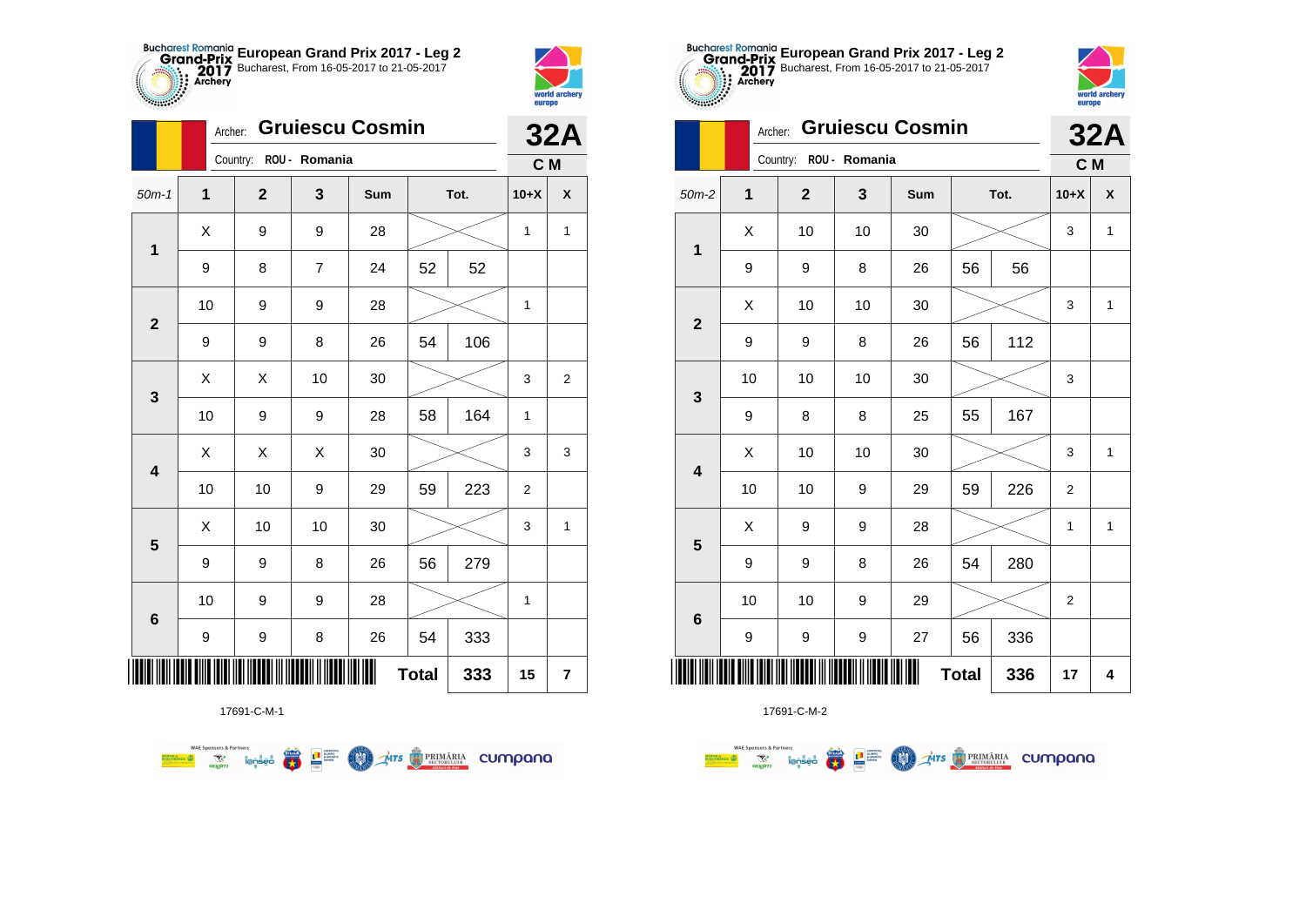



**TABLE** 

|                         | Archer: |                        |    | <b>Gruiescu Cosmin</b> |              |      |              | <b>32A</b>              |
|-------------------------|---------|------------------------|----|------------------------|--------------|------|--------------|-------------------------|
|                         |         | Country: ROU - Romania |    |                        |              |      | C M          |                         |
| $50m-1$                 | 1       | $\mathbf 2$            | 3  | Sum                    |              | Tot. | $10+X$       | $\pmb{\mathsf{X}}$      |
| $\mathbf{1}$            | X       | 9                      | 9  | 28                     |              |      | 1            | $\mathbf{1}$            |
|                         | 9       | 8                      | 7  | 24                     | 52           | 52   |              |                         |
| $\mathbf{2}$            | 10      | 9                      | 9  | 28                     |              |      | 1            |                         |
|                         | 9       | 9                      | 8  | 26                     | 54           | 106  |              |                         |
| 3                       | X       | X                      | 10 | 30                     |              |      | 3            | $\boldsymbol{2}$        |
|                         | $10$    | 9                      | 9  | 28                     | 58           | 164  | $\mathbf{1}$ |                         |
| $\overline{\mathbf{4}}$ | X       | X                      | X  | 30                     |              |      | 3            | 3                       |
|                         | 10      | 10                     | 9  | 29                     | 59           | 223  | 2            |                         |
| $\overline{\mathbf{5}}$ | Χ       | 10                     | 10 | 30                     |              |      | 3            | 1                       |
|                         | 9       | 9                      | 8  | 26                     | 56           | 279  |              |                         |
|                         | 10      | 9                      | 9  | 28                     |              |      | $\mathbf 1$  |                         |
| $\bf 6$                 | 9       | 9                      | 8  | 26                     | 54           | 333  |              |                         |
| ∭                       |         |                        |    |                        | <b>Total</b> | 333  | 15           | $\overline{\mathbf{r}}$ |

**OD** Ars **D** PRIMÁRIA CUMPONO

17691-C-M-1

第1章

**WAE Sponsors & Partners** 



17691-C-M-2

|                 | Archer: |                        |    | <b>32A</b> |    |      |                |              |
|-----------------|---------|------------------------|----|------------|----|------|----------------|--------------|
|                 |         | Country: ROU - Romania |    |            |    |      | C M            |              |
| $50m-2$         | 1       | $\overline{2}$         | 3  | Sum        |    | Tot. | $10+X$         | X            |
| 1               | X       | 10                     | 10 | 30         |    |      |                | $\mathbf{1}$ |
|                 | 9       | 9                      | 8  | 26         | 56 | 56   |                |              |
| $\overline{2}$  | Χ       | 10                     | 10 | 30         |    |      | 3              | $\mathbf{1}$ |
|                 | 9       | 9                      | 8  | 26         | 56 | 112  |                |              |
| 3               | 10      | 10                     | 10 | 30         |    |      | 3              |              |
|                 | 9       | 8                      | 8  | 25         | 55 | 167  |                |              |
| 4               | X       | 10                     | 10 | 30         |    |      | 3              | $\mathbf{1}$ |
|                 | 10      | 10                     | 9  | 29         | 59 | 226  | $\overline{2}$ |              |
| 5               | X       | 9                      | 9  | 28         |    |      | 1              | 1            |
|                 | 9       | 9                      | 8  | 26         | 54 | 280  |                |              |
| $6\phantom{1}6$ | 10      | 10                     | 9  | 29         |    |      | $\overline{2}$ |              |
|                 | 9       | 9                      | 9  | 27         | 56 | 336  |                |              |
|                 | 17      | 4                      |    |            |    |      |                |              |

**European Grand Prix 2017 - Leg 2** Bucharest, From 16-05-2017 to 21-05-2017

> world archer europe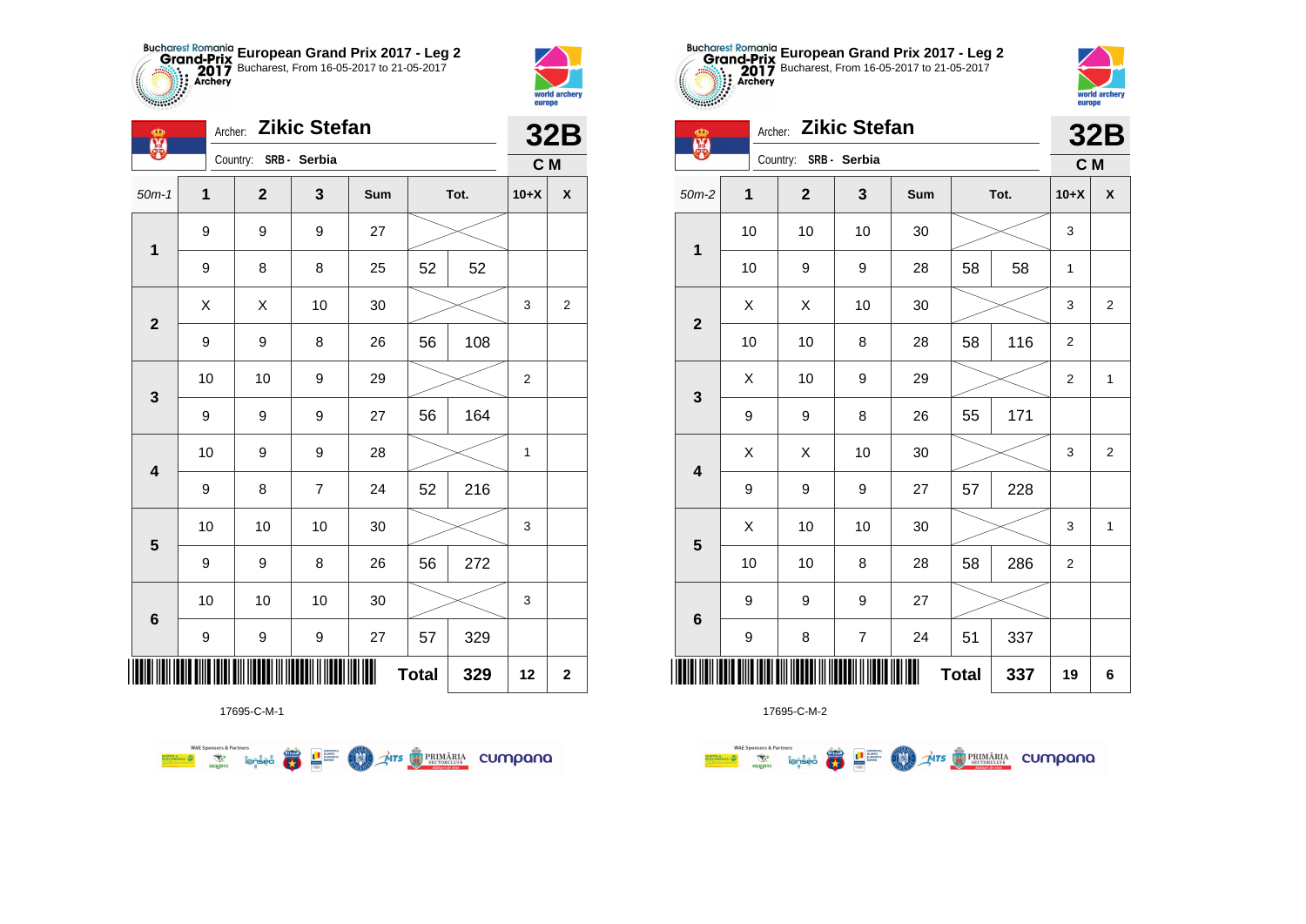



2783

| Ф<br>麗                  |              | Archer: Zikic Stefan  |                |     |              |      |                | <b>32B</b>         |
|-------------------------|--------------|-----------------------|----------------|-----|--------------|------|----------------|--------------------|
|                         |              | Country: SRB - Serbia |                |     |              |      | C M            |                    |
| $50m-1$                 | $\mathbf{1}$ | $\mathbf{2}$          | 3              | Sum |              | Tot. | $10+X$         | $\pmb{\mathsf{X}}$ |
| $\mathbf{1}$            | 9            | 9                     | 9              | 27  |              |      |                |                    |
|                         | 9            | 8                     | 8              | 25  | 52           | 52   |                |                    |
| $\mathbf{2}$            | X            | X                     | 10             | 30  |              |      | 3              | $\overline{2}$     |
|                         | 9            | 9                     | 8              | 26  | 56           | 108  |                |                    |
| $\mathbf{3}$            | 10           | 10                    | 9              | 29  |              |      | $\overline{2}$ |                    |
|                         | 9            | 9                     | 9              | 27  | 56           | 164  |                |                    |
| $\overline{\mathbf{4}}$ | 10           | 9                     | 9              | 28  |              |      | 1              |                    |
|                         | 9            | 8                     | $\overline{7}$ | 24  | 52           | 216  |                |                    |
| $\overline{\mathbf{5}}$ | 10           | 10                    | 10             | 30  |              |      | 3              |                    |
|                         | 9            | 9                     | 8              | 26  | 56           | 272  |                |                    |
| $\bf 6$                 | 10           | 10                    | 10             | 30  |              |      | 3              |                    |
|                         | 9            | 9                     | 9              | 27  | 57           | 329  |                |                    |
|                         |              |                       |                | Ш   | <b>Total</b> | 329  | 12             | $\mathbf 2$        |

**Exercise on the Second Parties of the Conservation Company of the Conservation Company of the Conservation Company** 



17695-C-M-2

| 金器                      | Archer:             |                | <b>Zikic Stefan</b> |     |    |      |                  | <b>32B</b>     |
|-------------------------|---------------------|----------------|---------------------|-----|----|------|------------------|----------------|
|                         |                     | Country:       | SRB - Serbia        |     |    |      | C M              |                |
| $50m-2$                 | 1                   | $\overline{2}$ | 3                   | Sum |    | Tot. | $10+X$           | X              |
| $\mathbf{1}$            | 10                  | 10             | 10                  | 30  |    |      | 3                |                |
|                         | 10                  | 9              | 9                   | 28  | 58 | 58   | 1                |                |
| $\overline{\mathbf{2}}$ | X                   | X              | 10                  | 30  |    |      | 3                | 2              |
|                         | 10                  | 10             | 8                   | 28  | 58 | 116  | $\overline{2}$   |                |
| $\mathbf{3}$            | X                   | 10             | 9                   | 29  |    |      | $\boldsymbol{2}$ | $\mathbf{1}$   |
|                         | 9                   | 9              | 8                   | 26  | 55 | 171  |                  |                |
| $\overline{\mathbf{4}}$ | X                   | X              | 10                  | 30  |    |      | 3                | $\overline{2}$ |
|                         | 9                   | 9              | 9                   | 27  | 57 | 228  |                  |                |
| 5                       | X                   | 10             | 10                  | 30  |    |      | 3                | $\mathbf{1}$   |
|                         | 10                  | 10             | 8                   | 28  | 58 | 286  | $\overline{2}$   |                |
| $6\phantom{1}6$         | 9                   | 9              | 9                   | 27  |    |      |                  |                |
|                         | 9                   | 8              | $\overline{7}$      | 24  | 51 | 337  |                  |                |
| ║║                      | 337<br><b>Total</b> |                |                     |     |    |      |                  |                |

**European Grand Prix 2017 - Leg 2** Bucharest, From 16-05-2017 to 21-05-2017

world archer

europe

17695-C-M-1

**WAE Sponsors & Partners**